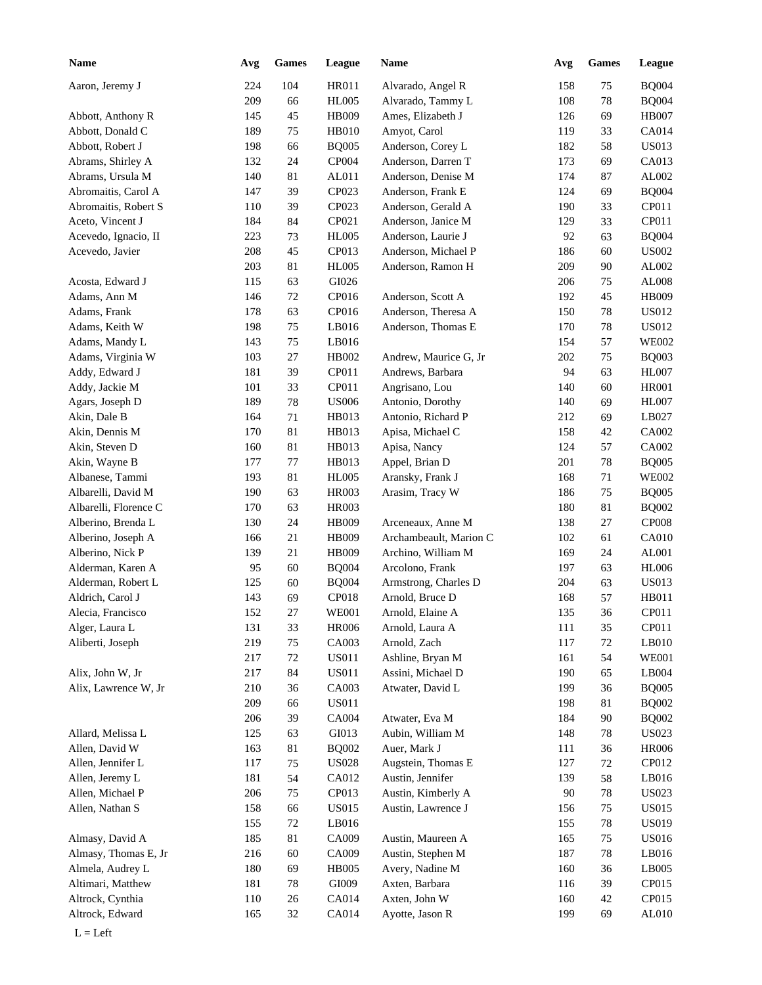| <b>Name</b>                    | Avg        | <b>Games</b> | League       | Name                   | Avg        | <b>Games</b> | <b>League</b> |
|--------------------------------|------------|--------------|--------------|------------------------|------------|--------------|---------------|
| Aaron, Jeremy J                | 224        | 104          | <b>HR011</b> | Alvarado, Angel R      | 158        | 75           | <b>BQ004</b>  |
|                                | 209        | 66           | <b>HL005</b> | Alvarado, Tammy L      | 108        | 78           | <b>BQ004</b>  |
| Abbott, Anthony R              | 145        | 45           | HB009        | Ames, Elizabeth J      | 126        | 69           | <b>HB007</b>  |
| Abbott, Donald C               | 189        | $75\,$       | <b>HB010</b> | Amyot, Carol           | 119        | 33           | CA014         |
| Abbott, Robert J               | 198        | 66           | <b>BQ005</b> | Anderson, Corey L      | 182        | 58           | <b>US013</b>  |
| Abrams, Shirley A              | 132        | 24           | CP004        | Anderson, Darren T     | 173        | 69           | CA013         |
| Abrams, Ursula M               | 140        | 81           | AL011        | Anderson, Denise M     | 174        | 87           | AL002         |
| Abromaitis, Carol A            | 147        | 39           | CP023        | Anderson, Frank E      | 124        | 69           | <b>BQ004</b>  |
| Abromaitis, Robert S           | 110        | 39           | CP023        | Anderson, Gerald A     | 190        | 33           | CP011         |
| Aceto, Vincent J               | 184        | 84           | CP021        | Anderson, Janice M     | 129        | 33           | CP011         |
| Acevedo, Ignacio, II           | 223        | 73           | <b>HL005</b> | Anderson, Laurie J     | 92         | 63           | <b>BQ004</b>  |
| Acevedo, Javier                | 208        | 45           | CP013        | Anderson, Michael P    | 186        | 60           | <b>US002</b>  |
|                                | 203        | 81           | <b>HL005</b> | Anderson, Ramon H      | 209        | 90           | AL002         |
| Acosta, Edward J               | 115        | 63           | GI026        |                        | 206        | 75           | AL008         |
| Adams, Ann M                   | 146        | $72\,$       | CP016        | Anderson, Scott A      | 192        | 45           | <b>HB009</b>  |
|                                |            |              | CP016        | Anderson, Theresa A    |            |              | <b>US012</b>  |
| Adams, Frank<br>Adams, Keith W | 178<br>198 | 63<br>75     | LB016        | Anderson, Thomas E     | 150<br>170 | 78<br>78     | <b>US012</b>  |
|                                |            |              |              |                        |            |              | <b>WE002</b>  |
| Adams, Mandy L                 | 143        | 75           | LB016        |                        | 154        | 57           |               |
| Adams, Virginia W              | 103        | 27           | HB002        | Andrew, Maurice G, Jr  | 202        | 75           | <b>BQ003</b>  |
| Addy, Edward J                 | 181        | 39           | CP011        | Andrews, Barbara       | 94         | 63           | <b>HL007</b>  |
| Addy, Jackie M                 | 101        | 33           | CP011        | Angrisano, Lou         | 140        | 60           | <b>HR001</b>  |
| Agars, Joseph D                | 189        | 78           | <b>US006</b> | Antonio, Dorothy       | 140        | 69           | <b>HL007</b>  |
| Akin, Dale B                   | 164        | 71           | HB013        | Antonio, Richard P     | 212        | 69           | LB027         |
| Akin, Dennis M                 | 170        | 81           | HB013        | Apisa, Michael C       | 158        | 42           | CA002         |
| Akin, Steven D                 | 160        | 81           | HB013        | Apisa, Nancy           | 124        | 57           | CA002         |
| Akin, Wayne B                  | 177        | 77           | HB013        | Appel, Brian D         | 201        | 78           | <b>BQ005</b>  |
| Albanese, Tammi                | 193        | 81           | <b>HL005</b> | Aransky, Frank J       | 168        | 71           | <b>WE002</b>  |
| Albarelli, David M             | 190        | 63           | HR003        | Arasim, Tracy W        | 186        | 75           | <b>BQ005</b>  |
| Albarelli, Florence C          | 170        | 63           | HR003        |                        | 180        | 81           | <b>BQ002</b>  |
| Alberino, Brenda L             | 130        | 24           | HB009        | Arceneaux, Anne M      | 138        | 27           | <b>CP008</b>  |
| Alberino, Joseph A             | 166        | 21           | HB009        | Archambeault, Marion C | 102        | 61           | <b>CA010</b>  |
| Alberino, Nick P               | 139        | 21           | HB009        | Archino, William M     | 169        | 24           | AL001         |
| Alderman, Karen A              | 95         | 60           | <b>BQ004</b> | Arcolono, Frank        | 197        | 63           | <b>HL006</b>  |
| Alderman, Robert L             | 125        | 60           | <b>BQ004</b> | Armstrong, Charles D   | 204        | 63           | <b>US013</b>  |
| Aldrich, Carol J               | 143        | 69           | CP018        | Arnold, Bruce D        | 168        | 57           | HB011         |
| Alecia, Francisco              | 152        | $27\,$       | <b>WE001</b> | Arnold, Elaine A       | 135        | 36           | CP011         |
| Alger, Laura L                 | 131        | 33           | <b>HR006</b> | Arnold, Laura A        | 111        | 35           | CP011         |
| Aliberti, Joseph               | 219        | $75\,$       | CA003        | Arnold, Zach           | 117        | 72           | $L$ B010      |
|                                | 217        | 72           | <b>US011</b> | Ashline, Bryan M       | 161        | 54           | <b>WE001</b>  |
| Alix, John W, Jr               | 217        | $\bf 84$     | <b>US011</b> | Assini, Michael D      | 190        | 65           | LB004         |
| Alix, Lawrence W, Jr           | 210        | 36           | CA003        | Atwater, David L       | 199        | 36           | <b>BQ005</b>  |
|                                | 209        | 66           | <b>US011</b> |                        | 198        | 81           | <b>BQ002</b>  |
|                                | 206        | 39           | CA004        | Atwater, Eva M         | 184        | 90           | <b>BQ002</b>  |
| Allard, Melissa L              | 125        | 63           | GI013        | Aubin, William M       | 148        | 78           | <b>US023</b>  |
| Allen, David W                 | 163        | $81\,$       | <b>BQ002</b> | Auer, Mark J           | 111        | 36           | <b>HR006</b>  |
| Allen, Jennifer L              | 117        | 75           | <b>US028</b> | Augstein, Thomas E     | 127        | $72\,$       | CP012         |
| Allen, Jeremy L                | 181        | 54           | CA012        | Austin, Jennifer       | 139        | 58           | LB016         |
| Allen, Michael P               | 206        | 75           | CP013        | Austin, Kimberly A     | 90         | 78           | <b>US023</b>  |
| Allen, Nathan S                | 158        | 66           | <b>US015</b> | Austin, Lawrence J     | 156        | $75\,$       | <b>US015</b>  |
|                                | 155        | $72\,$       | LB016        |                        | 155        | 78           | <b>US019</b>  |
| Almasy, David A                | 185        | $81\,$       | CA009        | Austin, Maureen A      | 165        | $75\,$       | <b>US016</b>  |
| Almasy, Thomas E, Jr           | 216        | 60           | CA009        | Austin, Stephen M      | 187        | 78           | LB016         |
| Almela, Audrey L               | 180        | 69           | <b>HB005</b> | Avery, Nadine M        | 160        | 36           | LB005         |
| Altimari, Matthew              | 181        | $78\,$       | GI009        | Axten, Barbara         | 116        | 39           | CP015         |
| Altrock, Cynthia               | 110        | $26\,$       | CA014        | Axten, John W          | 160        | 42           | CP015         |
| Altrock, Edward                | 165        | 32           | CA014        | Ayotte, Jason R        | 199        | 69           | AL010         |
| $L = Left$                     |            |              |              |                        |            |              |               |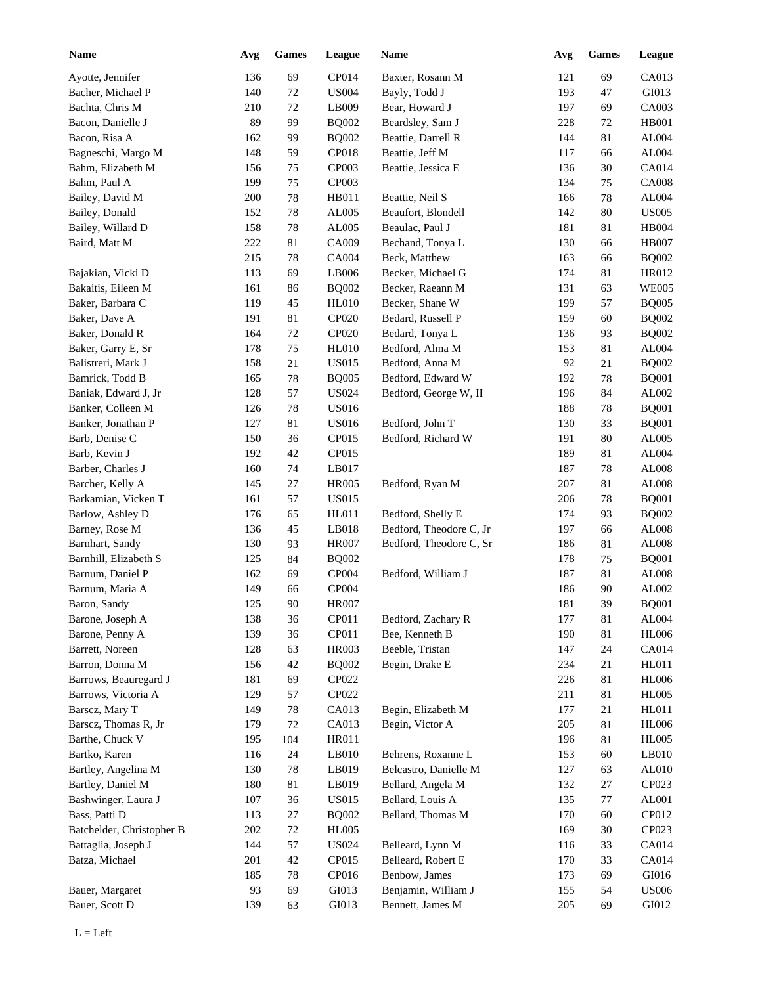| <b>Name</b>                              | Avg | <b>Games</b> | League        | Name                    | Avg | <b>Games</b> | <b>League</b> |
|------------------------------------------|-----|--------------|---------------|-------------------------|-----|--------------|---------------|
| Ayotte, Jennifer                         | 136 | 69           | CP014         | Baxter, Rosann M        | 121 | 69           | CA013         |
| Bacher, Michael P                        | 140 | $72\,$       | <b>US004</b>  | Bayly, Todd J           | 193 | 47           | GI013         |
| Bachta, Chris M                          | 210 | $72\,$       | LB009         | Bear, Howard J          | 197 | 69           | CA003         |
| Bacon, Danielle J                        | 89  | 99           | <b>BQ002</b>  | Beardsley, Sam J        | 228 | 72           | <b>HB001</b>  |
| Bacon, Risa A                            | 162 | 99           | <b>BQ002</b>  | Beattie, Darrell R      | 144 | 81           | AL004         |
| Bagneschi, Margo M                       | 148 | 59           | CP018         | Beattie, Jeff M         | 117 | 66           | AL004         |
| Bahm, Elizabeth M                        | 156 | 75           | CP003         | Beattie, Jessica E      | 136 | 30           | CA014         |
| Bahm, Paul A                             | 199 | $75\,$       | CP003         |                         | 134 | 75           | <b>CA008</b>  |
| Bailey, David M                          | 200 | 78           | HB011         | Beattie, Neil S         | 166 | 78           | AL004         |
| Bailey, Donald                           | 152 | 78           | AL005         | Beaufort, Blondell      | 142 | 80           | <b>US005</b>  |
| Bailey, Willard D                        | 158 | 78           | ${\rm AL005}$ | Beaulac, Paul J         | 181 | 81           | HB004         |
| Baird, Matt M                            | 222 | 81           | CA009         | Bechand, Tonya L        | 130 | 66           | <b>HB007</b>  |
|                                          | 215 | 78           | CA004         | Beck, Matthew           | 163 | 66           | <b>BQ002</b>  |
| Bajakian, Vicki D                        | 113 | 69           | LB006         | Becker, Michael G       | 174 | 81           | HR012         |
| Bakaitis, Eileen M                       | 161 | 86           | <b>BQ002</b>  | Becker, Raeann M        | 131 | 63           | <b>WE005</b>  |
| Baker, Barbara C                         | 119 | 45           | <b>HL010</b>  | Becker, Shane W         | 199 | 57           | <b>BQ005</b>  |
| Baker, Dave A                            | 191 | 81           | CP020         | Bedard, Russell P       | 159 | 60           | <b>BQ002</b>  |
| Baker, Donald R                          | 164 | $72\,$       | CP020         | Bedard, Tonya L         | 136 | 93           | <b>BQ002</b>  |
|                                          | 178 | 75           | HL010         | Bedford, Alma M         | 153 | 81           | AL004         |
| Baker, Garry E, Sr<br>Balistreri, Mark J | 158 | 21           | <b>US015</b>  | Bedford, Anna M         | 92  | 21           | <b>BQ002</b>  |
|                                          |     |              |               |                         |     |              |               |
| Bamrick, Todd B                          | 165 | 78           | <b>BQ005</b>  | Bedford, Edward W       | 192 | 78           | <b>BQ001</b>  |
| Baniak, Edward J, Jr                     | 128 | 57           | <b>US024</b>  | Bedford, George W, II   | 196 | 84           | AL002         |
| Banker, Colleen M                        | 126 | 78           | <b>US016</b>  |                         | 188 | 78           | <b>BQ001</b>  |
| Banker, Jonathan P                       | 127 | 81           | <b>US016</b>  | Bedford, John T         | 130 | 33           | <b>BQ001</b>  |
| Barb, Denise C                           | 150 | 36           | CP015         | Bedford, Richard W      | 191 | 80           | AL005         |
| Barb, Kevin J                            | 192 | 42           | CP015         |                         | 189 | 81           | AL004         |
| Barber, Charles J                        | 160 | 74           | LB017         |                         | 187 | 78           | AL008         |
| Barcher, Kelly A                         | 145 | 27           | <b>HR005</b>  | Bedford, Ryan M         | 207 | 81           | AL008         |
| Barkamian, Vicken T                      | 161 | 57           | <b>US015</b>  |                         | 206 | 78           | <b>BQ001</b>  |
| Barlow, Ashley D                         | 176 | 65           | HL011         | Bedford, Shelly E       | 174 | 93           | <b>BQ002</b>  |
| Barney, Rose M                           | 136 | 45           | LB018         | Bedford, Theodore C, Jr | 197 | 66           | AL008         |
| Barnhart, Sandy                          | 130 | 93           | <b>HR007</b>  | Bedford, Theodore C, Sr | 186 | 81           | AL008         |
| Barnhill, Elizabeth S                    | 125 | 84           | <b>BQ002</b>  |                         | 178 | $75\,$       | <b>BQ001</b>  |
| Barnum, Daniel P                         | 162 | 69           | CP004         | Bedford, William J      | 187 | 81           | AL008         |
| Barnum, Maria A                          | 149 | 66           | CP004         |                         | 186 | 90           | AL002         |
| Baron, Sandy                             | 125 | $90\,$       | <b>HR007</b>  |                         | 181 | 39           | <b>BQ001</b>  |
| Barone, Joseph A                         | 138 | 36           | CP011         | Bedford, Zachary R      | 177 | $81\,$       | ${\rm AL004}$ |
| Barone, Penny A                          | 139 | 36           | CP011         | Bee, Kenneth B          | 190 | $81\,$       | <b>HL006</b>  |
| Barrett, Noreen                          | 128 | 63           | <b>HR003</b>  | Beeble, Tristan         | 147 | 24           | CA014         |
| Barron, Donna M                          | 156 | $42\,$       | <b>BQ002</b>  | Begin, Drake E          | 234 | $21\,$       | HL011         |
| Barrows, Beauregard J                    | 181 | 69           | CP022         |                         | 226 | $81\,$       | <b>HL006</b>  |
| Barrows, Victoria A                      | 129 | 57           | CP022         |                         | 211 | $81\,$       | <b>HL005</b>  |
| Barscz, Mary T                           | 149 | $78\,$       | CA013         | Begin, Elizabeth M      | 177 | $21\,$       | HL011         |
| Barscz, Thomas R, Jr                     | 179 | $72\,$       | CA013         | Begin, Victor A         | 205 | $81\,$       | <b>HL006</b>  |
| Barthe, Chuck V                          | 195 | 104          | HR011         |                         | 196 | 81           | <b>HL005</b>  |
| Bartko, Karen                            | 116 | $24\,$       | $L$ B010      | Behrens, Roxanne L      | 153 | 60           | $L$ B010      |
| Bartley, Angelina M                      | 130 | $78\,$       | LB019         | Belcastro, Danielle M   | 127 | 63           | $AL010$       |
| Bartley, Daniel M                        | 180 | $81\,$       | LB019         | Bellard, Angela M       | 132 | $27\,$       | CP023         |
| Bashwinger, Laura J                      | 107 | 36           | <b>US015</b>  | Bellard, Louis A        | 135 | 77           | ${\rm AL}001$ |
| Bass, Patti D                            | 113 | $27\,$       | <b>BQ002</b>  | Bellard, Thomas M       | 170 | 60           | CP012         |
| Batchelder, Christopher B                | 202 | $72\,$       | <b>HL005</b>  |                         | 169 | 30           | CP023         |
| Battaglia, Joseph J                      | 144 | 57           | <b>US024</b>  | Belleard, Lynn M        | 116 | 33           | CA014         |
| Batza, Michael                           | 201 | $42\,$       | CP015         | Belleard, Robert E      | 170 | 33           | CA014         |
|                                          | 185 | 78           | CP016         | Benbow, James           | 173 | 69           | GI016         |
|                                          |     |              |               |                         |     |              |               |
| Bauer, Margaret                          | 93  | 69           | GI013         | Benjamin, William J     | 155 | 54           | <b>US006</b>  |
| Bauer, Scott D                           | 139 | 63           | GI013         | Bennett, James M        | 205 | 69           | ${\rm G}I012$ |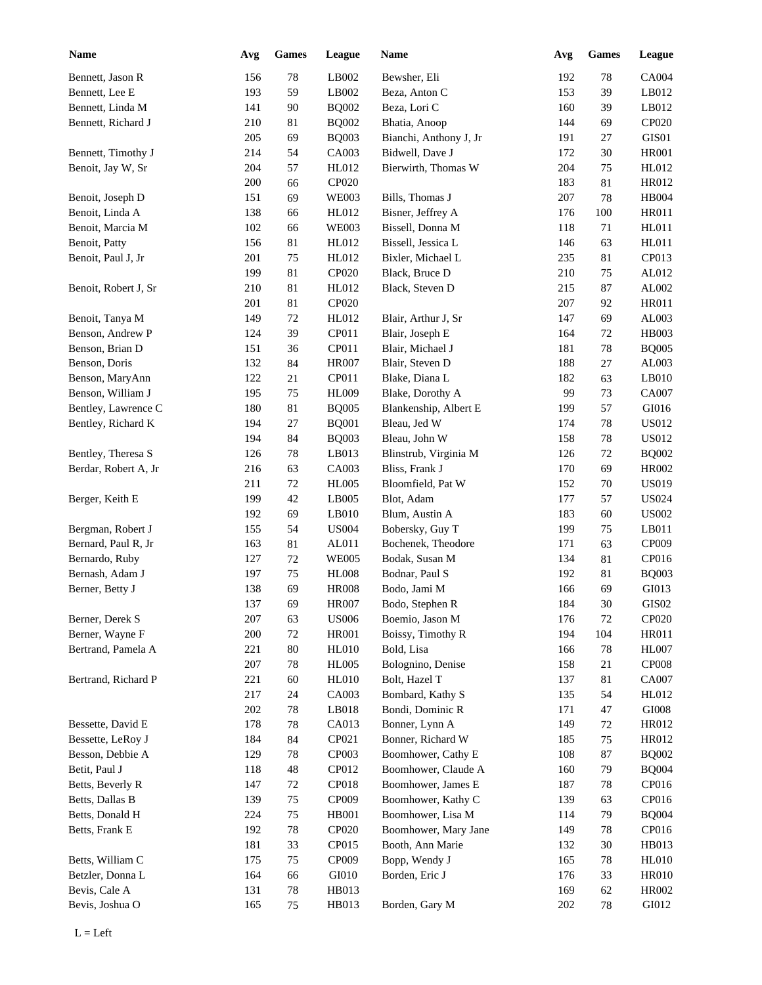| <b>Name</b>          | Avg | <b>Games</b> | League       | <b>Name</b>            | Avg | <b>Games</b> | League            |
|----------------------|-----|--------------|--------------|------------------------|-----|--------------|-------------------|
| Bennett, Jason R     | 156 | $78\,$       | LB002        | Bewsher, Eli           | 192 | 78           | CA004             |
| Bennett, Lee E       | 193 | 59           | LB002        | Beza, Anton C          | 153 | 39           | LB012             |
| Bennett, Linda M     | 141 | 90           | <b>BQ002</b> | Beza, Lori C           | 160 | 39           | LB012             |
| Bennett, Richard J   | 210 | 81           | <b>BQ002</b> | Bhatia, Anoop          | 144 | 69           | CP020             |
|                      | 205 | 69           | <b>BQ003</b> | Bianchi, Anthony J, Jr | 191 | 27           | GIS <sub>01</sub> |
| Bennett, Timothy J   | 214 | 54           | CA003        | Bidwell, Dave J        | 172 | 30           | <b>HR001</b>      |
| Benoit, Jay W, Sr    | 204 | 57           | HL012        | Bierwirth, Thomas W    | 204 | 75           | HL012             |
|                      | 200 | 66           | CP020        |                        | 183 | 81           | HR012             |
| Benoit, Joseph D     | 151 | 69           | <b>WE003</b> | Bills, Thomas J        | 207 | 78           | HB004             |
| Benoit, Linda A      | 138 | 66           | HL012        | Bisner, Jeffrey A      | 176 | 100          | HR011             |
| Benoit, Marcia M     | 102 | 66           | <b>WE003</b> | Bissell, Donna M       | 118 | 71           | HL011             |
| Benoit, Patty        | 156 | 81           | HL012        | Bissell, Jessica L     | 146 | 63           | HL011             |
| Benoit, Paul J, Jr   | 201 | 75           | HL012        | Bixler, Michael L      | 235 | 81           | CP013             |
|                      | 199 | 81           | CP020        | Black, Bruce D         | 210 | 75           | AL012             |
| Benoit, Robert J, Sr | 210 | 81           | HL012        | Black, Steven D        | 215 | 87           | AL002             |
|                      | 201 | 81           | CP020        |                        | 207 | 92           | <b>HR011</b>      |
| Benoit, Tanya M      | 149 | 72           | HL012        | Blair, Arthur J, Sr    | 147 | 69           | AL003             |
| Benson, Andrew P     | 124 | 39           | CP011        | Blair, Joseph E        | 164 | 72           | HB003             |
| Benson, Brian D      | 151 | 36           | CP011        | Blair, Michael J       | 181 | 78           | <b>BQ005</b>      |
| Benson, Doris        | 132 | 84           | <b>HR007</b> | Blair, Steven D        | 188 | 27           | AL003             |
| Benson, MaryAnn      | 122 | 21           | CP011        | Blake, Diana L         | 182 | 63           | LB010             |
| Benson, William J    | 195 | 75           | <b>HL009</b> | Blake, Dorothy A       | 99  | 73           | CA007             |
| Bentley, Lawrence C  | 180 | 81           | <b>BQ005</b> | Blankenship, Albert E  | 199 | 57           | GI016             |
| Bentley, Richard K   | 194 | 27           | <b>BQ001</b> | Bleau, Jed W           | 174 | 78           | <b>US012</b>      |
|                      | 194 | 84           | <b>BQ003</b> | Bleau, John W          | 158 | 78           | <b>US012</b>      |
| Bentley, Theresa S   | 126 | 78           | LB013        | Blinstrub, Virginia M  | 126 | 72           | <b>BQ002</b>      |
| Berdar, Robert A, Jr | 216 | 63           | CA003        | Bliss, Frank J         | 170 | 69           | HR002             |
|                      | 211 | 72           | <b>HL005</b> | Bloomfield, Pat W      | 152 | 70           | <b>US019</b>      |
| Berger, Keith E      | 199 | 42           | LB005        | Blot, Adam             | 177 | 57           | <b>US024</b>      |
|                      | 192 | 69           | LB010        | Blum, Austin A         | 183 | 60           | <b>US002</b>      |
| Bergman, Robert J    | 155 | 54           | <b>US004</b> | Bobersky, Guy T        | 199 | 75           | LB011             |
| Bernard, Paul R, Jr  | 163 | 81           | AL011        | Bochenek, Theodore     | 171 | 63           | CP009             |
|                      |     |              |              |                        |     |              |                   |
| Bernardo, Ruby       | 127 | 72           | <b>WE005</b> | Bodak, Susan M         | 134 | 81           | CP016             |
| Bernash, Adam J      | 197 | 75           | <b>HL008</b> | Bodnar, Paul S         | 192 | 81           | <b>BQ003</b>      |
| Berner, Betty J      | 138 | 69           | <b>HR008</b> | Bodo, Jami M           | 166 | 69           | GI013             |
|                      | 137 | 69           | <b>HR007</b> | Bodo, Stephen R        | 184 | 30           | GIS02             |
| Berner, Derek S      | 207 | 63           | <b>US006</b> | Boemio, Jason M        | 176 | 72           | CP020             |
| Berner, Wayne F      | 200 | 72           | HR001        | Boissy, Timothy R      | 194 | 104          | HR011             |
| Bertrand, Pamela A   | 221 | 80           | <b>HL010</b> | Bold, Lisa             | 166 | 78           | HL007             |
|                      | 207 | $78\,$       | <b>HL005</b> | Bolognino, Denise      | 158 | 21           | CP008             |
| Bertrand, Richard P  | 221 | 60           | <b>HL010</b> | Bolt, Hazel T          | 137 | 81           | CA007             |
|                      | 217 | 24           | CA003        | Bombard, Kathy S       | 135 | 54           | HL012             |
|                      | 202 | $78\,$       | LB018        | Bondi, Dominic R       | 171 | 47           | $\rm GIO08$       |
| Bessette, David E    | 178 | $78\,$       | CA013        | Bonner, Lynn A         | 149 | 72           | HR012             |
| Bessette, LeRoy J    | 184 | 84           | CP021        | Bonner, Richard W      | 185 | 75           | HR012             |
| Besson, Debbie A     | 129 | $78\,$       | CP003        | Boomhower, Cathy E     | 108 | 87           | <b>BQ002</b>      |
| Betit, Paul J        | 118 | $\sqrt{48}$  | CP012        | Boomhower, Claude A    | 160 | 79           | <b>BQ004</b>      |
| Betts, Beverly R     | 147 | 72           | CP018        | Boomhower, James E     | 187 | 78           | CP016             |
| Betts, Dallas B      | 139 | $75\,$       | CP009        | Boomhower, Kathy C     | 139 | 63           | CP016             |
| Betts, Donald H      | 224 | 75           | HB001        | Boomhower, Lisa M      | 114 | 79           | <b>BQ004</b>      |
| Betts, Frank E       | 192 | $78\,$       | CP020        | Boomhower, Mary Jane   | 149 | 78           | CP016             |
|                      | 181 | 33           | CP015        | Booth, Ann Marie       | 132 | $30\,$       | HB013             |
| Betts, William C     | 175 | 75           | CP009        | Bopp, Wendy J          | 165 | 78           | <b>HL010</b>      |
| Betzler, Donna L     | 164 | 66           | GI010        | Borden, Eric J         | 176 | 33           | <b>HR010</b>      |
| Bevis, Cale A        | 131 | $78\,$       | HB013        |                        | 169 | 62           | HR002             |
| Bevis, Joshua O      | 165 | 75           | HB013        | Borden, Gary M         | 202 | $78\,$       | GI012             |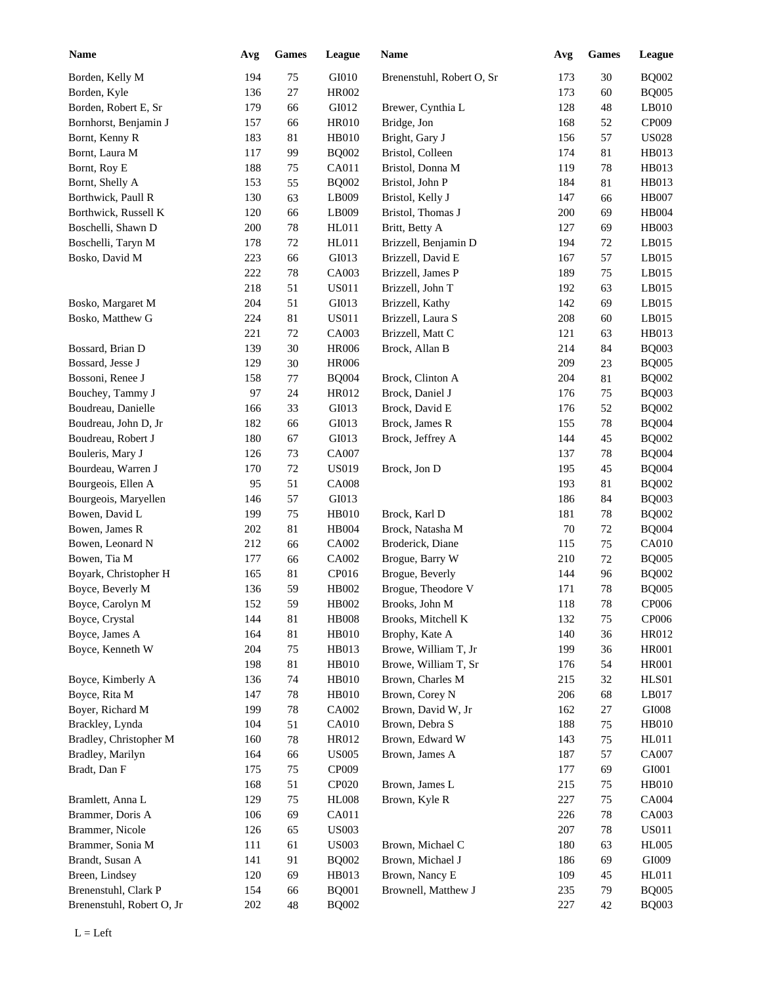| <b>Name</b>                               | Avg | <b>Games</b> | League       | Name                               | Avg | <b>Games</b> | League                 |
|-------------------------------------------|-----|--------------|--------------|------------------------------------|-----|--------------|------------------------|
| Borden, Kelly M                           | 194 | 75           | GI010        | Brenenstuhl, Robert O, Sr          | 173 | 30           | <b>BQ002</b>           |
| Borden, Kyle                              | 136 | $27\,$       | HR002        |                                    | 173 | 60           | <b>BQ005</b>           |
| Borden, Robert E, Sr                      | 179 | 66           | GI012        | Brewer, Cynthia L                  | 128 | 48           | LB010                  |
| Bornhorst, Benjamin J                     | 157 | 66           | <b>HR010</b> | Bridge, Jon                        | 168 | 52           | CP009                  |
| Bornt, Kenny R                            | 183 | 81           | <b>HB010</b> | Bright, Gary J                     | 156 | 57           | <b>US028</b>           |
| Bornt, Laura M                            | 117 | 99           | <b>BQ002</b> | Bristol, Colleen                   | 174 | 81           | HB013                  |
| Bornt, Roy E                              | 188 | 75           | CA011        | Bristol, Donna M                   | 119 | 78           | HB013                  |
| Bornt, Shelly A                           | 153 | 55           | <b>BQ002</b> | Bristol, John P                    | 184 | 81           | HB013                  |
| Borthwick, Paull R                        | 130 | 63           | LB009        | Bristol, Kelly J                   | 147 | 66           | <b>HB007</b>           |
| Borthwick, Russell K                      | 120 | 66           | LB009        | Bristol, Thomas J                  | 200 | 69           | HB004                  |
| Boschelli, Shawn D                        | 200 | 78           | HL011        | Britt, Betty A                     | 127 | 69           | HB003                  |
| Boschelli, Taryn M                        | 178 | 72           | HL011        | Brizzell, Benjamin D               | 194 | 72           | LB015                  |
| Bosko, David M                            | 223 | 66           | GI013        | Brizzell, David E                  | 167 | 57           | LB015                  |
|                                           | 222 | 78           | CA003        | Brizzell, James P                  | 189 | 75           | LB015                  |
|                                           | 218 | 51           | <b>US011</b> | Brizzell, John T                   | 192 | 63           | LB015                  |
| Bosko, Margaret M                         | 204 | 51           | GI013        | Brizzell, Kathy                    | 142 | 69           | LB015                  |
| Bosko, Matthew G                          | 224 | 81           | <b>US011</b> | Brizzell, Laura S                  | 208 | 60           | LB015                  |
|                                           | 221 | $72\,$       | CA003        | Brizzell, Matt C                   | 121 | 63           | HB013                  |
| Bossard, Brian D                          | 139 | 30           | <b>HR006</b> | Brock, Allan B                     | 214 | 84           | <b>BQ003</b>           |
| Bossard, Jesse J                          | 129 | 30           | <b>HR006</b> |                                    | 209 | 23           | <b>BQ005</b>           |
| Bossoni, Renee J                          | 158 | 77           | <b>BQ004</b> | Brock, Clinton A                   | 204 | 81           | <b>BQ002</b>           |
| Bouchey, Tammy J                          | 97  | 24           | HR012        | Brock, Daniel J                    | 176 | 75           | <b>BQ003</b>           |
| Boudreau, Danielle                        | 166 | 33           | GI013        | Brock, David E                     | 176 | 52           | <b>BQ002</b>           |
| Boudreau, John D, Jr                      | 182 | 66           | GI013        | Brock, James R                     | 155 | 78           | <b>BQ004</b>           |
| Boudreau, Robert J                        | 180 | 67           | GI013        | Brock, Jeffrey A                   | 144 | 45           | <b>BQ002</b>           |
| Bouleris, Mary J                          | 126 | 73           | CA007        |                                    | 137 | 78           | <b>BQ004</b>           |
| Bourdeau, Warren J                        | 170 | $72\,$       | <b>US019</b> | Brock, Jon D                       | 195 | 45           | <b>BQ004</b>           |
| Bourgeois, Ellen A                        | 95  | 51           | <b>CA008</b> |                                    | 193 | 81           | <b>BQ002</b>           |
| Bourgeois, Maryellen                      | 146 | 57           | GI013        |                                    | 186 | 84           | <b>BQ003</b>           |
| Bowen, David L                            | 199 | 75           | HB010        | Brock, Karl D                      | 181 | 78           | <b>BQ002</b>           |
| Bowen, James R                            | 202 | 81           | HB004        | Brock, Natasha M                   | 70  | 72           | <b>BQ004</b>           |
| Bowen, Leonard N                          | 212 | 66           | CA002        | Broderick, Diane                   | 115 | $75\,$       | CA010                  |
| Bowen, Tia M                              | 177 |              | CA002        |                                    | 210 | 72           | <b>BQ005</b>           |
| Boyark, Christopher H                     | 165 | 66<br>81     | CP016        | Brogue, Barry W<br>Brogue, Beverly | 144 | 96           | <b>BQ002</b>           |
| Boyce, Beverly M                          | 136 | 59           | HB002        | Brogue, Theodore V                 | 171 | 78           | <b>BQ005</b>           |
| Boyce, Carolyn M                          | 152 | 59           | HB002        | Brooks, John M                     | 118 | $78\,$       | CP006                  |
| Boyce, Crystal                            | 144 | $81\,$       | <b>HB008</b> | Brooks, Mitchell K                 | 132 | 75           | CP006                  |
| Boyce, James A                            | 164 | $81\,$       | <b>HB010</b> | Brophy, Kate A                     | 140 | 36           | HR012                  |
| Boyce, Kenneth W                          | 204 | 75           | HB013        | Browe, William T, Jr               | 199 | 36           | <b>HR001</b>           |
|                                           | 198 | $81\,$       | <b>HB010</b> | Browe, William T, Sr               | 176 |              | <b>HR001</b>           |
| Boyce, Kimberly A                         | 136 | 74           | <b>HB010</b> | Brown, Charles M                   | 215 | 54<br>32     | HLS01                  |
| Boyce, Rita M                             | 147 | 78           | <b>HB010</b> | Brown, Corey N                     | 206 | 68           | LB017                  |
| Boyer, Richard M                          | 199 | 78           | CA002        | Brown, David W, Jr                 | 162 | 27           | GI008                  |
|                                           | 104 |              | CA010        | Brown, Debra S                     | 188 |              | HB010                  |
| Brackley, Lynda<br>Bradley, Christopher M |     | 51<br>$78\,$ | HR012        | Brown, Edward W                    |     | $75\,$       | HL011                  |
|                                           | 160 |              |              |                                    | 143 | $75\,$       |                        |
| Bradley, Marilyn                          | 164 | 66           | <b>US005</b> | Brown, James A                     | 187 | 57           | CA007<br>${\rm GIO}01$ |
| Bradt, Dan F                              | 175 | 75           | CP009        |                                    | 177 | 69           |                        |
|                                           | 168 | 51           | CP020        | Brown, James L                     | 215 | $75\,$       | <b>HB010</b>           |
| Bramlett, Anna L                          | 129 | 75           | <b>HL008</b> | Brown, Kyle R                      | 227 | 75           | CA004                  |
| Brammer, Doris A                          | 106 | 69           | CA011        |                                    | 226 | 78           | CA003                  |
| Brammer, Nicole                           | 126 | 65           | <b>US003</b> |                                    | 207 | 78           | <b>US011</b>           |
| Brammer, Sonia M                          | 111 | 61           | <b>US003</b> | Brown, Michael C                   | 180 | 63           | <b>HL005</b>           |
| Brandt, Susan A                           | 141 | 91           | <b>BQ002</b> | Brown, Michael J                   | 186 | 69           | GI009                  |
| Breen, Lindsey                            | 120 | 69           | HB013        | Brown, Nancy E                     | 109 | 45           | HL011                  |
| Brenenstuhl, Clark P                      | 154 | 66           | <b>BQ001</b> | Brownell, Matthew J                | 235 | 79           | <b>BQ005</b>           |
| Brenenstuhl, Robert O, Jr                 | 202 | 48           | <b>BQ002</b> |                                    | 227 | 42           | <b>BQ003</b>           |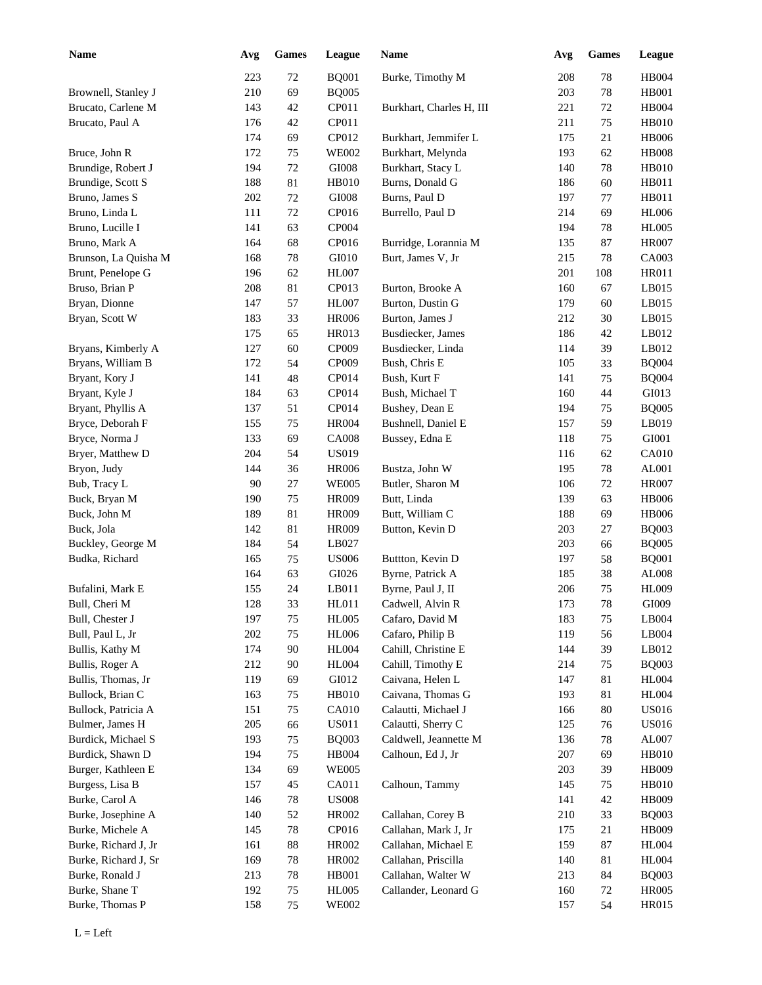| <b>Name</b>          | Avg | <b>Games</b> | League       | <b>Name</b>              | Avg | <b>Games</b> | League        |
|----------------------|-----|--------------|--------------|--------------------------|-----|--------------|---------------|
|                      | 223 | 72           | <b>BQ001</b> | Burke, Timothy M         | 208 | 78           | <b>HB004</b>  |
| Brownell, Stanley J  | 210 | 69           | <b>BQ005</b> |                          | 203 | 78           | <b>HB001</b>  |
| Brucato, Carlene M   | 143 | 42           | CP011        | Burkhart, Charles H, III | 221 | 72           | HB004         |
| Brucato, Paul A      | 176 | 42           | CP011        |                          | 211 | 75           | HB010         |
|                      | 174 | 69           | CP012        | Burkhart, Jemmifer L     | 175 | 21           | <b>HB006</b>  |
| Bruce, John R        | 172 | 75           | <b>WE002</b> | Burkhart, Melynda        | 193 | 62           | <b>HB008</b>  |
| Brundige, Robert J   | 194 | $72\,$       | GI008        | Burkhart, Stacy L        | 140 | 78           | HB010         |
| Brundige, Scott S    | 188 | 81           | <b>HB010</b> | Burns, Donald G          | 186 | 60           | HB011         |
| Bruno, James S       | 202 | $72\,$       | GI008        | Burns, Paul D            | 197 | 77           | HB011         |
| Bruno, Linda L       | 111 | $72\,$       | CP016        | Burrello, Paul D         | 214 | 69           | <b>HL006</b>  |
| Bruno, Lucille I     | 141 | 63           | CP004        |                          | 194 | 78           | <b>HL005</b>  |
| Bruno, Mark A        | 164 | 68           | CP016        | Burridge, Lorannia M     | 135 | 87           | <b>HR007</b>  |
| Brunson, La Quisha M | 168 | 78           | GI010        | Burt, James V, Jr        | 215 | 78           | CA003         |
| Brunt, Penelope G    | 196 | 62           | HL007        |                          | 201 | 108          | <b>HR011</b>  |
| Bruso, Brian P       | 208 | 81           | CP013        | Burton, Brooke A         | 160 | 67           | LB015         |
| Bryan, Dionne        | 147 | 57           | <b>HL007</b> | Burton, Dustin G         | 179 | 60           | LB015         |
| Bryan, Scott W       | 183 | 33           | <b>HR006</b> | Burton, James J          | 212 | 30           | LB015         |
|                      | 175 | 65           | <b>HR013</b> | Busdiecker, James        | 186 | 42           | LB012         |
| Bryans, Kimberly A   | 127 | 60           | CP009        | Busdiecker, Linda        | 114 | 39           | LB012         |
| Bryans, William B    | 172 | 54           | CP009        | Bush, Chris E            | 105 | 33           | <b>BQ004</b>  |
| Bryant, Kory J       | 141 | 48           | CP014        | Bush, Kurt F             | 141 | 75           | <b>BQ004</b>  |
| Bryant, Kyle J       | 184 | 63           | CP014        | Bush, Michael T          | 160 | 44           | GI013         |
| Bryant, Phyllis A    | 137 | 51           | CP014        | Bushey, Dean E           | 194 | 75           | <b>BQ005</b>  |
| Bryce, Deborah F     | 155 | 75           | <b>HR004</b> | Bushnell, Daniel E       | 157 | 59           | LB019         |
| Bryce, Norma J       | 133 | 69           | <b>CA008</b> | Bussey, Edna E           | 118 | 75           | GI001         |
| Bryer, Matthew D     | 204 | 54           | <b>US019</b> |                          | 116 | 62           | CA010         |
| Bryon, Judy          | 144 | 36           | <b>HR006</b> | Bustza, John W           | 195 | 78           | AL001         |
| Bub, Tracy L         | 90  | 27           | <b>WE005</b> | Butler, Sharon M         | 106 | 72           | <b>HR007</b>  |
| Buck, Bryan M        | 190 | 75           | <b>HR009</b> | Butt, Linda              | 139 | 63           | <b>HB006</b>  |
| Buck, John M         | 189 | 81           | <b>HR009</b> | Butt, William C          | 188 | 69           | <b>HB006</b>  |
| Buck, Jola           | 142 | 81           | <b>HR009</b> | Button, Kevin D          | 203 | 27           | <b>BQ003</b>  |
| Buckley, George M    | 184 | 54           | LB027        |                          | 203 | 66           | <b>BQ005</b>  |
| Budka, Richard       | 165 | 75           | <b>US006</b> | Buttton, Kevin D         | 197 | 58           | <b>BQ001</b>  |
|                      | 164 | 63           | GI026        | Byrne, Patrick A         | 185 | 38           | AL008         |
| Bufalini, Mark E     | 155 | 24           | LB011        | Byrne, Paul J, II        | 206 | 75           | <b>HL009</b>  |
| Bull, Cheri M        | 128 | 33           | HL011        | Cadwell, Alvin R         | 173 | $78\,$       | GI009         |
| Bull, Chester J      | 197 | 75           | <b>HL005</b> | Cafaro, David M          | 183 | 75           | LB004         |
| Bull, Paul L, Jr     | 202 | 75           | <b>HL006</b> | Cafaro, Philip B         | 119 | 56           | LB004         |
| Bullis, Kathy M      | 174 | 90           | <b>HL004</b> | Cahill, Christine E      | 144 | 39           | LB012         |
| Bullis, Roger A      | 212 | 90           | <b>HL004</b> | Cahill, Timothy E        | 214 | 75           | <b>BQ003</b>  |
| Bullis, Thomas, Jr   | 119 | 69           | GI012        | Caivana, Helen L         | 147 | 81           | <b>HL004</b>  |
| Bullock, Brian C     | 163 | 75           | HB010        | Caivana, Thomas G        | 193 | 81           | HL004         |
| Bullock, Patricia A  | 151 | 75           | CA010        | Calautti, Michael J      | 166 | $80\,$       | <b>US016</b>  |
| Bulmer, James H      | 205 | 66           | <b>US011</b> | Calautti, Sherry C       | 125 | 76           | <b>US016</b>  |
| Burdick, Michael S   | 193 | 75           | <b>BQ003</b> | Caldwell, Jeannette M    | 136 | 78           | ${\rm AL}007$ |
| Burdick, Shawn D     | 194 | 75           | HB004        | Calhoun, Ed J, Jr        | 207 | 69           | HB010         |
| Burger, Kathleen E   | 134 | 69           | <b>WE005</b> |                          | 203 | 39           | HB009         |
| Burgess, Lisa B      | 157 | 45           | CA011        | Calhoun, Tammy           | 145 | 75           | HB010         |
| Burke, Carol A       | 146 | $78\,$       | <b>US008</b> |                          | 141 | 42           | HB009         |
| Burke, Josephine A   | 140 | 52           | HR002        | Callahan, Corey B        | 210 | 33           | <b>BQ003</b>  |
| Burke, Michele A     | 145 | $78\,$       | CP016        | Callahan, Mark J, Jr     | 175 | 21           | HB009         |
| Burke, Richard J, Jr | 161 | $88\,$       | HR002        | Callahan, Michael E      | 159 | 87           | HL004         |
| Burke, Richard J, Sr | 169 | 78           | HR002        | Callahan, Priscilla      | 140 | 81           | HL004         |
| Burke, Ronald J      | 213 | 78           | HB001        | Callahan, Walter W       | 213 | 84           | <b>BQ003</b>  |
| Burke, Shane T       | 192 | 75           | <b>HL005</b> | Callander, Leonard G     | 160 | 72           | <b>HR005</b>  |
| Burke, Thomas P      | 158 | 75           | <b>WE002</b> |                          | 157 | 54           | HR015         |
|                      |     |              |              |                          |     |              |               |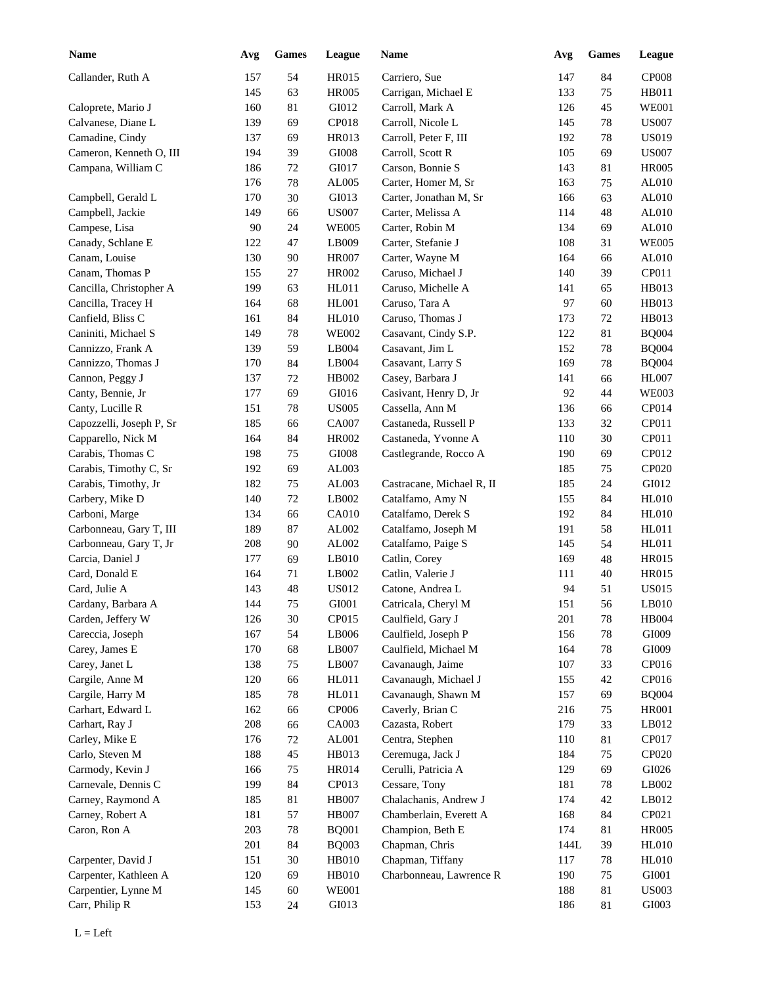| <b>Name</b>              | Avg | <b>Games</b> | League                 | Name                      | Avg  | <b>Games</b> | <b>League</b> |
|--------------------------|-----|--------------|------------------------|---------------------------|------|--------------|---------------|
| Callander, Ruth A        | 157 | 54           | <b>HR015</b>           | Carriero, Sue             | 147  | 84           | <b>CP008</b>  |
|                          | 145 | 63           | <b>HR005</b>           | Carrigan, Michael E       | 133  | 75           | HB011         |
| Caloprete, Mario J       | 160 | 81           | GI012                  | Carroll, Mark A           | 126  | 45           | <b>WE001</b>  |
| Calvanese, Diane L       | 139 | 69           | CP018                  | Carroll, Nicole L         | 145  | 78           | <b>US007</b>  |
| Camadine, Cindy          | 137 | 69           | HR013                  | Carroll, Peter F, III     | 192  | 78           | <b>US019</b>  |
| Cameron, Kenneth O, III  | 194 | 39           | GI008                  | Carroll, Scott R          | 105  | 69           | <b>US007</b>  |
| Campana, William C       | 186 | 72           | GI017                  | Carson, Bonnie S          | 143  | 81           | <b>HR005</b>  |
|                          | 176 | 78           | AL005                  | Carter, Homer M, Sr       | 163  | 75           | AL010         |
| Campbell, Gerald L       | 170 | 30           | GI013                  | Carter, Jonathan M, Sr    | 166  | 63           | AL010         |
| Campbell, Jackie         | 149 | 66           | <b>US007</b>           | Carter, Melissa A         | 114  | 48           | AL010         |
| Campese, Lisa            | 90  | 24           | <b>WE005</b>           | Carter, Robin M           | 134  | 69           | AL010         |
| Canady, Schlane E        | 122 | 47           | LB009                  | Carter, Stefanie J        | 108  | 31           | <b>WE005</b>  |
| Canam, Louise            | 130 | 90           | <b>HR007</b>           | Carter, Wayne M           | 164  | 66           | AL010         |
| Canam, Thomas P          | 155 |              | <b>HR002</b>           | Caruso, Michael J         | 140  |              | CP011         |
|                          |     | 27           |                        |                           |      | 39           |               |
| Cancilla, Christopher A  | 199 | 63           | HL011                  | Caruso, Michelle A        | 141  | 65           | HB013         |
| Cancilla, Tracey H       | 164 | 68           | HL001                  | Caruso, Tara A            | 97   | 60           | HB013         |
| Canfield, Bliss C        | 161 | 84           | <b>HL010</b>           | Caruso, Thomas J          | 173  | 72           | HB013         |
| Caniniti, Michael S      | 149 | 78           | <b>WE002</b>           | Casavant, Cindy S.P.      | 122  | 81           | <b>BQ004</b>  |
| Cannizzo, Frank A        | 139 | 59           | LB004                  | Casavant, Jim L           | 152  | 78           | <b>BQ004</b>  |
| Cannizzo, Thomas J       | 170 | 84           | LB004                  | Casavant, Larry S         | 169  | 78           | <b>BQ004</b>  |
| Cannon, Peggy J          | 137 | 72           | HB002                  | Casey, Barbara J          | 141  | 66           | <b>HL007</b>  |
| Canty, Bennie, Jr        | 177 | 69           | GI016                  | Casivant, Henry D, Jr     | 92   | 44           | <b>WE003</b>  |
| Canty, Lucille R         | 151 | 78           | <b>US005</b>           | Cassella, Ann M           | 136  | 66           | CP014         |
| Capozzelli, Joseph P, Sr | 185 | 66           | <b>CA007</b>           | Castaneda, Russell P      | 133  | 32           | CP011         |
| Capparello, Nick M       | 164 | 84           | <b>HR002</b>           | Castaneda, Yvonne A       | 110  | 30           | CP011         |
| Carabis, Thomas C        | 198 | 75           | GI008                  | Castlegrande, Rocco A     | 190  | 69           | CP012         |
| Carabis, Timothy C, Sr   | 192 | 69           | AL003                  |                           | 185  | 75           | <b>CP020</b>  |
| Carabis, Timothy, Jr     | 182 | 75           | AL003                  | Castracane, Michael R, II | 185  | 24           | GI012         |
| Carbery, Mike D          | 140 | 72           | LB002                  | Catalfamo, Amy N          | 155  | 84           | <b>HL010</b>  |
| Carboni, Marge           | 134 | 66           | <b>CA010</b>           | Catalfamo, Derek S        | 192  | 84           | <b>HL010</b>  |
| Carbonneau, Gary T, III  | 189 | 87           | AL002                  | Catalfamo, Joseph M       | 191  | 58           | HL011         |
| Carbonneau, Gary T, Jr   | 208 | 90           | AL002                  | Catalfamo, Paige S        | 145  | 54           | HL011         |
| Carcia, Daniel J         | 177 | 69           | LB010                  | Catlin, Corey             | 169  | 48           | <b>HR015</b>  |
| Card, Donald E           | 164 | 71           | LB002                  | Catlin, Valerie J         | 111  | 40           | <b>HR015</b>  |
| Card, Julie A            | 143 | 48           | <b>US012</b>           | Catone, Andrea L          | 94   | 51           | <b>US015</b>  |
| Cardany, Barbara A       | 144 | 75           | ${\rm GIO}01$          | Catricala, Cheryl M       | 151  | 56           | LB010         |
| Carden, Jeffery W        | 126 | 30           | CP015                  | Caulfield, Gary J         | 201  | 78           | HB004         |
| Careccia, Joseph         | 167 | 54           | LB006                  | Caulfield, Joseph P       | 156  | $78\,$       | GI009         |
| Carey, James E           | 170 | 68           | $\operatorname{LB}007$ | Caulfield, Michael M      | 164  | 78           | ${\rm G}1009$ |
|                          |     |              |                        |                           |      |              | CP016         |
| Carey, Janet L           | 138 | 75           | LB007                  | Cavanaugh, Jaime          | 107  | 33           | CP016         |
| Cargile, Anne M          | 120 | 66           | HL011                  | Cavanaugh, Michael J      | 155  | 42           |               |
| Cargile, Harry M         | 185 | $78\,$       | HL011                  | Cavanaugh, Shawn M        | 157  | 69           | <b>BQ004</b>  |
| Carhart, Edward L        | 162 | 66           | CP006                  | Caverly, Brian C          | 216  | 75           | <b>HR001</b>  |
| Carhart, Ray J           | 208 | 66           | CA003                  | Cazasta, Robert           | 179  | 33           | LB012         |
| Carley, Mike E           | 176 | 72           | ${\rm AL}001$          | Centra, Stephen           | 110  | 81           | CP017         |
| Carlo, Steven M          | 188 | 45           | HB013                  | Ceremuga, Jack J          | 184  | 75           | CP020         |
| Carmody, Kevin J         | 166 | 75           | HR014                  | Cerulli, Patricia A       | 129  | 69           | GI026         |
| Carnevale, Dennis C      | 199 | $84\,$       | CP013                  | Cessare, Tony             | 181  | 78           | LB002         |
| Carney, Raymond A        | 185 | $81\,$       | <b>HB007</b>           | Chalachanis, Andrew J     | 174  | 42           | LB012         |
| Carney, Robert A         | 181 | 57           | <b>HB007</b>           | Chamberlain, Everett A    | 168  | 84           | CP021         |
| Caron, Ron A             | 203 | $78\,$       | <b>BQ001</b>           | Champion, Beth E          | 174  | 81           | <b>HR005</b>  |
|                          | 201 | $84\,$       | <b>BQ003</b>           | Chapman, Chris            | 144L | 39           | <b>HL010</b>  |
| Carpenter, David J       | 151 | 30           | HB010                  | Chapman, Tiffany          | 117  | $78\,$       | <b>HL010</b>  |
| Carpenter, Kathleen A    | 120 | 69           | HB010                  | Charbonneau, Lawrence R   | 190  | 75           | GI001         |
| Carpentier, Lynne M      | 145 | 60           | <b>WE001</b>           |                           | 188  | $81\,$       | <b>US003</b>  |
| Carr, Philip R           | 153 | 24           | GI013                  |                           | 186  | 81           | GI003         |
|                          |     |              |                        |                           |      |              |               |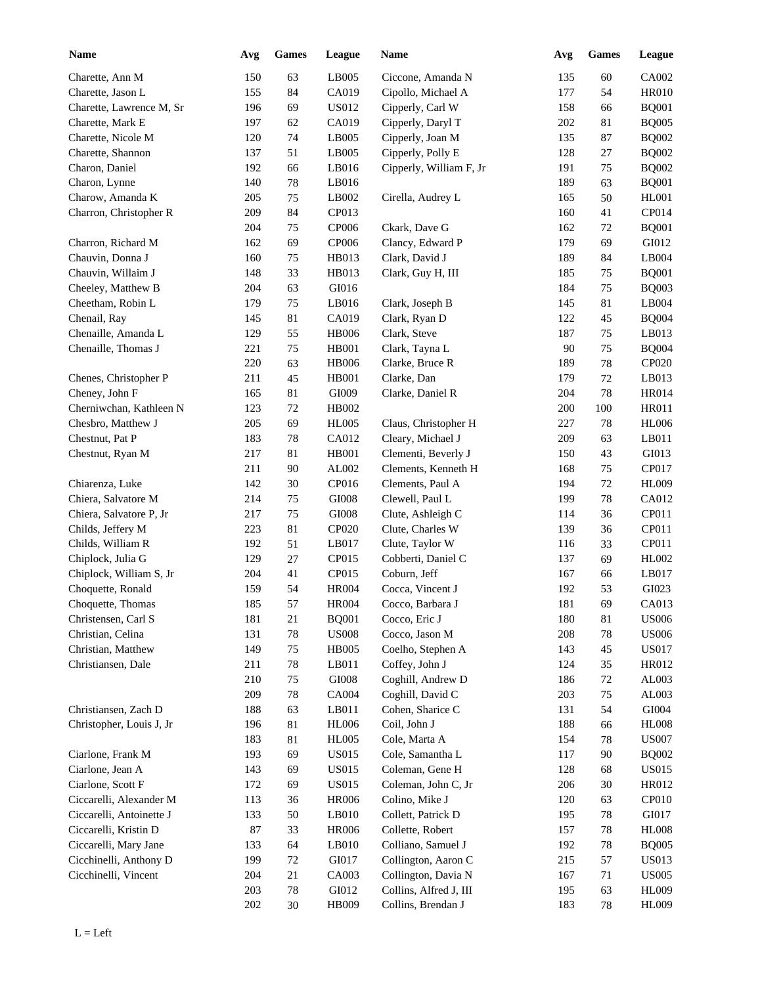| <b>Name</b>              | Avg | <b>Games</b> | League       | <b>Name</b>             | Avg | Games | League       |
|--------------------------|-----|--------------|--------------|-------------------------|-----|-------|--------------|
| Charette, Ann M          | 150 | 63           | LB005        | Ciccone, Amanda N       | 135 | 60    | CA002        |
| Charette, Jason L        | 155 | 84           | CA019        | Cipollo, Michael A      | 177 | 54    | <b>HR010</b> |
| Charette, Lawrence M, Sr | 196 | 69           | <b>US012</b> | Cipperly, Carl W        | 158 | 66    | <b>BQ001</b> |
| Charette, Mark E         | 197 | 62           | CA019        | Cipperly, Daryl T       | 202 | 81    | <b>BQ005</b> |
| Charette, Nicole M       | 120 | 74           | LB005        | Cipperly, Joan M        | 135 | 87    | <b>BQ002</b> |
| Charette, Shannon        | 137 | 51           | LB005        | Cipperly, Polly E       | 128 | 27    | <b>BQ002</b> |
| Charon, Daniel           | 192 | 66           | LB016        | Cipperly, William F, Jr | 191 | 75    | <b>BQ002</b> |
| Charon, Lynne            | 140 | 78           | LB016        |                         | 189 | 63    | <b>BQ001</b> |
| Charow, Amanda K         | 205 | 75           | LB002        | Cirella, Audrey L       | 165 | 50    | <b>HL001</b> |
| Charron, Christopher R   | 209 | 84           | CP013        |                         | 160 | 41    | CP014        |
|                          | 204 | 75           | CP006        | Ckark, Dave G           | 162 | 72    | <b>BQ001</b> |
| Charron, Richard M       | 162 | 69           | CP006        | Clancy, Edward P        | 179 | 69    | GI012        |
| Chauvin, Donna J         | 160 | 75           | HB013        | Clark, David J          | 189 | 84    | LB004        |
| Chauvin, Willaim J       | 148 | 33           | HB013        | Clark, Guy H, III       | 185 |       | <b>BQ001</b> |
|                          |     |              |              |                         |     | 75    |              |
| Cheeley, Matthew B       | 204 | 63           | GI016        |                         | 184 | 75    | <b>BQ003</b> |
| Cheetham, Robin L        | 179 | 75           | LB016        | Clark, Joseph B         | 145 | 81    | LB004        |
| Chenail, Ray             | 145 | 81           | CA019        | Clark, Ryan D           | 122 | 45    | <b>BQ004</b> |
| Chenaille, Amanda L      | 129 | 55           | <b>HB006</b> | Clark, Steve            | 187 | 75    | LB013        |
| Chenaille, Thomas J      | 221 | 75           | <b>HB001</b> | Clark, Tayna L          | 90  | 75    | <b>BQ004</b> |
|                          | 220 | 63           | <b>HB006</b> | Clarke, Bruce R         | 189 | 78    | CP020        |
| Chenes, Christopher P    | 211 | 45           | <b>HB001</b> | Clarke, Dan             | 179 | 72    | LB013        |
| Cheney, John F           | 165 | 81           | GI009        | Clarke, Daniel R        | 204 | 78    | <b>HR014</b> |
| Cherniwchan, Kathleen N  | 123 | $72\,$       | HB002        |                         | 200 | 100   | <b>HR011</b> |
| Chesbro, Matthew J       | 205 | 69           | <b>HL005</b> | Claus, Christopher H    | 227 | 78    | <b>HL006</b> |
| Chestnut, Pat P          | 183 | 78           | CA012        | Cleary, Michael J       | 209 | 63    | LB011        |
| Chestnut, Ryan M         | 217 | 81           | HB001        | Clementi, Beverly J     | 150 | 43    | GI013        |
|                          | 211 | 90           | AL002        | Clements, Kenneth H     | 168 | 75    | CP017        |
| Chiarenza, Luke          | 142 | 30           | CP016        | Clements, Paul A        | 194 | 72    | <b>HL009</b> |
| Chiera, Salvatore M      | 214 | 75           | GI008        | Clewell, Paul L         | 199 | 78    | CA012        |
| Chiera, Salvatore P, Jr  | 217 | 75           | GI008        | Clute, Ashleigh C       | 114 | 36    | CP011        |
| Childs, Jeffery M        | 223 | 81           | CP020        | Clute, Charles W        | 139 | 36    | CP011        |
| Childs, William R        | 192 | 51           | LB017        | Clute, Taylor W         | 116 | 33    | CP011        |
| Chiplock, Julia G        | 129 | 27           | CP015        | Cobberti, Daniel C      | 137 | 69    | HL002        |
| Chiplock, William S, Jr  | 204 | 41           | CP015        | Coburn, Jeff            | 167 | 66    | LB017        |
| Choquette, Ronald        | 159 | 54           | <b>HR004</b> | Cocca, Vincent J        | 192 | 53    | GI023        |
| Choquette, Thomas        | 185 | 57           | <b>HR004</b> | Cocco, Barbara J        | 181 | 69    | CA013        |
| Christensen, Carl S      | 181 | 21           | <b>BQ001</b> | Cocco, Eric J           | 180 | 81    | <b>US006</b> |
| Christian, Celina        | 131 | $78\,$       | <b>US008</b> | Cocco, Jason M          | 208 | 78    | <b>US006</b> |
| Christian, Matthew       | 149 | 75           | <b>HB005</b> | Coelho, Stephen A       | 143 | 45    | <b>US017</b> |
| Christiansen, Dale       | 211 |              | LB011        |                         | 124 |       | HR012        |
|                          |     | 78           |              | Coffey, John J          |     | 35    |              |
|                          | 210 | 75           | GI008        | Coghill, Andrew D       | 186 | 72    | AL003        |
|                          | 209 | $78\,$       | CA004        | Coghill, David C        | 203 | 75    | AL003        |
| Christiansen, Zach D     | 188 | 63           | LB011        | Cohen, Sharice C        | 131 | 54    | GI004        |
| Christopher, Louis J, Jr | 196 | 81           | <b>HL006</b> | Coil, John J            | 188 | 66    | <b>HL008</b> |
|                          | 183 | 81           | <b>HL005</b> | Cole, Marta A           | 154 | 78    | <b>US007</b> |
| Ciarlone, Frank M        | 193 | 69           | <b>US015</b> | Cole, Samantha L        | 117 | 90    | <b>BQ002</b> |
| Ciarlone, Jean A         | 143 | 69           | <b>US015</b> | Coleman, Gene H         | 128 | 68    | <b>US015</b> |
| Ciarlone, Scott F        | 172 | 69           | <b>US015</b> | Coleman, John C, Jr     | 206 | 30    | HR012        |
| Ciccarelli, Alexander M  | 113 | 36           | <b>HR006</b> | Colino, Mike J          | 120 | 63    | CP010        |
| Ciccarelli, Antoinette J | 133 | 50           | LB010        | Collett, Patrick D      | 195 | 78    | GI017        |
| Ciccarelli, Kristin D    | 87  | 33           | <b>HR006</b> | Collette, Robert        | 157 | 78    | HL008        |
| Ciccarelli, Mary Jane    | 133 | 64           | LB010        | Colliano, Samuel J      | 192 | 78    | <b>BQ005</b> |
| Cicchinelli, Anthony D   | 199 | $72\,$       | GI017        | Collington, Aaron C     | 215 | 57    | <b>US013</b> |
| Cicchinelli, Vincent     | 204 | 21           | CA003        | Collington, Davia N     | 167 | 71    | <b>US005</b> |
|                          | 203 | $78\,$       | GI012        | Collins, Alfred J, III  | 195 | 63    | <b>HL009</b> |
|                          | 202 | 30           | HB009        | Collins, Brendan J      | 183 | 78    | <b>HL009</b> |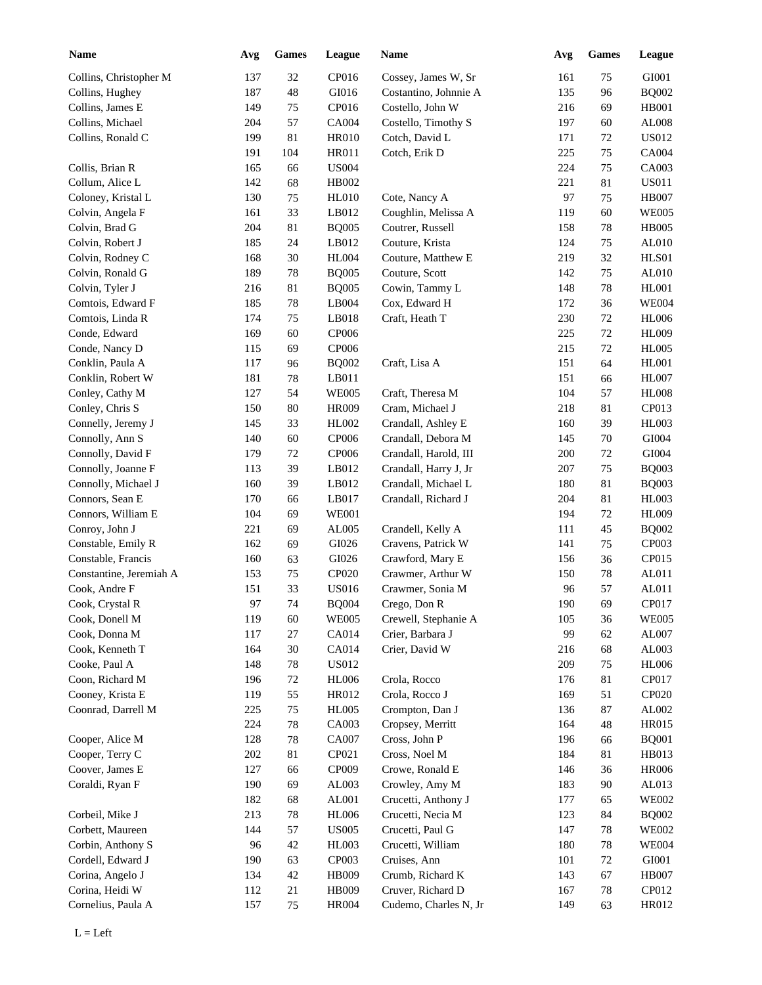| <b>Name</b>             | Avg               | <b>Games</b> | League        | Name                  | Avg | <b>Games</b> | <b>League</b> |
|-------------------------|-------------------|--------------|---------------|-----------------------|-----|--------------|---------------|
| Collins, Christopher M  | 137               | 32           | CP016         | Cossey, James W, Sr   | 161 | 75           | GI001         |
| Collins, Hughey         | 187               | 48           | GI016         | Costantino, Johnnie A | 135 | 96           | <b>BQ002</b>  |
| Collins, James E        | 149               | $75\,$       | CP016         | Costello, John W      | 216 | 69           | <b>HB001</b>  |
| Collins, Michael        | 204               | 57           | CA004         | Costello, Timothy S   | 197 | 60           | AL008         |
| Collins, Ronald C       | 199               | 81           | <b>HR010</b>  | Cotch, David L        | 171 | 72           | <b>US012</b>  |
|                         | 191               | 104          | HR011         | Cotch, Erik D         | 225 | 75           | CA004         |
| Collis, Brian R         | 165               | 66           | <b>US004</b>  |                       | 224 | 75           | CA003         |
| Collum, Alice L         | 142               | 68           | HB002         |                       | 221 | 81           | <b>US011</b>  |
| Coloney, Kristal L      | 130               | 75           | <b>HL010</b>  | Cote, Nancy A         | 97  | 75           | <b>HB007</b>  |
| Colvin, Angela F        | 161               | 33           | LB012         | Coughlin, Melissa A   | 119 | 60           | <b>WE005</b>  |
| Colvin, Brad G          | 204               | 81           | <b>BQ005</b>  | Coutrer, Russell      | 158 | 78           | <b>HB005</b>  |
| Colvin, Robert J        | 185               | 24           | LB012         | Couture, Krista       | 124 | 75           | AL010         |
| Colvin, Rodney C        | 168               | 30           | <b>HL004</b>  | Couture, Matthew E    | 219 | 32           | HLS01         |
| Colvin, Ronald G        | 189               | 78           | <b>BQ005</b>  | Couture, Scott        | 142 | 75           | AL010         |
| Colvin, Tyler J         | 216               | 81           | <b>BQ005</b>  | Cowin, Tammy L        | 148 | 78           | <b>HL001</b>  |
| Comtois, Edward F       | 185               | 78           | LB004         | Cox, Edward H         | 172 | 36           | <b>WE004</b>  |
| Comtois, Linda R        | 174               | 75           | LB018         | Craft, Heath T        | 230 | 72           | <b>HL006</b>  |
| Conde, Edward           | 169               | 60           | CP006         |                       | 225 | 72           | <b>HL009</b>  |
| Conde, Nancy D          | 115               | 69           | CP006         |                       | 215 | 72           | <b>HL005</b>  |
| Conklin, Paula A        | 117               | 96           | <b>BQ002</b>  | Craft, Lisa A         | 151 | 64           | <b>HL001</b>  |
| Conklin, Robert W       | 181               | 78           | LB011         |                       | 151 | 66           | <b>HL007</b>  |
| Conley, Cathy M         | 127               | 54           | <b>WE005</b>  | Craft, Theresa M      | 104 | 57           | <b>HL008</b>  |
| Conley, Chris S         | 150               | 80           | <b>HR009</b>  | Cram, Michael J       | 218 | 81           | CP013         |
| Connelly, Jeremy J      | 145               | 33           | HL002         | Crandall, Ashley E    | 160 | 39           | HL003         |
| Connolly, Ann S         | 140               | 60           | <b>CP006</b>  | Crandall, Debora M    | 145 | 70           | GI004         |
| Connolly, David F       | 179               | 72           | <b>CP006</b>  | Crandall, Harold, III | 200 | 72           | GI004         |
| Connolly, Joanne F      | 113               | 39           | LB012         | Crandall, Harry J, Jr | 207 | 75           | <b>BQ003</b>  |
| Connolly, Michael J     | 160               | 39           | LB012         | Crandall, Michael L   | 180 | 81           | <b>BQ003</b>  |
| Connors, Sean E         | 170               | 66           | LB017         | Crandall, Richard J   | 204 | $81\,$       | <b>HL003</b>  |
| Connors, William E      | 104               | 69           | <b>WE001</b>  |                       | 194 | 72           | <b>HL009</b>  |
| Conroy, John J          | 221               | 69           | AL005         | Crandell, Kelly A     | 111 | 45           | <b>BQ002</b>  |
| Constable, Emily R      | 162               | 69           | GI026         | Cravens, Patrick W    | 141 | 75           | CP003         |
| Constable, Francis      | 160               | 63           | GI026         | Crawford, Mary E      | 156 | 36           | CP015         |
| Constantine, Jeremiah A | 153               | $75\,$       | CP020         | Crawmer, Arthur W     | 150 | $78\,$       | AL011         |
| Cook, Andre F           | 151               | 33           | <b>US016</b>  | Crawmer, Sonia M      | 96  | 57           | AL011         |
| Cook, Crystal R         | $\ensuremath{97}$ | $74\,$       | $\rm BQ004$   | Crego, Don R          | 190 | 69           | CP017         |
| Cook, Donell M          | 119               | 60           | <b>WE005</b>  | Crewell, Stephanie A  | 105 | 36           | <b>WE005</b>  |
| Cook, Donna M           | 117               | 27           | CA014         | Crier, Barbara J      | 99  | 62           | ${\rm AL}007$ |
| Cook, Kenneth T         | 164               | $30\,$       | CA014         | Crier, David W        | 216 | 68           | AL003         |
| Cooke, Paul A           | 148               | $78\,$       | <b>US012</b>  |                       | 209 | 75           | <b>HL006</b>  |
| Coon, Richard M         | 196               | $72\,$       | <b>HL006</b>  | Crola, Rocco          | 176 | $81\,$       | CP017         |
| Cooney, Krista E        | 119               | 55           | HR012         | Crola, Rocco J        | 169 | 51           | CP020         |
| Coonrad, Darrell M      | 225               | $75\,$       | <b>HL005</b>  | Crompton, Dan J       | 136 | 87           | ${\rm AL}002$ |
|                         | 224               | $78\,$       | CA003         | Cropsey, Merritt      | 164 | 48           | HR015         |
| Cooper, Alice M         | 128               | $78\,$       | CA007         | Cross, John P         | 196 | 66           | <b>BQ001</b>  |
| Cooper, Terry C         | 202               | $81\,$       | CP021         | Cross, Noel M         | 184 | 81           | HB013         |
| Coover, James E         | 127               | 66           | CP009         | Crowe, Ronald E       | 146 | 36           | <b>HR006</b>  |
| Coraldi, Ryan F         | 190               | 69           | AL003         | Crowley, Amy M        | 183 | $90\,$       | AL013         |
|                         | 182               | 68           | ${\rm AL}001$ | Crucetti, Anthony J   | 177 | 65           | <b>WE002</b>  |
| Corbeil, Mike J         | 213               | 78           | <b>HL006</b>  | Crucetti, Necia M     | 123 | 84           | <b>BQ002</b>  |
| Corbett, Maureen        | 144               | 57           | <b>US005</b>  | Crucetti, Paul G      | 147 | $78\,$       | <b>WE002</b>  |
| Corbin, Anthony S       | 96                | $42\,$       | HL003         | Crucetti, William     | 180 | $78\,$       | <b>WE004</b>  |
| Cordell, Edward J       | 190               | 63           | CP003         | Cruises, Ann          | 101 | 72           | GI001         |
| Corina, Angelo J        | 134               | 42           | HB009         | Crumb, Richard K      | 143 | 67           | <b>HB007</b>  |
| Corina, Heidi W         | 112               | 21           | HB009         | Cruver, Richard D     | 167 | 78           | CP012         |
| Cornelius, Paula A      | 157               | 75           | <b>HR004</b>  | Cudemo, Charles N, Jr | 149 | 63           | HR012         |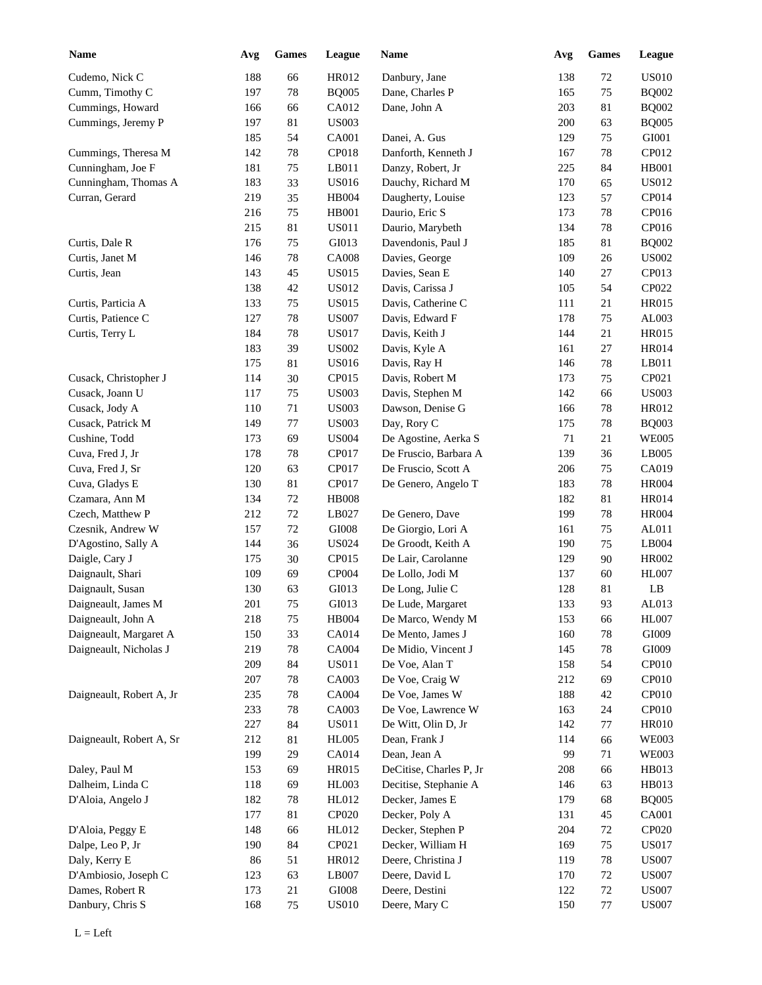| <b>Name</b>                                  | Avg | <b>Games</b> | League         | Name                                   | Avg | <b>Games</b> | League                |  |
|----------------------------------------------|-----|--------------|----------------|----------------------------------------|-----|--------------|-----------------------|--|
| Cudemo, Nick C                               | 188 | 66           | HR012          | Danbury, Jane                          | 138 | 72           | <b>US010</b>          |  |
| Cumm, Timothy C                              | 197 | 78           | <b>BQ005</b>   | Dane, Charles P                        | 165 | 75           | <b>BQ002</b>          |  |
| Cummings, Howard                             | 166 | 66           | CA012          | Dane, John A                           | 203 | 81           | <b>BQ002</b>          |  |
| Cummings, Jeremy P                           | 197 | 81           | <b>US003</b>   |                                        | 200 | 63           | <b>BQ005</b>          |  |
|                                              | 185 | 54           | CA001          | Danei, A. Gus                          | 129 | 75           | GI001                 |  |
| Cummings, Theresa M                          | 142 | 78           | CP018          | Danforth, Kenneth J                    | 167 | 78           | CP012                 |  |
| Cunningham, Joe F                            | 181 | 75           | LB011          | Danzy, Robert, Jr                      | 225 | 84           | <b>HB001</b>          |  |
| Cunningham, Thomas A                         | 183 | 33           | <b>US016</b>   | Dauchy, Richard M                      | 170 | 65           | <b>US012</b>          |  |
| Curran, Gerard                               | 219 | 35           | HB004          | Daugherty, Louise                      | 123 | 57           | CP014                 |  |
|                                              | 216 | 75           | <b>HB001</b>   | Daurio, Eric S                         | 173 | 78           | CP016                 |  |
|                                              | 215 | 81           | <b>US011</b>   | Daurio, Marybeth                       | 134 | 78           | CP016                 |  |
|                                              | 176 | 75           | GI013          |                                        |     |              |                       |  |
| Curtis, Dale R                               |     |              |                | Davendonis, Paul J                     | 185 | 81           | <b>BQ002</b>          |  |
| Curtis, Janet M                              | 146 | 78           | <b>CA008</b>   | Davies, George                         | 109 | 26           | <b>US002</b>          |  |
| Curtis, Jean                                 | 143 | 45           | <b>US015</b>   | Davies, Sean E                         | 140 | 27           | CP013                 |  |
|                                              | 138 | 42           | <b>US012</b>   | Davis, Carissa J                       | 105 | 54           | CP022                 |  |
| Curtis, Particia A                           | 133 | 75           | <b>US015</b>   | Davis, Catherine C                     | 111 | 21           | HR015                 |  |
| Curtis, Patience C                           | 127 | 78           | <b>US007</b>   | Davis, Edward F                        | 178 | 75           | AL003                 |  |
| Curtis, Terry L                              | 184 | 78           | <b>US017</b>   | Davis, Keith J                         | 144 | 21           | HR015                 |  |
|                                              | 183 | 39           | <b>US002</b>   | Davis, Kyle A                          | 161 | 27           | <b>HR014</b>          |  |
|                                              | 175 | 81           | <b>US016</b>   | Davis, Ray H                           | 146 | 78           | LB011                 |  |
| Cusack, Christopher J                        | 114 | 30           | CP015          | Davis, Robert M                        | 173 | 75           | CP021                 |  |
| Cusack, Joann U                              | 117 | 75           | <b>US003</b>   | Davis, Stephen M                       | 142 | 66           | <b>US003</b>          |  |
| Cusack, Jody A                               | 110 | 71           | <b>US003</b>   | Dawson, Denise G                       | 166 | 78           | HR012                 |  |
| Cusack, Patrick M                            | 149 | 77           | <b>US003</b>   | Day, Rory C                            | 175 | 78           | <b>BQ003</b>          |  |
| Cushine, Todd                                | 173 | 69           | <b>US004</b>   | De Agostine, Aerka S                   | 71  | 21           | <b>WE005</b>          |  |
| Cuva, Fred J, Jr                             | 178 | 78           | CP017          | De Fruscio, Barbara A                  | 139 | 36           | LB005                 |  |
| Cuva, Fred J, Sr                             | 120 | 63           | CP017          | De Fruscio, Scott A                    | 206 | 75           | CA019                 |  |
| Cuva, Gladys E                               | 130 | 81           | CP017          | De Genero, Angelo T                    | 183 | 78           | <b>HR004</b>          |  |
| Czamara, Ann M                               | 134 | 72           | <b>HB008</b>   |                                        | 182 | 81           | <b>HR014</b>          |  |
| Czech, Matthew P                             | 212 | $72\,$       | LB027          | De Genero, Dave                        | 199 | 78           | <b>HR004</b>          |  |
| Czesnik, Andrew W                            | 157 | $72\,$       | GI008          | De Giorgio, Lori A                     | 161 | 75           | AL011                 |  |
| D'Agostino, Sally A                          | 144 | 36           | <b>US024</b>   | De Groodt, Keith A                     | 190 | 75           | LB004                 |  |
| Daigle, Cary J                               | 175 | 30           | CP015          | De Lair, Carolanne                     | 129 | 90           | HR002                 |  |
| Daignault, Shari                             | 109 | 69           | CP004          | De Lollo, Jodi M                       | 137 | 60           | HL007                 |  |
| Daignault, Susan                             | 130 | 63           | GI013          | De Long, Julie C                       | 128 | 81           | LB                    |  |
| Daigneault, James M                          | 201 | $75\,$       | GI013          | De Lude, Margaret                      | 133 | 93           | AL013                 |  |
|                                              |     |              |                |                                        |     |              |                       |  |
| Daigneault, John A<br>Daigneault, Margaret A | 218 | 75           | HB004<br>CA014 | De Marco, Wendy M<br>De Mento, James J | 153 | 66           | <b>HL007</b><br>GI009 |  |
|                                              | 150 | 33           |                |                                        | 160 | 78           | GI009                 |  |
| Daigneault, Nicholas J                       | 219 | 78           | CA004          | De Midio, Vincent J                    | 145 | 78           | CP010                 |  |
|                                              | 209 | 84           | <b>US011</b>   | De Voe, Alan T                         | 158 | 54           |                       |  |
|                                              | 207 | 78           | CA003          | De Voe, Craig W                        | 212 | 69           | CP010                 |  |
| Daigneault, Robert A, Jr                     | 235 | 78           | CA004          | De Voe, James W                        | 188 | 42           | CP010                 |  |
|                                              | 233 | 78           | CA003          | De Voe, Lawrence W                     | 163 | 24           | CP010                 |  |
|                                              | 227 | 84           | <b>US011</b>   | De Witt, Olin D, Jr                    | 142 | 77           | <b>HR010</b>          |  |
| Daigneault, Robert A, Sr                     | 212 | 81           | <b>HL005</b>   | Dean, Frank J                          | 114 | 66           | <b>WE003</b>          |  |
|                                              | 199 | 29           | CA014          | Dean, Jean A                           | 99  | 71           | <b>WE003</b>          |  |
| Daley, Paul M                                | 153 | 69           | HR015          | DeCitise, Charles P, Jr                | 208 | 66           | HB013                 |  |
| Dalheim, Linda C                             | 118 | 69           | <b>HL003</b>   | Decitise, Stephanie A                  | 146 | 63           | HB013                 |  |
| D'Aloia, Angelo J                            | 182 | 78           | HL012          | Decker, James E                        | 179 | 68           | <b>BQ005</b>          |  |
|                                              | 177 | 81           | CP020          | Decker, Poly A                         | 131 | 45           | <b>CA001</b>          |  |
| D'Aloia, Peggy E                             | 148 | 66           | HL012          | Decker, Stephen P                      | 204 | 72           | CP020                 |  |
| Dalpe, Leo P, Jr                             | 190 | 84           | CP021          | Decker, William H                      | 169 | 75           | <b>US017</b>          |  |
| Daly, Kerry E                                | 86  | 51           | HR012          | Deere, Christina J                     | 119 | 78           | <b>US007</b>          |  |
| D'Ambiosio, Joseph C                         | 123 | 63           | LB007          | Deere, David L                         | 170 | $72\,$       | <b>US007</b>          |  |
| Dames, Robert R                              | 173 | 21           | ${\rm GIO}08$  | Deere, Destini                         | 122 | $72\,$       | <b>US007</b>          |  |
| Danbury, Chris S                             | 168 | 75           | <b>US010</b>   | Deere, Mary C                          | 150 | $77\,$       | <b>US007</b>          |  |
|                                              |     |              |                |                                        |     |              |                       |  |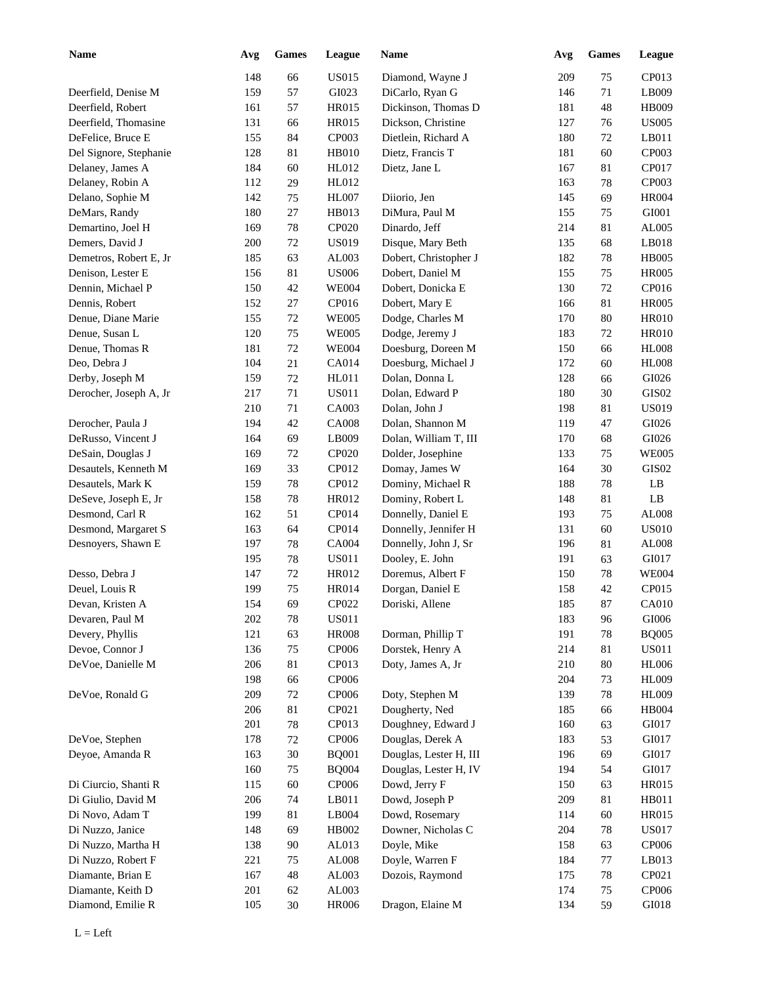| <b>Name</b>            | Avg | <b>Games</b> | <b>League</b> | <b>Name</b>            | Avg | <b>Games</b> | League       |
|------------------------|-----|--------------|---------------|------------------------|-----|--------------|--------------|
|                        | 148 | 66           | <b>US015</b>  | Diamond, Wayne J       | 209 | 75           | CP013        |
| Deerfield, Denise M    | 159 | 57           | GI023         | DiCarlo, Ryan G        | 146 | 71           | LB009        |
| Deerfield, Robert      | 161 | 57           | HR015         | Dickinson, Thomas D    | 181 | 48           | HB009        |
| Deerfield, Thomasine   | 131 | 66           | HR015         | Dickson, Christine     | 127 | 76           | <b>US005</b> |
| DeFelice, Bruce E      | 155 | 84           | CP003         | Dietlein, Richard A    | 180 | 72           | LB011        |
| Del Signore, Stephanie | 128 | 81           | HB010         | Dietz, Francis T       | 181 | 60           | CP003        |
| Delaney, James A       | 184 | 60           | HL012         | Dietz, Jane L          | 167 | 81           | CP017        |
| Delaney, Robin A       | 112 | 29           | HL012         |                        | 163 | 78           | CP003        |
| Delano, Sophie M       | 142 | 75           | <b>HL007</b>  | Diiorio, Jen           | 145 | 69           | <b>HR004</b> |
| DeMars, Randy          | 180 | 27           | HB013         | DiMura, Paul M         | 155 | 75           | GI001        |
| Demartino, Joel H      | 169 | 78           | CP020         | Dinardo, Jeff          | 214 | 81           | AL005        |
| Demers, David J        | 200 | 72           | <b>US019</b>  | Disque, Mary Beth      | 135 | 68           | LB018        |
| Demetros, Robert E, Jr | 185 | 63           | AL003         | Dobert, Christopher J  | 182 | 78           | <b>HB005</b> |
| Denison, Lester E      | 156 | 81           | <b>US006</b>  | Dobert, Daniel M       | 155 | 75           | <b>HR005</b> |
| Dennin, Michael P      | 150 | 42           | <b>WE004</b>  | Dobert, Donicka E      | 130 | 72           | CP016        |
| Dennis, Robert         | 152 | 27           | CP016         | Dobert, Mary E         | 166 | 81           | <b>HR005</b> |
| Denue, Diane Marie     | 155 | 72           | <b>WE005</b>  | Dodge, Charles M       | 170 | 80           | <b>HR010</b> |
| Denue, Susan L         | 120 | 75           | <b>WE005</b>  | Dodge, Jeremy J        | 183 | 72           | <b>HR010</b> |
| Denue, Thomas R        | 181 | 72           | <b>WE004</b>  | Doesburg, Doreen M     | 150 | 66           | <b>HL008</b> |
| Deo, Debra J           | 104 | 21           | CA014         | Doesburg, Michael J    | 172 | 60           | <b>HL008</b> |
| Derby, Joseph M        | 159 | 72           | HL011         | Dolan, Donna L         | 128 | 66           | GI026        |
|                        |     | 71           | <b>US011</b>  | Dolan, Edward P        | 180 |              | GIS02        |
| Derocher, Joseph A, Jr | 217 |              |               |                        |     | 30           |              |
|                        | 210 | 71           | CA003         | Dolan, John J          | 198 | 81           | <b>US019</b> |
| Derocher, Paula J      | 194 | 42           | <b>CA008</b>  | Dolan, Shannon M       | 119 | 47           | GI026        |
| DeRusso, Vincent J     | 164 | 69           | LB009         | Dolan, William T, III  | 170 | 68           | GI026        |
| DeSain, Douglas J      | 169 | 72           | CP020         | Dolder, Josephine      | 133 | 75           | <b>WE005</b> |
| Desautels, Kenneth M   | 169 | 33           | CP012         | Domay, James W         | 164 | 30           | GIS02        |
| Desautels, Mark K      | 159 | 78           | CP012         | Dominy, Michael R      | 188 | 78           | LB           |
| DeSeve, Joseph E, Jr   | 158 | 78           | HR012         | Dominy, Robert L       | 148 | 81           | LB           |
| Desmond, Carl R        | 162 | 51           | CP014         | Donnelly, Daniel E     | 193 | 75           | AL008        |
| Desmond, Margaret S    | 163 | 64           | CP014         | Donnelly, Jennifer H   | 131 | 60           | <b>US010</b> |
| Desnoyers, Shawn E     | 197 | 78           | <b>CA004</b>  | Donnelly, John J, Sr   | 196 | 81           | AL008        |
|                        | 195 | 78           | <b>US011</b>  | Dooley, E. John        | 191 | 63           | GI017        |
| Desso, Debra J         | 147 | 72           | HR012         | Doremus, Albert F      | 150 | 78           | <b>WE004</b> |
| Deuel, Louis R         | 199 | 75           | <b>HR014</b>  | Dorgan, Daniel E       | 158 | 42           | CP015        |
| Devan, Kristen A       | 154 | 69           | CP022         | Doriski, Allene        | 185 | 87           | CA010        |
| Devaren, Paul M        | 202 | 78           | <b>US011</b>  |                        | 183 | 96           | GI006        |
| Devery, Phyllis        | 121 | 63           | <b>HR008</b>  | Dorman, Phillip T      | 191 | 78           | <b>BQ005</b> |
| Devoe, Connor J        | 136 | 75           | CP006         | Dorstek, Henry A       | 214 | 81           | <b>US011</b> |
| DeVoe, Danielle M      | 206 | 81           | CP013         | Doty, James A, Jr      | 210 | 80           | <b>HL006</b> |
|                        | 198 | 66           | CP006         |                        | 204 | 73           | <b>HL009</b> |
| DeVoe, Ronald G        | 209 | 72           | CP006         | Doty, Stephen M        | 139 | 78           | <b>HL009</b> |
|                        | 206 | 81           | CP021         | Dougherty, Ned         | 185 | 66           | HB004        |
|                        | 201 | 78           | CP013         | Doughney, Edward J     | 160 | 63           | GI017        |
| DeVoe, Stephen         | 178 | 72           | CP006         | Douglas, Derek A       | 183 | 53           | GI017        |
| Deyoe, Amanda R        | 163 | 30           | <b>BQ001</b>  | Douglas, Lester H, III | 196 | 69           | GI017        |
|                        | 160 | 75           | <b>BQ004</b>  | Douglas, Lester H, IV  | 194 | 54           | GI017        |
| Di Ciurcio, Shanti R   | 115 | 60           | CP006         | Dowd, Jerry F          | 150 | 63           | HR015        |
| Di Giulio, David M     | 206 | 74           | LB011         | Dowd, Joseph P         | 209 | 81           | HB011        |
| Di Novo, Adam T        | 199 | 81           | LB004         | Dowd, Rosemary         | 114 | 60           | HR015        |
| Di Nuzzo, Janice       | 148 | 69           | HB002         | Downer, Nicholas C     | 204 | 78           | <b>US017</b> |
| Di Nuzzo, Martha H     | 138 | 90           | AL013         | Doyle, Mike            | 158 | 63           | CP006        |
| Di Nuzzo, Robert F     | 221 | 75           | ${\rm AL008}$ | Doyle, Warren F        | 184 | 77           | LB013        |
| Diamante, Brian E      | 167 | 48           | AL003         | Dozois, Raymond        | 175 | 78           | CP021        |
| Diamante, Keith D      | 201 | 62           | AL003         |                        | 174 | 75           | CP006        |
| Diamond, Emilie R      | 105 | 30           | <b>HR006</b>  | Dragon, Elaine M       | 134 | 59           | GI018        |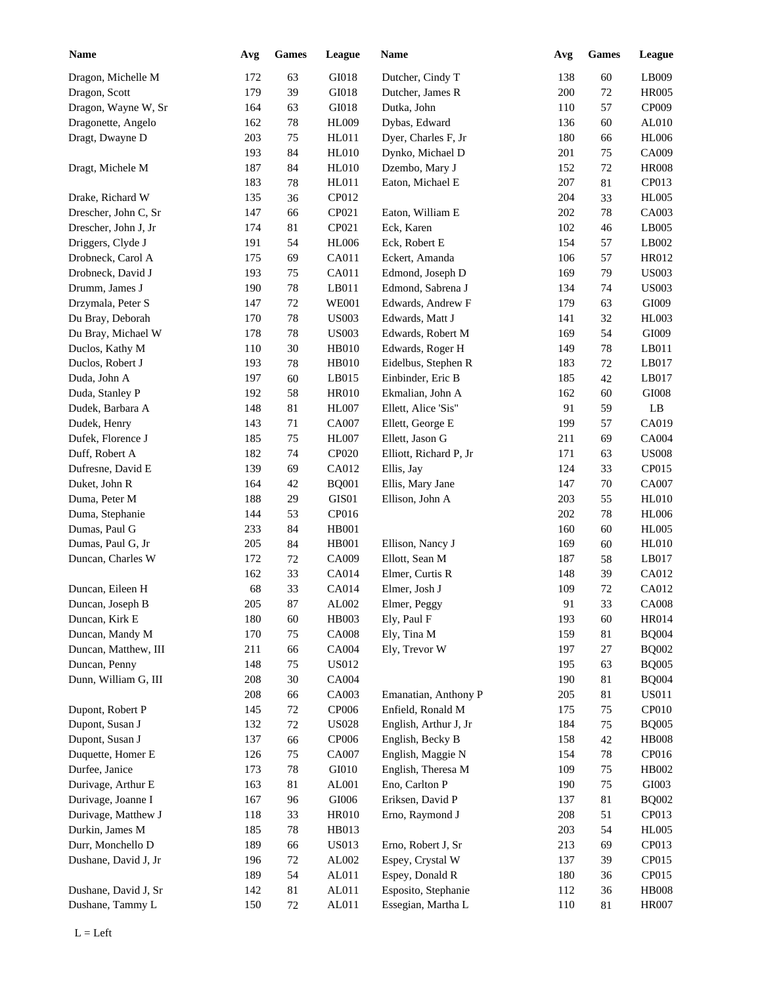| 172<br>63<br>GI018<br>Dutcher, Cindy T<br>138<br>60<br>LB009<br>179<br>39<br>GI018<br>Dutcher, James R<br>200<br>72<br><b>HR005</b><br>GI018<br>CP009<br>63<br>Dutka, John<br>57<br>164<br>110<br>AL010<br>162<br>78<br><b>HL009</b><br>Dybas, Edward<br>136<br>60<br><b>HL006</b><br>203<br>75<br>HL011<br>Dyer, Charles F, Jr<br>180<br>66<br>CA009<br>193<br>84<br>HL010<br>Dynko, Michael D<br>201<br>75<br><b>HL010</b><br><b>HR008</b><br>187<br>84<br>Dzembo, Mary J<br>152<br>72<br><b>HL011</b><br>CP013<br>183<br>78<br>Eaton, Michael E<br>207<br>81<br>CP012<br><b>HL005</b><br>135<br>204<br>33<br>36<br>CP021<br>Eaton, William E<br>CA003<br>147<br>202<br>78<br>66<br>CP021<br>LB005<br>174<br>Eck, Karen<br>102<br>81<br>46<br><b>HL006</b><br>LB002<br>191<br>54<br>Eck, Robert E<br>154<br>57<br>CA011<br>HR012<br>175<br>Eckert, Amanda<br>106<br>57<br>69<br>CA011<br><b>US003</b><br>193<br>Edmond, Joseph D<br>75<br>169<br>79<br>LB011<br><b>US003</b><br>190<br>78<br>Edmond, Sabrena J<br>134<br>74<br>GI009<br>147<br>72<br><b>WE001</b><br>Edwards, Andrew F<br>179<br>63<br><b>US003</b><br>170<br>78<br>Edwards, Matt J<br>141<br>32<br><b>HL003</b><br><b>US003</b><br>GI009<br>178<br>78<br>Edwards, Robert M<br>169<br>54<br><b>HB010</b><br>Edwards, Roger H<br>LB011<br>110<br>30<br>149<br>78<br><b>HB010</b><br>Eidelbus, Stephen R<br>LB017<br>193<br>78<br>183<br>72<br>LB015<br>197<br>60<br>Einbinder, Eric B<br>185<br>42<br>LB017<br><b>HR010</b><br>GI008<br>192<br>58<br>Ekmalian, John A<br>162<br>60<br>LB<br>148<br>81<br><b>HL007</b><br>Ellett, Alice 'Sis"<br>91<br>59<br>CA019<br>143<br>71<br>CA007<br>Ellett, George E<br>199<br>57<br>Dudek, Henry<br><b>HL007</b><br><b>CA004</b><br>Dufek, Florence J<br>185<br>Ellett, Jason G<br>211<br>75<br>69<br>182<br>CP020<br><b>US008</b><br>Duff, Robert A<br>74<br>Elliott, Richard P, Jr<br>171<br>63<br>CA012<br>CP015<br>Dufresne, David E<br>139<br>69<br>Ellis, Jay<br>33<br>124<br><b>CA007</b><br>Duket, John R<br>164<br><b>BQ001</b><br>Ellis, Mary Jane<br>70<br>42<br>147<br>Duma, Peter M<br>188<br>GIS01<br>Ellison, John A<br><b>HL010</b><br>29<br>203<br>55<br>CP016<br><b>HL006</b><br>Duma, Stephanie<br>144<br>53<br>202<br>78<br>Dumas, Paul G<br>233<br>84<br>HB001<br>160<br>60<br><b>HL005</b><br>Dumas, Paul G, Jr<br>205<br>84<br>HB001<br>Ellison, Nancy J<br>169<br>60<br><b>HL010</b><br>CA009<br>Ellott, Sean M<br>Duncan, Charles W<br>172<br>72<br>187<br>58<br>LB017<br>162<br>33<br>CA014<br>CA012<br>Elmer, Curtis R<br>148<br>39<br>68<br>33<br>CA014<br>$72\,$<br>CA012<br>Duncan, Eileen H<br>Elmer, Josh J<br>109<br>$205\,$<br>$87\,$<br>${\rm AL}002$<br>91<br>33<br><b>CA008</b><br>Duncan, Joseph B<br>Elmer, Peggy<br>Duncan, Kirk E<br>180<br>HB003<br>Ely, Paul F<br>193<br><b>HR014</b><br>60<br>60<br><b>CA008</b><br>Ely, Tina M<br><b>BQ004</b><br>Duncan, Mandy M<br>170<br>75<br>159<br>81<br>CA004<br>Ely, Trevor W<br>Duncan, Matthew, III<br>211<br>197<br>27<br><b>BQ002</b><br>66<br><b>US012</b><br>Duncan, Penny<br>148<br>195<br><b>BQ005</b><br>75<br>63<br>Dunn, William G, III<br>CA004<br>208<br>30<br>190<br>81<br><b>BQ004</b><br>CA003<br><b>US011</b><br>208<br>Emanatian, Anthony P<br>81<br>66<br>205<br>CP006<br>CP010<br>145<br>Enfield, Ronald M<br>75<br>72<br>175<br><b>US028</b><br>132<br>English, Arthur J, Jr<br>184<br><b>BQ005</b><br>72<br>75<br>137<br>CP006<br>English, Becky B<br>158<br>42<br><b>HB008</b><br>66<br>CA007<br>CP016<br>126<br>75<br>English, Maggie N<br>154<br>78<br>GI010<br>173<br>78<br>English, Theresa M<br>109<br>75<br>HB002<br>AL001<br>Eno, Carlton P<br>GI003<br>Durivage, Arthur E<br>163<br>81<br>190<br>75<br>${\rm G}1006$<br>Eriksen, David P<br><b>BQ002</b><br>Durivage, Joanne I<br>167<br>137<br>81<br>96<br>CP013<br>118<br>33<br><b>HR010</b><br>Erno, Raymond J<br>208<br>51<br>HB013<br>185<br>78<br>203<br>54<br><b>HL005</b><br><b>US013</b><br>CP013<br>189<br>Erno, Robert J, Sr<br>213<br>69<br>66<br>${\rm AL}002$<br>Espey, Crystal W<br>CP015<br>Dushane, David J, Jr<br>72<br>137<br>39<br>196<br>AL011<br>CP015<br>189<br>54<br>Espey, Donald R<br>180<br>36<br>AL011<br><b>HB008</b><br>Dushane, David J, Sr<br>142<br>Esposito, Stephanie<br>81<br>112<br>36<br>150 | <b>Name</b>          | Avg | <b>Games</b> | League | <b>Name</b>        | Avg | <b>Games</b> | League       |
|-----------------------------------------------------------------------------------------------------------------------------------------------------------------------------------------------------------------------------------------------------------------------------------------------------------------------------------------------------------------------------------------------------------------------------------------------------------------------------------------------------------------------------------------------------------------------------------------------------------------------------------------------------------------------------------------------------------------------------------------------------------------------------------------------------------------------------------------------------------------------------------------------------------------------------------------------------------------------------------------------------------------------------------------------------------------------------------------------------------------------------------------------------------------------------------------------------------------------------------------------------------------------------------------------------------------------------------------------------------------------------------------------------------------------------------------------------------------------------------------------------------------------------------------------------------------------------------------------------------------------------------------------------------------------------------------------------------------------------------------------------------------------------------------------------------------------------------------------------------------------------------------------------------------------------------------------------------------------------------------------------------------------------------------------------------------------------------------------------------------------------------------------------------------------------------------------------------------------------------------------------------------------------------------------------------------------------------------------------------------------------------------------------------------------------------------------------------------------------------------------------------------------------------------------------------------------------------------------------------------------------------------------------------------------------------------------------------------------------------------------------------------------------------------------------------------------------------------------------------------------------------------------------------------------------------------------------------------------------------------------------------------------------------------------------------------------------------------------------------------------------------------------------------------------------------------------------------------------------------------------------------------------------------------------------------------------------------------------------------------------------------------------------------------------------------------------------------------------------------------------------------------------------------------------------------------------------------------------------------------------------------------------------------------------------------------------------------------------------------------------------------------------------------------------------------------------------------------------------------------------------------------------------------------------------------------------------------------------------------------------------------------------------------------------------------------------------------------------------------------------------------------------------------------------------------------------------------------------------------------------------------------------------------------------------------------|----------------------|-----|--------------|--------|--------------------|-----|--------------|--------------|
|                                                                                                                                                                                                                                                                                                                                                                                                                                                                                                                                                                                                                                                                                                                                                                                                                                                                                                                                                                                                                                                                                                                                                                                                                                                                                                                                                                                                                                                                                                                                                                                                                                                                                                                                                                                                                                                                                                                                                                                                                                                                                                                                                                                                                                                                                                                                                                                                                                                                                                                                                                                                                                                                                                                                                                                                                                                                                                                                                                                                                                                                                                                                                                                                                                                                                                                                                                                                                                                                                                                                                                                                                                                                                                                                                                                                                                                                                                                                                                                                                                                                                                                                                                                                                                                                                                                 | Dragon, Michelle M   |     |              |        |                    |     |              |              |
|                                                                                                                                                                                                                                                                                                                                                                                                                                                                                                                                                                                                                                                                                                                                                                                                                                                                                                                                                                                                                                                                                                                                                                                                                                                                                                                                                                                                                                                                                                                                                                                                                                                                                                                                                                                                                                                                                                                                                                                                                                                                                                                                                                                                                                                                                                                                                                                                                                                                                                                                                                                                                                                                                                                                                                                                                                                                                                                                                                                                                                                                                                                                                                                                                                                                                                                                                                                                                                                                                                                                                                                                                                                                                                                                                                                                                                                                                                                                                                                                                                                                                                                                                                                                                                                                                                                 | Dragon, Scott        |     |              |        |                    |     |              |              |
|                                                                                                                                                                                                                                                                                                                                                                                                                                                                                                                                                                                                                                                                                                                                                                                                                                                                                                                                                                                                                                                                                                                                                                                                                                                                                                                                                                                                                                                                                                                                                                                                                                                                                                                                                                                                                                                                                                                                                                                                                                                                                                                                                                                                                                                                                                                                                                                                                                                                                                                                                                                                                                                                                                                                                                                                                                                                                                                                                                                                                                                                                                                                                                                                                                                                                                                                                                                                                                                                                                                                                                                                                                                                                                                                                                                                                                                                                                                                                                                                                                                                                                                                                                                                                                                                                                                 | Dragon, Wayne W, Sr  |     |              |        |                    |     |              |              |
|                                                                                                                                                                                                                                                                                                                                                                                                                                                                                                                                                                                                                                                                                                                                                                                                                                                                                                                                                                                                                                                                                                                                                                                                                                                                                                                                                                                                                                                                                                                                                                                                                                                                                                                                                                                                                                                                                                                                                                                                                                                                                                                                                                                                                                                                                                                                                                                                                                                                                                                                                                                                                                                                                                                                                                                                                                                                                                                                                                                                                                                                                                                                                                                                                                                                                                                                                                                                                                                                                                                                                                                                                                                                                                                                                                                                                                                                                                                                                                                                                                                                                                                                                                                                                                                                                                                 | Dragonette, Angelo   |     |              |        |                    |     |              |              |
|                                                                                                                                                                                                                                                                                                                                                                                                                                                                                                                                                                                                                                                                                                                                                                                                                                                                                                                                                                                                                                                                                                                                                                                                                                                                                                                                                                                                                                                                                                                                                                                                                                                                                                                                                                                                                                                                                                                                                                                                                                                                                                                                                                                                                                                                                                                                                                                                                                                                                                                                                                                                                                                                                                                                                                                                                                                                                                                                                                                                                                                                                                                                                                                                                                                                                                                                                                                                                                                                                                                                                                                                                                                                                                                                                                                                                                                                                                                                                                                                                                                                                                                                                                                                                                                                                                                 | Dragt, Dwayne D      |     |              |        |                    |     |              |              |
|                                                                                                                                                                                                                                                                                                                                                                                                                                                                                                                                                                                                                                                                                                                                                                                                                                                                                                                                                                                                                                                                                                                                                                                                                                                                                                                                                                                                                                                                                                                                                                                                                                                                                                                                                                                                                                                                                                                                                                                                                                                                                                                                                                                                                                                                                                                                                                                                                                                                                                                                                                                                                                                                                                                                                                                                                                                                                                                                                                                                                                                                                                                                                                                                                                                                                                                                                                                                                                                                                                                                                                                                                                                                                                                                                                                                                                                                                                                                                                                                                                                                                                                                                                                                                                                                                                                 |                      |     |              |        |                    |     |              |              |
|                                                                                                                                                                                                                                                                                                                                                                                                                                                                                                                                                                                                                                                                                                                                                                                                                                                                                                                                                                                                                                                                                                                                                                                                                                                                                                                                                                                                                                                                                                                                                                                                                                                                                                                                                                                                                                                                                                                                                                                                                                                                                                                                                                                                                                                                                                                                                                                                                                                                                                                                                                                                                                                                                                                                                                                                                                                                                                                                                                                                                                                                                                                                                                                                                                                                                                                                                                                                                                                                                                                                                                                                                                                                                                                                                                                                                                                                                                                                                                                                                                                                                                                                                                                                                                                                                                                 | Dragt, Michele M     |     |              |        |                    |     |              |              |
|                                                                                                                                                                                                                                                                                                                                                                                                                                                                                                                                                                                                                                                                                                                                                                                                                                                                                                                                                                                                                                                                                                                                                                                                                                                                                                                                                                                                                                                                                                                                                                                                                                                                                                                                                                                                                                                                                                                                                                                                                                                                                                                                                                                                                                                                                                                                                                                                                                                                                                                                                                                                                                                                                                                                                                                                                                                                                                                                                                                                                                                                                                                                                                                                                                                                                                                                                                                                                                                                                                                                                                                                                                                                                                                                                                                                                                                                                                                                                                                                                                                                                                                                                                                                                                                                                                                 |                      |     |              |        |                    |     |              |              |
|                                                                                                                                                                                                                                                                                                                                                                                                                                                                                                                                                                                                                                                                                                                                                                                                                                                                                                                                                                                                                                                                                                                                                                                                                                                                                                                                                                                                                                                                                                                                                                                                                                                                                                                                                                                                                                                                                                                                                                                                                                                                                                                                                                                                                                                                                                                                                                                                                                                                                                                                                                                                                                                                                                                                                                                                                                                                                                                                                                                                                                                                                                                                                                                                                                                                                                                                                                                                                                                                                                                                                                                                                                                                                                                                                                                                                                                                                                                                                                                                                                                                                                                                                                                                                                                                                                                 | Drake, Richard W     |     |              |        |                    |     |              |              |
|                                                                                                                                                                                                                                                                                                                                                                                                                                                                                                                                                                                                                                                                                                                                                                                                                                                                                                                                                                                                                                                                                                                                                                                                                                                                                                                                                                                                                                                                                                                                                                                                                                                                                                                                                                                                                                                                                                                                                                                                                                                                                                                                                                                                                                                                                                                                                                                                                                                                                                                                                                                                                                                                                                                                                                                                                                                                                                                                                                                                                                                                                                                                                                                                                                                                                                                                                                                                                                                                                                                                                                                                                                                                                                                                                                                                                                                                                                                                                                                                                                                                                                                                                                                                                                                                                                                 | Drescher, John C, Sr |     |              |        |                    |     |              |              |
|                                                                                                                                                                                                                                                                                                                                                                                                                                                                                                                                                                                                                                                                                                                                                                                                                                                                                                                                                                                                                                                                                                                                                                                                                                                                                                                                                                                                                                                                                                                                                                                                                                                                                                                                                                                                                                                                                                                                                                                                                                                                                                                                                                                                                                                                                                                                                                                                                                                                                                                                                                                                                                                                                                                                                                                                                                                                                                                                                                                                                                                                                                                                                                                                                                                                                                                                                                                                                                                                                                                                                                                                                                                                                                                                                                                                                                                                                                                                                                                                                                                                                                                                                                                                                                                                                                                 | Drescher, John J, Jr |     |              |        |                    |     |              |              |
|                                                                                                                                                                                                                                                                                                                                                                                                                                                                                                                                                                                                                                                                                                                                                                                                                                                                                                                                                                                                                                                                                                                                                                                                                                                                                                                                                                                                                                                                                                                                                                                                                                                                                                                                                                                                                                                                                                                                                                                                                                                                                                                                                                                                                                                                                                                                                                                                                                                                                                                                                                                                                                                                                                                                                                                                                                                                                                                                                                                                                                                                                                                                                                                                                                                                                                                                                                                                                                                                                                                                                                                                                                                                                                                                                                                                                                                                                                                                                                                                                                                                                                                                                                                                                                                                                                                 | Driggers, Clyde J    |     |              |        |                    |     |              |              |
|                                                                                                                                                                                                                                                                                                                                                                                                                                                                                                                                                                                                                                                                                                                                                                                                                                                                                                                                                                                                                                                                                                                                                                                                                                                                                                                                                                                                                                                                                                                                                                                                                                                                                                                                                                                                                                                                                                                                                                                                                                                                                                                                                                                                                                                                                                                                                                                                                                                                                                                                                                                                                                                                                                                                                                                                                                                                                                                                                                                                                                                                                                                                                                                                                                                                                                                                                                                                                                                                                                                                                                                                                                                                                                                                                                                                                                                                                                                                                                                                                                                                                                                                                                                                                                                                                                                 | Drobneck, Carol A    |     |              |        |                    |     |              |              |
|                                                                                                                                                                                                                                                                                                                                                                                                                                                                                                                                                                                                                                                                                                                                                                                                                                                                                                                                                                                                                                                                                                                                                                                                                                                                                                                                                                                                                                                                                                                                                                                                                                                                                                                                                                                                                                                                                                                                                                                                                                                                                                                                                                                                                                                                                                                                                                                                                                                                                                                                                                                                                                                                                                                                                                                                                                                                                                                                                                                                                                                                                                                                                                                                                                                                                                                                                                                                                                                                                                                                                                                                                                                                                                                                                                                                                                                                                                                                                                                                                                                                                                                                                                                                                                                                                                                 | Drobneck, David J    |     |              |        |                    |     |              |              |
|                                                                                                                                                                                                                                                                                                                                                                                                                                                                                                                                                                                                                                                                                                                                                                                                                                                                                                                                                                                                                                                                                                                                                                                                                                                                                                                                                                                                                                                                                                                                                                                                                                                                                                                                                                                                                                                                                                                                                                                                                                                                                                                                                                                                                                                                                                                                                                                                                                                                                                                                                                                                                                                                                                                                                                                                                                                                                                                                                                                                                                                                                                                                                                                                                                                                                                                                                                                                                                                                                                                                                                                                                                                                                                                                                                                                                                                                                                                                                                                                                                                                                                                                                                                                                                                                                                                 | Drumm, James J       |     |              |        |                    |     |              |              |
|                                                                                                                                                                                                                                                                                                                                                                                                                                                                                                                                                                                                                                                                                                                                                                                                                                                                                                                                                                                                                                                                                                                                                                                                                                                                                                                                                                                                                                                                                                                                                                                                                                                                                                                                                                                                                                                                                                                                                                                                                                                                                                                                                                                                                                                                                                                                                                                                                                                                                                                                                                                                                                                                                                                                                                                                                                                                                                                                                                                                                                                                                                                                                                                                                                                                                                                                                                                                                                                                                                                                                                                                                                                                                                                                                                                                                                                                                                                                                                                                                                                                                                                                                                                                                                                                                                                 | Drzymala, Peter S    |     |              |        |                    |     |              |              |
|                                                                                                                                                                                                                                                                                                                                                                                                                                                                                                                                                                                                                                                                                                                                                                                                                                                                                                                                                                                                                                                                                                                                                                                                                                                                                                                                                                                                                                                                                                                                                                                                                                                                                                                                                                                                                                                                                                                                                                                                                                                                                                                                                                                                                                                                                                                                                                                                                                                                                                                                                                                                                                                                                                                                                                                                                                                                                                                                                                                                                                                                                                                                                                                                                                                                                                                                                                                                                                                                                                                                                                                                                                                                                                                                                                                                                                                                                                                                                                                                                                                                                                                                                                                                                                                                                                                 | Du Bray, Deborah     |     |              |        |                    |     |              |              |
|                                                                                                                                                                                                                                                                                                                                                                                                                                                                                                                                                                                                                                                                                                                                                                                                                                                                                                                                                                                                                                                                                                                                                                                                                                                                                                                                                                                                                                                                                                                                                                                                                                                                                                                                                                                                                                                                                                                                                                                                                                                                                                                                                                                                                                                                                                                                                                                                                                                                                                                                                                                                                                                                                                                                                                                                                                                                                                                                                                                                                                                                                                                                                                                                                                                                                                                                                                                                                                                                                                                                                                                                                                                                                                                                                                                                                                                                                                                                                                                                                                                                                                                                                                                                                                                                                                                 | Du Bray, Michael W   |     |              |        |                    |     |              |              |
|                                                                                                                                                                                                                                                                                                                                                                                                                                                                                                                                                                                                                                                                                                                                                                                                                                                                                                                                                                                                                                                                                                                                                                                                                                                                                                                                                                                                                                                                                                                                                                                                                                                                                                                                                                                                                                                                                                                                                                                                                                                                                                                                                                                                                                                                                                                                                                                                                                                                                                                                                                                                                                                                                                                                                                                                                                                                                                                                                                                                                                                                                                                                                                                                                                                                                                                                                                                                                                                                                                                                                                                                                                                                                                                                                                                                                                                                                                                                                                                                                                                                                                                                                                                                                                                                                                                 | Duclos, Kathy M      |     |              |        |                    |     |              |              |
|                                                                                                                                                                                                                                                                                                                                                                                                                                                                                                                                                                                                                                                                                                                                                                                                                                                                                                                                                                                                                                                                                                                                                                                                                                                                                                                                                                                                                                                                                                                                                                                                                                                                                                                                                                                                                                                                                                                                                                                                                                                                                                                                                                                                                                                                                                                                                                                                                                                                                                                                                                                                                                                                                                                                                                                                                                                                                                                                                                                                                                                                                                                                                                                                                                                                                                                                                                                                                                                                                                                                                                                                                                                                                                                                                                                                                                                                                                                                                                                                                                                                                                                                                                                                                                                                                                                 | Duclos, Robert J     |     |              |        |                    |     |              |              |
|                                                                                                                                                                                                                                                                                                                                                                                                                                                                                                                                                                                                                                                                                                                                                                                                                                                                                                                                                                                                                                                                                                                                                                                                                                                                                                                                                                                                                                                                                                                                                                                                                                                                                                                                                                                                                                                                                                                                                                                                                                                                                                                                                                                                                                                                                                                                                                                                                                                                                                                                                                                                                                                                                                                                                                                                                                                                                                                                                                                                                                                                                                                                                                                                                                                                                                                                                                                                                                                                                                                                                                                                                                                                                                                                                                                                                                                                                                                                                                                                                                                                                                                                                                                                                                                                                                                 | Duda, John A         |     |              |        |                    |     |              |              |
|                                                                                                                                                                                                                                                                                                                                                                                                                                                                                                                                                                                                                                                                                                                                                                                                                                                                                                                                                                                                                                                                                                                                                                                                                                                                                                                                                                                                                                                                                                                                                                                                                                                                                                                                                                                                                                                                                                                                                                                                                                                                                                                                                                                                                                                                                                                                                                                                                                                                                                                                                                                                                                                                                                                                                                                                                                                                                                                                                                                                                                                                                                                                                                                                                                                                                                                                                                                                                                                                                                                                                                                                                                                                                                                                                                                                                                                                                                                                                                                                                                                                                                                                                                                                                                                                                                                 | Duda, Stanley P      |     |              |        |                    |     |              |              |
|                                                                                                                                                                                                                                                                                                                                                                                                                                                                                                                                                                                                                                                                                                                                                                                                                                                                                                                                                                                                                                                                                                                                                                                                                                                                                                                                                                                                                                                                                                                                                                                                                                                                                                                                                                                                                                                                                                                                                                                                                                                                                                                                                                                                                                                                                                                                                                                                                                                                                                                                                                                                                                                                                                                                                                                                                                                                                                                                                                                                                                                                                                                                                                                                                                                                                                                                                                                                                                                                                                                                                                                                                                                                                                                                                                                                                                                                                                                                                                                                                                                                                                                                                                                                                                                                                                                 | Dudek, Barbara A     |     |              |        |                    |     |              |              |
|                                                                                                                                                                                                                                                                                                                                                                                                                                                                                                                                                                                                                                                                                                                                                                                                                                                                                                                                                                                                                                                                                                                                                                                                                                                                                                                                                                                                                                                                                                                                                                                                                                                                                                                                                                                                                                                                                                                                                                                                                                                                                                                                                                                                                                                                                                                                                                                                                                                                                                                                                                                                                                                                                                                                                                                                                                                                                                                                                                                                                                                                                                                                                                                                                                                                                                                                                                                                                                                                                                                                                                                                                                                                                                                                                                                                                                                                                                                                                                                                                                                                                                                                                                                                                                                                                                                 |                      |     |              |        |                    |     |              |              |
|                                                                                                                                                                                                                                                                                                                                                                                                                                                                                                                                                                                                                                                                                                                                                                                                                                                                                                                                                                                                                                                                                                                                                                                                                                                                                                                                                                                                                                                                                                                                                                                                                                                                                                                                                                                                                                                                                                                                                                                                                                                                                                                                                                                                                                                                                                                                                                                                                                                                                                                                                                                                                                                                                                                                                                                                                                                                                                                                                                                                                                                                                                                                                                                                                                                                                                                                                                                                                                                                                                                                                                                                                                                                                                                                                                                                                                                                                                                                                                                                                                                                                                                                                                                                                                                                                                                 |                      |     |              |        |                    |     |              |              |
|                                                                                                                                                                                                                                                                                                                                                                                                                                                                                                                                                                                                                                                                                                                                                                                                                                                                                                                                                                                                                                                                                                                                                                                                                                                                                                                                                                                                                                                                                                                                                                                                                                                                                                                                                                                                                                                                                                                                                                                                                                                                                                                                                                                                                                                                                                                                                                                                                                                                                                                                                                                                                                                                                                                                                                                                                                                                                                                                                                                                                                                                                                                                                                                                                                                                                                                                                                                                                                                                                                                                                                                                                                                                                                                                                                                                                                                                                                                                                                                                                                                                                                                                                                                                                                                                                                                 |                      |     |              |        |                    |     |              |              |
|                                                                                                                                                                                                                                                                                                                                                                                                                                                                                                                                                                                                                                                                                                                                                                                                                                                                                                                                                                                                                                                                                                                                                                                                                                                                                                                                                                                                                                                                                                                                                                                                                                                                                                                                                                                                                                                                                                                                                                                                                                                                                                                                                                                                                                                                                                                                                                                                                                                                                                                                                                                                                                                                                                                                                                                                                                                                                                                                                                                                                                                                                                                                                                                                                                                                                                                                                                                                                                                                                                                                                                                                                                                                                                                                                                                                                                                                                                                                                                                                                                                                                                                                                                                                                                                                                                                 |                      |     |              |        |                    |     |              |              |
|                                                                                                                                                                                                                                                                                                                                                                                                                                                                                                                                                                                                                                                                                                                                                                                                                                                                                                                                                                                                                                                                                                                                                                                                                                                                                                                                                                                                                                                                                                                                                                                                                                                                                                                                                                                                                                                                                                                                                                                                                                                                                                                                                                                                                                                                                                                                                                                                                                                                                                                                                                                                                                                                                                                                                                                                                                                                                                                                                                                                                                                                                                                                                                                                                                                                                                                                                                                                                                                                                                                                                                                                                                                                                                                                                                                                                                                                                                                                                                                                                                                                                                                                                                                                                                                                                                                 |                      |     |              |        |                    |     |              |              |
|                                                                                                                                                                                                                                                                                                                                                                                                                                                                                                                                                                                                                                                                                                                                                                                                                                                                                                                                                                                                                                                                                                                                                                                                                                                                                                                                                                                                                                                                                                                                                                                                                                                                                                                                                                                                                                                                                                                                                                                                                                                                                                                                                                                                                                                                                                                                                                                                                                                                                                                                                                                                                                                                                                                                                                                                                                                                                                                                                                                                                                                                                                                                                                                                                                                                                                                                                                                                                                                                                                                                                                                                                                                                                                                                                                                                                                                                                                                                                                                                                                                                                                                                                                                                                                                                                                                 |                      |     |              |        |                    |     |              |              |
|                                                                                                                                                                                                                                                                                                                                                                                                                                                                                                                                                                                                                                                                                                                                                                                                                                                                                                                                                                                                                                                                                                                                                                                                                                                                                                                                                                                                                                                                                                                                                                                                                                                                                                                                                                                                                                                                                                                                                                                                                                                                                                                                                                                                                                                                                                                                                                                                                                                                                                                                                                                                                                                                                                                                                                                                                                                                                                                                                                                                                                                                                                                                                                                                                                                                                                                                                                                                                                                                                                                                                                                                                                                                                                                                                                                                                                                                                                                                                                                                                                                                                                                                                                                                                                                                                                                 |                      |     |              |        |                    |     |              |              |
|                                                                                                                                                                                                                                                                                                                                                                                                                                                                                                                                                                                                                                                                                                                                                                                                                                                                                                                                                                                                                                                                                                                                                                                                                                                                                                                                                                                                                                                                                                                                                                                                                                                                                                                                                                                                                                                                                                                                                                                                                                                                                                                                                                                                                                                                                                                                                                                                                                                                                                                                                                                                                                                                                                                                                                                                                                                                                                                                                                                                                                                                                                                                                                                                                                                                                                                                                                                                                                                                                                                                                                                                                                                                                                                                                                                                                                                                                                                                                                                                                                                                                                                                                                                                                                                                                                                 |                      |     |              |        |                    |     |              |              |
|                                                                                                                                                                                                                                                                                                                                                                                                                                                                                                                                                                                                                                                                                                                                                                                                                                                                                                                                                                                                                                                                                                                                                                                                                                                                                                                                                                                                                                                                                                                                                                                                                                                                                                                                                                                                                                                                                                                                                                                                                                                                                                                                                                                                                                                                                                                                                                                                                                                                                                                                                                                                                                                                                                                                                                                                                                                                                                                                                                                                                                                                                                                                                                                                                                                                                                                                                                                                                                                                                                                                                                                                                                                                                                                                                                                                                                                                                                                                                                                                                                                                                                                                                                                                                                                                                                                 |                      |     |              |        |                    |     |              |              |
|                                                                                                                                                                                                                                                                                                                                                                                                                                                                                                                                                                                                                                                                                                                                                                                                                                                                                                                                                                                                                                                                                                                                                                                                                                                                                                                                                                                                                                                                                                                                                                                                                                                                                                                                                                                                                                                                                                                                                                                                                                                                                                                                                                                                                                                                                                                                                                                                                                                                                                                                                                                                                                                                                                                                                                                                                                                                                                                                                                                                                                                                                                                                                                                                                                                                                                                                                                                                                                                                                                                                                                                                                                                                                                                                                                                                                                                                                                                                                                                                                                                                                                                                                                                                                                                                                                                 |                      |     |              |        |                    |     |              |              |
|                                                                                                                                                                                                                                                                                                                                                                                                                                                                                                                                                                                                                                                                                                                                                                                                                                                                                                                                                                                                                                                                                                                                                                                                                                                                                                                                                                                                                                                                                                                                                                                                                                                                                                                                                                                                                                                                                                                                                                                                                                                                                                                                                                                                                                                                                                                                                                                                                                                                                                                                                                                                                                                                                                                                                                                                                                                                                                                                                                                                                                                                                                                                                                                                                                                                                                                                                                                                                                                                                                                                                                                                                                                                                                                                                                                                                                                                                                                                                                                                                                                                                                                                                                                                                                                                                                                 |                      |     |              |        |                    |     |              |              |
|                                                                                                                                                                                                                                                                                                                                                                                                                                                                                                                                                                                                                                                                                                                                                                                                                                                                                                                                                                                                                                                                                                                                                                                                                                                                                                                                                                                                                                                                                                                                                                                                                                                                                                                                                                                                                                                                                                                                                                                                                                                                                                                                                                                                                                                                                                                                                                                                                                                                                                                                                                                                                                                                                                                                                                                                                                                                                                                                                                                                                                                                                                                                                                                                                                                                                                                                                                                                                                                                                                                                                                                                                                                                                                                                                                                                                                                                                                                                                                                                                                                                                                                                                                                                                                                                                                                 |                      |     |              |        |                    |     |              |              |
|                                                                                                                                                                                                                                                                                                                                                                                                                                                                                                                                                                                                                                                                                                                                                                                                                                                                                                                                                                                                                                                                                                                                                                                                                                                                                                                                                                                                                                                                                                                                                                                                                                                                                                                                                                                                                                                                                                                                                                                                                                                                                                                                                                                                                                                                                                                                                                                                                                                                                                                                                                                                                                                                                                                                                                                                                                                                                                                                                                                                                                                                                                                                                                                                                                                                                                                                                                                                                                                                                                                                                                                                                                                                                                                                                                                                                                                                                                                                                                                                                                                                                                                                                                                                                                                                                                                 |                      |     |              |        |                    |     |              |              |
|                                                                                                                                                                                                                                                                                                                                                                                                                                                                                                                                                                                                                                                                                                                                                                                                                                                                                                                                                                                                                                                                                                                                                                                                                                                                                                                                                                                                                                                                                                                                                                                                                                                                                                                                                                                                                                                                                                                                                                                                                                                                                                                                                                                                                                                                                                                                                                                                                                                                                                                                                                                                                                                                                                                                                                                                                                                                                                                                                                                                                                                                                                                                                                                                                                                                                                                                                                                                                                                                                                                                                                                                                                                                                                                                                                                                                                                                                                                                                                                                                                                                                                                                                                                                                                                                                                                 |                      |     |              |        |                    |     |              |              |
|                                                                                                                                                                                                                                                                                                                                                                                                                                                                                                                                                                                                                                                                                                                                                                                                                                                                                                                                                                                                                                                                                                                                                                                                                                                                                                                                                                                                                                                                                                                                                                                                                                                                                                                                                                                                                                                                                                                                                                                                                                                                                                                                                                                                                                                                                                                                                                                                                                                                                                                                                                                                                                                                                                                                                                                                                                                                                                                                                                                                                                                                                                                                                                                                                                                                                                                                                                                                                                                                                                                                                                                                                                                                                                                                                                                                                                                                                                                                                                                                                                                                                                                                                                                                                                                                                                                 |                      |     |              |        |                    |     |              |              |
|                                                                                                                                                                                                                                                                                                                                                                                                                                                                                                                                                                                                                                                                                                                                                                                                                                                                                                                                                                                                                                                                                                                                                                                                                                                                                                                                                                                                                                                                                                                                                                                                                                                                                                                                                                                                                                                                                                                                                                                                                                                                                                                                                                                                                                                                                                                                                                                                                                                                                                                                                                                                                                                                                                                                                                                                                                                                                                                                                                                                                                                                                                                                                                                                                                                                                                                                                                                                                                                                                                                                                                                                                                                                                                                                                                                                                                                                                                                                                                                                                                                                                                                                                                                                                                                                                                                 |                      |     |              |        |                    |     |              |              |
|                                                                                                                                                                                                                                                                                                                                                                                                                                                                                                                                                                                                                                                                                                                                                                                                                                                                                                                                                                                                                                                                                                                                                                                                                                                                                                                                                                                                                                                                                                                                                                                                                                                                                                                                                                                                                                                                                                                                                                                                                                                                                                                                                                                                                                                                                                                                                                                                                                                                                                                                                                                                                                                                                                                                                                                                                                                                                                                                                                                                                                                                                                                                                                                                                                                                                                                                                                                                                                                                                                                                                                                                                                                                                                                                                                                                                                                                                                                                                                                                                                                                                                                                                                                                                                                                                                                 |                      |     |              |        |                    |     |              |              |
|                                                                                                                                                                                                                                                                                                                                                                                                                                                                                                                                                                                                                                                                                                                                                                                                                                                                                                                                                                                                                                                                                                                                                                                                                                                                                                                                                                                                                                                                                                                                                                                                                                                                                                                                                                                                                                                                                                                                                                                                                                                                                                                                                                                                                                                                                                                                                                                                                                                                                                                                                                                                                                                                                                                                                                                                                                                                                                                                                                                                                                                                                                                                                                                                                                                                                                                                                                                                                                                                                                                                                                                                                                                                                                                                                                                                                                                                                                                                                                                                                                                                                                                                                                                                                                                                                                                 |                      |     |              |        |                    |     |              |              |
|                                                                                                                                                                                                                                                                                                                                                                                                                                                                                                                                                                                                                                                                                                                                                                                                                                                                                                                                                                                                                                                                                                                                                                                                                                                                                                                                                                                                                                                                                                                                                                                                                                                                                                                                                                                                                                                                                                                                                                                                                                                                                                                                                                                                                                                                                                                                                                                                                                                                                                                                                                                                                                                                                                                                                                                                                                                                                                                                                                                                                                                                                                                                                                                                                                                                                                                                                                                                                                                                                                                                                                                                                                                                                                                                                                                                                                                                                                                                                                                                                                                                                                                                                                                                                                                                                                                 |                      |     |              |        |                    |     |              |              |
|                                                                                                                                                                                                                                                                                                                                                                                                                                                                                                                                                                                                                                                                                                                                                                                                                                                                                                                                                                                                                                                                                                                                                                                                                                                                                                                                                                                                                                                                                                                                                                                                                                                                                                                                                                                                                                                                                                                                                                                                                                                                                                                                                                                                                                                                                                                                                                                                                                                                                                                                                                                                                                                                                                                                                                                                                                                                                                                                                                                                                                                                                                                                                                                                                                                                                                                                                                                                                                                                                                                                                                                                                                                                                                                                                                                                                                                                                                                                                                                                                                                                                                                                                                                                                                                                                                                 | Dupont, Robert P     |     |              |        |                    |     |              |              |
|                                                                                                                                                                                                                                                                                                                                                                                                                                                                                                                                                                                                                                                                                                                                                                                                                                                                                                                                                                                                                                                                                                                                                                                                                                                                                                                                                                                                                                                                                                                                                                                                                                                                                                                                                                                                                                                                                                                                                                                                                                                                                                                                                                                                                                                                                                                                                                                                                                                                                                                                                                                                                                                                                                                                                                                                                                                                                                                                                                                                                                                                                                                                                                                                                                                                                                                                                                                                                                                                                                                                                                                                                                                                                                                                                                                                                                                                                                                                                                                                                                                                                                                                                                                                                                                                                                                 | Dupont, Susan J      |     |              |        |                    |     |              |              |
|                                                                                                                                                                                                                                                                                                                                                                                                                                                                                                                                                                                                                                                                                                                                                                                                                                                                                                                                                                                                                                                                                                                                                                                                                                                                                                                                                                                                                                                                                                                                                                                                                                                                                                                                                                                                                                                                                                                                                                                                                                                                                                                                                                                                                                                                                                                                                                                                                                                                                                                                                                                                                                                                                                                                                                                                                                                                                                                                                                                                                                                                                                                                                                                                                                                                                                                                                                                                                                                                                                                                                                                                                                                                                                                                                                                                                                                                                                                                                                                                                                                                                                                                                                                                                                                                                                                 | Dupont, Susan J      |     |              |        |                    |     |              |              |
|                                                                                                                                                                                                                                                                                                                                                                                                                                                                                                                                                                                                                                                                                                                                                                                                                                                                                                                                                                                                                                                                                                                                                                                                                                                                                                                                                                                                                                                                                                                                                                                                                                                                                                                                                                                                                                                                                                                                                                                                                                                                                                                                                                                                                                                                                                                                                                                                                                                                                                                                                                                                                                                                                                                                                                                                                                                                                                                                                                                                                                                                                                                                                                                                                                                                                                                                                                                                                                                                                                                                                                                                                                                                                                                                                                                                                                                                                                                                                                                                                                                                                                                                                                                                                                                                                                                 | Duquette, Homer E    |     |              |        |                    |     |              |              |
|                                                                                                                                                                                                                                                                                                                                                                                                                                                                                                                                                                                                                                                                                                                                                                                                                                                                                                                                                                                                                                                                                                                                                                                                                                                                                                                                                                                                                                                                                                                                                                                                                                                                                                                                                                                                                                                                                                                                                                                                                                                                                                                                                                                                                                                                                                                                                                                                                                                                                                                                                                                                                                                                                                                                                                                                                                                                                                                                                                                                                                                                                                                                                                                                                                                                                                                                                                                                                                                                                                                                                                                                                                                                                                                                                                                                                                                                                                                                                                                                                                                                                                                                                                                                                                                                                                                 | Durfee, Janice       |     |              |        |                    |     |              |              |
|                                                                                                                                                                                                                                                                                                                                                                                                                                                                                                                                                                                                                                                                                                                                                                                                                                                                                                                                                                                                                                                                                                                                                                                                                                                                                                                                                                                                                                                                                                                                                                                                                                                                                                                                                                                                                                                                                                                                                                                                                                                                                                                                                                                                                                                                                                                                                                                                                                                                                                                                                                                                                                                                                                                                                                                                                                                                                                                                                                                                                                                                                                                                                                                                                                                                                                                                                                                                                                                                                                                                                                                                                                                                                                                                                                                                                                                                                                                                                                                                                                                                                                                                                                                                                                                                                                                 |                      |     |              |        |                    |     |              |              |
|                                                                                                                                                                                                                                                                                                                                                                                                                                                                                                                                                                                                                                                                                                                                                                                                                                                                                                                                                                                                                                                                                                                                                                                                                                                                                                                                                                                                                                                                                                                                                                                                                                                                                                                                                                                                                                                                                                                                                                                                                                                                                                                                                                                                                                                                                                                                                                                                                                                                                                                                                                                                                                                                                                                                                                                                                                                                                                                                                                                                                                                                                                                                                                                                                                                                                                                                                                                                                                                                                                                                                                                                                                                                                                                                                                                                                                                                                                                                                                                                                                                                                                                                                                                                                                                                                                                 |                      |     |              |        |                    |     |              |              |
|                                                                                                                                                                                                                                                                                                                                                                                                                                                                                                                                                                                                                                                                                                                                                                                                                                                                                                                                                                                                                                                                                                                                                                                                                                                                                                                                                                                                                                                                                                                                                                                                                                                                                                                                                                                                                                                                                                                                                                                                                                                                                                                                                                                                                                                                                                                                                                                                                                                                                                                                                                                                                                                                                                                                                                                                                                                                                                                                                                                                                                                                                                                                                                                                                                                                                                                                                                                                                                                                                                                                                                                                                                                                                                                                                                                                                                                                                                                                                                                                                                                                                                                                                                                                                                                                                                                 | Durivage, Matthew J  |     |              |        |                    |     |              |              |
|                                                                                                                                                                                                                                                                                                                                                                                                                                                                                                                                                                                                                                                                                                                                                                                                                                                                                                                                                                                                                                                                                                                                                                                                                                                                                                                                                                                                                                                                                                                                                                                                                                                                                                                                                                                                                                                                                                                                                                                                                                                                                                                                                                                                                                                                                                                                                                                                                                                                                                                                                                                                                                                                                                                                                                                                                                                                                                                                                                                                                                                                                                                                                                                                                                                                                                                                                                                                                                                                                                                                                                                                                                                                                                                                                                                                                                                                                                                                                                                                                                                                                                                                                                                                                                                                                                                 | Durkin, James M      |     |              |        |                    |     |              |              |
|                                                                                                                                                                                                                                                                                                                                                                                                                                                                                                                                                                                                                                                                                                                                                                                                                                                                                                                                                                                                                                                                                                                                                                                                                                                                                                                                                                                                                                                                                                                                                                                                                                                                                                                                                                                                                                                                                                                                                                                                                                                                                                                                                                                                                                                                                                                                                                                                                                                                                                                                                                                                                                                                                                                                                                                                                                                                                                                                                                                                                                                                                                                                                                                                                                                                                                                                                                                                                                                                                                                                                                                                                                                                                                                                                                                                                                                                                                                                                                                                                                                                                                                                                                                                                                                                                                                 | Durr, Monchello D    |     |              |        |                    |     |              |              |
|                                                                                                                                                                                                                                                                                                                                                                                                                                                                                                                                                                                                                                                                                                                                                                                                                                                                                                                                                                                                                                                                                                                                                                                                                                                                                                                                                                                                                                                                                                                                                                                                                                                                                                                                                                                                                                                                                                                                                                                                                                                                                                                                                                                                                                                                                                                                                                                                                                                                                                                                                                                                                                                                                                                                                                                                                                                                                                                                                                                                                                                                                                                                                                                                                                                                                                                                                                                                                                                                                                                                                                                                                                                                                                                                                                                                                                                                                                                                                                                                                                                                                                                                                                                                                                                                                                                 |                      |     |              |        |                    |     |              |              |
|                                                                                                                                                                                                                                                                                                                                                                                                                                                                                                                                                                                                                                                                                                                                                                                                                                                                                                                                                                                                                                                                                                                                                                                                                                                                                                                                                                                                                                                                                                                                                                                                                                                                                                                                                                                                                                                                                                                                                                                                                                                                                                                                                                                                                                                                                                                                                                                                                                                                                                                                                                                                                                                                                                                                                                                                                                                                                                                                                                                                                                                                                                                                                                                                                                                                                                                                                                                                                                                                                                                                                                                                                                                                                                                                                                                                                                                                                                                                                                                                                                                                                                                                                                                                                                                                                                                 |                      |     |              |        |                    |     |              |              |
|                                                                                                                                                                                                                                                                                                                                                                                                                                                                                                                                                                                                                                                                                                                                                                                                                                                                                                                                                                                                                                                                                                                                                                                                                                                                                                                                                                                                                                                                                                                                                                                                                                                                                                                                                                                                                                                                                                                                                                                                                                                                                                                                                                                                                                                                                                                                                                                                                                                                                                                                                                                                                                                                                                                                                                                                                                                                                                                                                                                                                                                                                                                                                                                                                                                                                                                                                                                                                                                                                                                                                                                                                                                                                                                                                                                                                                                                                                                                                                                                                                                                                                                                                                                                                                                                                                                 |                      |     |              |        |                    |     |              |              |
|                                                                                                                                                                                                                                                                                                                                                                                                                                                                                                                                                                                                                                                                                                                                                                                                                                                                                                                                                                                                                                                                                                                                                                                                                                                                                                                                                                                                                                                                                                                                                                                                                                                                                                                                                                                                                                                                                                                                                                                                                                                                                                                                                                                                                                                                                                                                                                                                                                                                                                                                                                                                                                                                                                                                                                                                                                                                                                                                                                                                                                                                                                                                                                                                                                                                                                                                                                                                                                                                                                                                                                                                                                                                                                                                                                                                                                                                                                                                                                                                                                                                                                                                                                                                                                                                                                                 | Dushane, Tammy L     |     | 72           | AL011  | Essegian, Martha L | 110 | 81           | <b>HR007</b> |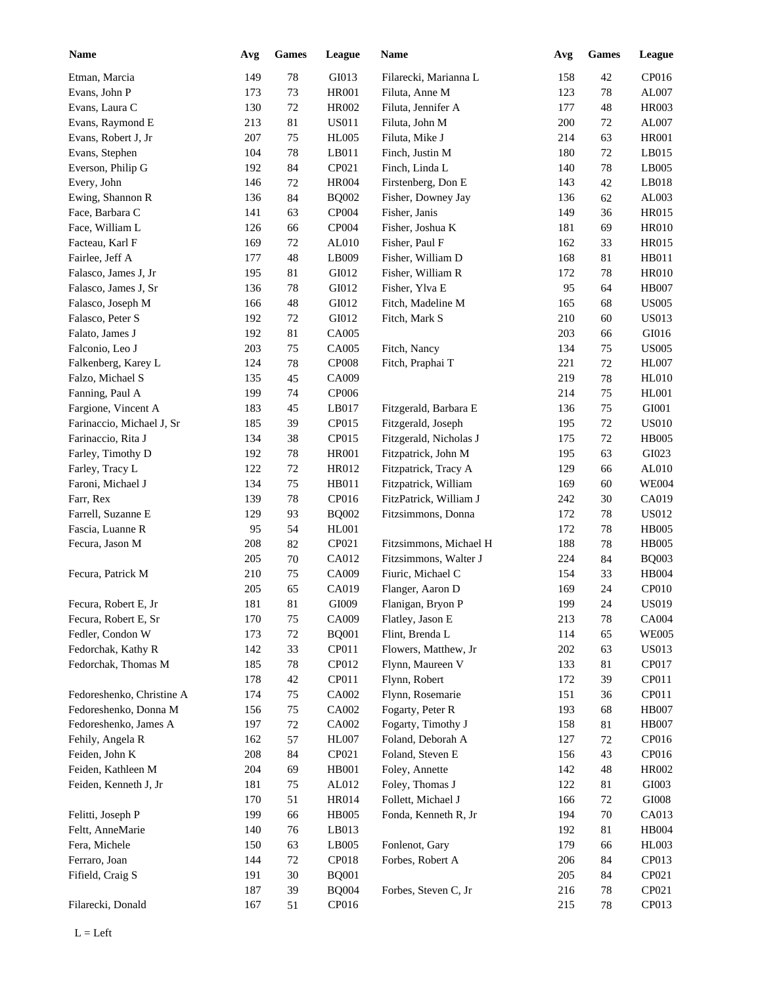| <b>Name</b>               | Avg | <b>Games</b> | League       | <b>Name</b>            | Avg | <b>Games</b> | League       |
|---------------------------|-----|--------------|--------------|------------------------|-----|--------------|--------------|
| Etman, Marcia             | 149 | $78\,$       | GI013        | Filarecki, Marianna L  | 158 | 42           | CP016        |
| Evans, John P             | 173 | 73           | <b>HR001</b> | Filuta, Anne M         | 123 | 78           | AL007        |
| Evans, Laura C            | 130 | $72\,$       | HR002        | Filuta, Jennifer A     | 177 | 48           | <b>HR003</b> |
| Evans, Raymond E          | 213 | $81\,$       | <b>US011</b> | Filuta, John M         | 200 | 72           | AL007        |
| Evans, Robert J, Jr       | 207 | 75           | <b>HL005</b> | Filuta, Mike J         | 214 | 63           | <b>HR001</b> |
| Evans, Stephen            | 104 | $78\,$       | LB011        | Finch, Justin M        | 180 | 72           | LB015        |
| Everson, Philip G         | 192 | 84           | CP021        | Finch, Linda L         | 140 | $78\,$       | LB005        |
| Every, John               | 146 | $72\,$       | <b>HR004</b> | Firstenberg, Don E     | 143 | 42           | LB018        |
| Ewing, Shannon R          | 136 | 84           | <b>BQ002</b> | Fisher, Downey Jay     | 136 | 62           | AL003        |
| Face, Barbara C           | 141 | 63           | CP004        | Fisher, Janis          | 149 | 36           | HR015        |
| Face, William L           | 126 | 66           | CP004        | Fisher, Joshua K       | 181 | 69           | <b>HR010</b> |
| Facteau, Karl F           | 169 | 72           | AL010        | Fisher, Paul F         | 162 | 33           | HR015        |
| Fairlee, Jeff A           | 177 | 48           | LB009        | Fisher, William D      | 168 | 81           | HB011        |
| Falasco, James J, Jr      | 195 | 81           | GI012        | Fisher, William R      | 172 | 78           | <b>HR010</b> |
| Falasco, James J, Sr      | 136 | 78           | GI012        | Fisher, Ylva E         | 95  | 64           | <b>HB007</b> |
| Falasco, Joseph M         | 166 | 48           | GI012        | Fitch, Madeline M      | 165 | 68           | <b>US005</b> |
| Falasco, Peter S          | 192 | 72           | GI012        | Fitch, Mark S          | 210 | 60           | <b>US013</b> |
| Falato, James J           | 192 | 81           | CA005        |                        | 203 | 66           | GI016        |
| Falconio, Leo J           | 203 | 75           | CA005        | Fitch, Nancy           | 134 | 75           | <b>US005</b> |
| Falkenberg, Karey L       | 124 | 78           | CP008        | Fitch, Praphai T       | 221 | 72           | <b>HL007</b> |
| Falzo, Michael S          | 135 | 45           | CA009        |                        | 219 | 78           | <b>HL010</b> |
| Fanning, Paul A           | 199 | 74           | CP006        |                        | 214 | 75           | <b>HL001</b> |
| Fargione, Vincent A       | 183 | 45           | LB017        | Fitzgerald, Barbara E  | 136 | 75           | GI001        |
| Farinaccio, Michael J, Sr | 185 | 39           | CP015        | Fitzgerald, Joseph     | 195 | 72           | <b>US010</b> |
| Farinaccio, Rita J        | 134 | 38           | CP015        | Fitzgerald, Nicholas J | 175 | 72           | <b>HB005</b> |
| Farley, Timothy D         | 192 | $78\,$       | <b>HR001</b> | Fitzpatrick, John M    | 195 | 63           | GI023        |
| Farley, Tracy L           | 122 | 72           | HR012        | Fitzpatrick, Tracy A   | 129 | 66           | AL010        |
| Faroni, Michael J         | 134 | 75           | HB011        | Fitzpatrick, William   | 169 | 60           | <b>WE004</b> |
| Farr, Rex                 | 139 | 78           | CP016        | FitzPatrick, William J | 242 | 30           | CA019        |
| Farrell, Suzanne E        | 129 | 93           | <b>BQ002</b> | Fitzsimmons, Donna     | 172 | 78           | US012        |
| Fascia, Luanne R          | 95  | 54           | <b>HL001</b> |                        | 172 | 78           | <b>HB005</b> |
| Fecura, Jason M           | 208 | 82           | CP021        | Fitzsimmons, Michael H | 188 | 78           | <b>HB005</b> |
|                           | 205 | 70           | CA012        | Fitzsimmons, Walter J  | 224 | 84           | <b>BQ003</b> |
| Fecura, Patrick M         | 210 | 75           | CA009        | Fiuric, Michael C      | 154 | 33           | HB004        |
|                           | 205 | 65           | CA019        | Flanger, Aaron D       | 169 | 24           | CP010        |
| Fecura, Robert E, Jr      | 181 | $81\,$       | GI009        | Flanigan, Bryon P      | 199 | 24           | <b>US019</b> |
| Fecura, Robert E, Sr      | 170 | 75           | CA009        | Flatley, Jason E       | 213 | 78           | CA004        |
| Fedler, Condon W          | 173 | $72\,$       | <b>BQ001</b> | Flint, Brenda L        | 114 | 65           | <b>WE005</b> |
| Fedorchak, Kathy R        | 142 | 33           | CP011        | Flowers, Matthew, Jr   | 202 | 63           | <b>US013</b> |
| Fedorchak, Thomas M       | 185 | $78\,$       | CP012        | Flynn, Maureen V       | 133 | 81           | CP017        |
|                           | 178 | 42           | CP011        | Flynn, Robert          | 172 | 39           | CP011        |
| Fedoreshenko, Christine A | 174 | 75           | CA002        | Flynn, Rosemarie       | 151 | 36           | CP011        |
| Fedoreshenko, Donna M     | 156 | 75           | CA002        | Fogarty, Peter R       | 193 | 68           | <b>HB007</b> |
| Fedoreshenko, James A     | 197 | 72           | CA002        | Fogarty, Timothy J     | 158 | 81           | <b>HB007</b> |
| Fehily, Angela R          | 162 | 57           | <b>HL007</b> | Foland, Deborah A      | 127 | 72           | CP016        |
| Feiden, John K            | 208 | 84           | CP021        | Foland, Steven E       | 156 | 43           | CP016        |
| Feiden, Kathleen M        | 204 | 69           | HB001        | Foley, Annette         | 142 | 48           | HR002        |
|                           |     |              |              |                        |     |              | GI003        |
| Feiden, Kenneth J, Jr     | 181 | 75           | AL012        | Foley, Thomas J        | 122 | 81           | $\rm GIO08$  |
|                           | 170 | 51           | HR014        | Follett, Michael J     | 166 | $72\,$       |              |
| Felitti, Joseph P         | 199 | 66           | <b>HB005</b> | Fonda, Kenneth R, Jr   | 194 | 70           | CA013        |
| Feltt, AnneMarie          | 140 | 76           | LB013        |                        | 192 | 81           | HB004        |
| Fera, Michele             | 150 | 63           | LB005        | Fonlenot, Gary         | 179 | 66           | <b>HL003</b> |
| Ferraro, Joan             | 144 | $72\,$       | CP018        | Forbes, Robert A       | 206 | 84           | CP013        |
| Fifield, Craig S          | 191 | $30\,$       | <b>BQ001</b> |                        | 205 | 84           | CP021        |
|                           | 187 | 39           | <b>BQ004</b> | Forbes, Steven C, Jr   | 216 | 78           | CP021        |
| Filarecki, Donald         | 167 | 51           | CP016        |                        | 215 | 78           | CP013        |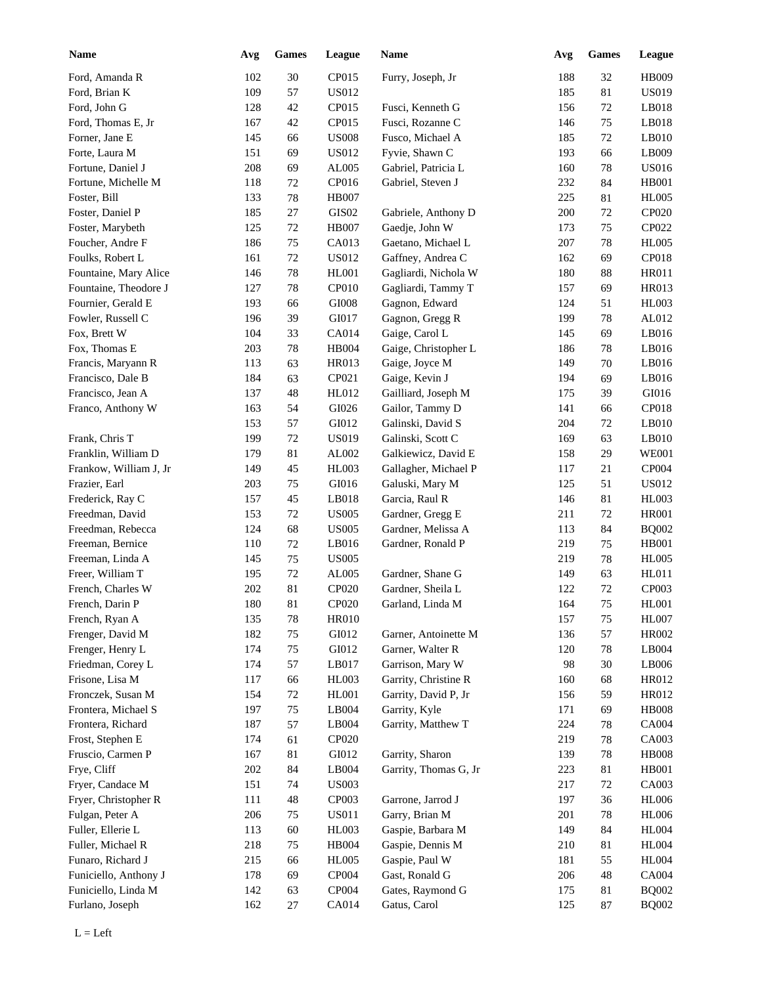| <b>Name</b>                          | Avg        | <b>Games</b> | League       | Name                                         | Avg | <b>Games</b> | <b>League</b> |
|--------------------------------------|------------|--------------|--------------|----------------------------------------------|-----|--------------|---------------|
| Ford, Amanda R                       | 102        | $30\,$       | CP015        | Furry, Joseph, Jr                            | 188 | 32           | <b>HB009</b>  |
| Ford, Brian K                        | 109        | 57           | US012        |                                              | 185 | 81           | <b>US019</b>  |
| Ford, John G                         | 128        | 42           | CP015        | Fusci, Kenneth G                             | 156 | 72           | LB018         |
| Ford, Thomas E, Jr                   | 167        | 42           | CP015        | Fusci, Rozanne C                             | 146 | 75           | LB018         |
| Forner, Jane E                       | 145        | 66           | <b>US008</b> | Fusco, Michael A                             | 185 | 72           | LB010         |
| Forte, Laura M                       | 151        | 69           | <b>US012</b> | Fyvie, Shawn C                               | 193 | 66           | LB009         |
| Fortune, Daniel J                    | 208        | 69           | AL005        | Gabriel, Patricia L                          | 160 | 78           | <b>US016</b>  |
| Fortune, Michelle M                  | 118        | $72\,$       | CP016        | Gabriel, Steven J                            | 232 | 84           | <b>HB001</b>  |
| Foster, Bill                         | 133        | 78           | <b>HB007</b> |                                              | 225 | 81           | <b>HL005</b>  |
| Foster, Daniel P                     | 185        | 27           | $\rm GIS02$  | Gabriele, Anthony D                          | 200 | 72           | CP020         |
| Foster, Marybeth                     | 125        | $72\,$       | <b>HB007</b> | Gaedje, John W                               | 173 | 75           | CP022         |
| Foucher, Andre F                     | 186        | 75           | CA013        | Gaetano, Michael L                           | 207 | 78           | <b>HL005</b>  |
| Foulks, Robert L                     | 161        | $72\,$       | <b>US012</b> | Gaffney, Andrea C                            | 162 | 69           | <b>CP018</b>  |
| Fountaine, Mary Alice                | 146        | 78           | HL001        | Gagliardi, Nichola W                         | 180 | 88           | <b>HR011</b>  |
| Fountaine, Theodore J                | 127        | 78           | CP010        | Gagliardi, Tammy T                           | 157 | 69           | HR013         |
| Fournier, Gerald E                   | 193        | 66           | GI008        | Gagnon, Edward                               | 124 | 51           | <b>HL003</b>  |
| Fowler, Russell C                    | 196        | 39           | GI017        | Gagnon, Gregg R                              | 199 | 78           | AL012         |
| Fox, Brett W                         | 104        | 33           | CA014        | Gaige, Carol L                               | 145 | 69           | LB016         |
| Fox, Thomas E                        | 203        | 78           | <b>HB004</b> | Gaige, Christopher L                         | 186 | 78           | LB016         |
| Francis, Maryann R                   | 113        | 63           | HR013        | Gaige, Joyce M                               | 149 | 70           | LB016         |
| Francisco, Dale B                    | 184        | 63           | CP021        | Gaige, Kevin J                               | 194 | 69           | LB016         |
| Francisco, Jean A                    | 137        | 48           | HL012        | Gailliard, Joseph M                          | 175 | 39           | GI016         |
| Franco, Anthony W                    | 163        | 54           | GI026        | Gailor, Tammy D                              | 141 | 66           | <b>CP018</b>  |
|                                      | 153        | 57           | GI012        | Galinski, David S                            | 204 | 72           | LB010         |
| Frank, Chris T                       | 199        | $72\,$       | <b>US019</b> | Galinski, Scott C                            | 169 | 63           | LB010         |
| Franklin, William D                  | 179        | 81           | AL002        | Galkiewicz, David E                          | 158 | 29           | <b>WE001</b>  |
| Frankow, William J, Jr               | 149        | 45           | HL003        | Gallagher, Michael P                         | 117 | 21           | CP004         |
| Frazier, Earl                        | 203        | 75           | GI016        | Galuski, Mary M                              | 125 | 51           | <b>US012</b>  |
| Frederick, Ray C                     | 157        | 45           | LB018        | Garcia, Raul R                               | 146 | 81           | HL003         |
| Freedman, David                      | 153        | 72           | <b>US005</b> | Gardner, Gregg E                             | 211 | 72           | <b>HR001</b>  |
| Freedman, Rebecca                    | 124        | 68           | <b>US005</b> | Gardner, Melissa A                           | 113 | 84           | <b>BQ002</b>  |
| Freeman, Bernice                     | 110        | 72           | LB016        | Gardner, Ronald P                            | 219 | 75           | <b>HB001</b>  |
| Freeman, Linda A                     | 145        | $75\,$       | <b>US005</b> |                                              | 219 | 78           | <b>HL005</b>  |
| Freer, William T                     | 195        | $72\,$       | AL005        | Gardner, Shane G                             | 149 | 63           | HL011         |
| French, Charles W                    | 202        | 81           | CP020        | Gardner, Sheila L                            | 122 | $72\,$       | CP003         |
| French, Darin P                      | $180\,$    | $81\,$       | CP020        | Garland, Linda M                             | 164 | 75           | <b>HL001</b>  |
|                                      |            |              |              |                                              |     |              |               |
| French, Ryan A                       | 135<br>182 | 78           | HR010        |                                              | 157 | 75           | <b>HL007</b>  |
| Frenger, David M                     |            | $75\,$       | GI012        | Garner, Antoinette M                         | 136 | 57           | HR002         |
| Frenger, Henry L                     | 174        | $75\,$       | GI012        | Garner, Walter R                             | 120 | $78\,$       | LB004         |
| Friedman, Corey L                    | 174        | 57           | LB017        | Garrison, Mary W                             | 98  | 30           | LB006         |
| Frisone, Lisa M<br>Fronczek, Susan M | 117        | 66           | HL003        | Garrity, Christine R<br>Garrity, David P, Jr | 160 | 68           | HR012         |
|                                      | 154        | $72\,$       | HL001        |                                              | 156 | 59           | HR012         |
| Frontera, Michael S                  | 197        | $75\,$       | LB004        | Garrity, Kyle                                | 171 | 69           | <b>HB008</b>  |
| Frontera, Richard                    | 187        | 57           | LB004        | Garrity, Matthew T                           | 224 | $78\,$       | CA004         |
| Frost, Stephen E                     | 174        | 61           | CP020        |                                              | 219 | $78\,$       | CA003         |
| Fruscio, Carmen P                    | 167        | 81           | GI012        | Garrity, Sharon                              | 139 | $78\,$       | <b>HB008</b>  |
| Frye, Cliff                          | 202        | 84           | LB004        | Garrity, Thomas G, Jr                        | 223 | 81           | <b>HB001</b>  |
| Fryer, Candace M                     | 151        | 74           | <b>US003</b> |                                              | 217 | $72\,$       | CA003         |
| Fryer, Christopher R                 | 111        | $\sqrt{48}$  | CP003        | Garrone, Jarrod J                            | 197 | 36           | <b>HL006</b>  |
| Fulgan, Peter A                      | 206        | $75\,$       | <b>US011</b> | Garry, Brian M                               | 201 | $78\,$       | <b>HL006</b>  |
| Fuller, Ellerie L                    | 113        | 60           | HL003        | Gaspie, Barbara M                            | 149 | 84           | HL004         |
| Fuller, Michael R                    | 218        | $75\,$       | HB004        | Gaspie, Dennis M                             | 210 | 81           | <b>HL004</b>  |
| Funaro, Richard J                    | 215        | 66           | <b>HL005</b> | Gaspie, Paul W                               | 181 | 55           | <b>HL004</b>  |
| Funiciello, Anthony J                | 178        | 69           | CP004        | Gast, Ronald G                               | 206 | $\sqrt{48}$  | <b>CA004</b>  |
| Funiciello, Linda M                  | 142        | 63           | CP004        | Gates, Raymond G                             | 175 | 81           | <b>BQ002</b>  |
| Furlano, Joseph                      | 162        | 27           | CA014        | Gatus, Carol                                 | 125 | 87           | <b>BQ002</b>  |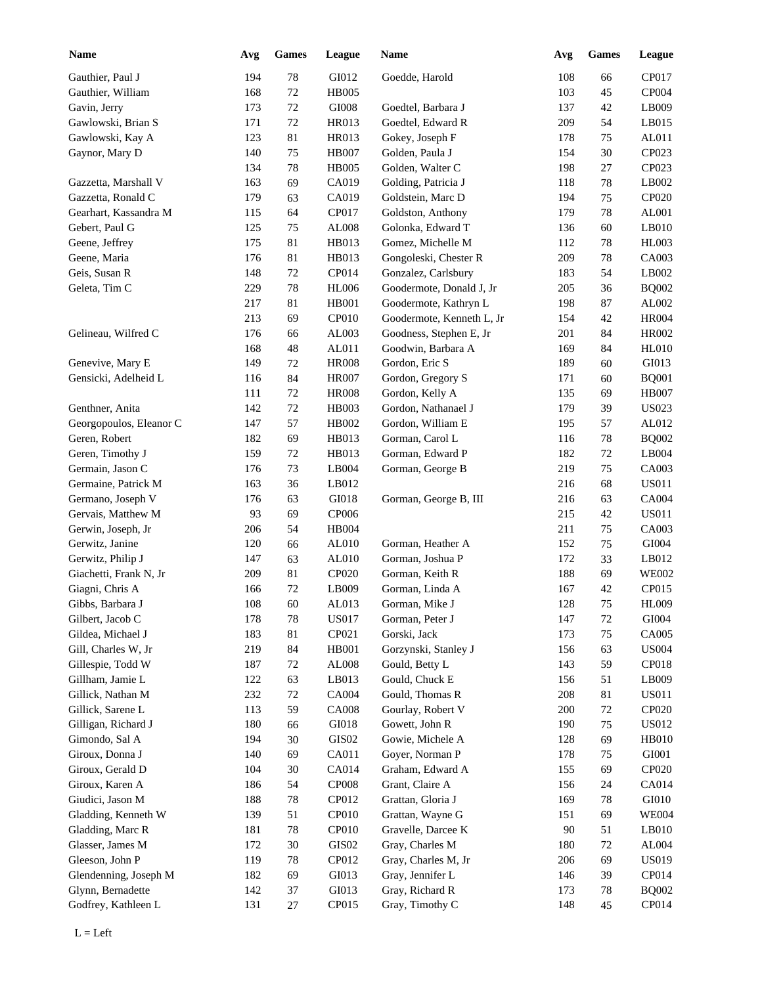| <b>Name</b>             | Avg | $\mathbf{Games}$ | League            | Name                      | Avg | <b>Games</b> | League       |
|-------------------------|-----|------------------|-------------------|---------------------------|-----|--------------|--------------|
| Gauthier, Paul J        | 194 | $78\,$           | GI012             | Goedde, Harold            | 108 | 66           | CP017        |
| Gauthier, William       | 168 | $72\,$           | <b>HB005</b>      |                           | 103 | 45           | CP004        |
| Gavin, Jerry            | 173 | $72\,$           | GI008             | Goedtel, Barbara J        | 137 | 42           | LB009        |
| Gawlowski, Brian S      | 171 | $72\,$           | HR013             | Goedtel, Edward R         | 209 | 54           | LB015        |
| Gawlowski, Kay A        | 123 | 81               | HR013             | Gokey, Joseph F           | 178 | 75           | AL011        |
| Gaynor, Mary D          | 140 | $75\,$           | <b>HB007</b>      | Golden, Paula J           | 154 | 30           | CP023        |
|                         | 134 | 78               | <b>HB005</b>      | Golden, Walter C          | 198 | $27\,$       | CP023        |
| Gazzetta, Marshall V    | 163 | 69               | CA019             | Golding, Patricia J       | 118 | 78           | LB002        |
| Gazzetta, Ronald C      | 179 | 63               | CA019             | Goldstein, Marc D         | 194 | 75           | CP020        |
| Gearhart, Kassandra M   | 115 | 64               | CP017             | Goldston, Anthony         | 179 | 78           | AL001        |
| Gebert, Paul G          | 125 | 75               | ${\rm AL008}$     | Golonka, Edward T         | 136 | 60           | LB010        |
| Geene, Jeffrey          | 175 | 81               | HB013             | Gomez, Michelle M         | 112 | 78           | <b>HL003</b> |
| Geene, Maria            | 176 | 81               | HB013             | Gongoleski, Chester R     | 209 | 78           | CA003        |
| Geis, Susan R           | 148 | $72\,$           | CP014             | Gonzalez, Carlsbury       | 183 | 54           | LB002        |
| Geleta, Tim C           | 229 | 78               | <b>HL006</b>      | Goodermote, Donald J, Jr  | 205 | 36           | <b>BQ002</b> |
|                         | 217 | 81               | <b>HB001</b>      | Goodermote, Kathryn L     | 198 | 87           | AL002        |
|                         | 213 | 69               | CP010             | Goodermote, Kenneth L, Jr | 154 | 42           | <b>HR004</b> |
| Gelineau, Wilfred C     | 176 | 66               | AL003             | Goodness, Stephen E, Jr   | 201 | 84           | <b>HR002</b> |
|                         | 168 | 48               | AL011             | Goodwin, Barbara A        | 169 | 84           | HL010        |
| Genevive, Mary E        | 149 | 72               | <b>HR008</b>      | Gordon, Eric S            | 189 | 60           | GI013        |
| Gensicki, Adelheid L    | 116 | 84               | <b>HR007</b>      | Gordon, Gregory S         | 171 | 60           | <b>BQ001</b> |
|                         | 111 | 72               | <b>HR008</b>      | Gordon, Kelly A           | 135 | 69           | <b>HB007</b> |
| Genthner, Anita         | 142 | 72               | HB003             | Gordon, Nathanael J       | 179 | 39           | <b>US023</b> |
| Georgopoulos, Eleanor C | 147 | 57               | HB002             | Gordon, William E         | 195 | 57           | AL012        |
| Geren, Robert           | 182 | 69               | HB013             | Gorman, Carol L           | 116 | $78\,$       | <b>BQ002</b> |
| Geren, Timothy J        | 159 | 72               | HB013             | Gorman, Edward P          | 182 | $72\,$       | LB004        |
| Germain, Jason C        | 176 | 73               | LB004             | Gorman, George B          | 219 | 75           | CA003        |
| Germaine, Patrick M     | 163 | 36               | LB012             |                           | 216 | 68           | <b>US011</b> |
| Germano, Joseph V       | 176 |                  | GI018             | Gorman, George B, III     | 216 |              | CA004        |
|                         | 93  | 63               | CP006             |                           |     | 63           |              |
| Gervais, Matthew M      |     | 69               |                   |                           | 215 | 42           | <b>US011</b> |
| Gerwin, Joseph, Jr      | 206 | 54               | HB004             |                           | 211 | 75           | CA003        |
| Gerwitz, Janine         | 120 | 66               | AL010             | Gorman, Heather A         | 152 | 75           | GI004        |
| Gerwitz, Philip J       | 147 | 63               | AL010             | Gorman, Joshua P          | 172 | 33           | LB012        |
| Giachetti, Frank N, Jr  | 209 | 81               | CP020             | Gorman, Keith R           | 188 | 69           | <b>WE002</b> |
| Giagni, Chris A         | 166 | 72               | LB009             | Gorman, Linda A           | 167 | 42           | CP015        |
| Gibbs, Barbara J        | 108 | 60               | AL013             | Gorman, Mike J            | 128 | 75           | <b>HL009</b> |
| Gilbert, Jacob C        | 178 | 78               | <b>US017</b>      | Gorman, Peter J           | 147 | $72\,$       | GI004        |
| Gildea, Michael J       | 183 | 81               | CP021             | Gorski, Jack              | 173 | $75\,$       | CA005        |
| Gill, Charles W, Jr     | 219 | 84               | HB001             | Gorzynski, Stanley J      | 156 | 63           | <b>US004</b> |
| Gillespie, Todd W       | 187 | 72               | ${\rm AL008}$     | Gould, Betty L            | 143 | 59           | CP018        |
| Gillham, Jamie L        | 122 | 63               | LB013             | Gould, Chuck E            | 156 | 51           | LB009        |
| Gillick, Nathan M       | 232 | 72               | CA004             | Gould, Thomas R           | 208 | 81           | <b>US011</b> |
| Gillick, Sarene L       | 113 | 59               | <b>CA008</b>      | Gourlay, Robert V         | 200 | 72           | CP020        |
| Gilligan, Richard J     | 180 | 66               | GI018             | Gowett, John R            | 190 | $75\,$       | <b>US012</b> |
| Gimondo, Sal A          | 194 | $30\,$           | GIS <sub>02</sub> | Gowie, Michele A          | 128 | 69           | <b>HB010</b> |
| Giroux, Donna J         | 140 | 69               | CA011             | Goyer, Norman P           | 178 | 75           | GI001        |
| Giroux, Gerald D        | 104 | $30\,$           | CA014             | Graham, Edward A          | 155 | 69           | CP020        |
| Giroux, Karen A         | 186 | 54               | CP008             | Grant, Claire A           | 156 | 24           | CA014        |
| Giudici, Jason M        | 188 | 78               | CP012             | Grattan, Gloria J         | 169 | 78           | GI010        |
| Gladding, Kenneth W     | 139 | 51               | CP010             | Grattan, Wayne G          | 151 | 69           | <b>WE004</b> |
| Gladding, Marc R        | 181 | $78\,$           | CP010             | Gravelle, Darcee K        | 90  | 51           | LB010        |
| Glasser, James M        | 172 | $30\,$           | GIS02             | Gray, Charles M           | 180 | $72\,$       | AL004        |
| Gleeson, John P         | 119 | $78\,$           | CP012             | Gray, Charles M, Jr       | 206 | 69           | <b>US019</b> |
| Glendenning, Joseph M   | 182 | 69               | GI013             | Gray, Jennifer L          | 146 | 39           | CP014        |
| Glynn, Bernadette       | 142 | 37               | GI013             | Gray, Richard R           | 173 | 78           | <b>BQ002</b> |
| Godfrey, Kathleen L     | 131 | 27               | CP015             | Gray, Timothy C           | 148 | 45           | CP014        |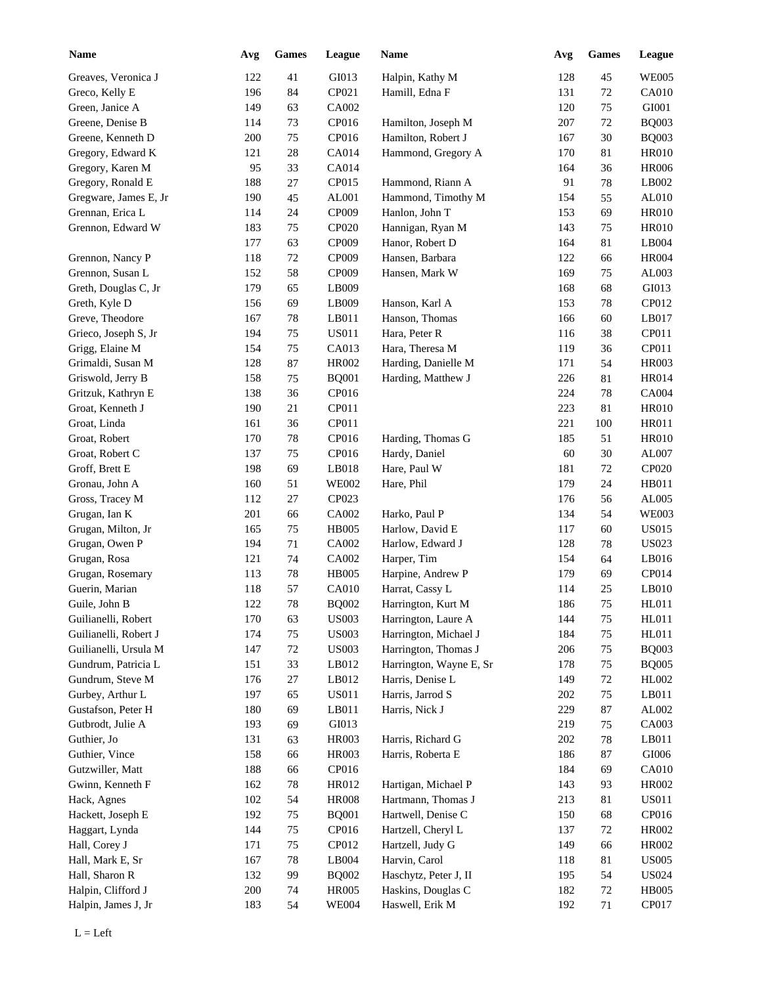| <b>Name</b>           | Avg | <b>Games</b> | League       | Name                    | Avg | Games  | <b>League</b> |
|-----------------------|-----|--------------|--------------|-------------------------|-----|--------|---------------|
| Greaves, Veronica J   | 122 | 41           | GI013        | Halpin, Kathy M         | 128 | 45     | <b>WE005</b>  |
| Greco, Kelly E        | 196 | 84           | CP021        | Hamill, Edna F          | 131 | 72     | <b>CA010</b>  |
| Green, Janice A       | 149 | 63           | CA002        |                         | 120 | 75     | GI001         |
| Greene, Denise B      | 114 | 73           | CP016        | Hamilton, Joseph M      | 207 | 72     | <b>BQ003</b>  |
| Greene, Kenneth D     | 200 | 75           | CP016        | Hamilton, Robert J      | 167 | 30     | <b>BQ003</b>  |
| Gregory, Edward K     | 121 | 28           | CA014        | Hammond, Gregory A      | 170 | 81     | <b>HR010</b>  |
| Gregory, Karen M      | 95  | 33           | CA014        |                         | 164 | 36     | <b>HR006</b>  |
| Gregory, Ronald E     | 188 | 27           | CP015        | Hammond, Riann A        | 91  | 78     | LB002         |
| Gregware, James E, Jr | 190 | 45           | AL001        | Hammond, Timothy M      | 154 | 55     | AL010         |
| Grennan, Erica L      | 114 | 24           | CP009        | Hanlon, John T          | 153 | 69     | <b>HR010</b>  |
| Grennon, Edward W     | 183 | 75           | CP020        | Hannigan, Ryan M        | 143 | 75     | <b>HR010</b>  |
|                       | 177 | 63           | CP009        | Hanor, Robert D         | 164 | 81     | LB004         |
| Grennon, Nancy P      | 118 | 72           | CP009        | Hansen, Barbara         | 122 | 66     | <b>HR004</b>  |
| Grennon, Susan L      | 152 | 58           | CP009        | Hansen, Mark W          | 169 | 75     | AL003         |
| Greth, Douglas C, Jr  | 179 | 65           | LB009        |                         | 168 | 68     | GI013         |
|                       |     | 69           |              |                         | 153 |        | CP012         |
| Greth, Kyle D         | 156 |              | LB009        | Hanson, Karl A          |     | 78     |               |
| Greve, Theodore       | 167 | 78           | LB011        | Hanson, Thomas          | 166 | 60     | LB017         |
| Grieco, Joseph S, Jr  | 194 | 75           | <b>US011</b> | Hara, Peter R           | 116 | 38     | CP011         |
| Grigg, Elaine M       | 154 | 75           | CA013        | Hara, Theresa M         | 119 | 36     | CP011         |
| Grimaldi, Susan M     | 128 | 87           | HR002        | Harding, Danielle M     | 171 | 54     | <b>HR003</b>  |
| Griswold, Jerry B     | 158 | 75           | <b>BQ001</b> | Harding, Matthew J      | 226 | 81     | HR014         |
| Gritzuk, Kathryn E    | 138 | 36           | CP016        |                         | 224 | 78     | <b>CA004</b>  |
| Groat, Kenneth J      | 190 | 21           | CP011        |                         | 223 | 81     | <b>HR010</b>  |
| Groat, Linda          | 161 | 36           | CP011        |                         | 221 | 100    | <b>HR011</b>  |
| Groat, Robert         | 170 | 78           | CP016        | Harding, Thomas G       | 185 | 51     | <b>HR010</b>  |
| Groat, Robert C       | 137 | 75           | CP016        | Hardy, Daniel           | 60  | 30     | AL007         |
| Groff, Brett E        | 198 | 69           | LB018        | Hare, Paul W            | 181 | 72     | CP020         |
| Gronau, John A        | 160 | 51           | <b>WE002</b> | Hare, Phil              | 179 | 24     | HB011         |
| Gross, Tracey M       | 112 | $27\,$       | CP023        |                         | 176 | 56     | AL005         |
| Grugan, Ian K         | 201 | 66           | CA002        | Harko, Paul P           | 134 | 54     | <b>WE003</b>  |
| Grugan, Milton, Jr    | 165 | 75           | <b>HB005</b> | Harlow, David E         | 117 | 60     | <b>US015</b>  |
| Grugan, Owen P        | 194 | 71           | CA002        | Harlow, Edward J        | 128 | 78     | <b>US023</b>  |
| Grugan, Rosa          | 121 | 74           | CA002        | Harper, Tim             | 154 | 64     | LB016         |
| Grugan, Rosemary      | 113 | 78           | <b>HB005</b> | Harpine, Andrew P       | 179 | 69     | CP014         |
| Guerin, Marian        | 118 | 57           | CA010        | Harrat, Cassy L         | 114 | 25     | LB010         |
| Guile, John B         | 122 | $78\,$       | <b>BQ002</b> | Harrington, Kurt M      | 186 | $75\,$ | HL011         |
| Guilianelli, Robert   | 170 | 63           | <b>US003</b> | Harrington, Laure A     | 144 | 75     | HL011         |
| Guilianelli, Robert J | 174 | $75\,$       | <b>US003</b> | Harrington, Michael J   | 184 | $75\,$ | HL011         |
| Guilianelli, Ursula M | 147 | $72\,$       | <b>US003</b> | Harrington, Thomas J    | 206 | $75\,$ | <b>BQ003</b>  |
| Gundrum, Patricia L   | 151 | 33           | LB012        | Harrington, Wayne E, Sr | 178 | $75\,$ | <b>BQ005</b>  |
| Gundrum, Steve M      | 176 | $27\,$       | LB012        | Harris, Denise L        | 149 | $72\,$ | HL002         |
| Gurbey, Arthur L      | 197 | 65           | <b>US011</b> | Harris, Jarrod S        | 202 | $75\,$ | LB011         |
| Gustafson, Peter H    | 180 | 69           | LB011        | Harris, Nick J          | 229 | $87\,$ | ${\rm AL}002$ |
| Gutbrodt, Julie A     |     |              | GI013        |                         |     |        | CA003         |
|                       | 193 | 69           |              |                         | 219 | 75     |               |
| Guthier, Jo           | 131 | 63           | <b>HR003</b> | Harris, Richard G       | 202 | $78\,$ | LB011         |
| Guthier, Vince        | 158 | 66           | <b>HR003</b> | Harris, Roberta E       | 186 | 87     | $\rm GIO06$   |
| Gutzwiller, Matt      | 188 | 66           | CP016        |                         | 184 | 69     | CA010         |
| Gwinn, Kenneth F      | 162 | $78\,$       | HR012        | Hartigan, Michael P     | 143 | 93     | HR002         |
| Hack, Agnes           | 102 | 54           | <b>HR008</b> | Hartmann, Thomas J      | 213 | 81     | <b>US011</b>  |
| Hackett, Joseph E     | 192 | $75\,$       | <b>BQ001</b> | Hartwell, Denise C      | 150 | 68     | CP016         |
| Haggart, Lynda        | 144 | $75\,$       | CP016        | Hartzell, Cheryl L      | 137 | 72     | HR002         |
| Hall, Corey J         | 171 | $75\,$       | CP012        | Hartzell, Judy G        | 149 | 66     | HR002         |
| Hall, Mark E, Sr      | 167 | $78\,$       | LB004        | Harvin, Carol           | 118 | 81     | <b>US005</b>  |
| Hall, Sharon R        | 132 | 99           | <b>BQ002</b> | Haschytz, Peter J, II   | 195 | 54     | <b>US024</b>  |
| Halpin, Clifford J    | 200 | 74           | <b>HR005</b> | Haskins, Douglas C      | 182 | 72     | <b>HB005</b>  |
| Halpin, James J, Jr   | 183 | 54           | <b>WE004</b> | Haswell, Erik M         | 192 | 71     | CP017         |
|                       |     |              |              |                         |     |        |               |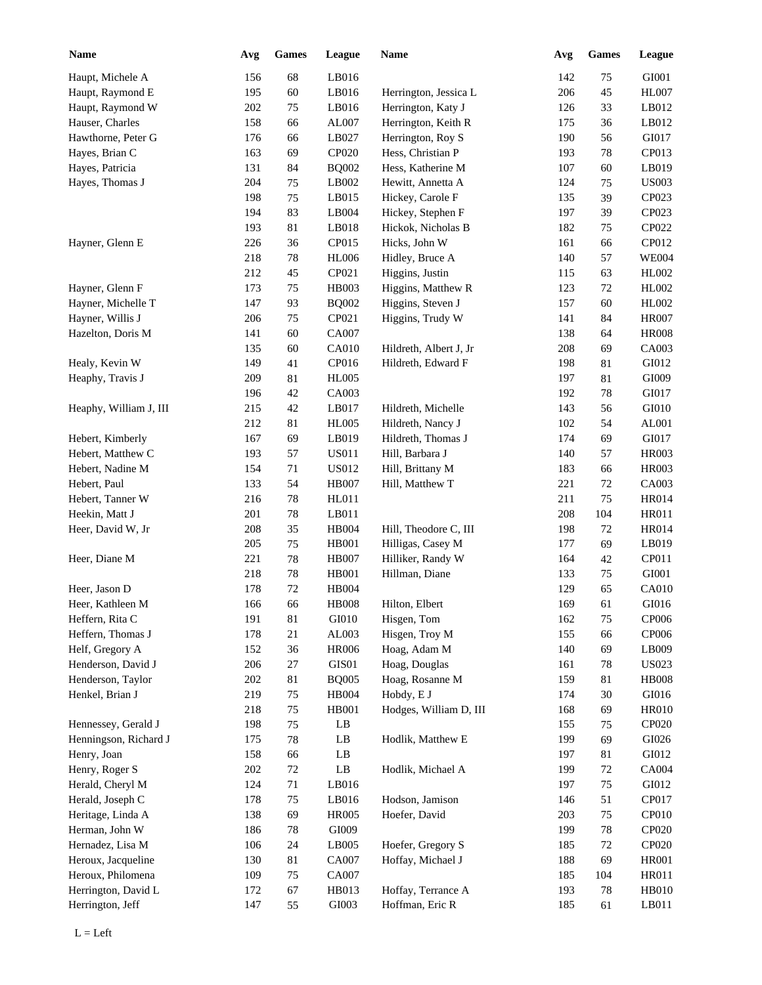| Name                   | Avg | <b>Games</b> | League                 | Name                   | Avg | <b>Games</b> | League        |
|------------------------|-----|--------------|------------------------|------------------------|-----|--------------|---------------|
| Haupt, Michele A       | 156 | 68           | LB016                  |                        | 142 | 75           | GI001         |
| Haupt, Raymond E       | 195 | 60           | LB016                  | Herrington, Jessica L  | 206 | 45           | <b>HL007</b>  |
| Haupt, Raymond W       | 202 | 75           | LB016                  | Herrington, Katy J     | 126 | 33           | LB012         |
| Hauser, Charles        | 158 | 66           | AL007                  | Herrington, Keith R    | 175 | 36           | LB012         |
| Hawthorne, Peter G     | 176 | 66           | LB027                  | Herrington, Roy S      | 190 | 56           | GI017         |
| Hayes, Brian C         | 163 | 69           | CP020                  | Hess, Christian P      | 193 | 78           | CP013         |
| Hayes, Patricia        | 131 | 84           | <b>BQ002</b>           | Hess, Katherine M      | 107 | 60           | LB019         |
| Hayes, Thomas J        | 204 | 75           | LB002                  | Hewitt, Annetta A      | 124 | 75           | <b>US003</b>  |
|                        | 198 | 75           | LB015                  | Hickey, Carole F       | 135 | 39           | CP023         |
|                        | 194 | 83           | LB004                  | Hickey, Stephen F      | 197 | 39           | CP023         |
|                        | 193 | 81           | LB018                  | Hickok, Nicholas B     | 182 | 75           | CP022         |
| Hayner, Glenn E        | 226 | 36           | CP015                  | Hicks, John W          | 161 | 66           | CP012         |
|                        | 218 | 78           | <b>HL006</b>           | Hidley, Bruce A        | 140 | 57           | <b>WE004</b>  |
|                        | 212 | 45           | CP021                  | Higgins, Justin        | 115 | 63           | HL002         |
| Hayner, Glenn F        | 173 | 75           | HB003                  | Higgins, Matthew R     | 123 | 72           | HL002         |
| Hayner, Michelle T     | 147 | 93           | <b>BQ002</b>           | Higgins, Steven J      | 157 | 60           | HL002         |
| Hayner, Willis J       | 206 | 75           | CP021                  | Higgins, Trudy W       | 141 | 84           | <b>HR007</b>  |
| Hazelton, Doris M      | 141 | 60           | CA007                  |                        | 138 | 64           | <b>HR008</b>  |
|                        | 135 | 60           | <b>CA010</b>           | Hildreth, Albert J, Jr | 208 | 69           | CA003         |
| Healy, Kevin W         | 149 | 41           | CP016                  | Hildreth, Edward F     | 198 | 81           | GI012         |
| Heaphy, Travis J       | 209 | 81           | <b>HL005</b>           |                        | 197 | 81           | GI009         |
|                        | 196 | 42           | CA003                  |                        | 192 | 78           | GI017         |
| Heaphy, William J, III | 215 | 42           | LB017                  | Hildreth, Michelle     | 143 | 56           | GI010         |
|                        | 212 | 81           | <b>HL005</b>           | Hildreth, Nancy J      | 102 | 54           | AL001         |
| Hebert, Kimberly       | 167 | 69           | LB019                  | Hildreth, Thomas J     | 174 | 69           | GI017         |
| Hebert, Matthew C      | 193 | 57           | <b>US011</b>           | Hill, Barbara J        | 140 | 57           | <b>HR003</b>  |
| Hebert, Nadine M       | 154 | 71           | <b>US012</b>           |                        | 183 | 66           | <b>HR003</b>  |
|                        | 133 | 54           |                        | Hill, Brittany M       |     |              | CA003         |
| Hebert, Paul           | 216 |              | <b>HB007</b>           | Hill, Matthew T        | 221 | $72\,$       |               |
| Hebert, Tanner W       |     | $78\,$       | HL011                  |                        | 211 | 75           | HR014         |
| Heekin, Matt J         | 201 | 78           | LB011                  |                        | 208 | 104          | HR011         |
| Heer, David W, Jr      | 208 | 35           | HB004                  | Hill, Theodore C, III  | 198 | $72\,$       | <b>HR014</b>  |
|                        | 205 | 75           | HB001                  | Hilligas, Casey M      | 177 | 69           | LB019         |
| Heer, Diane M          | 221 | 78           | <b>HB007</b>           | Hilliker, Randy W      | 164 | 42           | CP011         |
|                        | 218 | 78           | HB001                  | Hillman, Diane         | 133 | 75           | ${\rm GIO}01$ |
| Heer, Jason D          | 178 | $72\,$       | HB004                  |                        | 129 | 65           | CA010         |
| Heer, Kathleen M       | 166 | 66           | <b>HB008</b>           | Hilton, Elbert         | 169 | 61           | GI016         |
| Heffern, Rita C        | 191 | 81           | GI010                  | Hisgen, Tom            | 162 | 75           | CP006         |
| Heffern, Thomas J      | 178 | 21           | AL003                  | Hisgen, Troy M         | 155 | 66           | CP006         |
| Helf, Gregory A        | 152 | 36           | <b>HR006</b>           | Hoag, Adam M           | 140 | 69           | LB009         |
| Henderson, David J     | 206 | 27           | GIS01                  | Hoag, Douglas          | 161 | 78           | <b>US023</b>  |
| Henderson, Taylor      | 202 | 81           | <b>BQ005</b>           | Hoag, Rosanne M        | 159 | 81           | <b>HB008</b>  |
| Henkel, Brian J        | 219 | 75           | HB004                  | Hobdy, E J             | 174 | 30           | GI016         |
|                        | 218 | 75           | HB001                  | Hodges, William D, III | 168 | 69           | <b>HR010</b>  |
| Hennessey, Gerald J    | 198 | 75           | LB                     |                        | 155 | 75           | CP020         |
| Henningson, Richard J  | 175 | 78           | LB                     | Hodlik, Matthew E      | 199 | 69           | GI026         |
| Henry, Joan            | 158 | 66           | LB                     |                        | 197 | 81           | GI012         |
| Henry, Roger S         | 202 | $72\,$       | $\mathbf{L}\mathbf{B}$ | Hodlik, Michael A      | 199 | 72           | CA004         |
| Herald, Cheryl M       | 124 | 71           | LB016                  |                        | 197 | 75           | GI012         |
| Herald, Joseph C       | 178 | 75           | LB016                  | Hodson, Jamison        | 146 | 51           | CP017         |
| Heritage, Linda A      | 138 | 69           | <b>HR005</b>           | Hoefer, David          | 203 | 75           | CP010         |
| Herman, John W         | 186 | 78           | GI009                  |                        | 199 | 78           | CP020         |
| Hernadez, Lisa M       | 106 | 24           | LB005                  | Hoefer, Gregory S      | 185 | 72           | CP020         |
| Heroux, Jacqueline     | 130 | 81           | CA007                  | Hoffay, Michael J      | 188 | 69           | <b>HR001</b>  |
| Heroux, Philomena      | 109 | 75           | CA007                  |                        | 185 | 104          | <b>HR011</b>  |
| Herrington, David L    | 172 | 67           | HB013                  | Hoffay, Terrance A     | 193 | 78           | HB010         |
| Herrington, Jeff       | 147 | 55           | GI003                  | Hoffman, Eric R        | 185 | 61           | LB011         |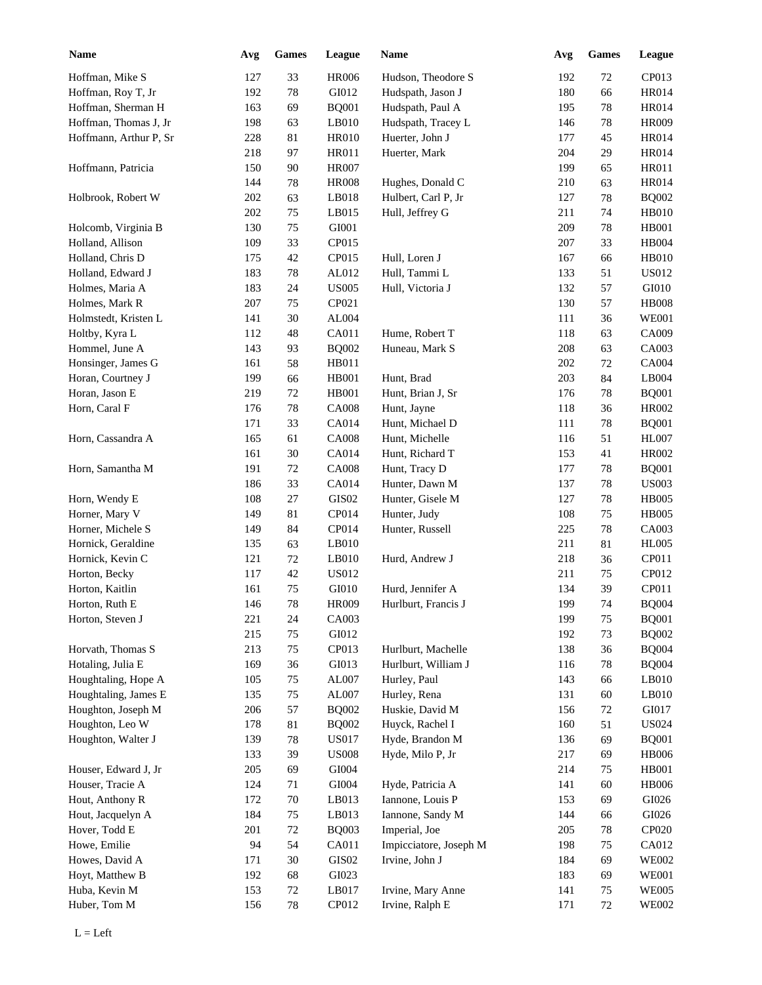| <b>Name</b>            | Avg | <b>Games</b> | League            | <b>Name</b>            | Avg | <b>Games</b> | League       |
|------------------------|-----|--------------|-------------------|------------------------|-----|--------------|--------------|
| Hoffman, Mike S        | 127 | 33           | <b>HR006</b>      | Hudson, Theodore S     | 192 | 72           | CP013        |
| Hoffman, Roy T, Jr     | 192 | $78\,$       | GI012             | Hudspath, Jason J      | 180 | 66           | HR014        |
| Hoffman, Sherman H     | 163 | 69           | <b>BQ001</b>      | Hudspath, Paul A       | 195 | 78           | <b>HR014</b> |
| Hoffman, Thomas J, Jr  | 198 | 63           | $L$ B010          | Hudspath, Tracey L     | 146 | 78           | <b>HR009</b> |
| Hoffmann, Arthur P, Sr | 228 | 81           | <b>HR010</b>      | Huerter, John J        | 177 | 45           | HR014        |
|                        | 218 | 97           | HR011             | Huerter, Mark          | 204 | 29           | <b>HR014</b> |
| Hoffmann, Patricia     | 150 | 90           | <b>HR007</b>      |                        | 199 | 65           | <b>HR011</b> |
|                        | 144 | 78           | <b>HR008</b>      | Hughes, Donald C       | 210 | 63           | <b>HR014</b> |
| Holbrook, Robert W     | 202 | 63           | $L$ B018          | Hulbert, Carl P, Jr    | 127 | 78           | <b>BQ002</b> |
|                        | 202 | 75           | LB015             | Hull, Jeffrey G        | 211 | 74           | <b>HB010</b> |
| Holcomb, Virginia B    | 130 | 75           | GI001             |                        | 209 | 78           | <b>HB001</b> |
| Holland, Allison       | 109 | 33           | CP015             |                        | 207 | 33           | HB004        |
| Holland, Chris D       | 175 | $42\,$       | CP015             | Hull, Loren J          | 167 | 66           | <b>HB010</b> |
| Holland, Edward J      | 183 | 78           | AL012             | Hull, Tammi L          | 133 | 51           | <b>US012</b> |
| Holmes, Maria A        | 183 | 24           | <b>US005</b>      | Hull, Victoria J       | 132 | 57           | GI010        |
| Holmes, Mark R         | 207 | 75           | CP021             |                        | 130 | 57           | <b>HB008</b> |
| Holmstedt, Kristen L   | 141 | 30           | ${\rm AL004}$     |                        | 111 | 36           | <b>WE001</b> |
| Holtby, Kyra L         | 112 | 48           | CA011             | Hume, Robert T         | 118 | 63           | CA009        |
| Hommel, June A         | 143 | 93           | <b>BQ002</b>      | Huneau, Mark S         | 208 | 63           | CA003        |
| Honsinger, James G     | 161 | 58           | HB011             |                        | 202 | 72           | CA004        |
| Horan, Courtney J      | 199 | 66           | HB001             | Hunt, Brad             | 203 | 84           | LB004        |
| Horan, Jason E         | 219 | 72           | <b>HB001</b>      | Hunt, Brian J, Sr      | 176 | 78           | <b>BQ001</b> |
| Horn, Caral F          | 176 | 78           | <b>CA008</b>      | Hunt, Jayne            | 118 | 36           | HR002        |
|                        | 171 | 33           | CA014             | Hunt, Michael D        | 111 | 78           | <b>BQ001</b> |
| Horn, Cassandra A      | 165 | 61           | <b>CA008</b>      | Hunt, Michelle         | 116 | 51           | <b>HL007</b> |
|                        | 161 | 30           | CA014             | Hunt, Richard T        | 153 | 41           | <b>HR002</b> |
| Horn, Samantha M       | 191 | 72           | <b>CA008</b>      | Hunt, Tracy D          | 177 | 78           | <b>BQ001</b> |
|                        | 186 | 33           | CA014             | Hunter, Dawn M         | 137 | 78           | <b>US003</b> |
| Horn, Wendy E          | 108 | $27\,$       | GIS <sub>02</sub> | Hunter, Gisele M       | 127 | 78           | <b>HB005</b> |
| Horner, Mary V         | 149 | 81           | CP014             | Hunter, Judy           | 108 | 75           | <b>HB005</b> |
| Horner, Michele S      | 149 | 84           | CP014             | Hunter, Russell        | 225 | 78           | CA003        |
| Hornick, Geraldine     | 135 | 63           | $L$ B010          |                        | 211 | 81           | <b>HL005</b> |
| Hornick, Kevin C       | 121 | 72           | $L$ B010          | Hurd, Andrew J         | 218 | 36           | CP011        |
| Horton, Becky          | 117 | 42           | <b>US012</b>      |                        | 211 | 75           | CP012        |
| Horton, Kaitlin        | 161 | 75           | GI010             | Hurd, Jennifer A       | 134 | 39           | CP011        |
| Horton, Ruth E         | 146 | $78\,$       | <b>HR009</b>      | Hurlburt, Francis J    | 199 | 74           | <b>BQ004</b> |
| Horton, Steven J       | 221 | 24           | CA003             |                        | 199 | 75           | <b>BQ001</b> |
|                        | 215 | $75\,$       | GI012             |                        | 192 | 73           | <b>BQ002</b> |
| Horvath, Thomas S      | 213 | 75           | CP013             | Hurlburt, Machelle     | 138 | 36           | <b>BQ004</b> |
| Hotaling, Julia E      | 169 | 36           | GI013             | Hurlburt, William J    | 116 | 78           | <b>BQ004</b> |
| Houghtaling, Hope A    | 105 | 75           | AL007             | Hurley, Paul           | 143 | 66           | LB010        |
| Houghtaling, James E   | 135 | 75           | ${\rm AL}007$     | Hurley, Rena           | 131 | $60\,$       | LB010        |
| Houghton, Joseph M     | 206 | 57           | <b>BQ002</b>      | Huskie, David M        | 156 | $72\,$       | GI017        |
| Houghton, Leo W        | 178 | 81           | <b>BQ002</b>      | Huyck, Rachel I        | 160 | 51           | <b>US024</b> |
| Houghton, Walter J     | 139 | $78\,$       | <b>US017</b>      | Hyde, Brandon M        | 136 | 69           | <b>BQ001</b> |
|                        | 133 | 39           | <b>US008</b>      | Hyde, Milo P, Jr       | 217 | 69           | <b>HB006</b> |
| Houser, Edward J, Jr   | 205 | 69           | GI004             |                        | 214 | 75           | <b>HB001</b> |
| Houser, Tracie A       | 124 | 71           | GI004             | Hyde, Patricia A       | 141 | 60           | <b>HB006</b> |
| Hout, Anthony R        | 172 | 70           | LB013             | Iannone, Louis P       | 153 | 69           | GI026        |
| Hout, Jacquelyn A      | 184 | 75           | LB013             | Iannone, Sandy M       | 144 | 66           | GI026        |
| Hover, Todd E          | 201 | $72\,$       | <b>BQ003</b>      | Imperial, Joe          | 205 | 78           | CP020        |
| Howe, Emilie           | 94  | 54           | CA011             | Impicciatore, Joseph M | 198 | 75           | CA012        |
|                        |     |              | GIS02             | Irvine, John J         |     |              | <b>WE002</b> |
| Howes, David A         | 171 | $30\,$       |                   |                        | 184 | 69           | <b>WE001</b> |
| Hoyt, Matthew B        | 192 | 68           | GI023             |                        | 183 | 69           | <b>WE005</b> |
| Huba, Kevin M          | 153 | 72           | LB017             | Irvine, Mary Anne      | 141 | 75           |              |
| Huber, Tom M           | 156 | 78           | CP012             | Irvine, Ralph E        | 171 | 72           | <b>WE002</b> |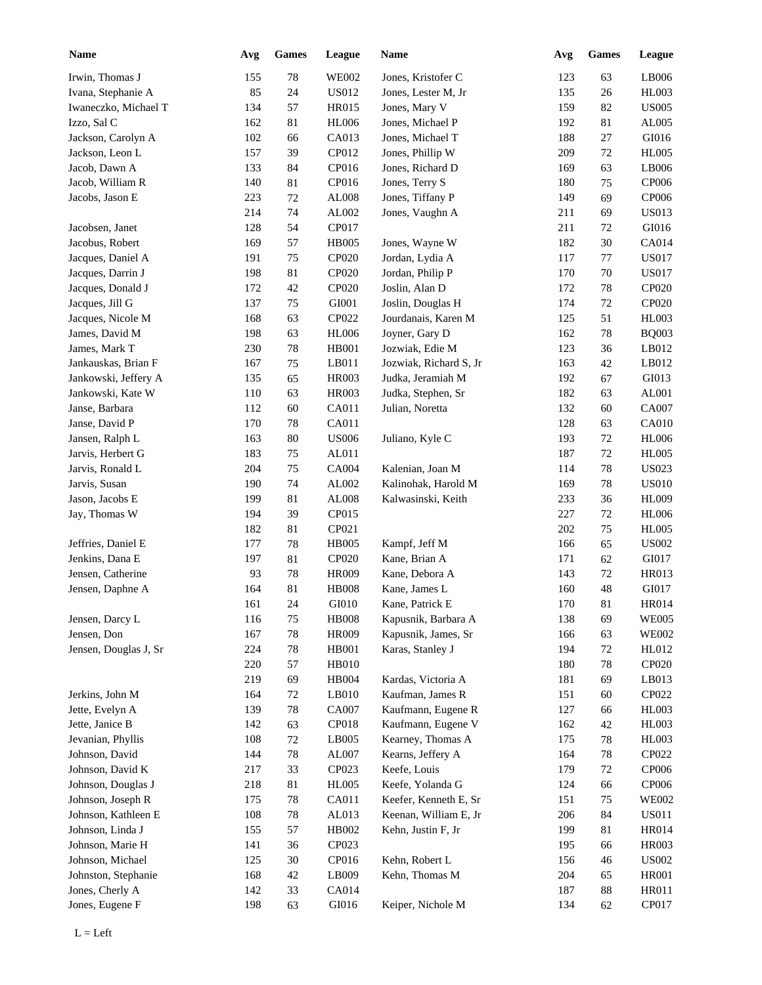| <b>Name</b>           | Avg     | <b>Games</b> | League       | Name                   | Avg | <b>Games</b> | <b>League</b> |
|-----------------------|---------|--------------|--------------|------------------------|-----|--------------|---------------|
| Irwin, Thomas J       | 155     | 78           | <b>WE002</b> | Jones, Kristofer C     | 123 | 63           | LB006         |
| Ivana, Stephanie A    | 85      | 24           | US012        | Jones, Lester M, Jr    | 135 | 26           | <b>HL003</b>  |
| Iwaneczko, Michael T  | 134     | 57           | <b>HR015</b> | Jones, Mary V          | 159 | 82           | <b>US005</b>  |
| Izzo, Sal C           | 162     | 81           | <b>HL006</b> | Jones, Michael P       | 192 | 81           | AL005         |
| Jackson, Carolyn A    | 102     | 66           | CA013        | Jones, Michael T       | 188 | 27           | GI016         |
| Jackson, Leon L       | 157     | 39           | CP012        | Jones, Phillip W       | 209 | 72           | <b>HL005</b>  |
| Jacob, Dawn A         | 133     | 84           | CP016        | Jones, Richard D       | 169 | 63           | LB006         |
| Jacob, William R      | 140     | 81           | CP016        | Jones, Terry S         | 180 | 75           | CP006         |
| Jacobs, Jason E       | 223     | $72\,$       | AL008        | Jones, Tiffany P       | 149 | 69           | CP006         |
|                       | 214     | 74           | AL002        | Jones, Vaughn A        | 211 | 69           | <b>US013</b>  |
| Jacobsen, Janet       | 128     | 54           | CP017        |                        | 211 | 72           | GI016         |
| Jacobus, Robert       | 169     | 57           | <b>HB005</b> | Jones, Wayne W         | 182 | 30           | CA014         |
| Jacques, Daniel A     | 191     | 75           | CP020        | Jordan, Lydia A        | 117 | 77           | <b>US017</b>  |
| Jacques, Darrin J     | 198     | 81           | CP020        | Jordan, Philip P       | 170 | 70           | <b>US017</b>  |
| Jacques, Donald J     | 172     | 42           | CP020        | Joslin, Alan D         | 172 | 78           | CP020         |
| Jacques, Jill G       | 137     | 75           | GI001        | Joslin, Douglas H      | 174 | 72           | CP020         |
| Jacques, Nicole M     | 168     | 63           | CP022        | Jourdanais, Karen M    | 125 | 51           | <b>HL003</b>  |
| James, David M        | 198     | 63           | <b>HL006</b> | Joyner, Gary D         | 162 | 78           | <b>BQ003</b>  |
| James, Mark T         | 230     | 78           | <b>HB001</b> | Jozwiak, Edie M        | 123 | 36           | LB012         |
| Jankauskas, Brian F   | 167     | 75           | LB011        | Jozwiak, Richard S, Jr | 163 | 42           | LB012         |
| Jankowski, Jeffery A  | 135     | 65           | HR003        | Judka, Jeramiah M      | 192 | 67           | GI013         |
| Jankowski, Kate W     | 110     | 63           | <b>HR003</b> | Judka, Stephen, Sr     | 182 | 63           | AL001         |
| Janse, Barbara        | 112     | 60           | CA011        | Julian, Noretta        | 132 | 60           | CA007         |
| Janse, David P        | 170     | 78           | CA011        |                        | 128 | 63           | <b>CA010</b>  |
| Jansen, Ralph L       | 163     | 80           | <b>US006</b> | Juliano, Kyle C        | 193 | 72           | <b>HL006</b>  |
| Jarvis, Herbert G     | 183     | 75           | AL011        |                        | 187 | 72           | <b>HL005</b>  |
| Jarvis, Ronald L      | 204     | 75           | <b>CA004</b> | Kalenian, Joan M       | 114 | 78           | <b>US023</b>  |
| Jarvis, Susan         | 190     | 74           | AL002        | Kalinohak, Harold M    | 169 | 78           | <b>US010</b>  |
| Jason, Jacobs E       | 199     | 81           | AL008        | Kalwasinski, Keith     | 233 | 36           | <b>HL009</b>  |
| Jay, Thomas W         | 194     | 39           | CP015        |                        | 227 | 72           | <b>HL006</b>  |
|                       | 182     | 81           | CP021        |                        | 202 | 75           | <b>HL005</b>  |
| Jeffries, Daniel E    | 177     | 78           | <b>HB005</b> | Kampf, Jeff M          | 166 | 65           | <b>US002</b>  |
| Jenkins, Dana E       | 197     | 81           | CP020        | Kane, Brian A          | 171 | 62           | GI017         |
| Jensen, Catherine     | 93      | 78           | <b>HR009</b> | Kane, Debora A         | 143 | 72           | HR013         |
| Jensen, Daphne A      | 164     | 81           | <b>HB008</b> | Kane, James L          | 160 | 48           | GI017         |
|                       | 161     | $24\,$       | GI010        | Kane, Patrick E        | 170 | 81           | <b>HR014</b>  |
| Jensen, Darcy L       | 116     | 75           | <b>HB008</b> | Kapusnik, Barbara A    | 138 | 69           | <b>WE005</b>  |
| Jensen, Don           | 167     | $78\,$       | <b>HR009</b> | Kapusnik, James, Sr    | 166 | 63           | <b>WE002</b>  |
| Jensen, Douglas J, Sr | 224     | $78\,$       | HB001        | Karas, Stanley J       | 194 | $72\,$       | HL012         |
|                       | 220     | 57           | HB010        |                        | 180 | 78           | CP020         |
|                       | 219     | 69           | $\rm HB004$  | Kardas, Victoria A     | 181 | 69           | LB013         |
| Jerkins, John M       | 164     | 72           | LB010        | Kaufman, James R       | 151 | 60           | CP022         |
| Jette, Evelyn A       | 139     | $78\,$       | CA007        | Kaufmann, Eugene R     | 127 | 66           | HL003         |
| Jette, Janice B       | 142     | 63           | CP018        | Kaufmann, Eugene V     | 162 | 42           | HL003         |
| Jevanian, Phyllis     | 108     | $72\,$       | LB005        | Kearney, Thomas A      | 175 | 78           | <b>HL003</b>  |
| Johnson, David        | 144     | $78\,$       | AL007        | Kearns, Jeffery A      | 164 | 78           | CP022         |
| Johnson, David K      | 217     | 33           | CP023        | Keefe, Louis           | 179 | 72           | CP006         |
| Johnson, Douglas J    | 218     | $81\,$       | <b>HL005</b> | Keefe, Yolanda G       | 124 | 66           | CP006         |
| Johnson, Joseph R     | 175     | $78\,$       | CA011        | Keefer, Kenneth E, Sr  | 151 | 75           | <b>WE002</b>  |
| Johnson, Kathleen E   | $108\,$ | $78\,$       | AL013        | Keenan, William E, Jr  | 206 | 84           | <b>US011</b>  |
| Johnson, Linda J      | 155     | 57           | HB002        | Kehn, Justin F, Jr     | 199 | 81           | HR014         |
| Johnson, Marie H      | 141     | $36\,$       | CP023        |                        | 195 | 66           | <b>HR003</b>  |
| Johnson, Michael      | 125     | $30\,$       | CP016        | Kehn, Robert L         | 156 | 46           | <b>US002</b>  |
| Johnston, Stephanie   | 168     | $42\,$       | LB009        | Kehn, Thomas M         | 204 | 65           | <b>HR001</b>  |
| Jones, Cherly A       | 142     | 33           | CA014        |                        | 187 | 88           | HR011         |
| Jones, Eugene F       | 198     | 63           | GI016        | Keiper, Nichole M      | 134 | 62           | CP017         |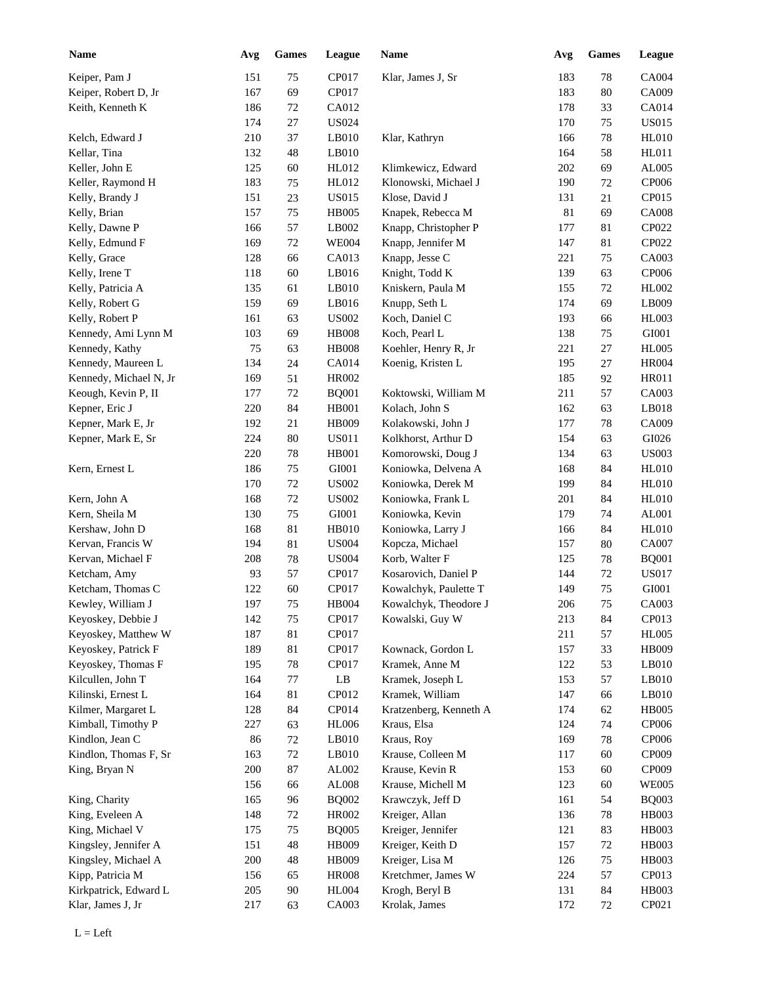| <b>Name</b>            | Avg | ${\bf Games}$ | League                 | Name                   | Avg | Games  | <b>League</b> |
|------------------------|-----|---------------|------------------------|------------------------|-----|--------|---------------|
| Keiper, Pam J          | 151 | 75            | CP017                  | Klar, James J, Sr      | 183 | 78     | CA004         |
| Keiper, Robert D, Jr   | 167 | 69            | CP017                  |                        | 183 | 80     | CA009         |
| Keith, Kenneth K       | 186 | $72\,$        | CA012                  |                        | 178 | 33     | CA014         |
|                        | 174 | 27            | <b>US024</b>           |                        | 170 | 75     | <b>US015</b>  |
| Kelch, Edward J        | 210 | 37            | LB010                  | Klar, Kathryn          | 166 | 78     | <b>HL010</b>  |
| Kellar, Tina           | 132 | 48            | LB010                  |                        | 164 | 58     | HL011         |
| Keller, John E         | 125 | 60            | HL012                  | Klimkewicz, Edward     | 202 | 69     | AL005         |
| Keller, Raymond H      | 183 | 75            | HL012                  | Klonowski, Michael J   | 190 | 72     | CP006         |
| Kelly, Brandy J        | 151 | 23            | <b>US015</b>           | Klose, David J         | 131 | 21     | CP015         |
| Kelly, Brian           | 157 | 75            | <b>HB005</b>           | Knapek, Rebecca M      | 81  | 69     | <b>CA008</b>  |
| Kelly, Dawne P         | 166 | 57            | LB002                  | Knapp, Christopher P   | 177 | 81     | CP022         |
| Kelly, Edmund F        | 169 | $72\,$        | <b>WE004</b>           | Knapp, Jennifer M      | 147 | 81     | CP022         |
| Kelly, Grace           | 128 | 66            | CA013                  | Knapp, Jesse C         | 221 | 75     | CA003         |
| Kelly, Irene T         | 118 | 60            | LB016                  | Knight, Todd K         | 139 | 63     | CP006         |
| Kelly, Patricia A      | 135 | 61            | LB010                  | Kniskern, Paula M      | 155 | 72     | HL002         |
| Kelly, Robert G        | 159 | 69            | LB016                  | Knupp, Seth L          | 174 | 69     | LB009         |
| Kelly, Robert P        | 161 | 63            | <b>US002</b>           | Koch, Daniel C         | 193 | 66     | <b>HL003</b>  |
| Kennedy, Ami Lynn M    | 103 | 69            | <b>HB008</b>           | Koch, Pearl L          | 138 | 75     | GI001         |
| Kennedy, Kathy         | 75  | 63            | <b>HB008</b>           | Koehler, Henry R, Jr   | 221 | 27     | <b>HL005</b>  |
| Kennedy, Maureen L     | 134 | 24            | CA014                  | Koenig, Kristen L      | 195 | 27     | <b>HR004</b>  |
| Kennedy, Michael N, Jr | 169 | 51            | HR002                  |                        | 185 | 92     | HR011         |
| Keough, Kevin P, II    | 177 | 72            | <b>BQ001</b>           | Koktowski, William M   | 211 | 57     | CA003         |
| Kepner, Eric J         | 220 | 84            | <b>HB001</b>           | Kolach, John S         | 162 | 63     | LB018         |
| Kepner, Mark E, Jr     | 192 | 21            | HB009                  | Kolakowski, John J     | 177 | 78     | CA009         |
| Kepner, Mark E, Sr     | 224 | 80            | <b>US011</b>           | Kolkhorst, Arthur D    | 154 | 63     | GI026         |
|                        | 220 | 78            | <b>HB001</b>           | Komorowski, Doug J     | 134 | 63     | <b>US003</b>  |
| Kern, Ernest L         | 186 | 75            | GI001                  | Koniowka, Delvena A    | 168 | 84     | <b>HL010</b>  |
|                        | 170 | 72            | <b>US002</b>           | Koniowka, Derek M      | 199 | 84     | <b>HL010</b>  |
| Kern, John A           | 168 | 72            | <b>US002</b>           | Koniowka, Frank L      | 201 | 84     | <b>HL010</b>  |
| Kern, Sheila M         | 130 | 75            | GI001                  | Koniowka, Kevin        | 179 | 74     | AL001         |
| Kershaw, John D        | 168 | 81            | HB010                  | Koniowka, Larry J      | 166 | 84     | <b>HL010</b>  |
| Kervan, Francis W      | 194 | 81            | <b>US004</b>           | Kopcza, Michael        | 157 | 80     | <b>CA007</b>  |
| Kervan, Michael F      | 208 | 78            | <b>US004</b>           | Korb, Walter F         | 125 | 78     | <b>BQ001</b>  |
| Ketcham, Amy           | 93  | 57            | CP017                  | Kosarovich, Daniel P   | 144 | 72     | <b>US017</b>  |
| Ketcham, Thomas C      | 122 | 60            | CP017                  | Kowalchyk, Paulette T  | 149 | 75     | GI001         |
| Kewley, William J      | 197 | $75\,$        | HB004                  | Kowalchyk, Theodore J  | 206 | 75     | CA003         |
| Keyoskey, Debbie J     | 142 | 75            | CP017                  | Kowalski, Guy W        | 213 | 84     | CP013         |
| Keyoskey, Matthew W    | 187 | $81\,$        | CP017                  |                        | 211 | 57     | <b>HL005</b>  |
| Keyoskey, Patrick F    | 189 | 81            | CP017                  | Kownack, Gordon L      | 157 | 33     | HB009         |
| Keyoskey, Thomas F     | 195 | 78            | CP017                  | Kramek, Anne M         | 122 | 53     | $L$ B010      |
| Kilcullen, John T      | 164 | $77\,$        | $\mathbf{L}\mathbf{B}$ | Kramek, Joseph L       | 153 | 57     | LB010         |
| Kilinski, Ernest L     | 164 | 81            | CP012                  | Kramek, William        | 147 | 66     | $L$ B010      |
| Kilmer, Margaret L     | 128 | 84            | CP014                  | Kratzenberg, Kenneth A | 174 | 62     | <b>HB005</b>  |
| Kimball, Timothy P     | 227 | 63            | <b>HL006</b>           | Kraus, Elsa            | 124 | 74     | CP006         |
| Kindlon, Jean C        | 86  | 72            | $L$ B010               | Kraus, Roy             | 169 | 78     | CP006         |
| Kindlon, Thomas F, Sr  | 163 | $72\,$        | $L$ B010               | Krause, Colleen M      | 117 | 60     | CP009         |
| King, Bryan N          | 200 | $87\,$        | AL002                  | Krause, Kevin R        | 153 | 60     | CP009         |
|                        | 156 | 66            | ${\rm AL008}$          | Krause, Michell M      | 123 | 60     | <b>WE005</b>  |
| King, Charity          | 165 | 96            | <b>BQ002</b>           | Krawczyk, Jeff D       | 161 | 54     | <b>BQ003</b>  |
| King, Eveleen A        | 148 | 72            | HR002                  | Kreiger, Allan         | 136 | 78     | HB003         |
| King, Michael V        | 175 | 75            | <b>BQ005</b>           | Kreiger, Jennifer      | 121 | 83     | HB003         |
| Kingsley, Jennifer A   | 151 | 48            | HB009                  | Kreiger, Keith D       | 157 | $72\,$ | HB003         |
| Kingsley, Michael A    | 200 | 48            | HB009                  | Kreiger, Lisa M        | 126 | 75     | HB003         |
| Kipp, Patricia M       | 156 | 65            | <b>HR008</b>           | Kretchmer, James W     | 224 | 57     | CP013         |
| Kirkpatrick, Edward L  | 205 | 90            | <b>HL004</b>           | Krogh, Beryl B         | 131 | 84     | HB003         |
| Klar, James J, Jr      | 217 | 63            | CA003                  | Krolak, James          | 172 | $72\,$ | CP021         |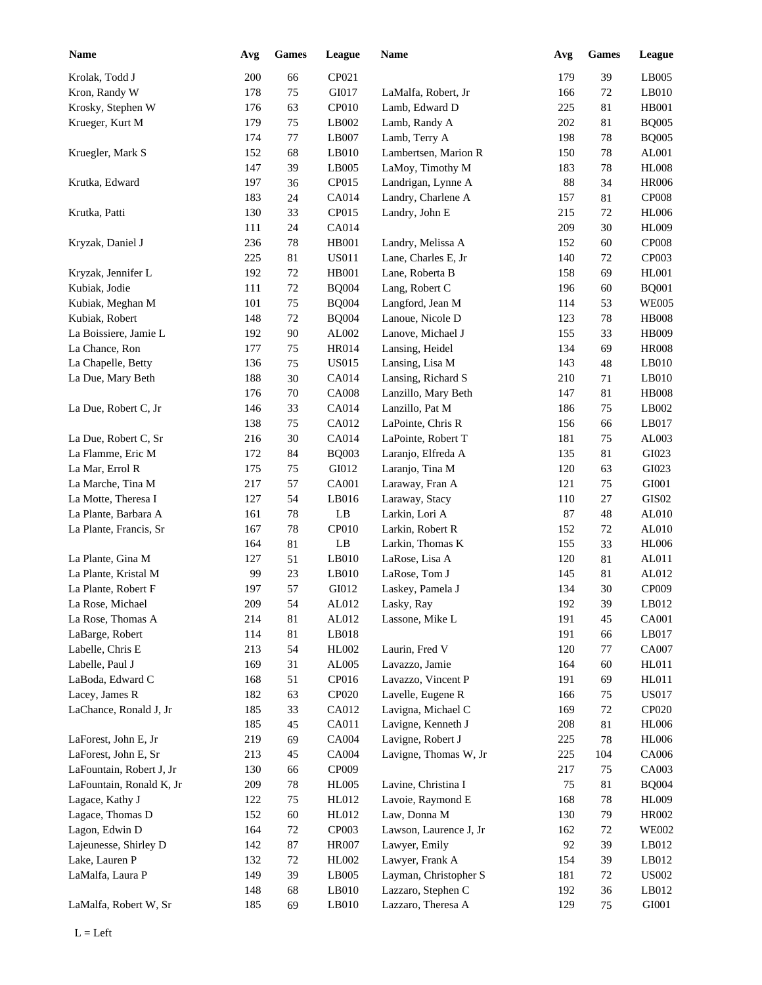| <b>Name</b>              | Avg | $\mathbf{Games}$ | League        | <b>Name</b>            | Avg | <b>Games</b> | League       |
|--------------------------|-----|------------------|---------------|------------------------|-----|--------------|--------------|
| Krolak, Todd J           | 200 | 66               | CP021         |                        | 179 | 39           | LB005        |
| Kron, Randy W            | 178 | 75               | GI017         | LaMalfa, Robert, Jr    | 166 | 72           | LB010        |
| Krosky, Stephen W        | 176 | 63               | CP010         | Lamb, Edward D         | 225 | 81           | <b>HB001</b> |
| Krueger, Kurt M          | 179 | $75\,$           | LB002         | Lamb, Randy A          | 202 | 81           | <b>BQ005</b> |
|                          | 174 | $77\,$           | LB007         | Lamb, Terry A          | 198 | 78           | <b>BQ005</b> |
| Kruegler, Mark S         | 152 | 68               | $L$ B010      | Lambertsen, Marion R   | 150 | 78           | AL001        |
|                          | 147 | 39               | LB005         | LaMoy, Timothy M       | 183 | 78           | <b>HL008</b> |
| Krutka, Edward           | 197 | 36               | CP015         | Landrigan, Lynne A     | 88  | 34           | <b>HR006</b> |
|                          | 183 | 24               | CA014         | Landry, Charlene A     | 157 | 81           | <b>CP008</b> |
| Krutka, Patti            | 130 | 33               | CP015         | Landry, John E         | 215 | 72           | <b>HL006</b> |
|                          | 111 | 24               | CA014         |                        | 209 | 30           | <b>HL009</b> |
| Kryzak, Daniel J         | 236 | 78               | HB001         | Landry, Melissa A      | 152 | 60           | <b>CP008</b> |
|                          | 225 | $81\,$           | <b>US011</b>  | Lane, Charles E, Jr    | 140 | 72           | CP003        |
| Kryzak, Jennifer L       | 192 | $72\,$           | HB001         | Lane, Roberta B        | 158 | 69           | <b>HL001</b> |
| Kubiak, Jodie            | 111 | $72\,$           | <b>BQ004</b>  | Lang, Robert C         | 196 | 60           | <b>BQ001</b> |
| Kubiak, Meghan M         | 101 | $75\,$           | <b>BQ004</b>  | Langford, Jean M       | 114 | 53           | <b>WE005</b> |
| Kubiak, Robert           | 148 | 72               | <b>BQ004</b>  | Lanoue, Nicole D       | 123 | 78           | <b>HB008</b> |
| La Boissiere, Jamie L    |     |                  |               |                        |     |              | <b>HB009</b> |
|                          | 192 | 90               | ${\rm AL}002$ | Lanove, Michael J      | 155 | 33           |              |
| La Chance, Ron           | 177 | 75               | <b>HR014</b>  | Lansing, Heidel        | 134 | 69           | <b>HR008</b> |
| La Chapelle, Betty       | 136 | 75               | <b>US015</b>  | Lansing, Lisa M        | 143 | 48           | LB010        |
| La Due, Mary Beth        | 188 | 30               | CA014         | Lansing, Richard S     | 210 | 71           | LB010        |
|                          | 176 | $70\,$           | <b>CA008</b>  | Lanzillo, Mary Beth    | 147 | 81           | <b>HB008</b> |
| La Due, Robert C, Jr     | 146 | 33               | CA014         | Lanzillo, Pat M        | 186 | 75           | LB002        |
|                          | 138 | 75               | CA012         | LaPointe, Chris R      | 156 | 66           | LB017        |
| La Due, Robert C, Sr     | 216 | 30               | CA014         | LaPointe, Robert T     | 181 | 75           | AL003        |
| La Flamme, Eric M        | 172 | 84               | <b>BQ003</b>  | Laranjo, Elfreda A     | 135 | 81           | GI023        |
| La Mar, Errol R          | 175 | 75               | GI012         | Laranjo, Tina M        | 120 | 63           | GI023        |
| La Marche, Tina M        | 217 | 57               | CA001         | Laraway, Fran A        | 121 | 75           | GI001        |
| La Motte, Theresa I      | 127 | 54               | LB016         | Laraway, Stacy         | 110 | 27           | GIS02        |
| La Plante, Barbara A     | 161 | $78\,$           | $\rm LB$      | Larkin, Lori A         | 87  | 48           | AL010        |
| La Plante, Francis, Sr   | 167 | $78\,$           | <b>CP010</b>  | Larkin, Robert R       | 152 | 72           | $AL010$      |
|                          | 164 | 81               | LB            | Larkin, Thomas K       | 155 | 33           | <b>HL006</b> |
| La Plante, Gina M        | 127 | 51               | LB010         | LaRose, Lisa A         | 120 | $81\,$       | AL011        |
| La Plante, Kristal M     | 99  | $23\,$           | LB010         | LaRose, Tom J          | 145 | 81           | AL012        |
| La Plante, Robert F      | 197 | 57               | GI012         | Laskey, Pamela J       | 134 | 30           | CP009        |
| La Rose, Michael         | 209 | 54               | AL012         | Lasky, Ray             | 192 | 39           | LB012        |
| La Rose, Thomas A        | 214 | $81\,$           | AL012         | Lassone, Mike L        | 191 | 45           | CA001        |
| LaBarge, Robert          | 114 | $81\,$           | $L$ B018      |                        | 191 | 66           | LB017        |
| Labelle, Chris E         | 213 | 54               | HL002         | Laurin, Fred V         | 120 | 77           | CA007        |
| Labelle, Paul J          | 169 | 31               | AL005         | Lavazzo, Jamie         | 164 | 60           | HL011        |
| LaBoda, Edward C         | 168 | 51               | CP016         | Lavazzo, Vincent P     | 191 | 69           | HL011        |
| Lacey, James R           | 182 | 63               | CP020         | Lavelle, Eugene R      | 166 | $75\,$       | <b>US017</b> |
| LaChance, Ronald J, Jr   | 185 | 33               | CA012         | Lavigna, Michael C     | 169 | 72           | CP020        |
|                          | 185 | 45               | CA011         | Lavigne, Kenneth J     | 208 | 81           | <b>HL006</b> |
| LaForest, John E, Jr     | 219 | 69               | CA004         | Lavigne, Robert J      | 225 | 78           | <b>HL006</b> |
| LaForest, John E, Sr     | 213 | 45               | CA004         | Lavigne, Thomas W, Jr  | 225 | 104          | CA006        |
| LaFountain, Robert J, Jr | 130 | 66               | CP009         |                        | 217 | 75           | CA003        |
| LaFountain, Ronald K, Jr | 209 | $78\,$           | <b>HL005</b>  | Lavine, Christina I    | 75  | 81           | <b>BQ004</b> |
| Lagace, Kathy J          | 122 | 75               | HL012         | Lavoie, Raymond E      | 168 | 78           | HL009        |
| Lagace, Thomas D         | 152 | 60               | HL012         | Law, Donna M           | 130 | 79           | HR002        |
| Lagon, Edwin D           | 164 | 72               | CP003         | Lawson, Laurence J, Jr | 162 | $72\,$       | <b>WE002</b> |
| Lajeunesse, Shirley D    | 142 | $87\,$           | <b>HR007</b>  | Lawyer, Emily          | 92  | 39           | LB012        |
| Lake, Lauren P           | 132 | $72\,$           | HL002         | Lawyer, Frank A        | 154 | 39           | LB012        |
| LaMalfa, Laura P         | 149 | 39               | LB005         | Layman, Christopher S  | 181 | $72\,$       | <b>US002</b> |
|                          | 148 |                  | $L$ B010      | Lazzaro, Stephen C     |     |              | LB012        |
|                          |     | 68               |               |                        | 192 | 36           |              |
| LaMalfa, Robert W, Sr    | 185 | 69               | $L$ B010      | Lazzaro, Theresa A     | 129 | 75           | GI001        |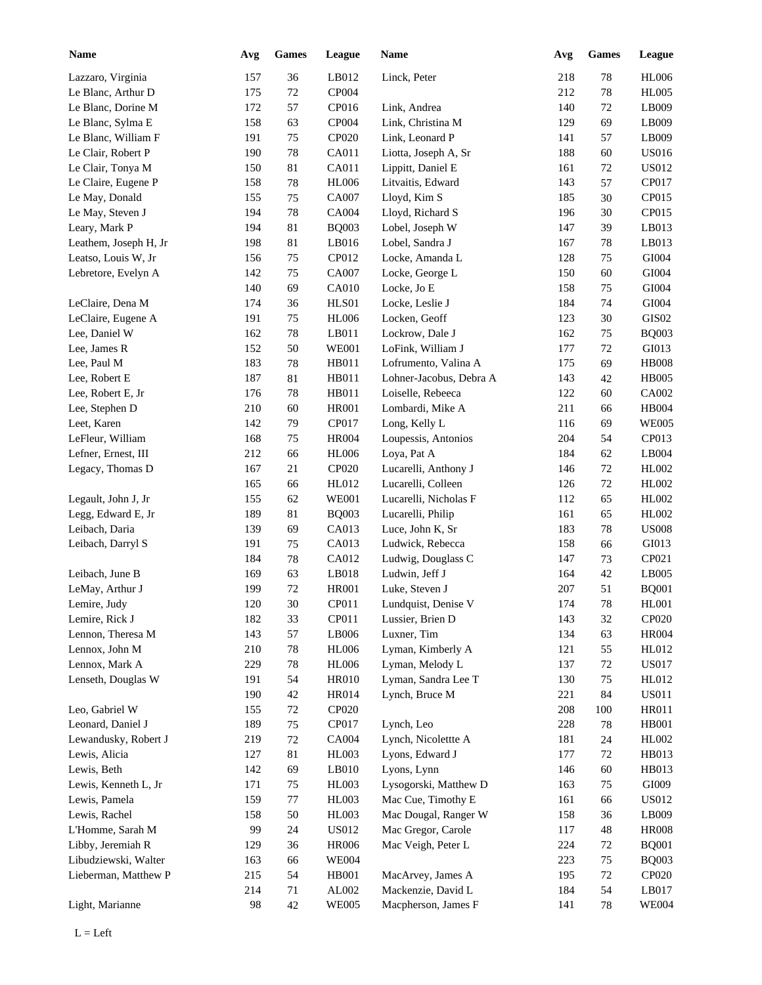| <b>Name</b>           | Avg        | <b>Games</b> | League       | <b>Name</b>             | Avg | <b>Games</b> | <b>League</b>         |
|-----------------------|------------|--------------|--------------|-------------------------|-----|--------------|-----------------------|
| Lazzaro, Virginia     | 157        | 36           | LB012        | Linck, Peter            | 218 | 78           | <b>HL006</b>          |
| Le Blanc, Arthur D    | 175        | $72\,$       | CP004        |                         | 212 | 78           | <b>HL005</b>          |
| Le Blanc, Dorine M    | 172        | 57           | CP016        | Link, Andrea            | 140 | 72           | LB009                 |
| Le Blanc, Sylma E     | 158        | 63           | CP004        | Link, Christina M       | 129 | 69           | LB009                 |
| Le Blanc, William F   | 191        | 75           | CP020        | Link, Leonard P         | 141 | 57           | LB009                 |
| Le Clair, Robert P    | 190        | 78           | CA011        | Liotta, Joseph A, Sr    | 188 | 60           | <b>US016</b>          |
| Le Clair, Tonya M     | 150        | 81           | CA011        | Lippitt, Daniel E       | 161 | 72           | <b>US012</b>          |
| Le Claire, Eugene P   | 158        | 78           | <b>HL006</b> | Litvaitis, Edward       | 143 | 57           | CP017                 |
| Le May, Donald        | 155        | 75           | CA007        | Lloyd, Kim S            | 185 | 30           | CP015                 |
| Le May, Steven J      | 194        | 78           | CA004        | Lloyd, Richard S        | 196 | 30           | CP015                 |
| Leary, Mark P         | 194        | 81           | <b>BQ003</b> | Lobel, Joseph W         | 147 | 39           | LB013                 |
| Leathem, Joseph H, Jr | 198        | 81           | LB016        | Lobel, Sandra J         | 167 | 78           | LB013                 |
| Leatso, Louis W, Jr   | 156        | 75           | CP012        | Locke, Amanda L         | 128 | 75           | GI004                 |
| Lebretore, Evelyn A   | 142        | 75           | CA007        | Locke, George L         | 150 | 60           | GI004                 |
|                       | 140        | 69           | CA010        | Locke, Jo E             | 158 | 75           | GI004                 |
| LeClaire, Dena M      | 174        | 36           | HLS01        | Locke, Leslie J         | 184 | 74           | GI004                 |
| LeClaire, Eugene A    | 191        | 75           | <b>HL006</b> | Locken, Geoff           | 123 | 30           | GIS02                 |
| Lee, Daniel W         | 162        | 78           | LB011        | Lockrow, Dale J         | 162 | 75           | <b>BQ003</b>          |
| Lee, James R          | 152        | 50           | <b>WE001</b> | LoFink, William J       | 177 | 72           | GI013                 |
| Lee, Paul M           | 183        | 78           | HB011        | Lofrumento, Valina A    | 175 | 69           | <b>HB008</b>          |
| Lee, Robert E         | 187        | $81\,$       | HB011        | Lohner-Jacobus, Debra A | 143 | 42           | <b>HB005</b>          |
|                       |            | 78           | HB011        | Loiselle, Rebeeca       |     |              | CA002                 |
| Lee, Robert E, Jr     | 176<br>210 |              |              |                         | 122 | 60           | HB004                 |
| Lee, Stephen D        |            | 60           | <b>HR001</b> | Lombardi, Mike A        | 211 | 66           |                       |
| Leet, Karen           | 142        | 79           | CP017        | Long, Kelly L           | 116 | 69           | <b>WE005</b><br>CP013 |
| LeFleur, William      | 168        | 75           | <b>HR004</b> | Loupessis, Antonios     | 204 | 54           |                       |
| Lefner, Ernest, III   | 212        | 66           | <b>HL006</b> | Loya, Pat A             | 184 | 62           | LB004                 |
| Legacy, Thomas D      | 167        | 21           | CP020        | Lucarelli, Anthony J    | 146 | $72\,$       | HL002                 |
|                       | 165        | 66           | HL012        | Lucarelli, Colleen      | 126 | 72           | HL002                 |
| Legault, John J, Jr   | 155        | 62           | <b>WE001</b> | Lucarelli, Nicholas F   | 112 | 65           | HL002                 |
| Legg, Edward E, Jr    | 189        | 81           | <b>BQ003</b> | Lucarelli, Philip       | 161 | 65           | HL002                 |
| Leibach, Daria        | 139        | 69           | CA013        | Luce, John K, Sr        | 183 | $78\,$       | <b>US008</b>          |
| Leibach, Darryl S     | 191        | $75\,$       | CA013        | Ludwick, Rebecca        | 158 | 66           | GI013                 |
|                       | 184        | 78           | CA012        | Ludwig, Douglass C      | 147 | 73           | CP021                 |
| Leibach, June B       | 169        | 63           | LB018        | Ludwin, Jeff J          | 164 | 42           | LB005                 |
| LeMay, Arthur J       | 199        | $72\,$       | <b>HR001</b> | Luke, Steven J          | 207 | 51           | <b>BQ001</b>          |
| Lemire, Judy          | 120        | $30\,$       | CP011        | Lundquist, Denise V     | 174 | $78\,$       | HL001                 |
| Lemire, Rick J        | 182        | 33           | CP011        | Lussier, Brien D        | 143 | 32           | CP020                 |
| Lennon, Theresa M     | 143        | 57           | LB006        | Luxner, Tim             | 134 | 63           | <b>HR004</b>          |
| Lennox, John M        | 210        | $78\,$       | <b>HL006</b> | Lyman, Kimberly A       | 121 | 55           | HL012                 |
| Lennox, Mark A        | 229        | $78\,$       | <b>HL006</b> | Lyman, Melody L         | 137 | $72\,$       | <b>US017</b>          |
| Lenseth, Douglas W    | 191        | 54           | <b>HR010</b> | Lyman, Sandra Lee T     | 130 | $75\,$       | HL012                 |
|                       | 190        | $42\,$       | HR014        | Lynch, Bruce M          | 221 | 84           | <b>US011</b>          |
| Leo, Gabriel W        | 155        | $72\,$       | CP020        |                         | 208 | 100          | HR011                 |
| Leonard, Daniel J     | 189        | $75\,$       | CP017        | Lynch, Leo              | 228 | 78           | <b>HB001</b>          |
| Lewandusky, Robert J  | 219        | $72\,$       | CA004        | Lynch, Nicolettte A     | 181 | 24           | HL002                 |
| Lewis, Alicia         | 127        | $81\,$       | <b>HL003</b> | Lyons, Edward J         | 177 | $72\,$       | HB013                 |
| Lewis, Beth           | 142        | 69           | $L$ B010     | Lyons, Lynn             | 146 | 60           | HB013                 |
| Lewis, Kenneth L, Jr  | 171        | $75\,$       | HL003        | Lysogorski, Matthew D   | 163 | 75           | GI009                 |
| Lewis, Pamela         | 159        | 77           | <b>HL003</b> | Mac Cue, Timothy E      | 161 | 66           | <b>US012</b>          |
| Lewis, Rachel         | 158        | $50\,$       | HL003        | Mac Dougal, Ranger W    | 158 | 36           | LB009                 |
| L'Homme, Sarah M      | 99         | 24           | <b>US012</b> | Mac Gregor, Carole      | 117 | 48           | <b>HR008</b>          |
| Libby, Jeremiah R     | 129        | 36           | <b>HR006</b> | Mac Veigh, Peter L      | 224 | 72           | <b>BQ001</b>          |
| Libudziewski, Walter  | 163        | 66           | <b>WE004</b> |                         | 223 | $75\,$       | <b>BQ003</b>          |
| Lieberman, Matthew P  | 215        | 54           | HB001        | MacArvey, James A       | 195 | 72           | CP020                 |
|                       | 214        | 71           | AL002        | Mackenzie, David L      | 184 | 54           | LB017                 |
| Light, Marianne       | 98         | $42\,$       | <b>WE005</b> | Macpherson, James F     | 141 | 78           | <b>WE004</b>          |
|                       |            |              |              |                         |     |              |                       |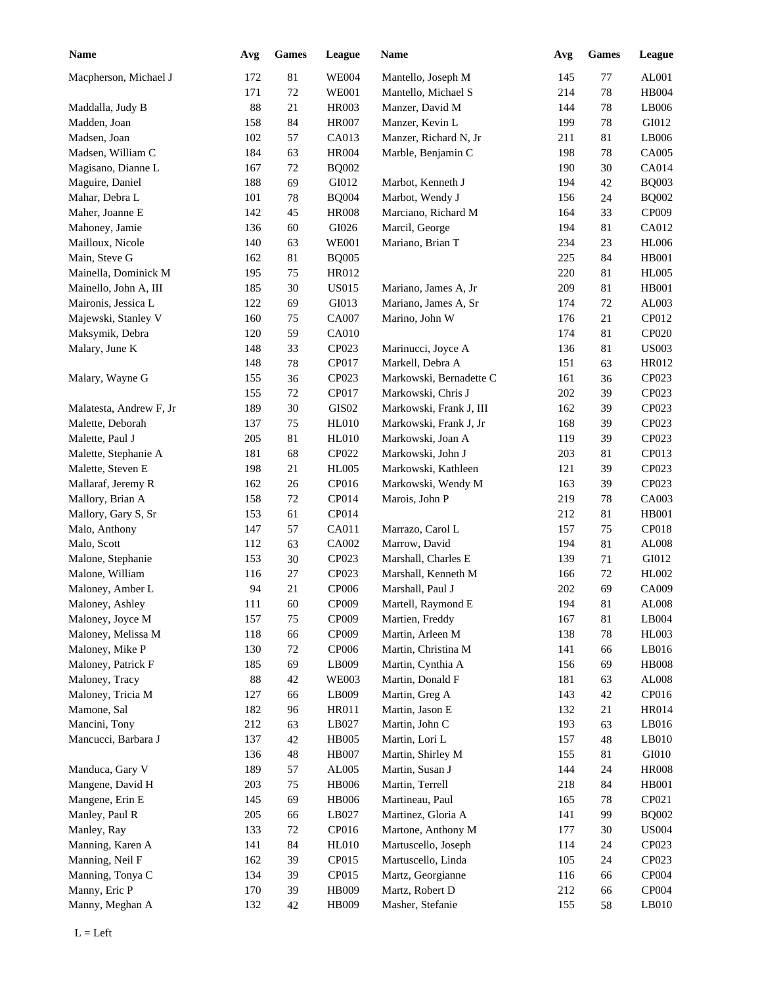| <b>Name</b>             | Avg    | <b>Games</b> | League       | Name                    | Avg | <b>Games</b> | League                 |
|-------------------------|--------|--------------|--------------|-------------------------|-----|--------------|------------------------|
| Macpherson, Michael J   | 172    | 81           | <b>WE004</b> | Mantello, Joseph M      | 145 | 77           | AL001                  |
|                         | 171    | $72\,$       | <b>WE001</b> | Mantello, Michael S     | 214 | 78           | <b>HB004</b>           |
| Maddalla, Judy B        | 88     | 21           | <b>HR003</b> | Manzer, David M         | 144 | 78           | LB006                  |
| Madden, Joan            | 158    | 84           | <b>HR007</b> | Manzer, Kevin L         | 199 | 78           | GI012                  |
| Madsen, Joan            | 102    | 57           | CA013        | Manzer, Richard N, Jr   | 211 | 81           | LB006                  |
| Madsen, William C       | 184    | 63           | <b>HR004</b> | Marble, Benjamin C      | 198 | 78           | CA005                  |
| Magisano, Dianne L      | 167    | 72           | <b>BQ002</b> |                         | 190 | 30           | CA014                  |
| Maguire, Daniel         | 188    | 69           | GI012        | Marbot, Kenneth J       | 194 | 42           | <b>BQ003</b>           |
| Mahar, Debra L          | 101    | 78           | <b>BQ004</b> | Marbot, Wendy J         | 156 | 24           | <b>BQ002</b>           |
| Maher, Joanne E         | 142    | 45           | <b>HR008</b> | Marciano, Richard M     | 164 | 33           | CP009                  |
| Mahoney, Jamie          | 136    | 60           | GI026        | Marcil, George          | 194 | 81           | CA012                  |
| Mailloux, Nicole        | 140    | 63           | <b>WE001</b> | Mariano, Brian T        | 234 | 23           | <b>HL006</b>           |
| Main, Steve G           | 162    | 81           | <b>BQ005</b> |                         | 225 | 84           | <b>HB001</b>           |
| Mainella, Dominick M    | 195    | 75           | HR012        |                         | 220 | 81           | <b>HL005</b>           |
| Mainello, John A, III   | 185    | 30           | <b>US015</b> | Mariano, James A, Jr    | 209 | 81           | <b>HB001</b>           |
| Maironis, Jessica L     | 122    | 69           | GI013        | Mariano, James A, Sr    | 174 | 72           | AL003                  |
| Majewski, Stanley V     | 160    | 75           | CA007        | Marino, John W          | 176 | 21           | CP012                  |
| Maksymik, Debra         | 120    | 59           | <b>CA010</b> |                         | 174 | 81           | CP020                  |
| Malary, June K          | 148    | 33           | CP023        | Marinucci, Joyce A      | 136 | 81           | <b>US003</b>           |
|                         | 148    | 78           | CP017        | Markell, Debra A        | 151 | 63           | HR012                  |
| Malary, Wayne G         | 155    | 36           | CP023        | Markowski, Bernadette C | 161 | 36           | CP023                  |
|                         |        |              |              |                         |     |              |                        |
|                         | 155    | $72\,$       | CP017        | Markowski, Chris J      | 202 | 39           | CP023                  |
| Malatesta, Andrew F, Jr | 189    | 30           | GIS02        | Markowski, Frank J, III | 162 | 39           | CP023                  |
| Malette, Deborah        | 137    | 75           | <b>HL010</b> | Markowski, Frank J, Jr  | 168 | 39           | CP023<br>CP023         |
| Malette, Paul J         | 205    | 81           | <b>HL010</b> | Markowski, Joan A       | 119 | 39           |                        |
| Malette, Stephanie A    | 181    | 68           | CP022        | Markowski, John J       | 203 | 81           | CP013                  |
| Malette, Steven E       | 198    | 21           | <b>HL005</b> | Markowski, Kathleen     | 121 | 39           | CP023                  |
| Mallaraf, Jeremy R      | 162    | 26           | CP016        | Markowski, Wendy M      | 163 | 39           | CP023                  |
| Mallory, Brian A        | 158    | 72           | CP014        | Marois, John P          | 219 | 78           | CA003                  |
| Mallory, Gary S, Sr     | 153    | 61           | CP014        |                         | 212 | 81           | <b>HB001</b>           |
| Malo, Anthony           | 147    | 57           | CA011        | Marrazo, Carol L        | 157 | 75           | CP018                  |
| Malo, Scott             | 112    | 63           | CA002        | Marrow, David           | 194 | 81           | AL008                  |
| Malone, Stephanie       | 153    | 30           | CP023        | Marshall, Charles E     | 139 | 71           | GI012                  |
| Malone, William         | 116    | 27           | CP023        | Marshall, Kenneth M     | 166 | 72           | HL002                  |
| Maloney, Amber L        | 94     | 21           | CP006        | Marshall, Paul J        | 202 | 69           | CA009                  |
| Maloney, Ashley         | 111    | 60           | CP009        | Martell, Raymond E      | 194 | 81           | ${\rm AL008}$          |
| Maloney, Joyce M        | 157    | 75           | CP009        | Martien, Freddy         | 167 | 81           | $\operatorname{LB}004$ |
| Maloney, Melissa M      | 118    | 66           | CP009        | Martin, Arleen M        | 138 | 78           | <b>HL003</b>           |
| Maloney, Mike P         | 130    | 72           | CP006        | Martin, Christina M     | 141 | 66           | LB016                  |
| Maloney, Patrick F      | 185    | 69           | LB009        | Martin, Cynthia A       | 156 | 69           | <b>HB008</b>           |
| Maloney, Tracy          | $88\,$ | 42           | <b>WE003</b> | Martin, Donald F        | 181 | 63           | AL008                  |
| Maloney, Tricia M       | 127    | 66           | LB009        | Martin, Greg A          | 143 | 42           | CP016                  |
| Mamone, Sal             | 182    | 96           | HR011        | Martin, Jason E         | 132 | 21           | HR014                  |
| Mancini, Tony           | 212    | 63           | LB027        | Martin, John C          | 193 | 63           | LB016                  |
| Mancucci, Barbara J     | 137    | 42           | <b>HB005</b> | Martin, Lori L          | 157 | 48           | LB010                  |
|                         | 136    | 48           | <b>HB007</b> | Martin, Shirley M       | 155 | 81           | GI010                  |
| Manduca, Gary V         | 189    | 57           | AL005        | Martin, Susan J         | 144 | 24           | <b>HR008</b>           |
| Mangene, David H        | 203    | 75           | <b>HB006</b> | Martin, Terrell         | 218 | 84           | HB001                  |
| Mangene, Erin E         | 145    | 69           | <b>HB006</b> | Martineau, Paul         | 165 | 78           | CP021                  |
| Manley, Paul R          | 205    | 66           | LB027        | Martinez, Gloria A      | 141 | 99           | <b>BQ002</b>           |
| Manley, Ray             | 133    | $72\,$       | CP016        | Martone, Anthony M      | 177 | 30           | <b>US004</b>           |
| Manning, Karen A        | 141    | 84           | <b>HL010</b> | Martuscello, Joseph     | 114 | 24           | CP023                  |
| Manning, Neil F         | 162    | 39           | CP015        | Martuscello, Linda      | 105 | 24           | CP023                  |
| Manning, Tonya C        | 134    | 39           | CP015        | Martz, Georgianne       | 116 | 66           | CP004                  |
| Manny, Eric P           | 170    | 39           | HB009        | Martz, Robert D         | 212 | 66           | CP004                  |
| Manny, Meghan A         | 132    | 42           | HB009        | Masher, Stefanie        | 155 | 58           | LB010                  |
|                         |        |              |              |                         |     |              |                        |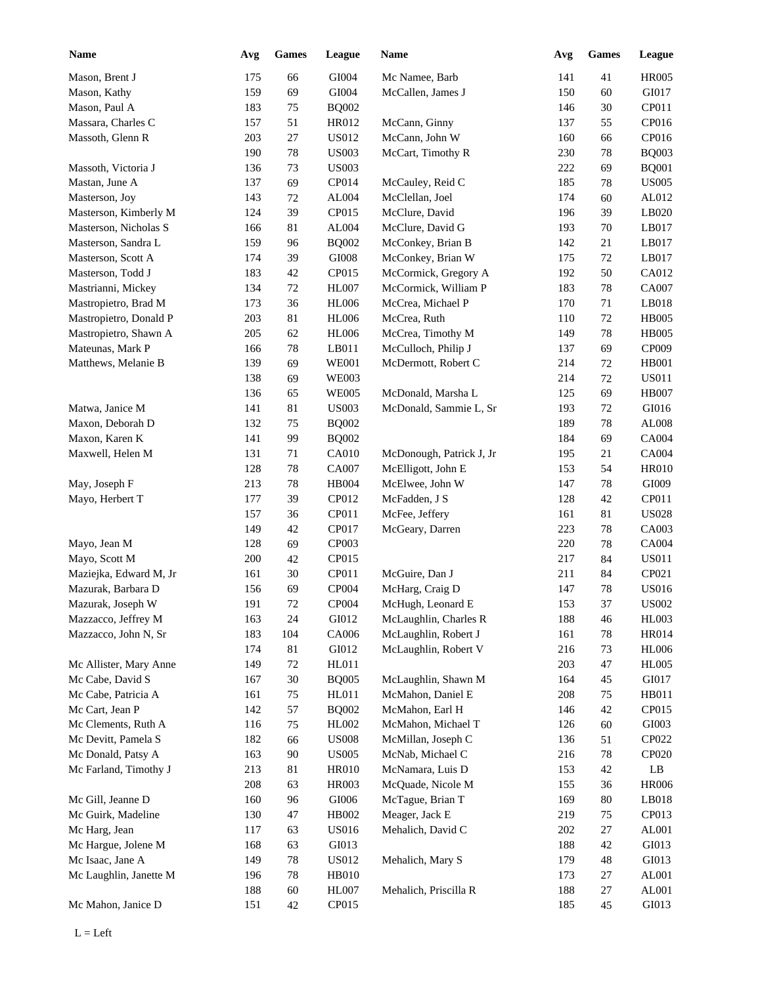| <b>Name</b>                               | Avg        | Games    | League                       | <b>Name</b>                           | Avg        | Games        | League         |
|-------------------------------------------|------------|----------|------------------------------|---------------------------------------|------------|--------------|----------------|
| Mason, Brent J                            | 175        | 66       | GI004                        | Mc Namee, Barb                        | 141        | 41           | <b>HR005</b>   |
| Mason, Kathy                              | 159        | 69       | GI004                        | McCallen, James J                     | 150        | 60           | GI017          |
| Mason, Paul A                             | 183        | 75       | <b>BQ002</b>                 |                                       | 146        | 30           | CP011          |
| Massara, Charles C                        | 157        | 51       | HR012                        | McCann, Ginny                         | 137        | 55           | CP016          |
| Massoth, Glenn R                          | 203        | 27       | <b>US012</b>                 | McCann, John W                        | 160        | 66           | CP016          |
|                                           | 190        | 78       | <b>US003</b>                 | McCart, Timothy R                     | 230        | 78           | <b>BQ003</b>   |
| Massoth, Victoria J                       | 136        | 73       | <b>US003</b>                 |                                       | 222        | 69           | <b>BQ001</b>   |
| Mastan, June A                            | 137        | 69       | CP014                        | McCauley, Reid C                      | 185        | 78           | <b>US005</b>   |
| Masterson, Joy                            | 143        | 72       | AL004                        | McClellan, Joel                       | 174        | 60           | AL012          |
| Masterson, Kimberly M                     | 124        | 39       | CP015                        | McClure, David                        | 196        | 39           | LB020          |
| Masterson, Nicholas S                     | 166        | 81       | AL004                        | McClure, David G                      | 193        | 70           | LB017          |
| Masterson, Sandra L                       | 159        | 96       | <b>BQ002</b>                 | McConkey, Brian B                     | 142        | 21           | LB017          |
| Masterson, Scott A                        | 174        | 39       | GI008                        | McConkey, Brian W                     | 175        | 72           | LB017          |
| Masterson, Todd J                         | 183        | 42       | CP015                        | McCormick, Gregory A                  | 192        | 50           | CA012          |
| Mastrianni, Mickey                        | 134        | 72       | <b>HL007</b>                 | McCormick, William P                  | 183        | 78           | CA007          |
| Mastropietro, Brad M                      | 173        | 36       | <b>HL006</b>                 | McCrea, Michael P                     | 170        | 71           | LB018          |
| Mastropietro, Donald P                    | 203        | 81       | <b>HL006</b>                 | McCrea, Ruth                          | 110        | 72           | <b>HB005</b>   |
| Mastropietro, Shawn A                     | 205        | 62       | <b>HL006</b>                 | McCrea, Timothy M                     | 149        | 78           | <b>HB005</b>   |
| Mateunas, Mark P                          | 166        | 78       | LB011                        | McCulloch, Philip J                   | 137        | 69           | CP009          |
| Matthews, Melanie B                       | 139        | 69       | <b>WE001</b>                 | McDermott, Robert C                   | 214        | 72           | <b>HB001</b>   |
|                                           | 138        | 69       | <b>WE003</b>                 |                                       | 214        | 72           | <b>US011</b>   |
|                                           | 136        | 65       | <b>WE005</b>                 | McDonald, Marsha L                    | 125        | 69           | <b>HB007</b>   |
| Matwa, Janice M                           | 141        | 81       | <b>US003</b>                 | McDonald, Sammie L, Sr                | 193        | 72           | GI016          |
| Maxon, Deborah D                          | 132        | 75       | <b>BQ002</b>                 |                                       | 189        | 78           | AL008          |
| Maxon, Karen K                            | 141        | 99       | <b>BQ002</b>                 |                                       | 184        | 69           | CA004          |
| Maxwell, Helen M                          | 131        | 71       | <b>CA010</b>                 | McDonough, Patrick J, Jr              | 195        | 21           | <b>CA004</b>   |
|                                           | 128        | 78       | CA007                        | McElligott, John E                    | 153        | 54           | <b>HR010</b>   |
| May, Joseph F                             | 213        | 78       | <b>HB004</b>                 | McElwee, John W                       | 147        | 78           | GI009          |
| Mayo, Herbert T                           | 177        | 39       | CP012                        | McFadden, J S                         | 128        | 42           | CP011          |
|                                           | 157        | 36       | CP011                        | McFee, Jeffery                        | 161        | 81           | <b>US028</b>   |
|                                           | 149        | 42       | CP017                        | McGeary, Darren                       | 223        | 78           | CA003          |
| Mayo, Jean M                              | 128        | 69       | CP003                        |                                       | 220        | 78           | CA004          |
| Mayo, Scott M                             | 200        | 42       | CP015                        |                                       | 217        | 84           | <b>US011</b>   |
| Maziejka, Edward M, Jr                    | 161        | 30       | CP011                        | McGuire, Dan J                        | 211        | 84           | CP021          |
| Mazurak, Barbara D                        | 156        | 69       | CP004                        | McHarg, Craig D                       | 147        | 78           | <b>US016</b>   |
| Mazurak, Joseph W                         | 191        | 72       | CP004                        | McHugh, Leonard E                     | 153        | 37           | <b>US002</b>   |
| Mazzacco, Jeffrey M                       | 163        | 24       | GI012                        | McLaughlin, Charles R                 | 188        | 46           | <b>HL003</b>   |
| Mazzacco, John N, Sr                      | 183        | 104      | CA006                        | McLaughlin, Robert J                  | 161        | 78           | <b>HR014</b>   |
|                                           | 174        | 81       | GI012                        | McLaughlin, Robert V                  | 216        | 73           | <b>HL006</b>   |
| Mc Allister, Mary Anne                    | 149        | 72       | HL011                        |                                       | 203        | 47           | <b>HL005</b>   |
| Mc Cabe, David S<br>Mc Cabe, Patricia A   | 167        | 30       | <b>BQ005</b>                 | McLaughlin, Shawn M                   | 164        | 45           | GI017          |
|                                           | 161        | 75       | HL011                        | McMahon, Daniel E                     | 208        | 75           | HB011          |
| Mc Cart, Jean P                           | 142        | 57       | <b>BQ002</b><br>HL002        | McMahon, Earl H<br>McMahon, Michael T | 146<br>126 | 42           | CP015<br>GI003 |
| Mc Clements, Ruth A                       | 116        | 75       |                              |                                       |            | 60           |                |
| Mc Devitt, Pamela S<br>Mc Donald, Patsy A | 182        | 66       | <b>US008</b>                 | McMillan, Joseph C                    | 136        | 51           | CP022          |
| Mc Farland, Timothy J                     | 163<br>213 | 90       | <b>US005</b><br><b>HR010</b> | McNab, Michael C<br>McNamara, Luis D  | 216        | 78<br>$42\,$ | CP020<br>LB    |
|                                           | 208        | 81<br>63 | HR003                        | McQuade, Nicole M                     | 153<br>155 | 36           | <b>HR006</b>   |
| Mc Gill, Jeanne D                         | 160        | 96       | ${\rm G}1006$                | McTague, Brian T                      | 169        | $80\,$       | LB018          |
| Mc Guirk, Madeline                        | 130        | 47       | HB002                        | Meager, Jack E                        | 219        | 75           | CP013          |
| Mc Harg, Jean                             | 117        | 63       | <b>US016</b>                 | Mehalich, David C                     | 202        | 27           | AL001          |
| Mc Hargue, Jolene M                       | 168        |          | GI013                        |                                       | 188        | 42           | GI013          |
| Mc Isaac, Jane A                          | 149        | 63<br>78 | <b>US012</b>                 | Mehalich, Mary S                      | 179        | $\sqrt{48}$  | GI013          |
| Mc Laughlin, Janette M                    | 196        | 78       | HB010                        |                                       | 173        | 27           | AL001          |
|                                           | 188        | 60       | <b>HL007</b>                 | Mehalich, Priscilla R                 | 188        | 27           | AL001          |
| Mc Mahon, Janice D                        | 151        | $42\,$   | CP015                        |                                       | 185        | 45           | GI013          |
|                                           |            |          |                              |                                       |            |              |                |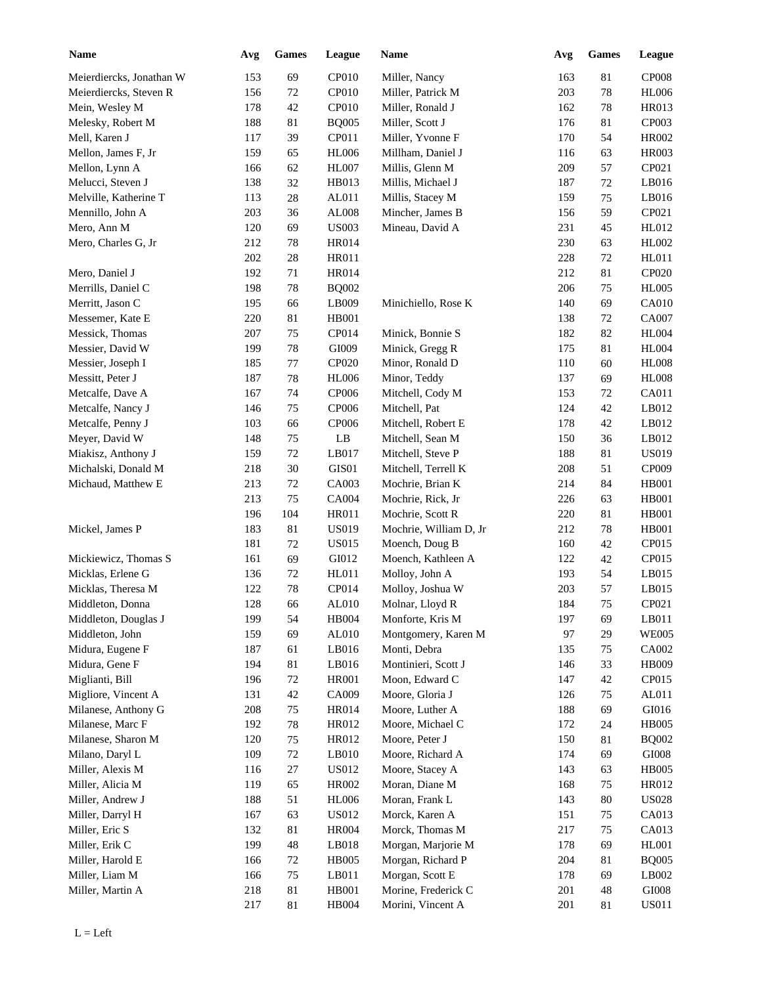| <b>Name</b>              | Avg | <b>Games</b> | League       | Name                   | Avg | <b>Games</b> | League       |
|--------------------------|-----|--------------|--------------|------------------------|-----|--------------|--------------|
| Meierdiercks, Jonathan W | 153 | 69           | <b>CP010</b> | Miller, Nancy          | 163 | 81           | <b>CP008</b> |
| Meierdiercks, Steven R   | 156 | $72\,$       | CP010        | Miller, Patrick M      | 203 | 78           | <b>HL006</b> |
| Mein, Wesley M           | 178 | 42           | CP010        | Miller, Ronald J       | 162 | 78           | <b>HR013</b> |
| Melesky, Robert M        | 188 | 81           | <b>BQ005</b> | Miller, Scott J        | 176 | 81           | CP003        |
| Mell, Karen J            | 117 | 39           | CP011        | Miller, Yvonne F       | 170 | 54           | HR002        |
| Mellon, James F, Jr      | 159 | 65           | <b>HL006</b> | Millham, Daniel J      | 116 | 63           | <b>HR003</b> |
| Mellon, Lynn A           | 166 | 62           | <b>HL007</b> | Millis, Glenn M        | 209 | 57           | CP021        |
| Melucci, Steven J        | 138 | 32           | HB013        | Millis, Michael J      | 187 | 72           | LB016        |
| Melville, Katherine T    | 113 | 28           | AL011        | Millis, Stacey M       | 159 | 75           | LB016        |
| Mennillo, John A         | 203 | 36           | AL008        | Mincher, James B       | 156 | 59           | CP021        |
| Mero, Ann M              | 120 | 69           | <b>US003</b> | Mineau, David A        | 231 | 45           | HL012        |
| Mero, Charles G, Jr      | 212 | 78           | HR014        |                        | 230 | 63           | HL002        |
|                          | 202 | 28           | HR011        |                        | 228 | 72           | HL011        |
| Mero, Daniel J           | 192 | 71           | <b>HR014</b> |                        | 212 | 81           | CP020        |
| Merrills, Daniel C       | 198 | 78           | <b>BQ002</b> |                        | 206 | 75           | <b>HL005</b> |
| Merritt, Jason C         | 195 | 66           | LB009        | Minichiello, Rose K    | 140 | 69           | <b>CA010</b> |
| Messemer, Kate E         | 220 | 81           | <b>HB001</b> |                        | 138 | 72           | <b>CA007</b> |
| Messick, Thomas          | 207 | 75           | CP014        | Minick, Bonnie S       | 182 | 82           | <b>HL004</b> |
| Messier, David W         | 199 | $78\,$       | GI009        | Minick, Gregg R        | 175 | 81           | <b>HL004</b> |
| Messier, Joseph I        | 185 | 77           | CP020        | Minor, Ronald D        | 110 | 60           | <b>HL008</b> |
|                          | 187 | $78\,$       | <b>HL006</b> | Minor, Teddy           | 137 | 69           | <b>HL008</b> |
| Messitt, Peter J         |     |              |              | Mitchell, Cody M       |     |              | CA011        |
| Metcalfe, Dave A         | 167 | 74           | <b>CP006</b> |                        | 153 | 72           |              |
| Metcalfe, Nancy J        | 146 | 75           | <b>CP006</b> | Mitchell, Pat          | 124 | 42           | LB012        |
| Metcalfe, Penny J        | 103 | 66           | CP006        | Mitchell, Robert E     | 178 | 42           | LB012        |
| Meyer, David W           | 148 | 75           | LB           | Mitchell, Sean M       | 150 | 36           | LB012        |
| Miakisz, Anthony J       | 159 | $72\,$       | LB017        | Mitchell, Steve P      | 188 | $81\,$       | <b>US019</b> |
| Michalski, Donald M      | 218 | 30           | GIS01        | Mitchell, Terrell K    | 208 | 51           | CP009        |
| Michaud, Matthew E       | 213 | 72           | CA003        | Mochrie, Brian K       | 214 | 84           | <b>HB001</b> |
|                          | 213 | 75           | CA004        | Mochrie, Rick, Jr      | 226 | 63           | <b>HB001</b> |
|                          | 196 | 104          | HR011        | Mochrie, Scott R       | 220 | 81           | <b>HB001</b> |
| Mickel, James P          | 183 | 81           | <b>US019</b> | Mochrie, William D, Jr | 212 | 78           | <b>HB001</b> |
|                          | 181 | 72           | <b>US015</b> | Moench, Doug B         | 160 | 42           | CP015        |
| Mickiewicz, Thomas S     | 161 | 69           | GI012        | Moench, Kathleen A     | 122 | 42           | CP015        |
| Micklas, Erlene G        | 136 | $72\,$       | HL011        | Molloy, John A         | 193 | 54           | LB015        |
| Micklas, Theresa M       | 122 | 78           | CP014        | Molloy, Joshua W       | 203 | 57           | LB015        |
| Middleton, Donna         | 128 | 66           | AL010        | Molnar, Lloyd R        | 184 | 75           | CP021        |
| Middleton, Douglas J     | 199 | 54           | HB004        | Monforte, Kris M       | 197 | 69           | LB011        |
| Middleton, John          | 159 | 69           | AL010        | Montgomery, Karen M    | 97  | 29           | <b>WE005</b> |
| Midura, Eugene F         | 187 | 61           | LB016        | Monti, Debra           | 135 | $75\,$       | CA002        |
| Midura, Gene F           | 194 | 81           | LB016        | Montinieri, Scott J    | 146 | 33           | HB009        |
| Miglianti, Bill          | 196 | 72           | <b>HR001</b> | Moon, Edward C         | 147 | 42           | CP015        |
| Migliore, Vincent A      | 131 | 42           | CA009        | Moore, Gloria J        | 126 | $75\,$       | AL011        |
| Milanese, Anthony G      | 208 | 75           | <b>HR014</b> | Moore, Luther A        | 188 | 69           | GI016        |
| Milanese, Marc F         | 192 | $78\,$       | HR012        | Moore, Michael C       | 172 | 24           | <b>HB005</b> |
| Milanese, Sharon M       | 120 | 75           | HR012        | Moore, Peter J         | 150 | 81           | <b>BQ002</b> |
| Milano, Daryl L          | 109 | $72\,$       | LB010        | Moore, Richard A       | 174 | 69           | GI008        |
| Miller, Alexis M         | 116 | $27\,$       | <b>US012</b> | Moore, Stacey A        | 143 | 63           | <b>HB005</b> |
| Miller, Alicia M         | 119 | 65           | HR002        | Moran, Diane M         | 168 | 75           | HR012        |
| Miller, Andrew J         | 188 | 51           | <b>HL006</b> | Moran, Frank L         | 143 | 80           | <b>US028</b> |
| Miller, Darryl H         | 167 | 63           | <b>US012</b> | Morck, Karen A         | 151 | $75\,$       | CA013        |
| Miller, Eric S           | 132 | $81\,$       | <b>HR004</b> | Morck, Thomas M        | 217 | $75\,$       | CA013        |
| Miller, Erik C           | 199 | $\sqrt{48}$  | LB018        | Morgan, Marjorie M     | 178 | 69           | <b>HL001</b> |
| Miller, Harold E         | 166 | 72           | <b>HB005</b> | Morgan, Richard P      | 204 | 81           | <b>BQ005</b> |
| Miller, Liam M           | 166 | 75           | LB011        | Morgan, Scott E        | 178 | 69           | LB002        |
| Miller, Martin A         | 218 | $81\,$       | HB001        | Morine, Frederick C    | 201 | 48           | $\rm GIO08$  |
|                          | 217 | 81           | HB004        | Morini, Vincent A      | 201 | 81           | <b>US011</b> |
|                          |     |              |              |                        |     |              |              |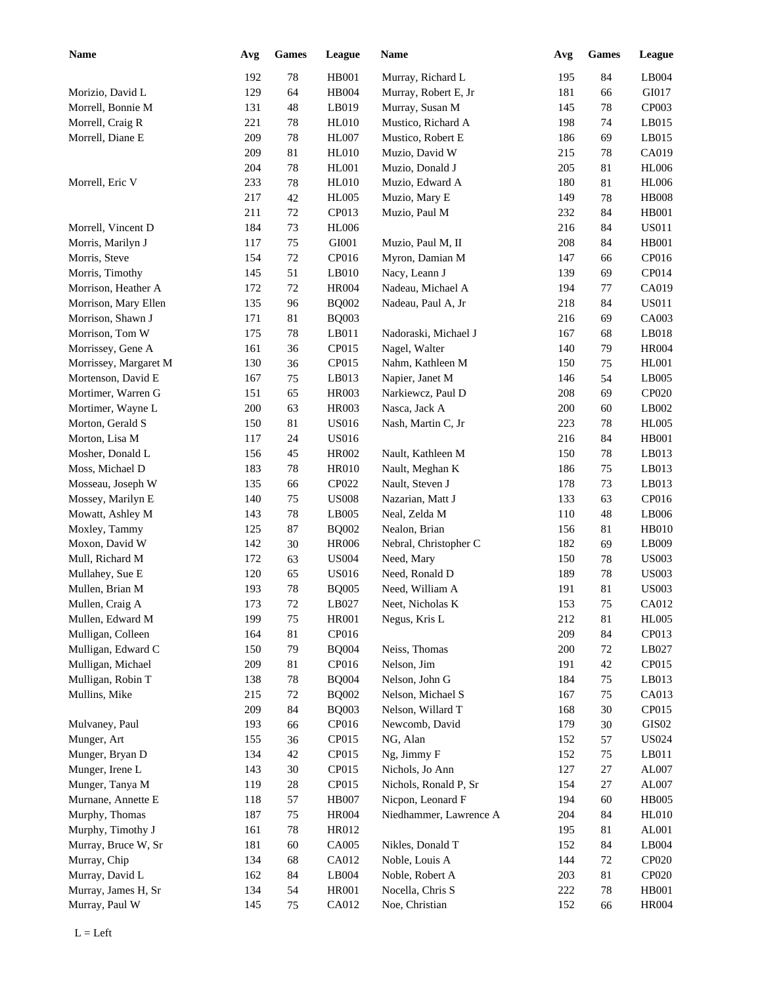| <b>Name</b>           | Avg | <b>Games</b> | League       | <b>Name</b>            | Avg | <b>Games</b> | League        |
|-----------------------|-----|--------------|--------------|------------------------|-----|--------------|---------------|
|                       | 192 | $78\,$       | HB001        | Murray, Richard L      | 195 | 84           | LB004         |
| Morizio, David L      | 129 | 64           | <b>HB004</b> | Murray, Robert E, Jr   | 181 | 66           | GI017         |
| Morrell, Bonnie M     | 131 | 48           | LB019        | Murray, Susan M        | 145 | 78           | CP003         |
| Morrell, Craig R      | 221 | 78           | <b>HL010</b> | Mustico, Richard A     | 198 | 74           | LB015         |
| Morrell, Diane E      | 209 | 78           | HL007        | Mustico, Robert E      | 186 | 69           | LB015         |
|                       | 209 | 81           | <b>HL010</b> | Muzio, David W         | 215 | 78           | CA019         |
|                       | 204 | $78\,$       | HL001        | Muzio, Donald J        | 205 | 81           | <b>HL006</b>  |
| Morrell, Eric V       | 233 | $78\,$       | <b>HL010</b> | Muzio, Edward A        | 180 | 81           | <b>HL006</b>  |
|                       | 217 | 42           | <b>HL005</b> | Muzio, Mary E          | 149 | 78           | <b>HB008</b>  |
|                       | 211 | $72\,$       | CP013        | Muzio, Paul M          | 232 | 84           | <b>HB001</b>  |
| Morrell, Vincent D    | 184 | 73           | <b>HL006</b> |                        | 216 | 84           | <b>US011</b>  |
| Morris, Marilyn J     | 117 | $75\,$       | GI001        | Muzio, Paul M, II      | 208 | 84           | <b>HB001</b>  |
| Morris, Steve         | 154 | $72\,$       | CP016        | Myron, Damian M        | 147 | 66           | CP016         |
| Morris, Timothy       | 145 | 51           | LB010        | Nacy, Leann J          | 139 | 69           | CP014         |
| Morrison, Heather A   | 172 | $72\,$       | <b>HR004</b> | Nadeau, Michael A      | 194 | 77           | CA019         |
| Morrison, Mary Ellen  | 135 | 96           | <b>BQ002</b> | Nadeau, Paul A, Jr     | 218 | 84           | <b>US011</b>  |
| Morrison, Shawn J     | 171 | 81           | <b>BQ003</b> |                        | 216 | 69           | CA003         |
| Morrison, Tom W       | 175 | 78           | LB011        | Nadoraski, Michael J   | 167 | 68           | LB018         |
| Morrissey, Gene A     | 161 | 36           | CP015        | Nagel, Walter          | 140 | 79           | <b>HR004</b>  |
| Morrissey, Margaret M | 130 | 36           | CP015        | Nahm, Kathleen M       | 150 | 75           | <b>HL001</b>  |
| Mortenson, David E    | 167 | $75\,$       | LB013        | Napier, Janet M        | 146 | 54           | LB005         |
| Mortimer, Warren G    | 151 | 65           | HR003        | Narkiewcz, Paul D      | 208 | 69           | CP020         |
| Mortimer, Wayne L     | 200 | 63           | HR003        | Nasca, Jack A          | 200 | 60           | LB002         |
| Morton, Gerald S      | 150 | 81           | <b>US016</b> | Nash, Martin C, Jr     | 223 | 78           | <b>HL005</b>  |
| Morton, Lisa M        | 117 | 24           | <b>US016</b> |                        | 216 | 84           | <b>HB001</b>  |
| Mosher, Donald L      | 156 | 45           | <b>HR002</b> | Nault, Kathleen M      | 150 | 78           | LB013         |
| Moss, Michael D       | 183 | 78           | <b>HR010</b> | Nault, Meghan K        | 186 | 75           | LB013         |
| Mosseau, Joseph W     | 135 | 66           | CP022        | Nault, Steven J        | 178 | 73           | LB013         |
| Mossey, Marilyn E     | 140 | 75           | <b>US008</b> | Nazarian, Matt J       | 133 | 63           | CP016         |
| Mowatt, Ashley M      | 143 | 78           | LB005        | Neal, Zelda M          | 110 | 48           | LB006         |
| Moxley, Tammy         | 125 | 87           | <b>BQ002</b> | Nealon, Brian          | 156 | 81           | <b>HB010</b>  |
| Moxon, David W        | 142 | 30           | <b>HR006</b> | Nebral, Christopher C  | 182 | 69           | LB009         |
| Mull, Richard M       | 172 | 63           | <b>US004</b> | Need, Mary             | 150 | 78           | <b>US003</b>  |
| Mullahey, Sue E       | 120 | 65           | <b>US016</b> | Need, Ronald D         | 189 | 78           | <b>US003</b>  |
| Mullen, Brian M       | 193 | 78           | <b>BQ005</b> | Need, William A        | 191 | 81           | <b>US003</b>  |
| Mullen, Craig A       | 173 | $72\,$       | LB027        | Neet, Nicholas K       | 153 | 75           | CA012         |
| Mullen, Edward M      | 199 | 75           | HR001        | Negus, Kris L          | 212 | 81           | <b>HL005</b>  |
| Mulligan, Colleen     | 164 | 81           | CP016        |                        | 209 | 84           | CP013         |
| Mulligan, Edward C    | 150 | 79           | <b>BQ004</b> | Neiss, Thomas          | 200 | 72           | LB027         |
| Mulligan, Michael     | 209 | 81           | CP016        | Nelson, Jim            | 191 | 42           | CP015         |
| Mulligan, Robin T     | 138 | $78\,$       | <b>BQ004</b> | Nelson, John G         | 184 | 75           | LB013         |
| Mullins, Mike         | 215 | $72\,$       | <b>BQ002</b> | Nelson, Michael S      | 167 | 75           | CA013         |
|                       | 209 | 84           | <b>BQ003</b> | Nelson, Willard T      | 168 | $30\,$       | CP015         |
| Mulvaney, Paul        | 193 | 66           | CP016        | Newcomb, David         | 179 | $30\,$       | GIS02         |
| Munger, Art           | 155 | 36           | CP015        | NG, Alan               | 152 | 57           | <b>US024</b>  |
| Munger, Bryan D       | 134 | 42           | CP015        | Ng, Jimmy F            | 152 | 75           | LB011         |
| Munger, Irene L       | 143 | $30\,$       | CP015        | Nichols, Jo Ann        | 127 | 27           | AL007         |
| Munger, Tanya M       | 119 | 28           | CP015        | Nichols, Ronald P, Sr  | 154 | 27           | ${\rm AL}007$ |
| Murnane, Annette E    | 118 | 57           | <b>HB007</b> | Nicpon, Leonard F      | 194 | 60           | <b>HB005</b>  |
| Murphy, Thomas        | 187 | 75           | <b>HR004</b> | Niedhammer, Lawrence A | 204 | 84           | <b>HL010</b>  |
| Murphy, Timothy J     | 161 | $78\,$       | HR012        |                        | 195 | 81           | ${\rm AL}001$ |
| Murray, Bruce W, Sr   | 181 | 60           | CA005        | Nikles, Donald T       | 152 | 84           | LB004         |
| Murray, Chip          | 134 | 68           | CA012        | Noble, Louis A         | 144 | 72           | CP020         |
| Murray, David L       | 162 | 84           | LB004        | Noble, Robert A        | 203 | 81           | CP020         |
| Murray, James H, Sr   | 134 | 54           | HR001        | Nocella, Chris S       | 222 | 78           | <b>HB001</b>  |
| Murray, Paul W        | 145 |              | CA012        | Noe, Christian         |     |              | <b>HR004</b>  |
|                       |     | 75           |              |                        | 152 | 66           |               |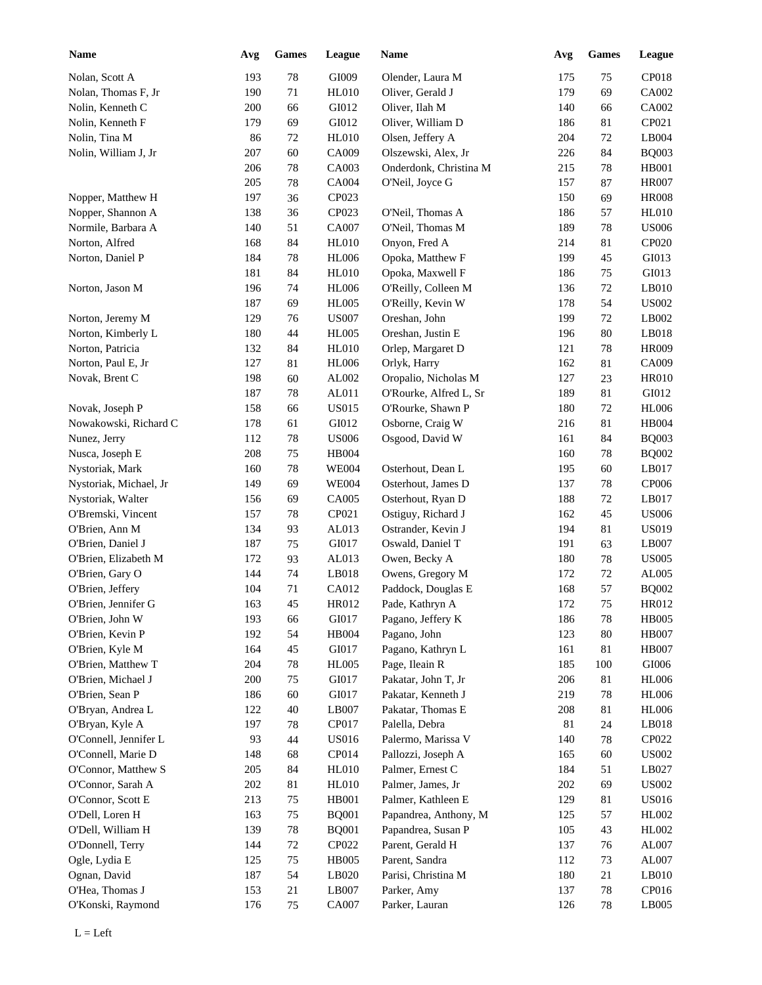| <b>Name</b>                             | Avg        | <b>Games</b> | League         | <b>Name</b>            | Avg        | <b>Games</b> | League        |
|-----------------------------------------|------------|--------------|----------------|------------------------|------------|--------------|---------------|
| Nolan, Scott A                          | 193        | $78\,$       | GI009          | Olender, Laura M       | 175        | 75           | CP018         |
| Nolan, Thomas F, Jr                     | 190        | 71           | <b>HL010</b>   | Oliver, Gerald J       | 179        | 69           | CA002         |
| Nolin, Kenneth C                        | 200        | 66           | GI012          | Oliver, Ilah M         | 140        | 66           | CA002         |
| Nolin, Kenneth F                        | 179        | 69           | GI012          | Oliver, William D      | 186        | 81           | CP021         |
| Nolin, Tina M                           | 86         | $72\,$       | <b>HL010</b>   | Olsen, Jeffery A       | 204        | 72           | LB004         |
| Nolin, William J, Jr                    | 207        | 60           | CA009          | Olszewski, Alex, Jr    | 226        | 84           | <b>BQ003</b>  |
|                                         | 206        | 78           | CA003          | Onderdonk, Christina M | 215        | 78           | <b>HB001</b>  |
|                                         | 205        | 78           | CA004          | O'Neil, Joyce G        | 157        | 87           | <b>HR007</b>  |
| Nopper, Matthew H                       | 197        | 36           | CP023          |                        | 150        | 69           | <b>HR008</b>  |
| Nopper, Shannon A                       | 138        | 36           | CP023          | O'Neil, Thomas A       | 186        | 57           | HL010         |
| Normile, Barbara A                      | 140        | 51           | CA007          | O'Neil, Thomas M       | 189        | 78           | <b>US006</b>  |
| Norton, Alfred                          | 168        | 84           | <b>HL010</b>   | Onyon, Fred A          | 214        | 81           | CP020         |
| Norton, Daniel P                        | 184        | 78           | <b>HL006</b>   | Opoka, Matthew F       | 199        | 45           | GI013         |
|                                         | 181        | 84           | <b>HL010</b>   | Opoka, Maxwell F       | 186        | 75           | GI013         |
| Norton, Jason M                         | 196        | 74           | <b>HL006</b>   | O'Reilly, Colleen M    | 136        | 72           | LB010         |
|                                         | 187        | 69           | <b>HL005</b>   | O'Reilly, Kevin W      | 178        | 54           | <b>US002</b>  |
| Norton, Jeremy M                        | 129        | 76           | <b>US007</b>   | Oreshan, John          | 199        | 72           | LB002         |
| Norton, Kimberly L                      | 180        | 44           | <b>HL005</b>   | Oreshan, Justin E      | 196        | 80           | LB018         |
| Norton, Patricia                        | 132        | 84           | <b>HL010</b>   | Orlep, Margaret D      | 121        | 78           | <b>HR009</b>  |
| Norton, Paul E, Jr                      | 127        | 81           | <b>HL006</b>   | Orlyk, Harry           | 162        | 81           | CA009         |
| Novak, Brent C                          | 198        | 60           | AL002          | Oropalio, Nicholas M   | 127        | 23           | <b>HR010</b>  |
|                                         | 187        | 78           | AL011          | O'Rourke, Alfred L, Sr | 189        | 81           | GI012         |
| Novak, Joseph P                         | 158        | 66           | <b>US015</b>   | O'Rourke, Shawn P      | 180        | 72           | <b>HL006</b>  |
| Nowakowski, Richard C                   | 178        | 61           | GI012          | Osborne, Craig W       | 216        | 81           | HB004         |
| Nunez, Jerry                            | 112        | 78           | <b>US006</b>   | Osgood, David W        | 161        | 84           | <b>BQ003</b>  |
| Nusca, Joseph E                         | 208        | 75           | <b>HB004</b>   |                        | 160        | 78           | <b>BQ002</b>  |
| Nystoriak, Mark                         | 160        | 78           | <b>WE004</b>   | Osterhout, Dean L      | 195        | 60           | LB017         |
| Nystoriak, Michael, Jr                  | 149        | 69           | <b>WE004</b>   | Osterhout, James D     | 137        | 78           | <b>CP006</b>  |
| Nystoriak, Walter                       | 156        | 69           | CA005          | Osterhout, Ryan D      | 188        | 72           | LB017         |
| O'Bremski, Vincent                      | 157        | 78           | CP021          | Ostiguy, Richard J     | 162        | 45           | <b>US006</b>  |
| O'Brien, Ann M                          | 134        | 93           | AL013          | Ostrander, Kevin J     | 194        | 81           | <b>US019</b>  |
| O'Brien, Daniel J                       | 187        | 75           | GI017          | Oswald, Daniel T       | 191        | 63           | LB007         |
|                                         |            |              |                |                        |            |              | <b>US005</b>  |
| O'Brien, Elizabeth M<br>O'Brien, Gary O | 172        | 93           | AL013          | Owen, Becky A          | 180        | 78           |               |
|                                         | 144<br>104 | 74<br>$71\,$ | LB018<br>CA012 | Owens, Gregory M       | 172<br>168 | 72<br>57     | AL005         |
| O'Brien, Jeffery                        |            |              |                | Paddock, Douglas E     |            |              | <b>BQ002</b>  |
| O'Brien, Jennifer G                     | 163        | 45           | HR012          | Pade, Kathryn A        | 172        | 75           | HR012         |
| O'Brien, John W                         | 193        | 66           | GI017          | Pagano, Jeffery K      | 186        | 78           | <b>HB005</b>  |
| O'Brien, Kevin P                        | 192        | 54           | HB004          | Pagano, John           | 123        | 80           | <b>HB007</b>  |
| O'Brien, Kyle M                         | 164        | 45           | GI017          | Pagano, Kathryn L      | 161        | 81           | <b>HB007</b>  |
| O'Brien, Matthew T                      | 204        | $78\,$       | <b>HL005</b>   | Page, Ileain R         | 185        | 100          | ${\rm G}1006$ |
| O'Brien, Michael J                      | 200        | 75           | GI017          | Pakatar, John T, Jr    | 206        | 81           | <b>HL006</b>  |
| O'Brien, Sean P                         | 186        | 60           | GI017          | Pakatar, Kenneth J     | 219        | 78           | <b>HL006</b>  |
| O'Bryan, Andrea L                       | 122        | 40           | LB007          | Pakatar, Thomas E      | 208        | 81           | <b>HL006</b>  |
| O'Bryan, Kyle A                         | 197        | 78           | CP017          | Palella, Debra         | 81         | 24           | LB018         |
| O'Connell, Jennifer L                   | 93         | 44           | <b>US016</b>   | Palermo, Marissa V     | 140        | 78           | CP022         |
| O'Connell, Marie D                      | 148        | 68           | CP014          | Pallozzi, Joseph A     | 165        | 60           | <b>US002</b>  |
| O'Connor, Matthew S                     | 205        | 84           | <b>HL010</b>   | Palmer, Ernest C       | 184        | 51           | LB027         |
| O'Connor, Sarah A                       | 202        | 81           | <b>HL010</b>   | Palmer, James, Jr      | 202        | 69           | <b>US002</b>  |
| O'Connor, Scott E                       | 213        | 75           | HB001          | Palmer, Kathleen E     | 129        | 81           | <b>US016</b>  |
| O'Dell, Loren H                         | 163        | 75           | <b>BQ001</b>   | Papandrea, Anthony, M  | 125        | 57           | HL002         |
| O'Dell, William H                       | 139        | $78\,$       | <b>BQ001</b>   | Papandrea, Susan P     | 105        | 43           | HL002         |
| O'Donnell, Terry                        | 144        | $72\,$       | CP022          | Parent, Gerald H       | 137        | 76           | AL007         |
| Ogle, Lydia E                           | 125        | 75           | <b>HB005</b>   | Parent, Sandra         | 112        | 73           | AL007         |
| Ognan, David                            | 187        | 54           | LB020          | Parisi, Christina M    | 180        | 21           | LB010         |
| O'Hea, Thomas J                         | 153        | 21           | LB007          | Parker, Amy            | 137        | 78           | CP016         |
| O'Konski, Raymond                       | 176        | 75           | CA007          | Parker, Lauran         | 126        | 78           | LB005         |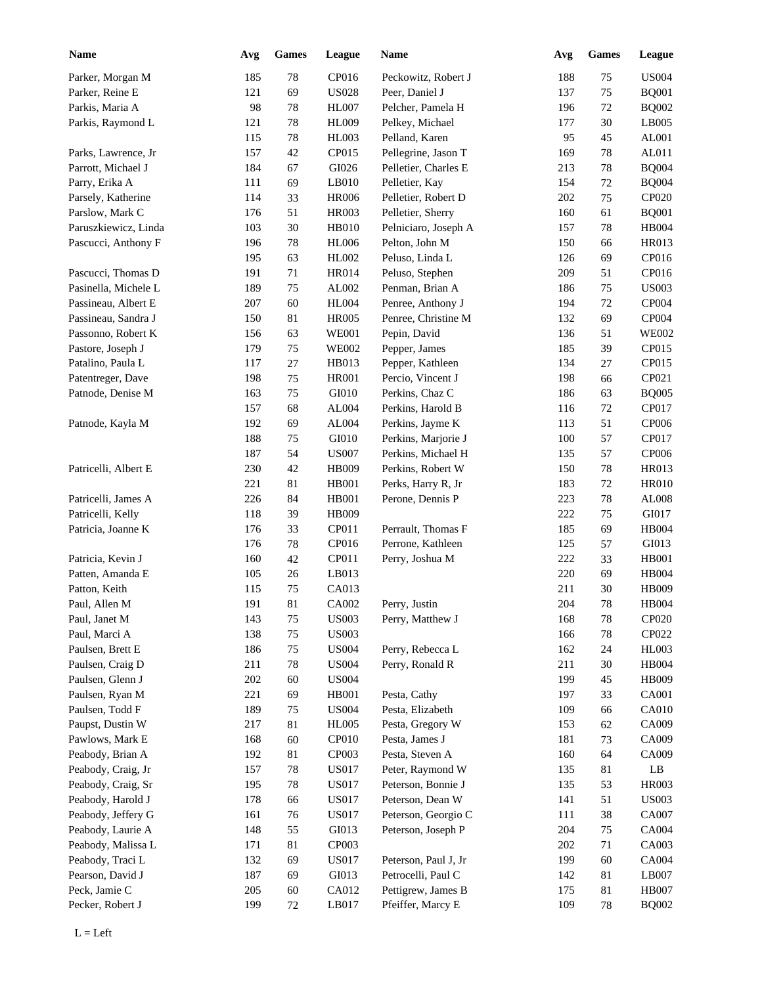| <b>Name</b>                        | Avg | <b>Games</b> | League                       | <b>Name</b>          | Avg | <b>Games</b> | League                 |
|------------------------------------|-----|--------------|------------------------------|----------------------|-----|--------------|------------------------|
| Parker, Morgan M                   | 185 | 78           | CP016                        | Peckowitz, Robert J  | 188 | 75           | <b>US004</b>           |
| Parker, Reine E                    | 121 | 69           | <b>US028</b>                 | Peer, Daniel J       | 137 | 75           | <b>BQ001</b>           |
| Parkis, Maria A                    | 98  | 78           | <b>HL007</b>                 | Pelcher, Pamela H    | 196 | 72           | <b>BQ002</b>           |
| Parkis, Raymond L                  | 121 | 78           | <b>HL009</b>                 | Pelkey, Michael      | 177 | 30           | LB005                  |
|                                    | 115 | 78           | HL003                        | Pelland, Karen       | 95  | 45           | AL001                  |
| Parks, Lawrence, Jr                | 157 | 42           | CP015                        | Pellegrine, Jason T  | 169 | 78           | AL011                  |
| Parrott, Michael J                 | 184 | 67           | GI026                        | Pelletier, Charles E | 213 | 78           | <b>BQ004</b>           |
| Parry, Erika A                     | 111 | 69           | LB010                        | Pelletier, Kay       | 154 | 72           | <b>BQ004</b>           |
| Parsely, Katherine                 | 114 | 33           | <b>HR006</b>                 | Pelletier, Robert D  | 202 | 75           | CP020                  |
| Parslow, Mark C                    | 176 | 51           | <b>HR003</b>                 | Pelletier, Sherry    | 160 | 61           | <b>BQ001</b>           |
| Paruszkiewicz, Linda               | 103 | 30           | <b>HB010</b>                 | Pelniciaro, Joseph A | 157 | 78           | HB004                  |
| Pascucci, Anthony F                | 196 | 78           | <b>HL006</b>                 | Pelton, John M       | 150 | 66           | <b>HR013</b>           |
|                                    | 195 | 63           | HL002                        | Peluso, Linda L      | 126 | 69           | CP016                  |
| Pascucci, Thomas D                 | 191 | 71           | <b>HR014</b>                 | Peluso, Stephen      | 209 | 51           | CP016                  |
| Pasinella, Michele L               | 189 | 75           | AL002                        | Penman, Brian A      | 186 | 75           | <b>US003</b>           |
| Passineau, Albert E                | 207 | 60           | <b>HL004</b>                 | Penree, Anthony J    | 194 | 72           | CP004                  |
| Passineau, Sandra J                | 150 | 81           | <b>HR005</b>                 | Penree, Christine M  | 132 | 69           | CP004                  |
| Passonno, Robert K                 | 156 | 63           | <b>WE001</b>                 | Pepin, David         | 136 | 51           | <b>WE002</b>           |
| Pastore, Joseph J                  | 179 | 75           | <b>WE002</b>                 | Pepper, James        | 185 | 39           | CP015                  |
| Patalino, Paula L                  | 117 | 27           | HB013                        | Pepper, Kathleen     | 134 | 27           | CP015                  |
| Patentreger, Dave                  | 198 | 75           | <b>HR001</b>                 | Percio, Vincent J    | 198 | 66           | CP021                  |
| Patnode, Denise M                  | 163 | 75           | GI010                        | Perkins, Chaz C      | 186 | 63           | <b>BQ005</b>           |
|                                    | 157 | 68           | AL004                        | Perkins, Harold B    | 116 | 72           | CP017                  |
| Patnode, Kayla M                   | 192 | 69           | AL004                        | Perkins, Jayme K     | 113 | 51           | CP006                  |
|                                    | 188 | 75           | GI010                        | Perkins, Marjorie J  | 100 | 57           | CP017                  |
|                                    | 187 | 54           | <b>US007</b>                 | Perkins, Michael H   | 135 | 57           | <b>CP006</b>           |
| Patricelli, Albert E               | 230 | 42           | HB009                        | Perkins, Robert W    | 150 | 78           | <b>HR013</b>           |
|                                    | 221 | 81           | HB001                        | Perks, Harry R, Jr   | 183 | 72           | <b>HR010</b>           |
| Patricelli, James A                | 226 | 84           | HB001                        | Perone, Dennis P     | 223 | 78           | AL008                  |
| Patricelli, Kelly                  | 118 | 39           | <b>HB009</b>                 |                      | 222 | 75           | GI017                  |
| Patricia, Joanne K                 | 176 | 33           | CP011                        | Perrault, Thomas F   | 185 | 69           | <b>HB004</b>           |
|                                    | 176 | 78           | CP016                        | Perrone, Kathleen    | 125 | 57           | GI013                  |
| Patricia, Kevin J                  | 160 | 42           | CP011                        | Perry, Joshua M      | 222 | 33           | <b>HB001</b>           |
| Patten, Amanda E                   | 105 | 26           | LB013                        |                      | 220 | 69           | <b>HB004</b>           |
| Patton, Keith                      | 115 | 75           | CA013                        |                      | 211 | 30           | <b>HB009</b>           |
| Paul, Allen M                      | 191 | $81\,$       | CA002                        |                      | 204 | $78\,$       | <b>HB004</b>           |
|                                    |     |              | <b>US003</b>                 | Perry, Justin        |     |              | CP020                  |
| Paul, Janet M                      | 143 | 75<br>75     |                              | Perry, Matthew J     | 168 | 78           | CP022                  |
| Paul, Marci A                      | 138 |              | <b>US003</b><br><b>US004</b> |                      | 166 | 78           |                        |
| Paulsen, Brett E                   | 186 | 75           | <b>US004</b>                 | Perry, Rebecca L     | 162 | 24           | HL003<br><b>HB004</b>  |
| Paulsen, Craig D                   | 211 | 78           |                              | Perry, Ronald R      | 211 | 30           |                        |
| Paulsen, Glenn J                   | 202 | 60           | <b>US004</b><br>HB001        |                      | 199 | 45           | HB009<br><b>CA001</b>  |
| Paulsen, Ryan M<br>Paulsen, Todd F | 221 | 69           |                              | Pesta, Cathy         | 197 | 33           |                        |
|                                    | 189 | 75           | <b>US004</b>                 | Pesta, Elizabeth     | 109 | 66           | <b>CA010</b>           |
| Paupst, Dustin W                   | 217 | 81           | <b>HL005</b>                 | Pesta, Gregory W     | 153 | 62           | CA009                  |
| Pawlows, Mark E                    | 168 | 60           | CP <sub>010</sub>            | Pesta, James J       | 181 | 73           | CA009                  |
| Peabody, Brian A                   | 192 | 81           | CP003                        | Pesta, Steven A      | 160 | 64           | CA009                  |
| Peabody, Craig, Jr                 | 157 | 78           | <b>US017</b>                 | Peter, Raymond W     | 135 | 81           | $\mathbf{L}\mathbf{B}$ |
| Peabody, Craig, Sr                 | 195 | 78           | <b>US017</b>                 | Peterson, Bonnie J   | 135 | 53           | <b>HR003</b>           |
| Peabody, Harold J                  | 178 | 66           | <b>US017</b>                 | Peterson, Dean W     | 141 | 51           | <b>US003</b>           |
| Peabody, Jeffery G                 | 161 | 76           | <b>US017</b>                 | Peterson, Georgio C  | 111 | 38           | CA007                  |
| Peabody, Laurie A                  | 148 | 55           | GI013                        | Peterson, Joseph P   | 204 | 75           | CA004                  |
| Peabody, Malissa L                 | 171 | 81           | CP003                        |                      | 202 | 71           | CA003                  |
| Peabody, Traci L                   | 132 | 69           | <b>US017</b>                 | Peterson, Paul J, Jr | 199 | 60           | <b>CA004</b>           |
| Pearson, David J                   | 187 | 69           | GI013                        | Petrocelli, Paul C   | 142 | 81           | LB007                  |
| Peck, Jamie C                      | 205 | 60           | CA012                        | Pettigrew, James B   | 175 | 81           | <b>HB007</b>           |
| Pecker, Robert J                   | 199 | 72           | LB017                        | Pfeiffer, Marcy E    | 109 | 78           | <b>BQ002</b>           |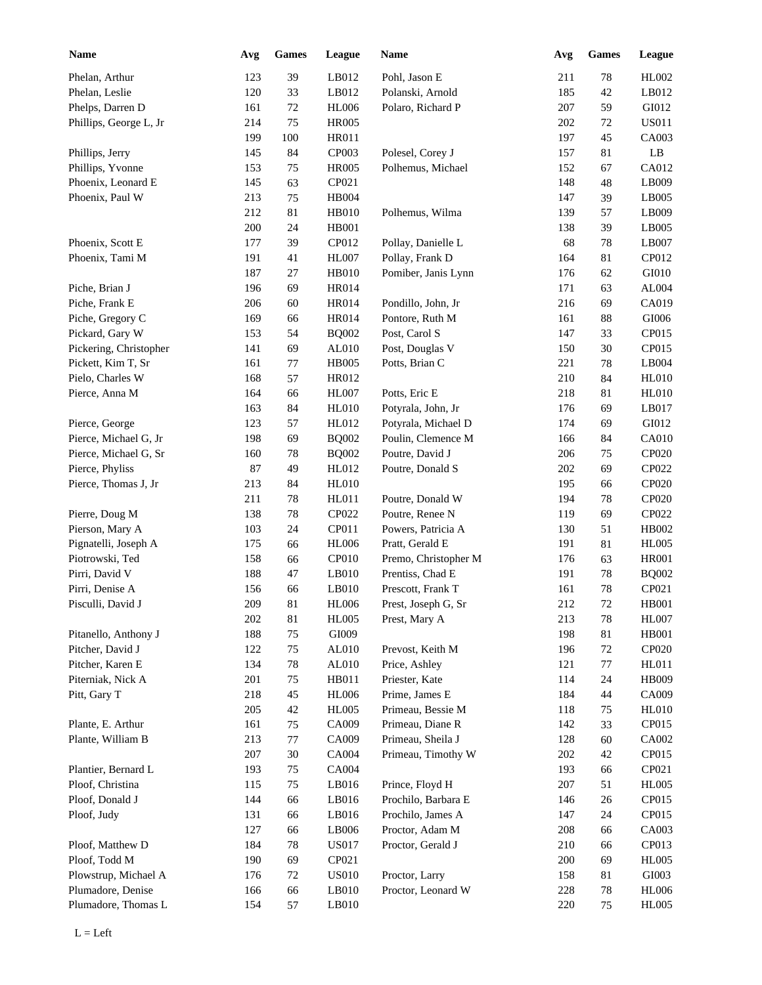| <b>Name</b>            | Avg        | <b>Games</b> | League                        | <b>Name</b>          | Avg        | <b>Games</b> | League                |
|------------------------|------------|--------------|-------------------------------|----------------------|------------|--------------|-----------------------|
| Phelan, Arthur         | 123        | 39           | LB012                         | Pohl, Jason E        | 211        | 78           | HL002                 |
| Phelan, Leslie         | 120        | 33           | LB012                         | Polanski, Arnold     | 185        | 42           | LB012                 |
| Phelps, Darren D       | 161        | 72           | <b>HL006</b>                  | Polaro, Richard P    | 207        | 59           | GI012                 |
| Phillips, George L, Jr | 214        | 75           | <b>HR005</b>                  |                      | 202        | 72           | <b>US011</b>          |
|                        | 199        | 100          | <b>HR011</b>                  |                      | 197        | 45           | CA003                 |
| Phillips, Jerry        | 145        | 84           | CP003                         | Polesel, Corey J     | 157        | 81           | LB                    |
| Phillips, Yvonne       | 153        | 75           | <b>HR005</b>                  | Polhemus, Michael    | 152        | 67           | CA012                 |
| Phoenix, Leonard E     | 145        | 63           | CP021                         |                      | 148        | 48           | LB009                 |
| Phoenix, Paul W        | 213        | 75           | <b>HB004</b>                  |                      | 147        | 39           | LB005                 |
|                        | 212        | 81           | <b>HB010</b>                  | Polhemus, Wilma      | 139        | 57           | LB009                 |
|                        | 200        | 24           | <b>HB001</b>                  |                      | 138        | 39           | LB005                 |
| Phoenix, Scott E       | 177        | 39           | CP012                         | Pollay, Danielle L   | 68         | 78           | LB007                 |
| Phoenix, Tami M        | 191        | 41           | HL007                         | Pollay, Frank D      | 164        | 81           | CP012                 |
|                        | 187        | 27           | <b>HB010</b>                  | Pomiber, Janis Lynn  | 176        | 62           | GI010                 |
| Piche, Brian J         | 196        | 69           | <b>HR014</b>                  |                      | 171        | 63           | AL004                 |
| Piche, Frank E         | 206        | 60           | HR014                         | Pondillo, John, Jr   | 216        | 69           | CA019                 |
| Piche, Gregory C       | 169        | 66           | <b>HR014</b>                  | Pontore, Ruth M      | 161        | 88           | $\rm GIO06$           |
| Pickard, Gary W        | 153        | 54           | <b>BQ002</b>                  | Post, Carol S        | 147        | 33           | CP015                 |
| Pickering, Christopher | 141        | 69           | AL010                         | Post, Douglas V      | 150        | 30           | CP015                 |
| Pickett, Kim T, Sr     | 161        | 77           | <b>HB005</b>                  | Potts, Brian C       | 221        | 78           | LB004                 |
| Pielo, Charles W       | 168        | 57           | HR012                         |                      | 210        | 84           | <b>HL010</b>          |
| Pierce, Anna M         | 164        | 66           | <b>HL007</b>                  | Potts, Eric E        | 218        | 81           | <b>HL010</b>          |
|                        | 163        | 84           | <b>HL010</b>                  | Potyrala, John, Jr   | 176        | 69           | LB017                 |
| Pierce, George         | 123        | 57           | HL012                         | Potyrala, Michael D  | 174        | 69           | GI012                 |
| Pierce, Michael G, Jr  | 198        | 69           | <b>BQ002</b>                  | Poulin, Clemence M   | 166        | 84           | CA010                 |
| Pierce, Michael G, Sr  | 160        | 78           | <b>BQ002</b>                  | Poutre, David J      | 206        | 75           | CP020                 |
| Pierce, Phyliss        | 87         | 49           | HL012                         | Poutre, Donald S     | 202        | 69           | CP022                 |
| Pierce, Thomas J, Jr   | 213        | 84           | <b>HL010</b>                  |                      | 195        | 66           | CP020                 |
|                        | 211        | 78           | HL011                         | Poutre, Donald W     | 194        | 78           | CP020                 |
| Pierre, Doug M         | 138        | 78           | CP022                         | Poutre, Renee N      | 119        | 69           | CP022                 |
| Pierson, Mary A        | 103        | 24           | CP011                         | Powers, Patricia A   | 130        | 51           | HB002                 |
| Pignatelli, Joseph A   | 175        | 66           | <b>HL006</b>                  | Pratt, Gerald E      | 191        | 81           | <b>HL005</b>          |
| Piotrowski, Ted        | 158        | 66           | CP010                         | Premo, Christopher M | 176        | 63           | <b>HR001</b>          |
| Pirri, David V         | 188        | 47           | $L$ B010                      | Prentiss, Chad E     | 191        | 78           | <b>BQ002</b>          |
| Pirri, Denise A        | 156        | 66           | LB010                         | Prescott, Frank T    | 161        | $78\,$       | CP021                 |
| Pisculli, David J      | 209        | $81\,$       | <b>HL006</b>                  |                      | 212        | $72\,$       | <b>HB001</b>          |
|                        |            |              |                               | Prest, Joseph G, Sr  |            |              |                       |
| Pitanello, Anthony J   | 202<br>188 | 81<br>75     | <b>HL005</b><br>GI009         | Prest, Mary A        | 213<br>198 | 78<br>81     | HL007<br><b>HB001</b> |
| Pitcher, David J       | 122        | 75           | $AL010$                       | Prevost, Keith M     | 196        | $72\,$       | CP020                 |
| Pitcher, Karen E       | 134        |              | AL010                         | Price, Ashley        |            |              | HL011                 |
| Piterniak, Nick A      |            | 78           | HB011                         | Priester, Kate       | 121        | 77           | HB009                 |
|                        | 201        | 75           | HL006                         | Prime, James E       | 114        | 24           | CA009                 |
| Pitt, Gary T           | 218        | 45           |                               | Primeau, Bessie M    | 184        | 44           |                       |
|                        | 205        | 42           | <b>HL005</b><br>CA009         | Primeau, Diane R     | 118        | 75           | <b>HL010</b><br>CP015 |
| Plante, E. Arthur      | 161        | 75           |                               |                      | 142        | 33           |                       |
| Plante, William B      | 213        | 77           | CA009                         | Primeau, Sheila J    | 128        | 60           | CA002                 |
|                        | 207        | $30\,$       | CA004                         | Primeau, Timothy W   | 202        | 42           | CP015                 |
| Plantier, Bernard L    | 193        | 75           | CA004                         |                      | 193        | 66           | CP021                 |
| Ploof, Christina       | 115        | 75           | LB016                         | Prince, Floyd H      | 207        | 51           | <b>HL005</b>          |
| Ploof, Donald J        | 144        | 66           | LB016                         | Prochilo, Barbara E  | 146        | $26\,$       | CP015                 |
| Ploof, Judy            | 131        | 66           | LB016                         | Prochilo, James A    | 147        | 24           | CP015                 |
|                        | 127        | 66           | LB006                         | Proctor, Adam M      | 208        | 66           | CA003                 |
| Ploof, Matthew D       | 184        | 78           | <b>US017</b>                  | Proctor, Gerald J    | 210        | 66           | CP013                 |
| Ploof, Todd M          | 190        | 69           | CP021                         |                      | 200        | 69           | <b>HL005</b>          |
| Plowstrup, Michael A   | 176        | 72           | $\ensuremath{\mathsf{USO10}}$ | Proctor, Larry       | 158        | 81           | GI003                 |
| Plumadore, Denise      | 166        | 66           | $L$ B010                      | Proctor, Leonard W   | 228        | 78           | <b>HL006</b>          |
| Plumadore, Thomas L    | 154        | 57           | $L$ B010                      |                      | 220        | 75           | <b>HL005</b>          |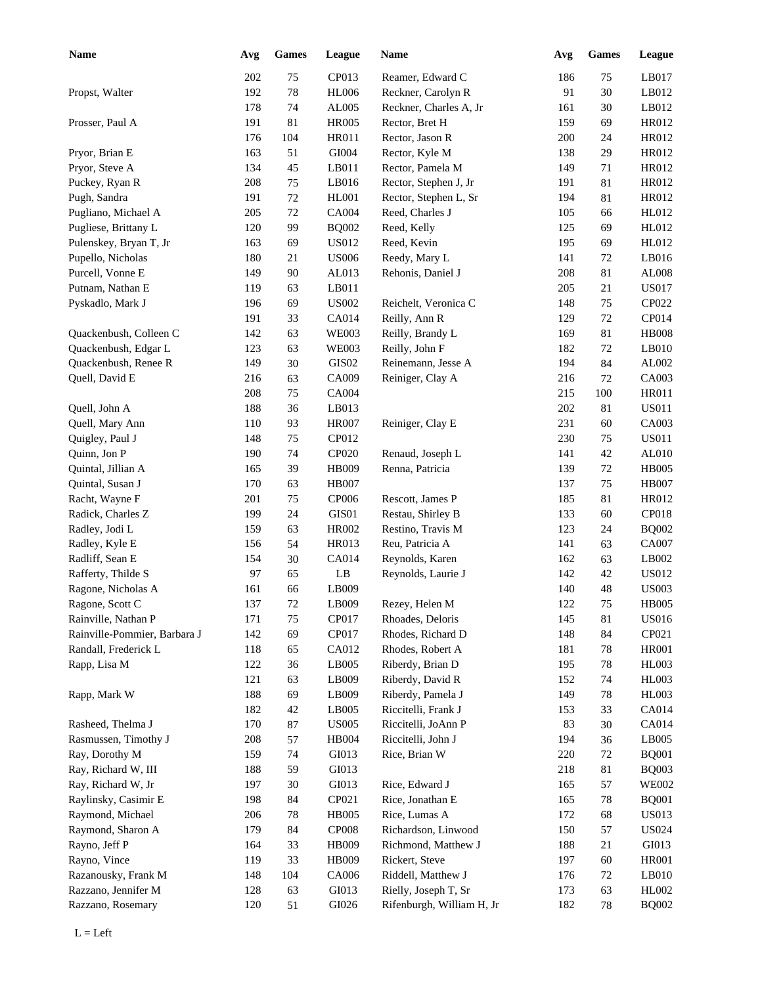| <b>Name</b>                  | Avg        | <b>Games</b> | League                 | <b>Name</b>               | Avg        | <b>Games</b> | League                |
|------------------------------|------------|--------------|------------------------|---------------------------|------------|--------------|-----------------------|
|                              | 202        | 75           | CP013                  | Reamer, Edward C          | 186        | 75           | LB017                 |
| Propst, Walter               | 192        | $78\,$       | <b>HL006</b>           | Reckner, Carolyn R        | 91         | 30           | LB012                 |
|                              | 178        | 74           | AL005                  | Reckner, Charles A, Jr    | 161        | 30           | LB012                 |
| Prosser, Paul A              | 191        | 81           | <b>HR005</b>           | Rector, Bret H            | 159        | 69           | HR012                 |
|                              | 176        | 104          | HR011                  | Rector, Jason R           | 200        | 24           | HR012                 |
| Pryor, Brian E               | 163        | 51           | GI004                  | Rector, Kyle M            | 138        | 29           | HR012                 |
| Pryor, Steve A               | 134        | 45           | LB011                  | Rector, Pamela M          | 149        | 71           | HR012                 |
| Puckey, Ryan R               | 208        | 75           | LB016                  | Rector, Stephen J, Jr     | 191        | 81           | HR012                 |
| Pugh, Sandra                 | 191        | $72\,$       | HL001                  | Rector, Stephen L, Sr     | 194        | 81           | HR012                 |
| Pugliano, Michael A          | 205        | $72\,$       | CA004                  | Reed, Charles J           | 105        | 66           | HL012                 |
| Pugliese, Brittany L         | 120        | 99           | <b>BQ002</b>           | Reed, Kelly               | 125        | 69           | HL012                 |
| Pulenskey, Bryan T, Jr       | 163        | 69           | <b>US012</b>           | Reed, Kevin               | 195        | 69           | HL012                 |
| Pupello, Nicholas            | 180        | 21           | <b>US006</b>           | Reedy, Mary L             | 141        | 72           | LB016                 |
| Purcell, Vonne E             | 149        | 90           | AL013                  | Rehonis, Daniel J         | 208        | 81           | AL008                 |
| Putnam, Nathan E             | 119        | 63           | LB011                  |                           | 205        | 21           | <b>US017</b>          |
| Pyskadlo, Mark J             | 196        | 69           | <b>US002</b>           | Reichelt, Veronica C      | 148        | 75           | CP022                 |
|                              | 191        | 33           | CA014                  | Reilly, Ann R             | 129        | 72           | CP014                 |
| Quackenbush, Colleen C       | 142        | 63           | <b>WE003</b>           | Reilly, Brandy L          | 169        | 81           | <b>HB008</b>          |
| Quackenbush, Edgar L         | 123        | 63           | <b>WE003</b>           | Reilly, John F            | 182        | 72           | LB010                 |
| Quackenbush, Renee R         | 149        | 30           | GIS02                  | Reinemann, Jesse A        | 194        | 84           | AL002                 |
|                              |            |              |                        | Reiniger, Clay A          |            |              | CA003                 |
| Quell, David E               | 216<br>208 | 63<br>75     | CA009<br>CA004         |                           | 216<br>215 | 72<br>100    | HR011                 |
|                              |            |              |                        |                           |            |              |                       |
| Quell, John A                | 188        | 36<br>93     | LB013                  |                           | 202        | 81           | <b>US011</b><br>CA003 |
| Quell, Mary Ann              | 110        |              | <b>HR007</b>           | Reiniger, Clay E          | 231        | 60           |                       |
| Quigley, Paul J              | 148        | 75           | CP012                  |                           | 230        | 75           | <b>US011</b>          |
| Quinn, Jon P                 | 190        | 74           | CP020                  | Renaud, Joseph L          | 141        | 42           | AL010                 |
| Quintal, Jillian A           | 165        | 39           | HB009                  | Renna, Patricia           | 139        | 72           | <b>HB005</b>          |
| Quintal, Susan J             | 170        | 63           | <b>HB007</b>           |                           | 137        | 75           | <b>HB007</b>          |
| Racht, Wayne F               | 201        | 75           | <b>CP006</b>           | Rescott, James P          | 185        | 81           | HR012                 |
| Radick, Charles Z            | 199        | 24           | GIS01                  | Restau, Shirley B         | 133        | 60           | CP018                 |
| Radley, Jodi L               | 159        | 63           | HR002                  | Restino, Travis M         | 123        | 24           | <b>BQ002</b>          |
| Radley, Kyle E               | 156        | 54           | HR013                  | Reu, Patricia A           | 141        | 63           | CA007                 |
| Radliff, Sean E              | 154        | 30           | CA014                  | Reynolds, Karen           | 162        | 63           | LB002                 |
| Rafferty, Thilde S           | 97         | 65           | $\mathbf{L}\mathbf{B}$ | Reynolds, Laurie J        | 142        | 42           | <b>US012</b>          |
| Ragone, Nicholas A           | 161        | 66           | LB009                  |                           | 140        | 48           | <b>US003</b>          |
| Ragone, Scott C              | 137        | $72\,$       | LB009                  | Rezey, Helen M            | 122        | 75           | <b>HB005</b>          |
| Rainville, Nathan P          | 171        | 75           | CP017                  | Rhoades, Deloris          | 145        | 81           | <b>US016</b>          |
| Rainville-Pommier, Barbara J | 142        | 69           | CP017                  | Rhodes, Richard D         | 148        | 84           | CP021                 |
| Randall, Frederick L         | 118        | 65           | CA012                  | Rhodes, Robert A          | 181        | 78           | <b>HR001</b>          |
| Rapp, Lisa M                 | 122        | 36           | LB005                  | Riberdy, Brian D          | 195        | 78           | <b>HL003</b>          |
|                              | 121        | 63           | LB009                  | Riberdy, David R          | 152        | 74           | <b>HL003</b>          |
| Rapp, Mark W                 | 188        | 69           | LB009                  | Riberdy, Pamela J         | 149        | 78           | <b>HL003</b>          |
|                              | 182        | 42           | LB005                  | Riccitelli, Frank J       | 153        | 33           | CA014                 |
| Rasheed, Thelma J            | 170        | 87           | <b>US005</b>           | Riccitelli, JoAnn P       | 83         | 30           | CA014                 |
| Rasmussen, Timothy J         | 208        | 57           | HB004                  | Riccitelli, John J        | 194        | 36           | LB005                 |
| Ray, Dorothy M               | 159        | 74           | GI013                  | Rice, Brian W             | 220        | 72           | <b>BQ001</b>          |
| Ray, Richard W, III          | 188        | 59           | GI013                  |                           | 218        | 81           | <b>BQ003</b>          |
| Ray, Richard W, Jr           | 197        | $30\,$       | GI013                  | Rice, Edward J            | 165        | 57           | <b>WE002</b>          |
| Raylinsky, Casimir E         | 198        | 84           | CP021                  | Rice, Jonathan E          | 165        | 78           | <b>BQ001</b>          |
| Raymond, Michael             | 206        | 78           | <b>HB005</b>           | Rice, Lumas A             | 172        | 68           | <b>US013</b>          |
| Raymond, Sharon A            | 179        | 84           | CP008                  | Richardson, Linwood       | 150        | 57           | <b>US024</b>          |
| Rayno, Jeff P                | 164        | 33           | HB009                  | Richmond, Matthew J       | 188        | 21           | GI013                 |
| Rayno, Vince                 | 119        | 33           | HB009                  | Rickert, Steve            | 197        | 60           | <b>HR001</b>          |
| Razanousky, Frank M          | 148        | 104          | CA006                  | Riddell, Matthew J        | 176        | 72           | LB010                 |
| Razzano, Jennifer M          | 128        | 63           | GI013                  | Rielly, Joseph T, Sr      | 173        | 63           | HL002                 |
| Razzano, Rosemary            | 120        | 51           | GI026                  | Rifenburgh, William H, Jr | 182        | 78           | <b>BQ002</b>          |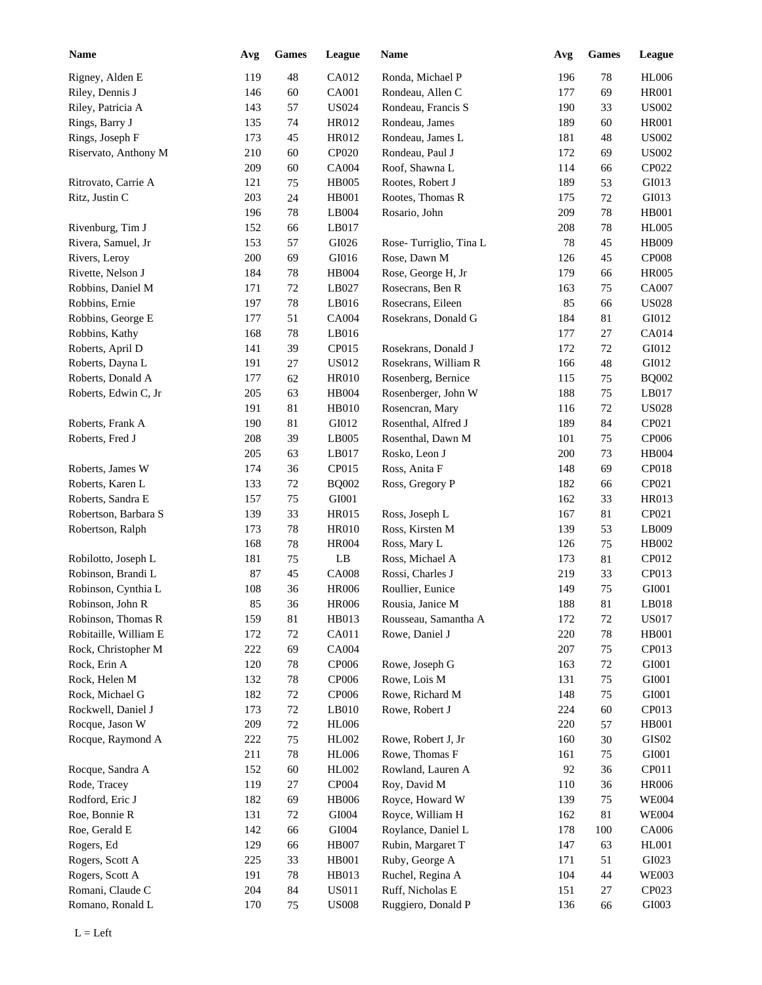| <b>Name</b>           | Avg | <b>Games</b> | League       | Name                   | Avg        | <b>Games</b> | <b>League</b> |
|-----------------------|-----|--------------|--------------|------------------------|------------|--------------|---------------|
| Rigney, Alden E       | 119 | 48           | CA012        | Ronda, Michael P       | 196        | 78           | <b>HL006</b>  |
| Riley, Dennis J       | 146 | 60           | CA001        | Rondeau, Allen C       | 177        | 69           | <b>HR001</b>  |
| Riley, Patricia A     | 143 | 57           | <b>US024</b> | Rondeau, Francis S     | 190        | 33           | <b>US002</b>  |
| Rings, Barry J        | 135 | 74           | HR012        | Rondeau, James         | 189        | 60           | <b>HR001</b>  |
| Rings, Joseph F       | 173 | 45           | HR012        | Rondeau, James L       | 181        | 48           | <b>US002</b>  |
| Riservato, Anthony M  | 210 | 60           | CP020        | Rondeau, Paul J        | 172        | 69           | <b>US002</b>  |
|                       | 209 | 60           | CA004        | Roof, Shawna L         | 114        | 66           | CP022         |
| Ritrovato, Carrie A   | 121 | 75           | <b>HB005</b> | Rootes, Robert J       | 189        | 53           | GI013         |
| Ritz, Justin C        | 203 | 24           | HB001        | Rootes, Thomas R       | 175        | 72           | GI013         |
|                       | 196 | 78           | LB004        | Rosario, John          | 209        | 78           | <b>HB001</b>  |
| Rivenburg, Tim J      | 152 | 66           | LB017        |                        | 208        | 78           | <b>HL005</b>  |
| Rivera, Samuel, Jr    | 153 | 57           | GI026        | Rose-Turriglio, Tina L | 78         | 45           | <b>HB009</b>  |
| Rivers, Leroy         | 200 | 69           | GI016        | Rose, Dawn M           | 126        | 45           | <b>CP008</b>  |
| Rivette, Nelson J     | 184 | 78           | HB004        | Rose, George H, Jr     | 179        | 66           | <b>HR005</b>  |
| Robbins, Daniel M     | 171 | 72           | LB027        | Rosecrans, Ben R       | 163        | 75           | CA007         |
| Robbins, Ernie        | 197 | 78           | LB016        | Rosecrans, Eileen      | 85         | 66           | <b>US028</b>  |
| Robbins, George E     | 177 | 51           | CA004        | Rosekrans, Donald G    | 184        | 81           | GI012         |
| Robbins, Kathy        | 168 | 78           | LB016        |                        | 177        | 27           | CA014         |
| Roberts, April D      | 141 | 39           | CP015        | Rosekrans, Donald J    | 172        | 72           | GI012         |
| Roberts, Dayna L      | 191 | 27           | <b>US012</b> | Rosekrans, William R   | 166        | 48           | GI012         |
| Roberts, Donald A     | 177 | 62           | <b>HR010</b> | Rosenberg, Bernice     | 115        | 75           | <b>BQ002</b>  |
| Roberts, Edwin C, Jr  | 205 | 63           | <b>HB004</b> | Rosenberger, John W    | 188        | 75           | LB017         |
|                       | 191 | 81           | HB010        | Rosencran, Mary        | 116        | 72           | <b>US028</b>  |
| Roberts, Frank A      | 190 | 81           | GI012        | Rosenthal, Alfred J    | 189        | 84           | CP021         |
| Roberts, Fred J       | 208 | 39           | LB005        | Rosenthal, Dawn M      | 101        | 75           | CP006         |
|                       | 205 | 63           | LB017        | Rosko, Leon J          | 200        | 73           | <b>HB004</b>  |
| Roberts, James W      | 174 | 36           | CP015        | Ross, Anita F          | 148        | 69           | <b>CP018</b>  |
| Roberts, Karen L      | 133 | 72           | <b>BQ002</b> | Ross, Gregory P        | 182        | 66           | CP021         |
| Roberts, Sandra E     | 157 | 75           | GI001        |                        | 162        | 33           | <b>HR013</b>  |
| Robertson, Barbara S  | 139 | 33           | HR015        | Ross, Joseph L         | 167        | 81           | CP021         |
| Robertson, Ralph      | 173 | 78           | <b>HR010</b> | Ross, Kirsten M        | 139        | 53           | LB009         |
|                       | 168 | 78           | <b>HR004</b> | Ross, Mary L           | 126        | 75           | HB002         |
| Robilotto, Joseph L   | 181 | 75           | LB           | Ross, Michael A        | 173        | 81           | CP012         |
| Robinson, Brandi L    | 87  | 45           | <b>CA008</b> | Rossi, Charles J       | 219        | 33           | CP013         |
| Robinson, Cynthia L   | 108 | 36           | <b>HR006</b> | Roullier, Eunice       | 149        | 75           | GI001         |
| Robinson, John R      | 85  | 36           | <b>HR006</b> | Rousia, Janice M       | 188        | 81           | LB018         |
| Robinson, Thomas R    | 159 | 81           | HB013        | Rousseau, Samantha A   | 172        | 72           | <b>US017</b>  |
| Robitaille, William E | 172 | 72           | CA011        | Rowe, Daniel J         | 220        | $78\,$       | <b>HB001</b>  |
| Rock, Christopher M   | 222 | 69           | CA004        |                        | 207        | 75           | CP013         |
| Rock, Erin A          | 120 | 78           | CP006        | Rowe, Joseph G         | 163        | 72           | GI001         |
| Rock, Helen M         | 132 | 78           | CP006        | Rowe, Lois M           | 131        | 75           | GI001         |
| Rock, Michael G       | 182 | 72           | CP006        | Rowe, Richard M        | 148        | 75           | GI001         |
| Rockwell, Daniel J    | 173 | 72           | LB010        | Rowe, Robert J         | 224        | 60           | CP013         |
| Rocque, Jason W       | 209 | 72           | <b>HL006</b> |                        | 220        | 57           | <b>HB001</b>  |
| Rocque, Raymond A     | 222 | 75           | HL002        | Rowe, Robert J, Jr     | 160        | 30           | GIS02         |
|                       | 211 | 78           | <b>HL006</b> | Rowe, Thomas F         | 161        | 75           | GI001         |
| Rocque, Sandra A      | 152 | 60           | HL002        | Rowland, Lauren A      | 92         | 36           | CP011         |
| Rode, Tracey          | 119 | 27           | CP004        | Roy, David M           | 110        | 36           | <b>HR006</b>  |
| Rodford, Eric J       | 182 | 69           | <b>HB006</b> | Royce, Howard W        | 139        | 75           | <b>WE004</b>  |
| Roe, Bonnie R         | 131 | 72           | GI004        | Royce, William H       | 162        | 81           | <b>WE004</b>  |
| Roe, Gerald E         | 142 | 66           | GI004        | Roylance, Daniel L     | 178        | 100          | CA006         |
| Rogers, Ed            | 129 | 66           | <b>HB007</b> | Rubin, Margaret T      | 147        | 63           | HL001         |
| Rogers, Scott A       | 225 | 33           | HB001        | Ruby, George A         |            | 51           | GI023         |
| Rogers, Scott A       | 191 | 78           | HB013        | Ruchel, Regina A       | 171<br>104 | 44           | <b>WE003</b>  |
| Romani, Claude C      | 204 |              | <b>US011</b> | Ruff, Nicholas E       |            |              | CP023         |
|                       |     | 84           |              |                        | 151        | 27           |               |
| Romano, Ronald L      | 170 | 75           | <b>US008</b> | Ruggiero, Donald P     | 136        | 66           | GI003         |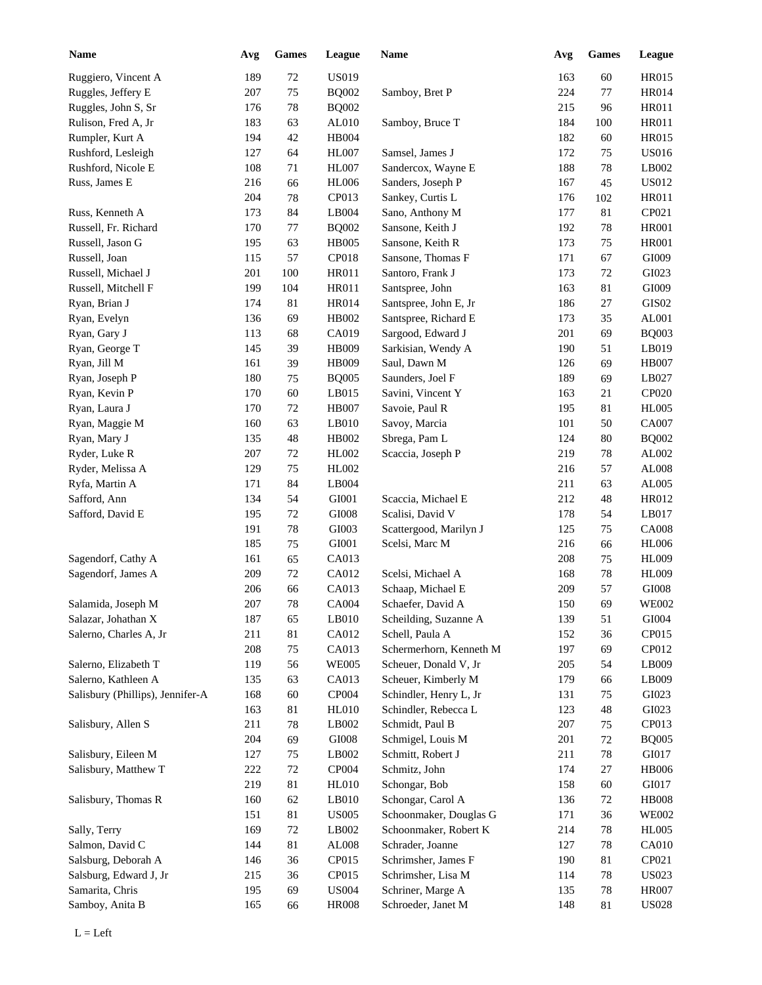| <b>Name</b>                      | Avg | <b>Games</b> | League       | <b>Name</b>             | Avg | <b>Games</b> | League       |
|----------------------------------|-----|--------------|--------------|-------------------------|-----|--------------|--------------|
| Ruggiero, Vincent A              | 189 | $72\,$       | <b>US019</b> |                         | 163 | 60           | <b>HR015</b> |
| Ruggles, Jeffery E               | 207 | $75\,$       | <b>BQ002</b> | Samboy, Bret P          | 224 | 77           | HR014        |
| Ruggles, John S, Sr              | 176 | 78           | <b>BQ002</b> |                         | 215 | 96           | HR011        |
| Rulison, Fred A, Jr              | 183 | 63           | AL010        | Samboy, Bruce T         | 184 | 100          | HR011        |
| Rumpler, Kurt A                  | 194 | 42           | HB004        |                         | 182 | 60           | <b>HR015</b> |
| Rushford, Lesleigh               | 127 | 64           | HL007        | Samsel, James J         | 172 | 75           | <b>US016</b> |
| Rushford, Nicole E               | 108 | 71           | <b>HL007</b> | Sandercox, Wayne E      | 188 | 78           | LB002        |
| Russ, James E                    | 216 | 66           | <b>HL006</b> | Sanders, Joseph P       | 167 | 45           | <b>US012</b> |
|                                  | 204 | 78           | CP013        | Sankey, Curtis L        | 176 | 102          | <b>HR011</b> |
| Russ, Kenneth A                  | 173 | 84           | LB004        | Sano, Anthony M         | 177 | 81           | CP021        |
| Russell, Fr. Richard             | 170 | $77\,$       | <b>BQ002</b> | Sansone, Keith J        | 192 | 78           | <b>HR001</b> |
| Russell, Jason G                 | 195 | 63           | <b>HB005</b> | Sansone, Keith R        | 173 | 75           | <b>HR001</b> |
| Russell, Joan                    | 115 | 57           | CP018        | Sansone, Thomas F       | 171 | 67           | GI009        |
| Russell, Michael J               | 201 | 100          | HR011        | Santoro, Frank J        | 173 | 72           | GI023        |
| Russell, Mitchell F              | 199 | 104          | HR011        | Santspree, John         | 163 | 81           | GI009        |
|                                  | 174 | 81           | <b>HR014</b> | Santspree, John E, Jr   | 186 | 27           | GIS02        |
| Ryan, Brian J                    | 136 | 69           | HB002        | Santspree, Richard E    | 173 | 35           | AL001        |
| Ryan, Evelyn                     |     |              |              |                         |     |              |              |
| Ryan, Gary J                     | 113 | 68           | CA019        | Sargood, Edward J       | 201 | 69           | <b>BQ003</b> |
| Ryan, George T                   | 145 | 39           | HB009        | Sarkisian, Wendy A      | 190 | 51           | LB019        |
| Ryan, Jill M                     | 161 | 39           | HB009        | Saul, Dawn M            | 126 | 69           | <b>HB007</b> |
| Ryan, Joseph P                   | 180 | 75           | <b>BQ005</b> | Saunders, Joel F        | 189 | 69           | LB027        |
| Ryan, Kevin P                    | 170 | 60           | LB015        | Savini, Vincent Y       | 163 | 21           | CP020        |
| Ryan, Laura J                    | 170 | 72           | <b>HB007</b> | Savoie, Paul R          | 195 | 81           | <b>HL005</b> |
| Ryan, Maggie M                   | 160 | 63           | LB010        | Savoy, Marcia           | 101 | 50           | CA007        |
| Ryan, Mary J                     | 135 | 48           | HB002        | Sbrega, Pam L           | 124 | 80           | <b>BQ002</b> |
| Ryder, Luke R                    | 207 | 72           | HL002        | Scaccia, Joseph P       | 219 | 78           | AL002        |
| Ryder, Melissa A                 | 129 | 75           | HL002        |                         | 216 | 57           | AL008        |
| Ryfa, Martin A                   | 171 | 84           | LB004        |                         | 211 | 63           | AL005        |
| Safford, Ann                     | 134 | 54           | GI001        | Scaccia, Michael E      | 212 | 48           | HR012        |
| Safford, David E                 | 195 | 72           | GI008        | Scalisi, David V        | 178 | 54           | LB017        |
|                                  | 191 | 78           | GI003        | Scattergood, Marilyn J  | 125 | 75           | <b>CA008</b> |
|                                  | 185 | 75           | GI001        | Scelsi, Marc M          | 216 | 66           | <b>HL006</b> |
| Sagendorf, Cathy A               | 161 | 65           | CA013        |                         | 208 | 75           | <b>HL009</b> |
| Sagendorf, James A               | 209 | $72\,$       | CA012        | Scelsi, Michael A       | 168 | 78           | <b>HL009</b> |
|                                  | 206 | 66           | CA013        | Schaap, Michael E       | 209 | 57           | GI008        |
| Salamida, Joseph M               | 207 | $78\,$       | CA004        | Schaefer, David A       | 150 | 69           | <b>WE002</b> |
| Salazar, Johathan X              | 187 | 65           | LB010        | Scheilding, Suzanne A   | 139 | 51           | GI004        |
| Salerno, Charles A, Jr           | 211 | $81\,$       | CA012        | Schell, Paula A         | 152 | 36           | CP015        |
|                                  | 208 | 75           | CA013        | Schermerhorn, Kenneth M | 197 | 69           | CP012        |
| Salerno, Elizabeth T             | 119 | 56           | <b>WE005</b> | Scheuer, Donald V, Jr   | 205 | 54           | LB009        |
| Salerno, Kathleen A              | 135 | 63           | CA013        | Scheuer, Kimberly M     | 179 | 66           | LB009        |
| Salisbury (Phillips), Jennifer-A | 168 | 60           | CP004        | Schindler, Henry L, Jr  | 131 | 75           | GI023        |
|                                  | 163 | 81           | <b>HL010</b> | Schindler, Rebecca L    | 123 | 48           | GI023        |
| Salisbury, Allen S               | 211 | 78           | LB002        | Schmidt, Paul B         | 207 | 75           | CP013        |
|                                  | 204 | 69           | GI008        | Schmigel, Louis M       | 201 | 72           | <b>BQ005</b> |
| Salisbury, Eileen M              | 127 | 75           | LB002        | Schmitt, Robert J       | 211 | 78           | GI017        |
| Salisbury, Matthew T             | 222 | $72\,$       | CP004        | Schmitz, John           | 174 | 27           | <b>HB006</b> |
|                                  | 219 | 81           | <b>HL010</b> | Schongar, Bob           | 158 | 60           | GI017        |
| Salisbury, Thomas R              | 160 | 62           | LB010        | Schongar, Carol A       | 136 | 72           | <b>HB008</b> |
|                                  | 151 | 81           | <b>US005</b> | Schoonmaker, Douglas G  | 171 | 36           | <b>WE002</b> |
| Sally, Terry                     | 169 | $72\,$       | LB002        | Schoonmaker, Robert K   | 214 | 78           | <b>HL005</b> |
| Salmon, David C                  | 144 | 81           | AL008        | Schrader, Joanne        | 127 | 78           | <b>CA010</b> |
| Salsburg, Deborah A              | 146 | 36           | CP015        | Schrimsher, James F     | 190 | 81           | CP021        |
| Salsburg, Edward J, Jr           | 215 | 36           | CP015        | Schrimsher, Lisa M      | 114 | 78           | <b>US023</b> |
| Samarita, Chris                  | 195 |              | <b>US004</b> |                         | 135 |              | <b>HR007</b> |
|                                  |     | 69           |              | Schriner, Marge A       |     | 78           |              |
| Samboy, Anita B                  | 165 | 66           | <b>HR008</b> | Schroeder, Janet M      | 148 | 81           | <b>US028</b> |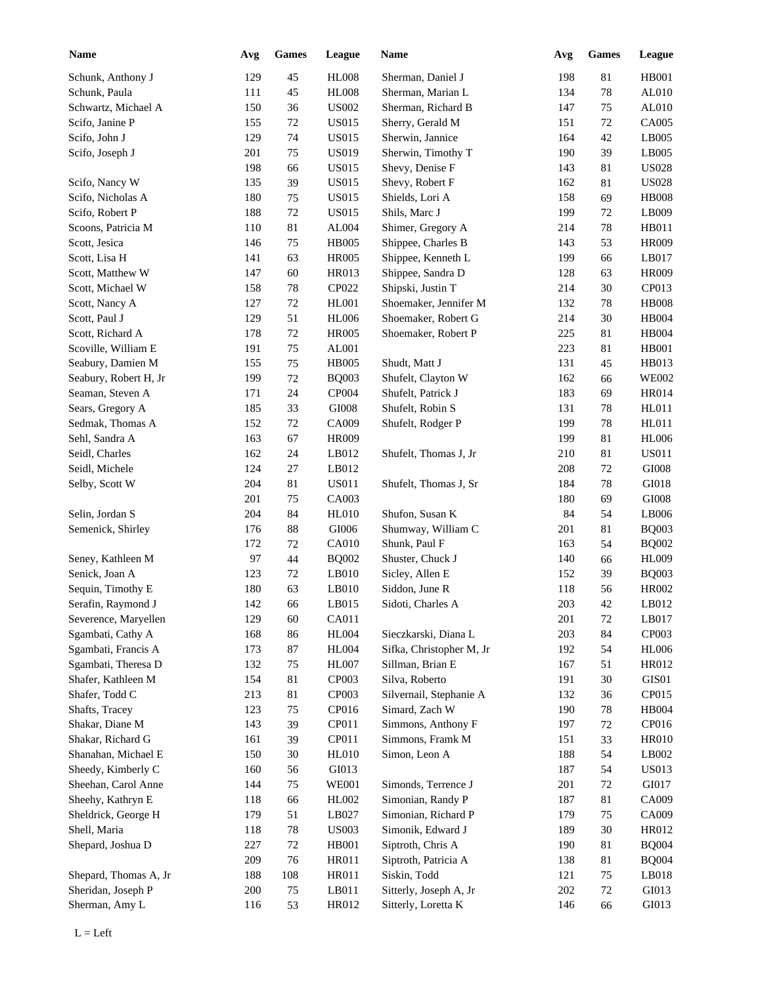| <b>Name</b>                             | Avg | <b>Games</b> | League       | Name                     | Avg        | <b>Games</b> | League       |
|-----------------------------------------|-----|--------------|--------------|--------------------------|------------|--------------|--------------|
| Schunk, Anthony J                       | 129 | 45           | <b>HL008</b> | Sherman, Daniel J        | 198        | $81\,$       | HB001        |
| Schunk, Paula                           | 111 | 45           | <b>HL008</b> | Sherman, Marian L        | 134        | 78           | AL010        |
| Schwartz, Michael A                     | 150 | 36           | <b>US002</b> | Sherman, Richard B       | 147        | 75           | AL010        |
| Scifo, Janine P                         | 155 | $72\,$       | <b>US015</b> | Sherry, Gerald M         | 151        | 72           | CA005        |
| Scifo, John J                           | 129 | 74           | <b>US015</b> | Sherwin, Jannice         | 164        | 42           | LB005        |
| Scifo, Joseph J                         | 201 | 75           | <b>US019</b> | Sherwin, Timothy T       | 190        | 39           | LB005        |
|                                         | 198 | 66           | <b>US015</b> | Shevy, Denise F          | 143        | 81           | <b>US028</b> |
| Scifo, Nancy W                          | 135 | 39           | <b>US015</b> | Shevy, Robert F          | 162        | 81           | <b>US028</b> |
| Scifo, Nicholas A                       | 180 | 75           | <b>US015</b> | Shields, Lori A          | 158        | 69           | <b>HB008</b> |
| Scifo, Robert P                         | 188 | $72\,$       | <b>US015</b> | Shils, Marc J            | 199        | 72           | LB009        |
| Scoons, Patricia M                      | 110 | $81\,$       | AL004        | Shimer, Gregory A        | 214        | 78           | HB011        |
| Scott, Jesica                           | 146 | 75           | <b>HB005</b> | Shippee, Charles B       | 143        | 53           | <b>HR009</b> |
| Scott, Lisa H                           | 141 | 63           | <b>HR005</b> | Shippee, Kenneth L       | 199        | 66           | LB017        |
| Scott, Matthew W                        | 147 | 60           | HR013        | Shippee, Sandra D        | 128        | 63           | <b>HR009</b> |
| Scott, Michael W                        | 158 | 78           | CP022        | Shipski, Justin T        | 214        | 30           | CP013        |
| Scott, Nancy A                          | 127 | 72           | HL001        | Shoemaker, Jennifer M    | 132        | 78           | <b>HB008</b> |
| Scott, Paul J                           | 129 | 51           | <b>HL006</b> | Shoemaker, Robert G      | 214        | 30           | HB004        |
| Scott, Richard A                        | 178 | $72\,$       | <b>HR005</b> | Shoemaker, Robert P      | 225        | 81           | HB004        |
| Scoville, William E                     | 191 | 75           | AL001        |                          | 223        | 81           | <b>HB001</b> |
| Seabury, Damien M                       | 155 | 75           | <b>HB005</b> | Shudt, Matt J            | 131        | 45           | HB013        |
| Seabury, Robert H, Jr                   | 199 | 72           | <b>BQ003</b> | Shufelt, Clayton W       | 162        | 66           | <b>WE002</b> |
| Seaman, Steven A                        | 171 | 24           | CP004        | Shufelt, Patrick J       | 183        | 69           | <b>HR014</b> |
| Sears, Gregory A                        | 185 | 33           | GI008        | Shufelt, Robin S         | 131        | 78           | HL011        |
| Sedmak, Thomas A                        | 152 | 72           | CA009        | Shufelt, Rodger P        | 199        | 78           | HL011        |
| Sehl, Sandra A                          | 163 | 67           | HR009        |                          | 199        | 81           | <b>HL006</b> |
| Seidl, Charles                          | 162 | 24           | LB012        | Shufelt, Thomas J, Jr    | 210        | $81\,$       | <b>US011</b> |
| Seidl, Michele                          | 124 | $27\,$       | LB012        |                          | 208        | 72           | $\rm GIO08$  |
| Selby, Scott W                          | 204 | $81\,$       | <b>US011</b> | Shufelt, Thomas J, Sr    | 184        | 78           | GI018        |
|                                         | 201 | 75           | CA003        |                          | 180        | 69           | $\rm GIO08$  |
| Selin, Jordan S                         | 204 | 84           | HL010        | Shufon, Susan K          | 84         | 54           | LB006        |
| Semenick, Shirley                       | 176 | 88           | GI006        | Shumway, William C       | 201        | 81           | <b>BQ003</b> |
|                                         | 172 | 72           | CA010        | Shunk, Paul F            | 163        | 54           | <b>BQ002</b> |
|                                         | 97  |              |              |                          |            |              |              |
| Seney, Kathleen M<br>Senick, Joan A     |     | 44           | <b>BQ002</b> | Shuster, Chuck J         | 140        | 66           | <b>HL009</b> |
|                                         | 123 | $72\,$<br>63 | $L$ B010     | Sicley, Allen E          | 152<br>118 | 39<br>56     | <b>BQ003</b> |
| Sequin, Timothy E<br>Serafin, Raymond J | 180 |              | LB010        | Siddon, June R           |            |              | <b>HR002</b> |
|                                         | 142 | 66           | LB015        | Sidoti, Charles A        | 203        | 42           | LB012        |
| Severence, Maryellen                    | 129 | 60           | CA011        |                          | 201        | $72\,$       | LB017        |
| Sgambati, Cathy A                       | 168 | 86           | <b>HL004</b> | Sieczkarski, Diana L     | 203        | 84           | CP003        |
| Sgambati, Francis A                     | 173 | $87\,$       | <b>HL004</b> | Sifka, Christopher M, Jr | 192        | 54           | <b>HL006</b> |
| Sgambati, Theresa D                     | 132 | 75           | <b>HL007</b> | Sillman, Brian E         | 167        | 51           | HR012        |
| Shafer, Kathleen M                      | 154 | $81\,$       | CP003        | Silva, Roberto           | 191        | 30           | GIS01        |
| Shafer, Todd C                          | 213 | 81           | CP003        | Silvernail, Stephanie A  | 132        | 36           | CP015        |
| Shafts, Tracey                          | 123 | 75           | CP016        | Simard, Zach W           | 190        | 78           | HB004        |
| Shakar, Diane M                         | 143 | 39           | CP011        | Simmons, Anthony F       | 197        | 72           | CP016        |
| Shakar, Richard G                       | 161 | 39           | CP011        | Simmons, Framk M         | 151        | 33           | <b>HR010</b> |
| Shanahan, Michael E                     | 150 | $30\,$       | <b>HL010</b> | Simon, Leon A            | 188        | 54           | LB002        |
| Sheedy, Kimberly C                      | 160 | 56           | GI013        |                          | 187        | 54           | <b>US013</b> |
| Sheehan, Carol Anne                     | 144 | 75           | <b>WE001</b> | Simonds, Terrence J      | 201        | $72\,$       | GI017        |
| Sheehy, Kathryn E                       | 118 | 66           | HL002        | Simonian, Randy P        | 187        | 81           | CA009        |
| Sheldrick, George H                     | 179 | 51           | LB027        | Simonian, Richard P      | 179        | $75\,$       | CA009        |
| Shell, Maria                            | 118 | $78\,$       | <b>US003</b> | Simonik, Edward J        | 189        | $30\,$       | HR012        |
| Shepard, Joshua D                       | 227 | $72\,$       | $\rm HB001$  | Siptroth, Chris A        | 190        | 81           | <b>BQ004</b> |
|                                         | 209 | 76           | HR011        | Siptroth, Patricia A     | 138        | 81           | <b>BQ004</b> |
| Shepard, Thomas A, Jr                   | 188 | 108          | HR011        | Siskin, Todd             | 121        | $75\,$       | LB018        |
| Sheridan, Joseph P                      | 200 | 75           | LB011        | Sitterly, Joseph A, Jr   | 202        | $72\,$       | GI013        |
| Sherman, Amy L                          | 116 | 53           | HR012        | Sitterly, Loretta K      | 146        | 66           | GI013        |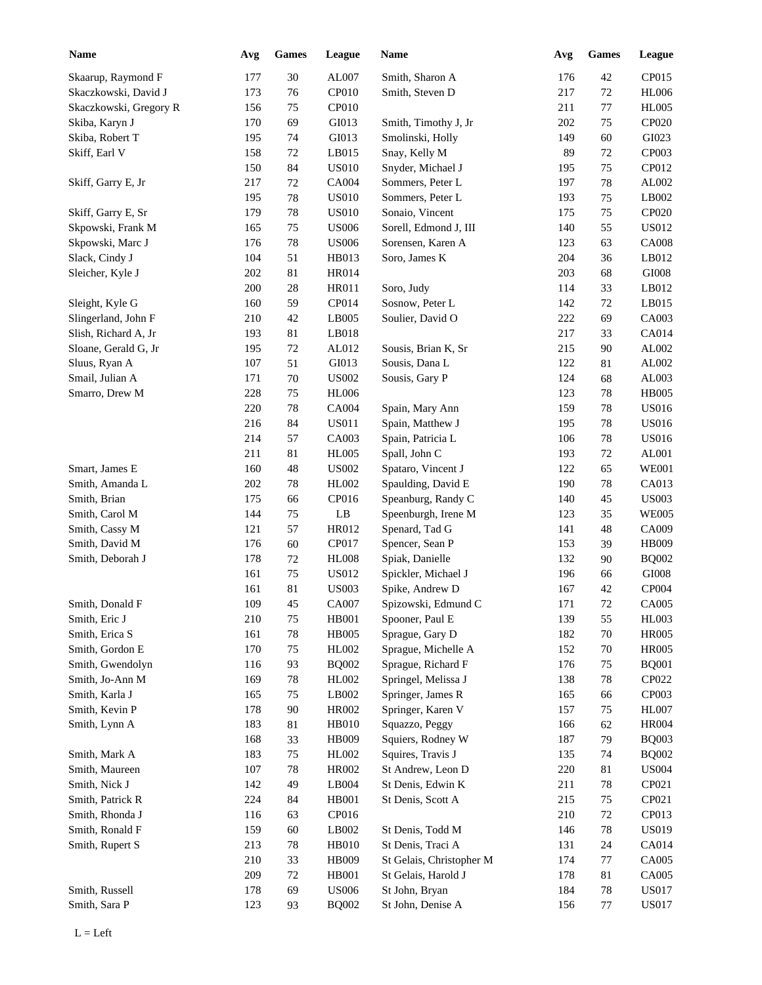| <b>Name</b>            | Avg | <b>Games</b> | League                        | <b>Name</b>              | Avg | ${\bf Games}$ | <b>League</b> |
|------------------------|-----|--------------|-------------------------------|--------------------------|-----|---------------|---------------|
| Skaarup, Raymond F     | 177 | $30\,$       | AL007                         | Smith, Sharon A          | 176 | 42            | CP015         |
| Skaczkowski, David J   | 173 | 76           | CP010                         | Smith, Steven D          | 217 | 72            | <b>HL006</b>  |
| Skaczkowski, Gregory R | 156 | $75\,$       | CP010                         |                          | 211 | 77            | <b>HL005</b>  |
| Skiba, Karyn J         | 170 | 69           | GI013                         | Smith, Timothy J, Jr     | 202 | 75            | CP020         |
| Skiba, Robert T        | 195 | 74           | GI013                         | Smolinski, Holly         | 149 | 60            | GI023         |
| Skiff, Earl V          | 158 | $72\,$       | LB015                         | Snay, Kelly M            | 89  | 72            | CP003         |
|                        | 150 | 84           | <b>US010</b>                  | Snyder, Michael J        | 195 | 75            | CP012         |
| Skiff, Garry E, Jr     | 217 | $72\,$       | CA004                         | Sommers, Peter L         | 197 | 78            | AL002         |
|                        | 195 | 78           | $\ensuremath{\mathsf{USO10}}$ | Sommers, Peter L         | 193 | 75            | LB002         |
| Skiff, Garry E, Sr     | 179 | $78\,$       | $\ensuremath{\mathsf{USO10}}$ | Sonaio, Vincent          | 175 | 75            | CP020         |
| Skpowski, Frank M      | 165 | 75           | <b>US006</b>                  | Sorell, Edmond J, III    | 140 | 55            | <b>US012</b>  |
| Skpowski, Marc J       | 176 | $78\,$       | <b>US006</b>                  | Sorensen, Karen A        | 123 | 63            | <b>CA008</b>  |
| Slack, Cindy J         | 104 | 51           | HB013                         | Soro, James K            | 204 | 36            | LB012         |
| Sleicher, Kyle J       | 202 | 81           | <b>HR014</b>                  |                          | 203 | 68            | $\rm GIO08$   |
|                        | 200 | 28           | HR011                         | Soro, Judy               | 114 | 33            | LB012         |
| Sleight, Kyle G        | 160 | 59           | CP014                         | Sosnow, Peter L          | 142 | 72            | LB015         |
| Slingerland, John F    | 210 | 42           | LB005                         | Soulier, David O         | 222 | 69            | CA003         |
| Slish, Richard A, Jr   | 193 | 81           | LB018                         |                          | 217 | 33            | CA014         |
| Sloane, Gerald G, Jr   |     | 72           |                               |                          |     |               | AL002         |
|                        | 195 |              | AL012<br>GI013                | Sousis, Brian K, Sr      | 215 | 90            |               |
| Sluus, Ryan A          | 107 | 51           |                               | Sousis, Dana L           | 122 | 81            | AL002         |
| Smail, Julian A        | 171 | 70           | ${\bf USO02}$                 | Sousis, Gary P           | 124 | 68            | AL003         |
| Smarro, Drew M         | 228 | 75           | <b>HL006</b>                  |                          | 123 | 78            | <b>HB005</b>  |
|                        | 220 | 78           | CA004                         | Spain, Mary Ann          | 159 | 78            | <b>US016</b>  |
|                        | 216 | 84           | <b>US011</b>                  | Spain, Matthew J         | 195 | 78            | <b>US016</b>  |
|                        | 214 | 57           | CA003                         | Spain, Patricia L        | 106 | $78\,$        | <b>US016</b>  |
|                        | 211 | $81\,$       | <b>HL005</b>                  | Spall, John C            | 193 | 72            | AL001         |
| Smart, James E         | 160 | 48           | <b>US002</b>                  | Spataro, Vincent J       | 122 | 65            | <b>WE001</b>  |
| Smith, Amanda L        | 202 | 78           | HL002                         | Spaulding, David E       | 190 | 78            | CA013         |
| Smith, Brian           | 175 | 66           | CP016                         | Speanburg, Randy C       | 140 | 45            | <b>US003</b>  |
| Smith, Carol M         | 144 | $75\,$       | $\rm LB$                      | Speenburgh, Irene M      | 123 | 35            | <b>WE005</b>  |
| Smith, Cassy M         | 121 | 57           | HR012                         | Spenard, Tad G           | 141 | 48            | CA009         |
| Smith, David M         | 176 | 60           | CP017                         | Spencer, Sean P          | 153 | 39            | HB009         |
| Smith, Deborah J       | 178 | 72           | <b>HL008</b>                  | Spiak, Danielle          | 132 | 90            | <b>BQ002</b>  |
|                        | 161 | 75           | <b>US012</b>                  | Spickler, Michael J      | 196 | 66            | $\rm GIO08$   |
|                        | 161 | $81\,$       | <b>US003</b>                  | Spike, Andrew D          | 167 | 42            | CP004         |
| Smith, Donald F        | 109 | 45           | CA007                         | Spizowski, Edmund C      | 171 | $72\,$        | CA005         |
| Smith, Eric J          | 210 | 75           | HB001                         | Spooner, Paul E          | 139 | 55            | HL003         |
| Smith, Erica S         | 161 | $78\,$       | <b>HB005</b>                  | Sprague, Gary D          | 182 | $70\,$        | <b>HR005</b>  |
| Smith, Gordon E        | 170 | 75           | HL002                         | Sprague, Michelle A      | 152 | $70\,$        | <b>HR005</b>  |
| Smith, Gwendolyn       | 116 | 93           | <b>BQ002</b>                  | Sprague, Richard F       | 176 | 75            | <b>BQ001</b>  |
| Smith, Jo-Ann M        | 169 | $78\,$       | HL002                         | Springel, Melissa J      | 138 | 78            | CP022         |
| Smith, Karla J         | 165 | 75           | LB002                         | Springer, James R        | 165 | 66            | CP003         |
| Smith, Kevin P         | 178 | $90\,$       | HR002                         | Springer, Karen V        | 157 | 75            | <b>HL007</b>  |
| Smith, Lynn A          | 183 | 81           | <b>HB010</b>                  | Squazzo, Peggy           | 166 | 62            | <b>HR004</b>  |
|                        | 168 | 33           | HB009                         | Squiers, Rodney W        | 187 | 79            | <b>BQ003</b>  |
| Smith, Mark A          | 183 | 75           | HL002                         | Squires, Travis J        | 135 | 74            | <b>BQ002</b>  |
| Smith, Maureen         | 107 | $78\,$       | HR002                         | St Andrew, Leon D        | 220 | 81            | <b>US004</b>  |
| Smith, Nick J          | 142 | 49           | LB004                         | St Denis, Edwin K        | 211 | 78            | CP021         |
| Smith, Patrick R       | 224 | 84           | HB001                         | St Denis, Scott A        | 215 | $75\,$        | CP021         |
| Smith, Rhonda J        | 116 | 63           | CP016                         |                          | 210 | $72\,$        | CP013         |
| Smith, Ronald F        | 159 | 60           | LB002                         | St Denis, Todd M         | 146 | 78            | <b>US019</b>  |
| Smith, Rupert S        | 213 | 78           | <b>HB010</b>                  | St Denis, Traci A        |     | 24            | CA014         |
|                        |     |              |                               |                          | 131 |               | CA005         |
|                        | 210 | 33           | HB009                         | St Gelais, Christopher M | 174 | 77            |               |
|                        | 209 | $72\,$       | HB001                         | St Gelais, Harold J      | 178 | 81            | CA005         |
| Smith, Russell         | 178 | 69           | <b>US006</b>                  | St John, Bryan           | 184 | 78            | <b>US017</b>  |
| Smith, Sara P          | 123 | 93           | <b>BQ002</b>                  | St John, Denise A        | 156 | 77            | <b>US017</b>  |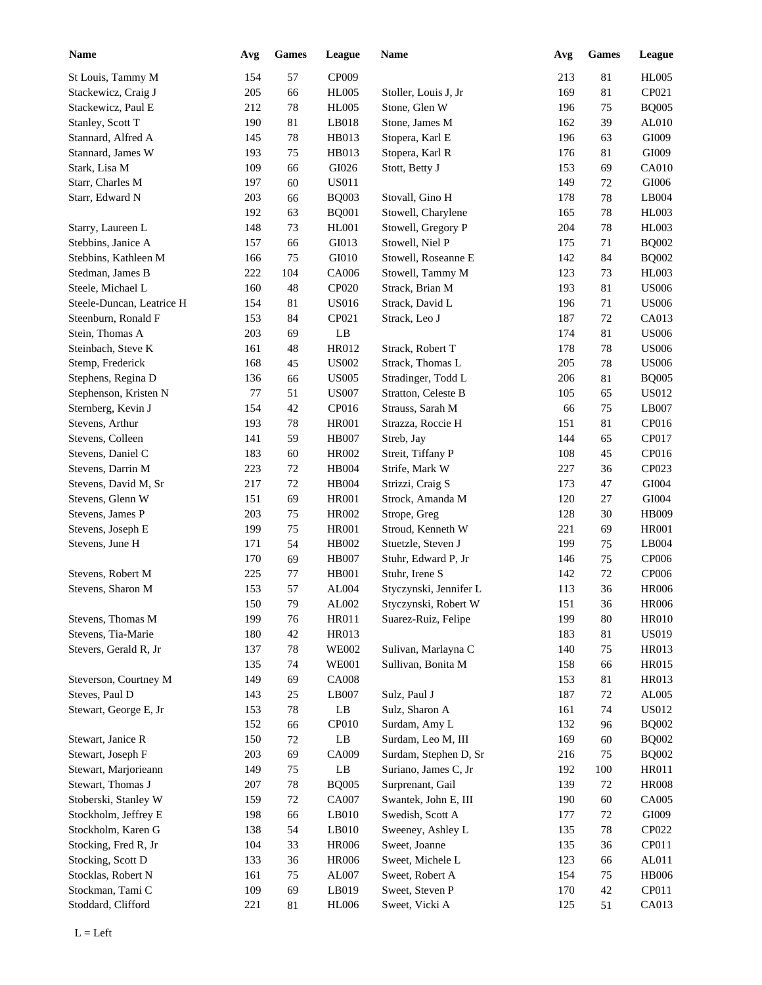| <b>Name</b>               | Avg | <b>Games</b> | League                 | Name                   | Avg | <b>Games</b> | League        |
|---------------------------|-----|--------------|------------------------|------------------------|-----|--------------|---------------|
| St Louis, Tammy M         | 154 | 57           | CP009                  |                        | 213 | 81           | <b>HL005</b>  |
| Stackewicz, Craig J       | 205 | 66           | <b>HL005</b>           | Stoller, Louis J, Jr   | 169 | 81           | CP021         |
| Stackewicz, Paul E        | 212 | 78           | <b>HL005</b>           | Stone, Glen W          | 196 | 75           | <b>BQ005</b>  |
| Stanley, Scott T          | 190 | 81           | LB018                  | Stone, James M         | 162 | 39           | AL010         |
| Stannard, Alfred A        | 145 | $78\,$       | HB013                  | Stopera, Karl E        | 196 | 63           | GI009         |
| Stannard, James W         | 193 | 75           | HB013                  | Stopera, Karl R        | 176 | 81           | GI009         |
| Stark, Lisa M             | 109 | 66           | GI026                  | Stott, Betty J         | 153 | 69           | CA010         |
| Starr, Charles M          | 197 | 60           | <b>US011</b>           |                        | 149 | 72           | GI006         |
| Starr, Edward N           | 203 | 66           | <b>BQ003</b>           | Stovall, Gino H        | 178 | 78           | LB004         |
|                           | 192 | 63           | <b>BQ001</b>           | Stowell, Charylene     | 165 | 78           | HL003         |
| Starry, Laureen L         | 148 | 73           | <b>HL001</b>           | Stowell, Gregory P     | 204 | 78           | <b>HL003</b>  |
| Stebbins, Janice A        | 157 | 66           | GI013                  | Stowell, Niel P        | 175 | 71           | <b>BQ002</b>  |
| Stebbins, Kathleen M      | 166 | 75           | GI010                  | Stowell, Roseanne E    | 142 | 84           | <b>BQ002</b>  |
| Stedman, James B          | 222 | 104          | CA006                  | Stowell, Tammy M       | 123 | 73           | HL003         |
| Steele, Michael L         | 160 | 48           | CP020                  | Strack, Brian M        | 193 | 81           | <b>US006</b>  |
| Steele-Duncan, Leatrice H | 154 | 81           | <b>US016</b>           | Strack, David L        | 196 | 71           | <b>US006</b>  |
| Steenburn, Ronald F       | 153 | 84           | CP021                  | Strack, Leo J          | 187 | 72           | CA013         |
| Stein, Thomas A           | 203 | 69           | LB                     |                        | 174 | 81           | <b>US006</b>  |
| Steinbach, Steve K        | 161 | 48           | HR012                  | Strack, Robert T       | 178 | 78           | <b>US006</b>  |
|                           | 168 | 45           | <b>US002</b>           | Strack, Thomas L       | 205 | 78           | <b>US006</b>  |
| Stemp, Frederick          | 136 | 66           | <b>US005</b>           |                        | 206 | 81           | <b>BQ005</b>  |
| Stephens, Regina D        |     |              |                        | Stradinger, Todd L     |     |              |               |
| Stephenson, Kristen N     | 77  | 51           | <b>US007</b>           | Stratton, Celeste B    | 105 | 65           | US012         |
| Sternberg, Kevin J        | 154 | 42           | CP016                  | Strauss, Sarah M       | 66  | 75           | LB007         |
| Stevens, Arthur           | 193 | 78           | <b>HR001</b>           | Strazza, Roccie H      | 151 | 81           | CP016         |
| Stevens, Colleen          | 141 | 59           | <b>HB007</b>           | Streb, Jay             | 144 | 65           | CP017         |
| Stevens, Daniel C         | 183 | 60           | <b>HR002</b>           | Streit, Tiffany P      | 108 | 45           | CP016         |
| Stevens, Darrin M         | 223 | 72           | <b>HB004</b>           | Strife, Mark W         | 227 | 36           | CP023         |
| Stevens, David M, Sr      | 217 | 72           | <b>HB004</b>           | Strizzi, Craig S       | 173 | 47           | GI004         |
| Stevens, Glenn W          | 151 | 69           | <b>HR001</b>           | Strock, Amanda M       | 120 | 27           | GI004         |
| Stevens, James P          | 203 | 75           | <b>HR002</b>           | Strope, Greg           | 128 | 30           | HB009         |
| Stevens, Joseph E         | 199 | 75           | <b>HR001</b>           | Stroud, Kenneth W      | 221 | 69           | <b>HR001</b>  |
| Stevens, June H           | 171 | 54           | HB002                  | Stuetzle, Steven J     | 199 | 75           | LB004         |
|                           | 170 | 69           | <b>HB007</b>           | Stuhr, Edward P, Jr    | 146 | 75           | CP006         |
| Stevens, Robert M         | 225 | $77 \,$      | <b>HB001</b>           | Stuhr, Irene S         | 142 | $72\,$       | CP006         |
| Stevens, Sharon M         | 153 | 57           | AL004                  | Styczynski, Jennifer L | 113 | 36           | <b>HR006</b>  |
|                           | 150 | 79           | AL002                  | Styczynski, Robert W   | 151 | 36           | <b>HR006</b>  |
| Stevens, Thomas M         | 199 | 76           | HR011                  | Suarez-Ruiz, Felipe    | 199 | 80           | <b>HR010</b>  |
| Stevens, Tia-Marie        | 180 | $42\,$       | HR013                  |                        | 183 | 81           | <b>US019</b>  |
| Stevers, Gerald R, Jr     | 137 | $78\,$       | <b>WE002</b>           | Sulivan, Marlayna C    | 140 | 75           | HR013         |
|                           | 135 | 74           | <b>WE001</b>           | Sullivan, Bonita M     | 158 | 66           | HR015         |
| Steverson, Courtney M     | 149 | 69           | <b>CA008</b>           |                        | 153 | 81           | HR013         |
| Steves, Paul D            | 143 | 25           | LB007                  | Sulz, Paul J           | 187 | 72           | ${\rm AL005}$ |
| Stewart, George E, Jr     | 153 | 78           | $\mathbf{L}\mathbf{B}$ | Sulz, Sharon A         | 161 | 74           | <b>US012</b>  |
|                           | 152 | 66           | CP010                  | Surdam, Amy L          | 132 | 96           | <b>BQ002</b>  |
| Stewart, Janice R         | 150 | 72           | LB                     | Surdam, Leo M, III     | 169 | 60           | <b>BQ002</b>  |
| Stewart, Joseph F         | 203 | 69           | CA009                  | Surdam, Stephen D, Sr  | 216 | 75           | <b>BQ002</b>  |
| Stewart, Marjorieann      | 149 | 75           | LB                     | Suriano, James C, Jr   | 192 | 100          | HR011         |
| Stewart, Thomas J         | 207 | $78\,$       | <b>BQ005</b>           | Surprenant, Gail       | 139 | 72           | <b>HR008</b>  |
| Stoberski, Stanley W      | 159 | $72\,$       | CA007                  | Swantek, John E, III   | 190 | 60           | CA005         |
| Stockholm, Jeffrey E      | 198 | 66           | LB010                  | Swedish, Scott A       | 177 | 72           | GI009         |
| Stockholm, Karen G        | 138 | 54           | LB010                  | Sweeney, Ashley L      | 135 | 78           | CP022         |
| Stocking, Fred R, Jr      | 104 | 33           | <b>HR006</b>           | Sweet, Joanne          | 135 | 36           | CP011         |
| Stocking, Scott D         | 133 | 36           | <b>HR006</b>           | Sweet, Michele L       | 123 | 66           | AL011         |
| Stocklas, Robert N        | 161 | 75           | AL007                  | Sweet, Robert A        | 154 | 75           | <b>HB006</b>  |
| Stockman, Tami C          | 109 | 69           | LB019                  | Sweet, Steven P        | 170 | 42           | CP011         |
| Stoddard, Clifford        | 221 | 81           | <b>HL006</b>           | Sweet, Vicki A         | 125 | 51           | CA013         |
|                           |     |              |                        |                        |     |              |               |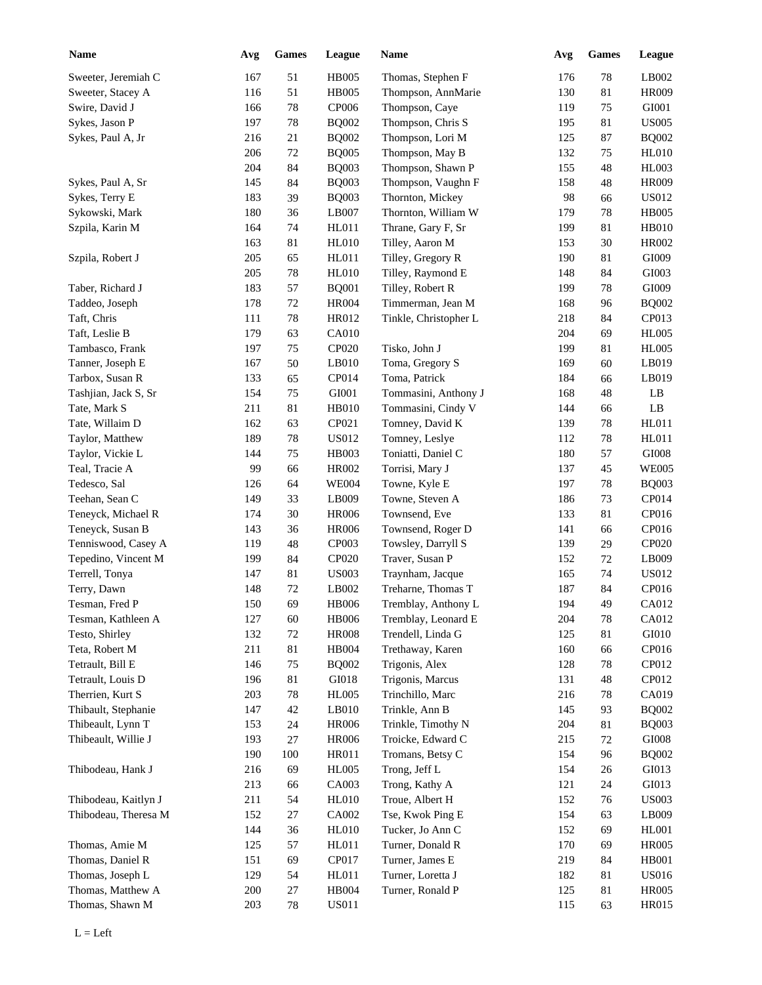| <b>Name</b>          | Avg | <b>Games</b> | League       | <b>Name</b>           | Avg | <b>Games</b> | League         |
|----------------------|-----|--------------|--------------|-----------------------|-----|--------------|----------------|
| Sweeter, Jeremiah C  | 167 | 51           | <b>HB005</b> | Thomas, Stephen F     | 176 | 78           | LB002          |
| Sweeter, Stacey A    | 116 | 51           | <b>HB005</b> | Thompson, AnnMarie    | 130 | 81           | <b>HR009</b>   |
| Swire, David J       | 166 | 78           | <b>CP006</b> | Thompson, Caye        | 119 | 75           | GI001          |
| Sykes, Jason P       | 197 | 78           | <b>BQ002</b> | Thompson, Chris S     | 195 | 81           | <b>US005</b>   |
| Sykes, Paul A, Jr    | 216 | 21           | <b>BQ002</b> | Thompson, Lori M      | 125 | 87           | <b>BQ002</b>   |
|                      | 206 | 72           | <b>BQ005</b> | Thompson, May B       | 132 | 75           | <b>HL010</b>   |
|                      | 204 | 84           | <b>BQ003</b> | Thompson, Shawn P     | 155 | 48           | <b>HL003</b>   |
| Sykes, Paul A, Sr    | 145 | 84           | <b>BQ003</b> | Thompson, Vaughn F    | 158 | 48           | <b>HR009</b>   |
| Sykes, Terry E       | 183 | 39           | <b>BQ003</b> | Thornton, Mickey      | 98  | 66           | <b>US012</b>   |
| Sykowski, Mark       | 180 | 36           | LB007        | Thornton, William W   | 179 | 78           | HB005          |
| Szpila, Karin M      | 164 | 74           | HL011        | Thrane, Gary F, Sr    | 199 | 81           | HB010          |
|                      | 163 | 81           | <b>HL010</b> | Tilley, Aaron M       | 153 | 30           | HR002          |
| Szpila, Robert J     | 205 | 65           | HL011        | Tilley, Gregory R     | 190 | 81           | GI009          |
|                      | 205 | 78           | <b>HL010</b> | Tilley, Raymond E     | 148 | 84           | GI003          |
| Taber, Richard J     | 183 | 57           | <b>BQ001</b> | Tilley, Robert R      | 199 | 78           | GI009          |
| Taddeo, Joseph       | 178 | 72           | <b>HR004</b> | Timmerman, Jean M     | 168 | 96           | <b>BQ002</b>   |
| Taft, Chris          | 111 | 78           | HR012        | Tinkle, Christopher L | 218 | 84           | CP013          |
| Taft, Leslie B       | 179 | 63           | <b>CA010</b> |                       | 204 | 69           | <b>HL005</b>   |
| Tambasco, Frank      | 197 | 75           | CP020        | Tisko, John J         | 199 | 81           | <b>HL005</b>   |
| Tanner, Joseph E     |     | 50           | LB010        | Toma, Gregory S       |     |              | LB019          |
|                      | 167 |              |              |                       | 169 | 60           |                |
| Tarbox, Susan R      | 133 | 65           | CP014        | Toma, Patrick         | 184 | 66           | LB019          |
| Tashjian, Jack S, Sr | 154 | 75           | GI001        | Tommasini, Anthony J  | 168 | 48           | LB             |
| Tate, Mark S         | 211 | 81           | <b>HB010</b> | Tommasini, Cindy V    | 144 | 66           | LB             |
| Tate, Willaim D      | 162 | 63           | CP021        | Tomney, David K       | 139 | 78           | HL011          |
| Taylor, Matthew      | 189 | 78           | <b>US012</b> | Tomney, Leslye        | 112 | 78           | HL011          |
| Taylor, Vickie L     | 144 | 75           | HB003        | Toniatti, Daniel C    | 180 | 57           | GI008          |
| Teal, Tracie A       | 99  | 66           | HR002        | Torrisi, Mary J       | 137 | 45           | <b>WE005</b>   |
| Tedesco, Sal         | 126 | 64           | <b>WE004</b> | Towne, Kyle E         | 197 | 78           | <b>BQ003</b>   |
| Teehan, Sean C       | 149 | 33           | LB009        | Towne, Steven A       | 186 | 73           | CP014          |
| Teneyck, Michael R   | 174 | 30           | <b>HR006</b> | Townsend, Eve         | 133 | 81           | CP016          |
| Teneyck, Susan B     | 143 | 36           | <b>HR006</b> | Townsend, Roger D     | 141 | 66           | CP016          |
| Tenniswood, Casey A  | 119 | 48           | CP003        | Towsley, Darryll S    | 139 | 29           | CP020          |
| Tepedino, Vincent M  | 199 | 84           | CP020        | Traver, Susan P       | 152 | 72           | LB009          |
| Terrell, Tonya       | 147 | 81           | <b>US003</b> | Traynham, Jacque      | 165 | 74           | <b>US012</b>   |
| Terry, Dawn          | 148 | 72           | LB002        | Treharne, Thomas T    | 187 | 84           | CP016          |
| Tesman, Fred P       | 150 | 69           | <b>HB006</b> | Tremblay, Anthony L   | 194 | 49           | CA012          |
| Tesman, Kathleen A   | 127 | 60           | <b>HB006</b> | Tremblay, Leonard E   | 204 | 78           | CA012          |
| Testo, Shirley       | 132 | 72           | <b>HR008</b> | Trendell, Linda G     | 125 | 81           | ${\rm G I}010$ |
| Teta, Robert M       | 211 | 81           | HB004        | Trethaway, Karen      | 160 | 66           | CP016          |
| Tetrault, Bill E     | 146 | 75           | <b>BQ002</b> | Trigonis, Alex        | 128 | 78           | CP012          |
| Tetrault, Louis D    | 196 | 81           | $\rm GI018$  | Trigonis, Marcus      | 131 | 48           | CP012          |
| Therrien, Kurt S     | 203 | 78           | <b>HL005</b> | Trinchillo, Marc      | 216 | 78           | CA019          |
| Thibault, Stephanie  | 147 | 42           | $L$ B010     | Trinkle, Ann B        | 145 | 93           | <b>BQ002</b>   |
| Thibeault, Lynn T    | 153 | 24           | <b>HR006</b> | Trinkle, Timothy N    | 204 | 81           | <b>BQ003</b>   |
| Thibeault, Willie J  | 193 | 27           | <b>HR006</b> | Troicke, Edward C     | 215 | 72           | GI008          |
|                      | 190 | 100          | HR011        | Tromans, Betsy C      | 154 | 96           | <b>BQ002</b>   |
|                      |     |              |              |                       |     |              |                |
| Thibodeau, Hank J    | 216 | 69           | <b>HL005</b> | Trong, Jeff L         | 154 | $26\,$       | GI013          |
|                      | 213 | 66           | CA003        | Trong, Kathy A        | 121 | 24           | GI013          |
| Thibodeau, Kaitlyn J | 211 | 54           | HL010        | Troue, Albert H       | 152 | 76           | <b>US003</b>   |
| Thibodeau, Theresa M | 152 | 27           | CA002        | Tse, Kwok Ping E      | 154 | 63           | LB009          |
|                      | 144 | 36           | HL010        | Tucker, Jo Ann C      | 152 | 69           | HL001          |
| Thomas, Amie M       | 125 | 57           | HL011        | Turner, Donald R      | 170 | 69           | <b>HR005</b>   |
| Thomas, Daniel R     | 151 | 69           | CP017        | Turner, James E       | 219 | 84           | <b>HB001</b>   |
| Thomas, Joseph L     | 129 | 54           | HL011        | Turner, Loretta J     | 182 | 81           | <b>US016</b>   |
| Thomas, Matthew A    | 200 | 27           | HB004        | Turner, Ronald P      | 125 | 81           | <b>HR005</b>   |
| Thomas, Shawn M      | 203 | 78           | <b>US011</b> |                       | 115 | 63           | HR015          |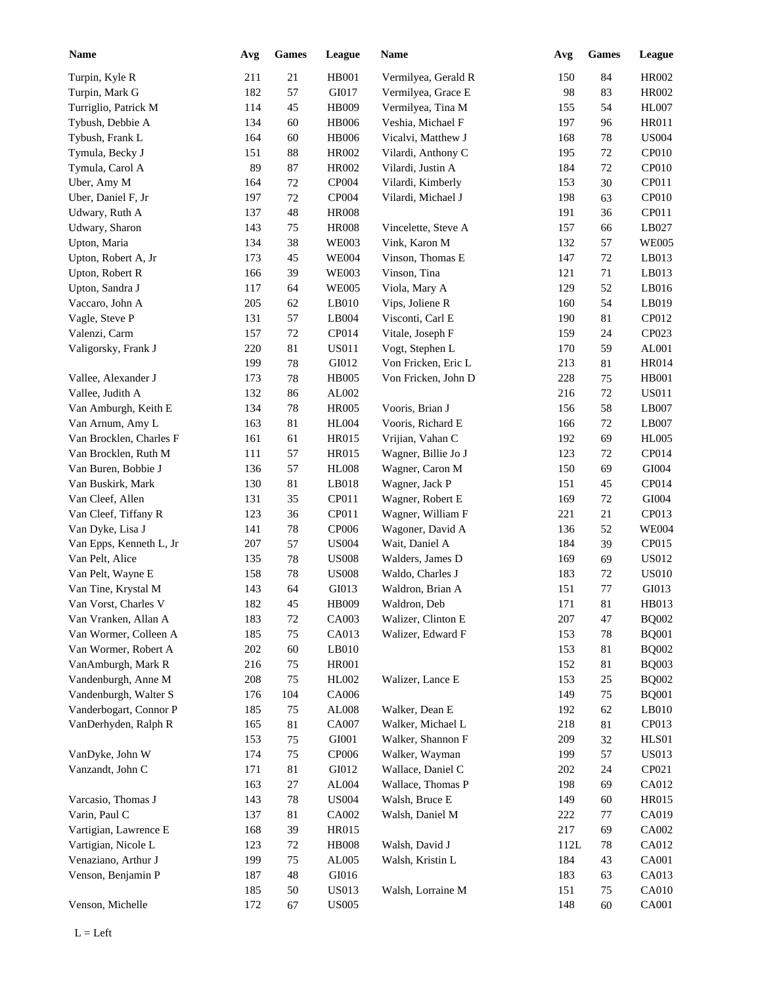| <b>Name</b>                              | Avg | Games       | League       | Name                | Avg        | Games         | League       |
|------------------------------------------|-----|-------------|--------------|---------------------|------------|---------------|--------------|
| Turpin, Kyle R                           | 211 | 21          | <b>HB001</b> | Vermilyea, Gerald R | 150        | 84            | <b>HR002</b> |
| Turpin, Mark G                           | 182 | 57          | GI017        | Vermilyea, Grace E  | 98         | 83            | <b>HR002</b> |
| Turriglio, Patrick M                     | 114 | 45          | HB009        | Vermilyea, Tina M   | 155        | 54            | <b>HL007</b> |
| Tybush, Debbie A                         | 134 | 60          | <b>HB006</b> | Veshia, Michael F   | 197        | 96            | HR011        |
| Tybush, Frank L                          | 164 | 60          | <b>HB006</b> | Vicalvi, Matthew J  | 168        | 78            | <b>US004</b> |
| Tymula, Becky J                          | 151 | 88          | HR002        | Vilardi, Anthony C  | 195        | 72            | CP010        |
| Tymula, Carol A                          | 89  | 87          | HR002        | Vilardi, Justin A   | 184        | 72            | CP010        |
| Uber, Amy M                              | 164 | $72\,$      | CP004        | Vilardi, Kimberly   | 153        | 30            | CP011        |
| Uber, Daniel F, Jr                       | 197 | $72\,$      | CP004        | Vilardi, Michael J  | 198        | 63            | CP010        |
| Udwary, Ruth A                           | 137 | 48          | <b>HR008</b> |                     | 191        | 36            | CP011        |
| Udwary, Sharon                           | 143 | 75          | <b>HR008</b> | Vincelette, Steve A | 157        | 66            | LB027        |
| Upton, Maria                             | 134 | 38          | <b>WE003</b> | Vink, Karon M       | 132        | 57            | <b>WE005</b> |
| Upton, Robert A, Jr                      | 173 | 45          | <b>WE004</b> | Vinson, Thomas E    | 147        | 72            | LB013        |
| Upton, Robert R                          | 166 | 39          | <b>WE003</b> | Vinson, Tina        | 121        | 71            | LB013        |
| Upton, Sandra J                          | 117 | 64          | <b>WE005</b> | Viola, Mary A       | 129        | 52            | LB016        |
| Vaccaro, John A                          | 205 | 62          | LB010        | Vips, Joliene R     | 160        | 54            | LB019        |
| Vagle, Steve P                           | 131 | 57          | LB004        | Visconti, Carl E    | 190        | 81            | CP012        |
| Valenzi, Carm                            | 157 | 72          | CP014        | Vitale, Joseph F    | 159        | 24            | CP023        |
| Valigorsky, Frank J                      | 220 | 81          | <b>US011</b> | Vogt, Stephen L     | 170        | 59            | AL001        |
|                                          | 199 | 78          | GI012        | Von Fricken, Eric L | 213        | 81            | HR014        |
| Vallee, Alexander J                      | 173 | 78          | <b>HB005</b> | Von Fricken, John D | 228        | 75            | <b>HB001</b> |
| Vallee, Judith A                         | 132 | 86          | AL002        |                     | 216        | 72            | <b>US011</b> |
| Van Amburgh, Keith E                     | 134 | 78          | <b>HR005</b> | Vooris, Brian J     | 156        | 58            | LB007        |
| Van Arnum, Amy L                         | 163 | 81          | <b>HL004</b> | Vooris, Richard E   | 166        | 72            | LB007        |
| Van Brocklen, Charles F                  | 161 | 61          | <b>HR015</b> | Vrijian, Vahan C    | 192        | 69            | <b>HL005</b> |
| Van Brocklen, Ruth M                     | 111 | 57          | <b>HR015</b> | Wagner, Billie Jo J | 123        | 72            | CP014        |
| Van Buren, Bobbie J                      | 136 | 57          | <b>HL008</b> | Wagner, Caron M     | 150        | 69            | GI004        |
| Van Buskirk, Mark                        | 130 | 81          | LB018        | Wagner, Jack P      | 151        | 45            | CP014        |
| Van Cleef, Allen                         | 131 | 35          | CP011        | Wagner, Robert E    | 169        | 72            | GI004        |
| Van Cleef, Tiffany R                     | 123 | 36          | CP011        | Wagner, William F   | 221        | $21\,$        | CP013        |
| Van Dyke, Lisa J                         | 141 | 78          | <b>CP006</b> | Wagoner, David A    | 136        | 52            | <b>WE004</b> |
| Van Epps, Kenneth L, Jr                  | 207 | 57          | <b>US004</b> | Wait, Daniel A      | 184        | 39            | CP015        |
|                                          | 135 | $78\,$      | <b>US008</b> | Walders, James D    | 169        | 69            | <b>US012</b> |
| Van Pelt, Alice                          |     |             |              |                     |            |               | <b>US010</b> |
| Van Pelt, Wayne E<br>Van Tine, Krystal M | 158 | 78<br>64    | <b>US008</b> | Waldo, Charles J    | 183<br>151 | 72<br>$77 \,$ | GI013        |
|                                          | 143 |             | GI013        | Waldron, Brian A    |            |               | HB013        |
| Van Vorst, Charles V                     | 182 | $45\,$      | HB009        | Waldron, Deb        | 171        | 81            |              |
| Van Vranken, Allan A                     | 183 | $72\,$      | CA003        | Walizer, Clinton E  | 207        | 47            | <b>BQ002</b> |
| Van Wormer, Colleen A                    | 185 | 75          | CA013        | Walizer, Edward F   | 153        | 78            | <b>BQ001</b> |
| Van Wormer, Robert A                     | 202 | $60\,$      | LB010        |                     | 153        | 81            | <b>BQ002</b> |
| VanAmburgh, Mark R                       | 216 | 75          | HR001        |                     | 152        | 81            | <b>BQ003</b> |
| Vandenburgh, Anne M                      | 208 | $75\,$      | HL002        | Walizer, Lance E    | 153        | 25            | <b>BQ002</b> |
| Vandenburgh, Walter S                    | 176 | 104         | CA006        |                     | 149        | 75            | <b>BQ001</b> |
| Vanderbogart, Connor P                   | 185 | 75          | AL008        | Walker, Dean E      | 192        | 62            | LB010        |
| VanDerhyden, Ralph R                     | 165 | 81          | CA007        | Walker, Michael L   | 218        | 81            | CP013        |
|                                          | 153 | 75          | GI001        | Walker, Shannon F   | 209        | 32            | HLS01        |
| VanDyke, John W                          | 174 | 75          | CP006        | Walker, Wayman      | 199        | 57            | <b>US013</b> |
| Vanzandt, John C                         | 171 | 81          | GI012        | Wallace, Daniel C   | 202        | 24            | CP021        |
|                                          | 163 | $27\,$      | AL004        | Wallace, Thomas P   | 198        | 69            | CA012        |
| Varcasio, Thomas J                       | 143 | $78\,$      | <b>US004</b> | Walsh, Bruce E      | 149        | 60            | HR015        |
| Varin, Paul C                            | 137 | 81          | CA002        | Walsh, Daniel M     | 222        | 77            | CA019        |
| Vartigian, Lawrence E                    | 168 | 39          | HR015        |                     | 217        | 69            | CA002        |
| Vartigian, Nicole L                      | 123 | $72\,$      | <b>HB008</b> | Walsh, David J      | 112L       | 78            | CA012        |
| Venaziano, Arthur J                      | 199 | 75          | AL005        | Walsh, Kristin L    | 184        | 43            | CA001        |
| Venson, Benjamin P                       | 187 | $\sqrt{48}$ | GI016        |                     | 183        | 63            | CA013        |
|                                          | 185 | 50          | <b>US013</b> | Walsh, Lorraine M   | 151        | 75            | CA010        |
| Venson, Michelle                         | 172 | 67          | <b>US005</b> |                     | 148        | 60            | CA001        |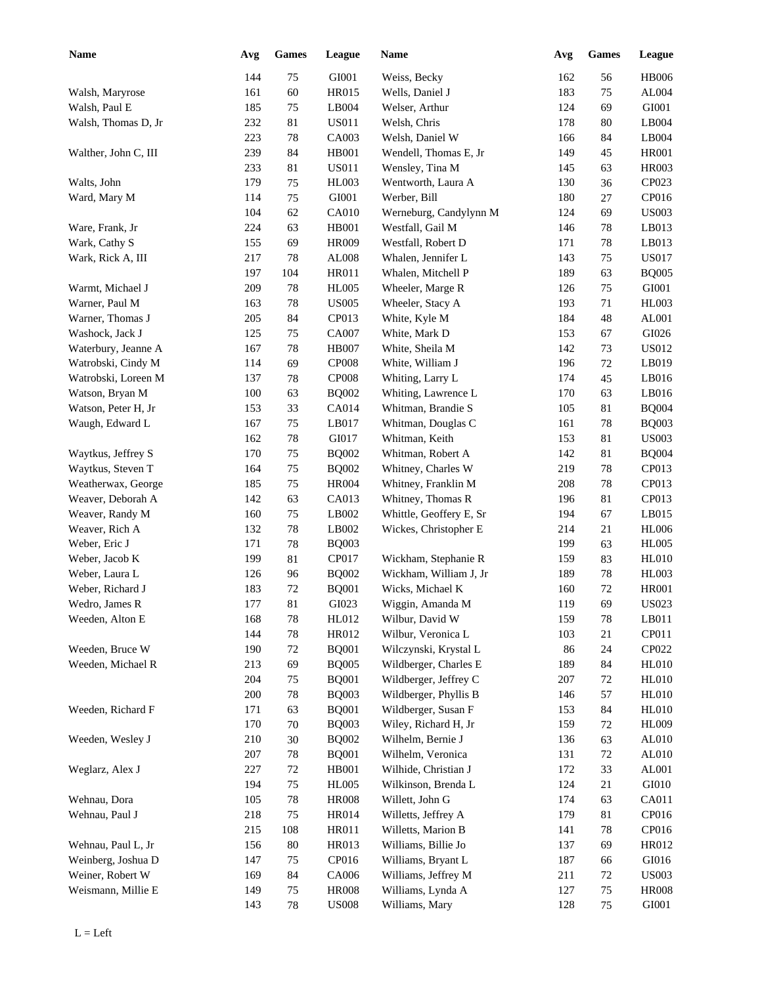| Name                 | Avg | <b>Games</b> | League       | <b>Name</b>                                    | Avg | <b>Games</b> | League                 |
|----------------------|-----|--------------|--------------|------------------------------------------------|-----|--------------|------------------------|
|                      | 144 | 75           | GI001        | Weiss, Becky                                   | 162 | 56           | <b>HB006</b>           |
| Walsh, Maryrose      | 161 | 60           | HR015        | Wells, Daniel J                                | 183 | 75           | AL004                  |
| Walsh, Paul E        | 185 | 75           | LB004        | Welser, Arthur                                 | 124 | 69           | GI001                  |
| Walsh, Thomas D, Jr  | 232 | $81\,$       | <b>US011</b> | Welsh, Chris                                   | 178 | 80           | LB004                  |
|                      | 223 | 78           | CA003        | Welsh, Daniel W                                | 166 | 84           | $\operatorname{LB}004$ |
| Walther, John C, III | 239 | 84           | <b>HB001</b> | Wendell, Thomas E, Jr                          | 149 | 45           | <b>HR001</b>           |
|                      | 233 | 81           | <b>US011</b> | Wensley, Tina M                                | 145 | 63           | <b>HR003</b>           |
| Walts, John          | 179 | 75           | HL003        | Wentworth, Laura A                             | 130 | 36           | CP023                  |
| Ward, Mary M         | 114 | 75           | GI001        | Werber, Bill                                   | 180 | 27           | CP016                  |
|                      | 104 | 62           | <b>CA010</b> | Werneburg, Candylynn M                         | 124 | 69           | <b>US003</b>           |
| Ware, Frank, Jr      | 224 | 63           | HB001        | Westfall, Gail M                               | 146 | 78           | LB013                  |
| Wark, Cathy S        | 155 | 69           | HR009        | Westfall, Robert D                             | 171 | 78           | LB013                  |
| Wark, Rick A, III    | 217 | 78           | AL008        | Whalen, Jennifer L                             | 143 | 75           | <b>US017</b>           |
|                      | 197 | 104          | HR011        | Whalen, Mitchell P                             | 189 | 63           | <b>BQ005</b>           |
| Warmt, Michael J     | 209 | 78           | <b>HL005</b> |                                                | 126 | 75           | GI001                  |
|                      |     |              |              | Wheeler, Marge R                               |     |              |                        |
| Warner, Paul M       | 163 | $78\,$       | <b>US005</b> | Wheeler, Stacy A                               | 193 | 71           | HL003                  |
| Warner, Thomas J     | 205 | 84           | CP013        | White, Kyle M                                  | 184 | 48           | AL001                  |
| Washock, Jack J      | 125 | 75           | CA007        | White, Mark D                                  | 153 | 67           | GI026                  |
| Waterbury, Jeanne A  | 167 | $78\,$       | <b>HB007</b> | White, Sheila M                                | 142 | 73           | US012                  |
| Watrobski, Cindy M   | 114 | 69           | <b>CP008</b> | White, William J                               | 196 | 72           | LB019                  |
| Watrobski, Loreen M  | 137 | $78\,$       | <b>CP008</b> | Whiting, Larry L                               | 174 | 45           | LB016                  |
| Watson, Bryan M      | 100 | 63           | <b>BQ002</b> | Whiting, Lawrence L                            | 170 | 63           | LB016                  |
| Watson, Peter H, Jr  | 153 | 33           | CA014        | Whitman, Brandie S                             | 105 | 81           | <b>BQ004</b>           |
| Waugh, Edward L      | 167 | 75           | LB017        | Whitman, Douglas C                             | 161 | 78           | <b>BQ003</b>           |
|                      | 162 | 78           | GI017        | Whitman, Keith                                 | 153 | 81           | <b>US003</b>           |
| Waytkus, Jeffrey S   | 170 | 75           | <b>BQ002</b> | Whitman, Robert A                              | 142 | 81           | <b>BQ004</b>           |
| Waytkus, Steven T    | 164 | 75           | <b>BQ002</b> | Whitney, Charles W                             | 219 | 78           | CP013                  |
| Weatherwax, George   | 185 | 75           | <b>HR004</b> | Whitney, Franklin M                            | 208 | 78           | CP013                  |
| Weaver, Deborah A    | 142 | 63           | CA013        | Whitney, Thomas R                              | 196 | 81           | CP013                  |
| Weaver, Randy M      | 160 | 75           | LB002        | Whittle, Geoffery E, Sr                        | 194 | 67           | LB015                  |
| Weaver, Rich A       | 132 | 78           | LB002        | Wickes, Christopher E                          | 214 | 21           | <b>HL006</b>           |
| Weber, Eric J        | 171 | 78           | <b>BQ003</b> |                                                | 199 | 63           | <b>HL005</b>           |
| Weber, Jacob K       | 199 | 81           | CP017        | Wickham, Stephanie R                           | 159 | 83           | <b>HL010</b>           |
| Weber, Laura L       | 126 | 96           | <b>BQ002</b> | Wickham, William J, Jr                         | 189 | 78           | HL003                  |
| Weber, Richard J     | 183 | $72\,$       | <b>BQ001</b> | Wicks, Michael K                               | 160 | 72           | <b>HR001</b>           |
| Wedro, James R       | 177 | 81           | GI023        | Wiggin, Amanda M                               | 119 | 69           | <b>US023</b>           |
| Weeden, Alton E      | 168 | 78           | HL012        | Wilbur, David W                                | 159 | 78           | LB011                  |
|                      | 144 | 78           | HR012        | Wilbur, Veronica L                             | 103 | 21           | CP011                  |
| Weeden, Bruce W      | 190 | 72           | <b>BQ001</b> | Wilczynski, Krystal L                          | 86  | 24           | CP022                  |
| Weeden, Michael R    | 213 |              |              |                                                | 189 |              | <b>HL010</b>           |
|                      |     | 69           | <b>BQ005</b> | Wildberger, Charles E<br>Wildberger, Jeffrey C |     | 84           |                        |
|                      | 204 | 75           | <b>BQ001</b> | Wildberger, Phyllis B                          | 207 | 72           | HL010                  |
|                      | 200 | $78\,$       | <b>BQ003</b> |                                                | 146 | 57           | HL010                  |
| Weeden, Richard F    | 171 | 63           | <b>BQ001</b> | Wildberger, Susan F                            | 153 | 84           | <b>HL010</b>           |
|                      | 170 | 70           | <b>BQ003</b> | Wiley, Richard H, Jr                           | 159 | 72           | HL009                  |
| Weeden, Wesley J     | 210 | 30           | <b>BQ002</b> | Wilhelm, Bernie J                              | 136 | 63           | AL010                  |
|                      | 207 | 78           | <b>BQ001</b> | Wilhelm, Veronica                              | 131 | 72           | AL010                  |
| Weglarz, Alex J      | 227 | 72           | HB001        | Wilhide, Christian J                           | 172 | 33           | AL001                  |
|                      | 194 | 75           | <b>HL005</b> | Wilkinson, Brenda L                            | 124 | 21           | GI010                  |
| Wehnau, Dora         | 105 | 78           | <b>HR008</b> | Willett, John G                                | 174 | 63           | CA011                  |
| Wehnau, Paul J       | 218 | 75           | HR014        | Willetts, Jeffrey A                            | 179 | 81           | CP016                  |
|                      | 215 | 108          | HR011        | Willetts, Marion B                             | 141 | 78           | CP016                  |
| Wehnau, Paul L, Jr   | 156 | 80           | HR013        | Williams, Billie Jo                            | 137 | 69           | HR012                  |
| Weinberg, Joshua D   | 147 | 75           | CP016        | Williams, Bryant L                             | 187 | 66           | GI016                  |
| Weiner, Robert W     | 169 | 84           | CA006        | Williams, Jeffrey M                            | 211 | 72           | <b>US003</b>           |
| Weismann, Millie E   | 149 | 75           | <b>HR008</b> | Williams, Lynda A                              | 127 | 75           | <b>HR008</b>           |
|                      | 143 | 78           | <b>US008</b> | Williams, Mary                                 | 128 | 75           | ${\rm GIO}01$          |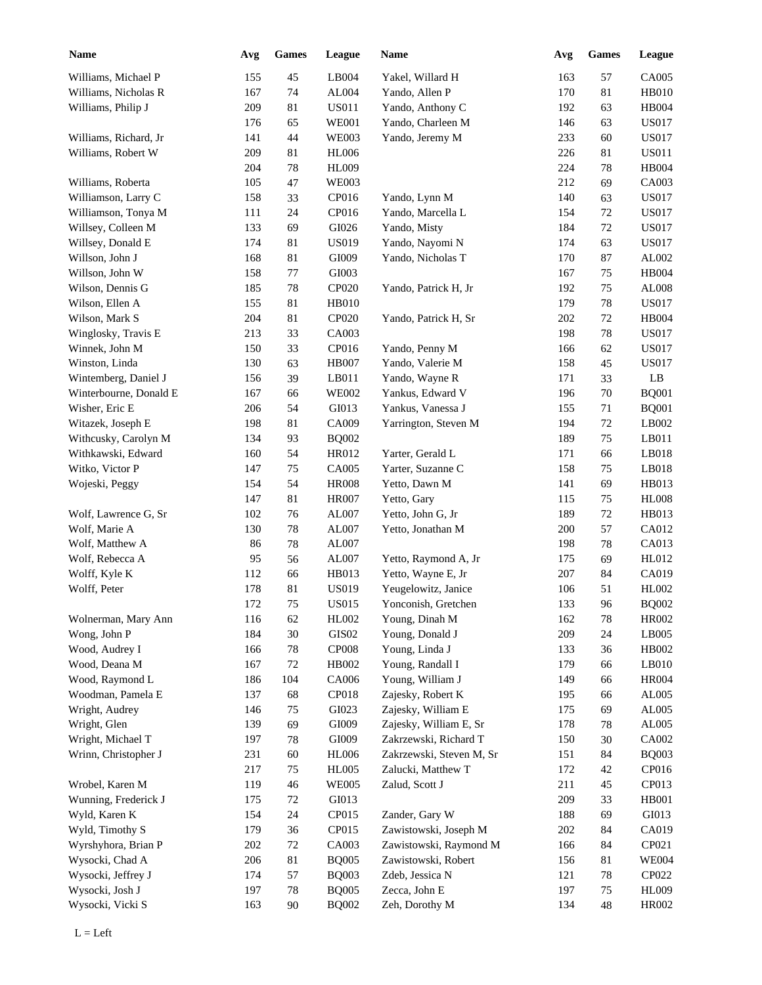| Williams, Michael P<br>155<br>45<br>LB004<br>Yakel, Willard H<br>163<br>57<br>CA005<br><b>HB010</b><br>Williams, Nicholas R<br>167<br>74<br>AL004<br>Yando, Allen P<br>170<br>81<br><b>US011</b><br><b>HB004</b><br>Williams, Philip J<br>209<br>81<br>Yando, Anthony C<br>192<br>63<br><b>WE001</b><br><b>US017</b><br>Yando, Charleen M<br>176<br>65<br>146<br>63<br><b>WE003</b><br><b>US017</b><br>Williams, Richard, Jr<br>141<br>44<br>Yando, Jeremy M<br>233<br>60<br><b>US011</b><br>Williams, Robert W<br>209<br><b>HL006</b><br>226<br>81<br>81<br><b>HL009</b><br><b>HB004</b><br>204<br>78<br>224<br>78<br>CA003<br>Williams, Roberta<br>105<br>47<br><b>WE003</b><br>212<br>69<br>CP016<br><b>US017</b><br>Williamson, Larry C<br>158<br>33<br>Yando, Lynn M<br>140<br>63<br>CP016<br><b>US017</b><br>Williamson, Tonya M<br>111<br>Yando, Marcella L<br>154<br>24<br>72<br>Willsey, Colleen M<br>GI026<br><b>US017</b><br>133<br>69<br>Yando, Misty<br>184<br>72<br><b>US019</b><br><b>US017</b><br>Willsey, Donald E<br>174<br>81<br>Yando, Nayomi N<br>174<br>63<br>GI009<br>AL002<br>Willson, John J<br>168<br>81<br>Yando, Nicholas T<br>170<br>87<br>GI003<br><b>HB004</b><br>Willson, John W<br>158<br>167<br>77<br>75<br>CP020<br>75<br>AL008<br>Wilson, Dennis G<br>185<br>78<br>Yando, Patrick H, Jr<br>192<br><b>HB010</b><br>$78\,$<br><b>US017</b><br>Wilson, Ellen A<br>155<br>81<br>179<br>CP020<br><b>HB004</b><br>Wilson, Mark S<br>204<br>81<br>Yando, Patrick H, Sr<br>202<br>72<br>CA003<br><b>US017</b><br>213<br>33<br>198<br>78<br>Winglosky, Travis E<br>Winnek, John M<br>150<br>33<br>CP016<br>Yando, Penny M<br>62<br><b>US017</b><br>166<br>130<br>63<br><b>HB007</b><br>Yando, Valerie M<br>45<br><b>US017</b><br>Winston, Linda<br>158<br>LB<br>Wintemberg, Daniel J<br>156<br>39<br>LB011<br>Yando, Wayne R<br>33<br>171<br>Winterbourne, Donald E<br>167<br><b>WE002</b><br>Yankus, Edward V<br>196<br>70<br><b>BQ001</b><br>66<br>GI013<br>Wisher, Eric E<br>206<br>54<br>Yankus, Vanessa J<br>71<br><b>BQ001</b><br>155<br>CA009<br>198<br>81<br>Yarrington, Steven M<br>194<br>72<br>LB002<br>Witazek, Joseph E<br>134<br><b>BQ002</b><br>189<br>LB011<br>Withcusky, Carolyn M<br>93<br>75<br>LB018<br>Withkawski, Edward<br>160<br>54<br>HR012<br>Yarter, Gerald L<br>171<br>66<br>CA005<br>Yarter, Suzanne C<br>Witko, Victor P<br>147<br>75<br>158<br>75<br>LB018<br><b>HR008</b><br>Wojeski, Peggy<br>154<br>54<br>Yetto, Dawn M<br>141<br>69<br>HB013<br>147<br>$81\,$<br><b>HR007</b><br>Yetto, Gary<br>75<br><b>HL008</b><br>115<br>102<br>AL007<br>$72\,$<br>HB013<br>Wolf, Lawrence G, Sr<br>76<br>Yetto, John G, Jr<br>189<br>AL007<br>CA012<br>Wolf, Marie A<br>130<br>78<br>Yetto, Jonathan M<br>200<br>57<br>CA013<br>86<br>78<br>AL007<br>78<br>Wolf, Matthew A<br>198<br>Wolf, Rebecca A<br>95<br>56<br>AL007<br>HL012<br>Yetto, Raymond A, Jr<br>175<br>69<br>HB013<br>Yetto, Wayne E, Jr<br>CA019<br>Wolff, Kyle K<br>112<br>207<br>84<br>66<br>178<br>81<br><b>US019</b><br>51<br>HL002<br>Wolff, Peter<br>Yeugelowitz, Janice<br>106<br>133<br>172<br>$75\,$<br><b>US015</b><br>Yonconish, Gretchen<br>96<br><b>BQ002</b><br>Wolnerman, Mary Ann<br>116<br>62<br>HL002<br>Young, Dinah M<br>162<br>78<br>HR002<br>184<br>$\rm GIS02$<br>Young, Donald J<br>24<br>LB005<br>Wong, John P<br>30<br>209<br>Young, Linda J<br>HB002<br>Wood, Audrey I<br>166<br>78<br>CP008<br>133<br>36<br>Wood, Deana M<br>Young, Randall I<br>LB010<br>167<br>HB002<br>179<br>72<br>66<br>Wood, Raymond L<br>CA006<br>Young, William J<br><b>HR004</b><br>186<br>104<br>149<br>66<br>Woodman, Pamela E<br>CP018<br>Zajesky, Robert K<br>AL005<br>137<br>68<br>195<br>66<br>AL005<br>Wright, Audrey<br>146<br>75<br>GI023<br>Zajesky, William E<br>175<br>69<br>GI009<br>AL005<br>Wright, Glen<br>139<br>Zajesky, William E, Sr<br>178<br>69<br>78<br>GI009<br>Zakrzewski, Richard T<br>CA002<br>Wright, Michael T<br>197<br>78<br>30<br>150<br><b>HL006</b><br>Zakrzewski, Steven M, Sr<br><b>BQ003</b><br>Wrinn, Christopher J<br>231<br>84<br>60<br>151<br>217<br>HL005<br>CP016<br>75<br>Zalucki, Matthew T<br>172<br>$42\,$<br>CP013<br>Wrobel, Karen M<br>119<br><b>WE005</b><br>Zalud, Scott J<br>45<br>46<br>211<br>GI013<br><b>HB001</b><br>Wunning, Frederick J<br>175<br>72<br>209<br>33<br>CP015<br>GI013<br>Wyld, Karen K<br>154<br>24<br>Zander, Gary W<br>69<br>188<br>CP015<br>CA019<br>Wyld, Timothy S<br>179<br>Zawistowski, Joseph M<br>36<br>202<br>84<br>CA003<br>CP021<br>Wyrshyhora, Brian P<br>202<br>72<br>Zawistowski, Raymond M<br>84<br>166<br>Wysocki, Chad A<br><b>BQ005</b><br>Zawistowski, Robert<br><b>WE004</b><br>206<br>81<br>156<br>81<br>CP022<br>Wysocki, Jeffrey J<br>57<br><b>BQ003</b><br>Zdeb, Jessica N<br>78<br>174<br>121<br>Zecca, John E<br><b>HL009</b><br>Wysocki, Josh J<br>197<br><b>BQ005</b><br>197<br>78<br>75 | <b>Name</b>      | Avg | Games | League       | <b>Name</b>    | Avg | <b>Games</b> | League       |
|-----------------------------------------------------------------------------------------------------------------------------------------------------------------------------------------------------------------------------------------------------------------------------------------------------------------------------------------------------------------------------------------------------------------------------------------------------------------------------------------------------------------------------------------------------------------------------------------------------------------------------------------------------------------------------------------------------------------------------------------------------------------------------------------------------------------------------------------------------------------------------------------------------------------------------------------------------------------------------------------------------------------------------------------------------------------------------------------------------------------------------------------------------------------------------------------------------------------------------------------------------------------------------------------------------------------------------------------------------------------------------------------------------------------------------------------------------------------------------------------------------------------------------------------------------------------------------------------------------------------------------------------------------------------------------------------------------------------------------------------------------------------------------------------------------------------------------------------------------------------------------------------------------------------------------------------------------------------------------------------------------------------------------------------------------------------------------------------------------------------------------------------------------------------------------------------------------------------------------------------------------------------------------------------------------------------------------------------------------------------------------------------------------------------------------------------------------------------------------------------------------------------------------------------------------------------------------------------------------------------------------------------------------------------------------------------------------------------------------------------------------------------------------------------------------------------------------------------------------------------------------------------------------------------------------------------------------------------------------------------------------------------------------------------------------------------------------------------------------------------------------------------------------------------------------------------------------------------------------------------------------------------------------------------------------------------------------------------------------------------------------------------------------------------------------------------------------------------------------------------------------------------------------------------------------------------------------------------------------------------------------------------------------------------------------------------------------------------------------------------------------------------------------------------------------------------------------------------------------------------------------------------------------------------------------------------------------------------------------------------------------------------------------------------------------------------------------------------------------------------------------------------------------------------------------------------------------------------------------------------------------------------------------------------------------------------------------------------------------------------------------------------------------------------------------------------------------------------------------------------------------------------------------------------------------------------------------------------------------------------------------------------------------------------------------------------------------------------------------------------------------------------------------------------------------------------------------------------------------------------------------------------------------------------------|------------------|-----|-------|--------------|----------------|-----|--------------|--------------|
|                                                                                                                                                                                                                                                                                                                                                                                                                                                                                                                                                                                                                                                                                                                                                                                                                                                                                                                                                                                                                                                                                                                                                                                                                                                                                                                                                                                                                                                                                                                                                                                                                                                                                                                                                                                                                                                                                                                                                                                                                                                                                                                                                                                                                                                                                                                                                                                                                                                                                                                                                                                                                                                                                                                                                                                                                                                                                                                                                                                                                                                                                                                                                                                                                                                                                                                                                                                                                                                                                                                                                                                                                                                                                                                                                                                                                                                                                                                                                                                                                                                                                                                                                                                                                                                                                                                                                                                                                                                                                                                                                                                                                                                                                                                                                                                                                                                                                                                       |                  |     |       |              |                |     |              |              |
|                                                                                                                                                                                                                                                                                                                                                                                                                                                                                                                                                                                                                                                                                                                                                                                                                                                                                                                                                                                                                                                                                                                                                                                                                                                                                                                                                                                                                                                                                                                                                                                                                                                                                                                                                                                                                                                                                                                                                                                                                                                                                                                                                                                                                                                                                                                                                                                                                                                                                                                                                                                                                                                                                                                                                                                                                                                                                                                                                                                                                                                                                                                                                                                                                                                                                                                                                                                                                                                                                                                                                                                                                                                                                                                                                                                                                                                                                                                                                                                                                                                                                                                                                                                                                                                                                                                                                                                                                                                                                                                                                                                                                                                                                                                                                                                                                                                                                                                       |                  |     |       |              |                |     |              |              |
|                                                                                                                                                                                                                                                                                                                                                                                                                                                                                                                                                                                                                                                                                                                                                                                                                                                                                                                                                                                                                                                                                                                                                                                                                                                                                                                                                                                                                                                                                                                                                                                                                                                                                                                                                                                                                                                                                                                                                                                                                                                                                                                                                                                                                                                                                                                                                                                                                                                                                                                                                                                                                                                                                                                                                                                                                                                                                                                                                                                                                                                                                                                                                                                                                                                                                                                                                                                                                                                                                                                                                                                                                                                                                                                                                                                                                                                                                                                                                                                                                                                                                                                                                                                                                                                                                                                                                                                                                                                                                                                                                                                                                                                                                                                                                                                                                                                                                                                       |                  |     |       |              |                |     |              |              |
|                                                                                                                                                                                                                                                                                                                                                                                                                                                                                                                                                                                                                                                                                                                                                                                                                                                                                                                                                                                                                                                                                                                                                                                                                                                                                                                                                                                                                                                                                                                                                                                                                                                                                                                                                                                                                                                                                                                                                                                                                                                                                                                                                                                                                                                                                                                                                                                                                                                                                                                                                                                                                                                                                                                                                                                                                                                                                                                                                                                                                                                                                                                                                                                                                                                                                                                                                                                                                                                                                                                                                                                                                                                                                                                                                                                                                                                                                                                                                                                                                                                                                                                                                                                                                                                                                                                                                                                                                                                                                                                                                                                                                                                                                                                                                                                                                                                                                                                       |                  |     |       |              |                |     |              |              |
|                                                                                                                                                                                                                                                                                                                                                                                                                                                                                                                                                                                                                                                                                                                                                                                                                                                                                                                                                                                                                                                                                                                                                                                                                                                                                                                                                                                                                                                                                                                                                                                                                                                                                                                                                                                                                                                                                                                                                                                                                                                                                                                                                                                                                                                                                                                                                                                                                                                                                                                                                                                                                                                                                                                                                                                                                                                                                                                                                                                                                                                                                                                                                                                                                                                                                                                                                                                                                                                                                                                                                                                                                                                                                                                                                                                                                                                                                                                                                                                                                                                                                                                                                                                                                                                                                                                                                                                                                                                                                                                                                                                                                                                                                                                                                                                                                                                                                                                       |                  |     |       |              |                |     |              |              |
|                                                                                                                                                                                                                                                                                                                                                                                                                                                                                                                                                                                                                                                                                                                                                                                                                                                                                                                                                                                                                                                                                                                                                                                                                                                                                                                                                                                                                                                                                                                                                                                                                                                                                                                                                                                                                                                                                                                                                                                                                                                                                                                                                                                                                                                                                                                                                                                                                                                                                                                                                                                                                                                                                                                                                                                                                                                                                                                                                                                                                                                                                                                                                                                                                                                                                                                                                                                                                                                                                                                                                                                                                                                                                                                                                                                                                                                                                                                                                                                                                                                                                                                                                                                                                                                                                                                                                                                                                                                                                                                                                                                                                                                                                                                                                                                                                                                                                                                       |                  |     |       |              |                |     |              |              |
|                                                                                                                                                                                                                                                                                                                                                                                                                                                                                                                                                                                                                                                                                                                                                                                                                                                                                                                                                                                                                                                                                                                                                                                                                                                                                                                                                                                                                                                                                                                                                                                                                                                                                                                                                                                                                                                                                                                                                                                                                                                                                                                                                                                                                                                                                                                                                                                                                                                                                                                                                                                                                                                                                                                                                                                                                                                                                                                                                                                                                                                                                                                                                                                                                                                                                                                                                                                                                                                                                                                                                                                                                                                                                                                                                                                                                                                                                                                                                                                                                                                                                                                                                                                                                                                                                                                                                                                                                                                                                                                                                                                                                                                                                                                                                                                                                                                                                                                       |                  |     |       |              |                |     |              |              |
|                                                                                                                                                                                                                                                                                                                                                                                                                                                                                                                                                                                                                                                                                                                                                                                                                                                                                                                                                                                                                                                                                                                                                                                                                                                                                                                                                                                                                                                                                                                                                                                                                                                                                                                                                                                                                                                                                                                                                                                                                                                                                                                                                                                                                                                                                                                                                                                                                                                                                                                                                                                                                                                                                                                                                                                                                                                                                                                                                                                                                                                                                                                                                                                                                                                                                                                                                                                                                                                                                                                                                                                                                                                                                                                                                                                                                                                                                                                                                                                                                                                                                                                                                                                                                                                                                                                                                                                                                                                                                                                                                                                                                                                                                                                                                                                                                                                                                                                       |                  |     |       |              |                |     |              |              |
|                                                                                                                                                                                                                                                                                                                                                                                                                                                                                                                                                                                                                                                                                                                                                                                                                                                                                                                                                                                                                                                                                                                                                                                                                                                                                                                                                                                                                                                                                                                                                                                                                                                                                                                                                                                                                                                                                                                                                                                                                                                                                                                                                                                                                                                                                                                                                                                                                                                                                                                                                                                                                                                                                                                                                                                                                                                                                                                                                                                                                                                                                                                                                                                                                                                                                                                                                                                                                                                                                                                                                                                                                                                                                                                                                                                                                                                                                                                                                                                                                                                                                                                                                                                                                                                                                                                                                                                                                                                                                                                                                                                                                                                                                                                                                                                                                                                                                                                       |                  |     |       |              |                |     |              |              |
|                                                                                                                                                                                                                                                                                                                                                                                                                                                                                                                                                                                                                                                                                                                                                                                                                                                                                                                                                                                                                                                                                                                                                                                                                                                                                                                                                                                                                                                                                                                                                                                                                                                                                                                                                                                                                                                                                                                                                                                                                                                                                                                                                                                                                                                                                                                                                                                                                                                                                                                                                                                                                                                                                                                                                                                                                                                                                                                                                                                                                                                                                                                                                                                                                                                                                                                                                                                                                                                                                                                                                                                                                                                                                                                                                                                                                                                                                                                                                                                                                                                                                                                                                                                                                                                                                                                                                                                                                                                                                                                                                                                                                                                                                                                                                                                                                                                                                                                       |                  |     |       |              |                |     |              |              |
|                                                                                                                                                                                                                                                                                                                                                                                                                                                                                                                                                                                                                                                                                                                                                                                                                                                                                                                                                                                                                                                                                                                                                                                                                                                                                                                                                                                                                                                                                                                                                                                                                                                                                                                                                                                                                                                                                                                                                                                                                                                                                                                                                                                                                                                                                                                                                                                                                                                                                                                                                                                                                                                                                                                                                                                                                                                                                                                                                                                                                                                                                                                                                                                                                                                                                                                                                                                                                                                                                                                                                                                                                                                                                                                                                                                                                                                                                                                                                                                                                                                                                                                                                                                                                                                                                                                                                                                                                                                                                                                                                                                                                                                                                                                                                                                                                                                                                                                       |                  |     |       |              |                |     |              |              |
|                                                                                                                                                                                                                                                                                                                                                                                                                                                                                                                                                                                                                                                                                                                                                                                                                                                                                                                                                                                                                                                                                                                                                                                                                                                                                                                                                                                                                                                                                                                                                                                                                                                                                                                                                                                                                                                                                                                                                                                                                                                                                                                                                                                                                                                                                                                                                                                                                                                                                                                                                                                                                                                                                                                                                                                                                                                                                                                                                                                                                                                                                                                                                                                                                                                                                                                                                                                                                                                                                                                                                                                                                                                                                                                                                                                                                                                                                                                                                                                                                                                                                                                                                                                                                                                                                                                                                                                                                                                                                                                                                                                                                                                                                                                                                                                                                                                                                                                       |                  |     |       |              |                |     |              |              |
|                                                                                                                                                                                                                                                                                                                                                                                                                                                                                                                                                                                                                                                                                                                                                                                                                                                                                                                                                                                                                                                                                                                                                                                                                                                                                                                                                                                                                                                                                                                                                                                                                                                                                                                                                                                                                                                                                                                                                                                                                                                                                                                                                                                                                                                                                                                                                                                                                                                                                                                                                                                                                                                                                                                                                                                                                                                                                                                                                                                                                                                                                                                                                                                                                                                                                                                                                                                                                                                                                                                                                                                                                                                                                                                                                                                                                                                                                                                                                                                                                                                                                                                                                                                                                                                                                                                                                                                                                                                                                                                                                                                                                                                                                                                                                                                                                                                                                                                       |                  |     |       |              |                |     |              |              |
|                                                                                                                                                                                                                                                                                                                                                                                                                                                                                                                                                                                                                                                                                                                                                                                                                                                                                                                                                                                                                                                                                                                                                                                                                                                                                                                                                                                                                                                                                                                                                                                                                                                                                                                                                                                                                                                                                                                                                                                                                                                                                                                                                                                                                                                                                                                                                                                                                                                                                                                                                                                                                                                                                                                                                                                                                                                                                                                                                                                                                                                                                                                                                                                                                                                                                                                                                                                                                                                                                                                                                                                                                                                                                                                                                                                                                                                                                                                                                                                                                                                                                                                                                                                                                                                                                                                                                                                                                                                                                                                                                                                                                                                                                                                                                                                                                                                                                                                       |                  |     |       |              |                |     |              |              |
|                                                                                                                                                                                                                                                                                                                                                                                                                                                                                                                                                                                                                                                                                                                                                                                                                                                                                                                                                                                                                                                                                                                                                                                                                                                                                                                                                                                                                                                                                                                                                                                                                                                                                                                                                                                                                                                                                                                                                                                                                                                                                                                                                                                                                                                                                                                                                                                                                                                                                                                                                                                                                                                                                                                                                                                                                                                                                                                                                                                                                                                                                                                                                                                                                                                                                                                                                                                                                                                                                                                                                                                                                                                                                                                                                                                                                                                                                                                                                                                                                                                                                                                                                                                                                                                                                                                                                                                                                                                                                                                                                                                                                                                                                                                                                                                                                                                                                                                       |                  |     |       |              |                |     |              |              |
|                                                                                                                                                                                                                                                                                                                                                                                                                                                                                                                                                                                                                                                                                                                                                                                                                                                                                                                                                                                                                                                                                                                                                                                                                                                                                                                                                                                                                                                                                                                                                                                                                                                                                                                                                                                                                                                                                                                                                                                                                                                                                                                                                                                                                                                                                                                                                                                                                                                                                                                                                                                                                                                                                                                                                                                                                                                                                                                                                                                                                                                                                                                                                                                                                                                                                                                                                                                                                                                                                                                                                                                                                                                                                                                                                                                                                                                                                                                                                                                                                                                                                                                                                                                                                                                                                                                                                                                                                                                                                                                                                                                                                                                                                                                                                                                                                                                                                                                       |                  |     |       |              |                |     |              |              |
|                                                                                                                                                                                                                                                                                                                                                                                                                                                                                                                                                                                                                                                                                                                                                                                                                                                                                                                                                                                                                                                                                                                                                                                                                                                                                                                                                                                                                                                                                                                                                                                                                                                                                                                                                                                                                                                                                                                                                                                                                                                                                                                                                                                                                                                                                                                                                                                                                                                                                                                                                                                                                                                                                                                                                                                                                                                                                                                                                                                                                                                                                                                                                                                                                                                                                                                                                                                                                                                                                                                                                                                                                                                                                                                                                                                                                                                                                                                                                                                                                                                                                                                                                                                                                                                                                                                                                                                                                                                                                                                                                                                                                                                                                                                                                                                                                                                                                                                       |                  |     |       |              |                |     |              |              |
|                                                                                                                                                                                                                                                                                                                                                                                                                                                                                                                                                                                                                                                                                                                                                                                                                                                                                                                                                                                                                                                                                                                                                                                                                                                                                                                                                                                                                                                                                                                                                                                                                                                                                                                                                                                                                                                                                                                                                                                                                                                                                                                                                                                                                                                                                                                                                                                                                                                                                                                                                                                                                                                                                                                                                                                                                                                                                                                                                                                                                                                                                                                                                                                                                                                                                                                                                                                                                                                                                                                                                                                                                                                                                                                                                                                                                                                                                                                                                                                                                                                                                                                                                                                                                                                                                                                                                                                                                                                                                                                                                                                                                                                                                                                                                                                                                                                                                                                       |                  |     |       |              |                |     |              |              |
|                                                                                                                                                                                                                                                                                                                                                                                                                                                                                                                                                                                                                                                                                                                                                                                                                                                                                                                                                                                                                                                                                                                                                                                                                                                                                                                                                                                                                                                                                                                                                                                                                                                                                                                                                                                                                                                                                                                                                                                                                                                                                                                                                                                                                                                                                                                                                                                                                                                                                                                                                                                                                                                                                                                                                                                                                                                                                                                                                                                                                                                                                                                                                                                                                                                                                                                                                                                                                                                                                                                                                                                                                                                                                                                                                                                                                                                                                                                                                                                                                                                                                                                                                                                                                                                                                                                                                                                                                                                                                                                                                                                                                                                                                                                                                                                                                                                                                                                       |                  |     |       |              |                |     |              |              |
|                                                                                                                                                                                                                                                                                                                                                                                                                                                                                                                                                                                                                                                                                                                                                                                                                                                                                                                                                                                                                                                                                                                                                                                                                                                                                                                                                                                                                                                                                                                                                                                                                                                                                                                                                                                                                                                                                                                                                                                                                                                                                                                                                                                                                                                                                                                                                                                                                                                                                                                                                                                                                                                                                                                                                                                                                                                                                                                                                                                                                                                                                                                                                                                                                                                                                                                                                                                                                                                                                                                                                                                                                                                                                                                                                                                                                                                                                                                                                                                                                                                                                                                                                                                                                                                                                                                                                                                                                                                                                                                                                                                                                                                                                                                                                                                                                                                                                                                       |                  |     |       |              |                |     |              |              |
|                                                                                                                                                                                                                                                                                                                                                                                                                                                                                                                                                                                                                                                                                                                                                                                                                                                                                                                                                                                                                                                                                                                                                                                                                                                                                                                                                                                                                                                                                                                                                                                                                                                                                                                                                                                                                                                                                                                                                                                                                                                                                                                                                                                                                                                                                                                                                                                                                                                                                                                                                                                                                                                                                                                                                                                                                                                                                                                                                                                                                                                                                                                                                                                                                                                                                                                                                                                                                                                                                                                                                                                                                                                                                                                                                                                                                                                                                                                                                                                                                                                                                                                                                                                                                                                                                                                                                                                                                                                                                                                                                                                                                                                                                                                                                                                                                                                                                                                       |                  |     |       |              |                |     |              |              |
|                                                                                                                                                                                                                                                                                                                                                                                                                                                                                                                                                                                                                                                                                                                                                                                                                                                                                                                                                                                                                                                                                                                                                                                                                                                                                                                                                                                                                                                                                                                                                                                                                                                                                                                                                                                                                                                                                                                                                                                                                                                                                                                                                                                                                                                                                                                                                                                                                                                                                                                                                                                                                                                                                                                                                                                                                                                                                                                                                                                                                                                                                                                                                                                                                                                                                                                                                                                                                                                                                                                                                                                                                                                                                                                                                                                                                                                                                                                                                                                                                                                                                                                                                                                                                                                                                                                                                                                                                                                                                                                                                                                                                                                                                                                                                                                                                                                                                                                       |                  |     |       |              |                |     |              |              |
|                                                                                                                                                                                                                                                                                                                                                                                                                                                                                                                                                                                                                                                                                                                                                                                                                                                                                                                                                                                                                                                                                                                                                                                                                                                                                                                                                                                                                                                                                                                                                                                                                                                                                                                                                                                                                                                                                                                                                                                                                                                                                                                                                                                                                                                                                                                                                                                                                                                                                                                                                                                                                                                                                                                                                                                                                                                                                                                                                                                                                                                                                                                                                                                                                                                                                                                                                                                                                                                                                                                                                                                                                                                                                                                                                                                                                                                                                                                                                                                                                                                                                                                                                                                                                                                                                                                                                                                                                                                                                                                                                                                                                                                                                                                                                                                                                                                                                                                       |                  |     |       |              |                |     |              |              |
|                                                                                                                                                                                                                                                                                                                                                                                                                                                                                                                                                                                                                                                                                                                                                                                                                                                                                                                                                                                                                                                                                                                                                                                                                                                                                                                                                                                                                                                                                                                                                                                                                                                                                                                                                                                                                                                                                                                                                                                                                                                                                                                                                                                                                                                                                                                                                                                                                                                                                                                                                                                                                                                                                                                                                                                                                                                                                                                                                                                                                                                                                                                                                                                                                                                                                                                                                                                                                                                                                                                                                                                                                                                                                                                                                                                                                                                                                                                                                                                                                                                                                                                                                                                                                                                                                                                                                                                                                                                                                                                                                                                                                                                                                                                                                                                                                                                                                                                       |                  |     |       |              |                |     |              |              |
|                                                                                                                                                                                                                                                                                                                                                                                                                                                                                                                                                                                                                                                                                                                                                                                                                                                                                                                                                                                                                                                                                                                                                                                                                                                                                                                                                                                                                                                                                                                                                                                                                                                                                                                                                                                                                                                                                                                                                                                                                                                                                                                                                                                                                                                                                                                                                                                                                                                                                                                                                                                                                                                                                                                                                                                                                                                                                                                                                                                                                                                                                                                                                                                                                                                                                                                                                                                                                                                                                                                                                                                                                                                                                                                                                                                                                                                                                                                                                                                                                                                                                                                                                                                                                                                                                                                                                                                                                                                                                                                                                                                                                                                                                                                                                                                                                                                                                                                       |                  |     |       |              |                |     |              |              |
|                                                                                                                                                                                                                                                                                                                                                                                                                                                                                                                                                                                                                                                                                                                                                                                                                                                                                                                                                                                                                                                                                                                                                                                                                                                                                                                                                                                                                                                                                                                                                                                                                                                                                                                                                                                                                                                                                                                                                                                                                                                                                                                                                                                                                                                                                                                                                                                                                                                                                                                                                                                                                                                                                                                                                                                                                                                                                                                                                                                                                                                                                                                                                                                                                                                                                                                                                                                                                                                                                                                                                                                                                                                                                                                                                                                                                                                                                                                                                                                                                                                                                                                                                                                                                                                                                                                                                                                                                                                                                                                                                                                                                                                                                                                                                                                                                                                                                                                       |                  |     |       |              |                |     |              |              |
|                                                                                                                                                                                                                                                                                                                                                                                                                                                                                                                                                                                                                                                                                                                                                                                                                                                                                                                                                                                                                                                                                                                                                                                                                                                                                                                                                                                                                                                                                                                                                                                                                                                                                                                                                                                                                                                                                                                                                                                                                                                                                                                                                                                                                                                                                                                                                                                                                                                                                                                                                                                                                                                                                                                                                                                                                                                                                                                                                                                                                                                                                                                                                                                                                                                                                                                                                                                                                                                                                                                                                                                                                                                                                                                                                                                                                                                                                                                                                                                                                                                                                                                                                                                                                                                                                                                                                                                                                                                                                                                                                                                                                                                                                                                                                                                                                                                                                                                       |                  |     |       |              |                |     |              |              |
|                                                                                                                                                                                                                                                                                                                                                                                                                                                                                                                                                                                                                                                                                                                                                                                                                                                                                                                                                                                                                                                                                                                                                                                                                                                                                                                                                                                                                                                                                                                                                                                                                                                                                                                                                                                                                                                                                                                                                                                                                                                                                                                                                                                                                                                                                                                                                                                                                                                                                                                                                                                                                                                                                                                                                                                                                                                                                                                                                                                                                                                                                                                                                                                                                                                                                                                                                                                                                                                                                                                                                                                                                                                                                                                                                                                                                                                                                                                                                                                                                                                                                                                                                                                                                                                                                                                                                                                                                                                                                                                                                                                                                                                                                                                                                                                                                                                                                                                       |                  |     |       |              |                |     |              |              |
|                                                                                                                                                                                                                                                                                                                                                                                                                                                                                                                                                                                                                                                                                                                                                                                                                                                                                                                                                                                                                                                                                                                                                                                                                                                                                                                                                                                                                                                                                                                                                                                                                                                                                                                                                                                                                                                                                                                                                                                                                                                                                                                                                                                                                                                                                                                                                                                                                                                                                                                                                                                                                                                                                                                                                                                                                                                                                                                                                                                                                                                                                                                                                                                                                                                                                                                                                                                                                                                                                                                                                                                                                                                                                                                                                                                                                                                                                                                                                                                                                                                                                                                                                                                                                                                                                                                                                                                                                                                                                                                                                                                                                                                                                                                                                                                                                                                                                                                       |                  |     |       |              |                |     |              |              |
|                                                                                                                                                                                                                                                                                                                                                                                                                                                                                                                                                                                                                                                                                                                                                                                                                                                                                                                                                                                                                                                                                                                                                                                                                                                                                                                                                                                                                                                                                                                                                                                                                                                                                                                                                                                                                                                                                                                                                                                                                                                                                                                                                                                                                                                                                                                                                                                                                                                                                                                                                                                                                                                                                                                                                                                                                                                                                                                                                                                                                                                                                                                                                                                                                                                                                                                                                                                                                                                                                                                                                                                                                                                                                                                                                                                                                                                                                                                                                                                                                                                                                                                                                                                                                                                                                                                                                                                                                                                                                                                                                                                                                                                                                                                                                                                                                                                                                                                       |                  |     |       |              |                |     |              |              |
|                                                                                                                                                                                                                                                                                                                                                                                                                                                                                                                                                                                                                                                                                                                                                                                                                                                                                                                                                                                                                                                                                                                                                                                                                                                                                                                                                                                                                                                                                                                                                                                                                                                                                                                                                                                                                                                                                                                                                                                                                                                                                                                                                                                                                                                                                                                                                                                                                                                                                                                                                                                                                                                                                                                                                                                                                                                                                                                                                                                                                                                                                                                                                                                                                                                                                                                                                                                                                                                                                                                                                                                                                                                                                                                                                                                                                                                                                                                                                                                                                                                                                                                                                                                                                                                                                                                                                                                                                                                                                                                                                                                                                                                                                                                                                                                                                                                                                                                       |                  |     |       |              |                |     |              |              |
|                                                                                                                                                                                                                                                                                                                                                                                                                                                                                                                                                                                                                                                                                                                                                                                                                                                                                                                                                                                                                                                                                                                                                                                                                                                                                                                                                                                                                                                                                                                                                                                                                                                                                                                                                                                                                                                                                                                                                                                                                                                                                                                                                                                                                                                                                                                                                                                                                                                                                                                                                                                                                                                                                                                                                                                                                                                                                                                                                                                                                                                                                                                                                                                                                                                                                                                                                                                                                                                                                                                                                                                                                                                                                                                                                                                                                                                                                                                                                                                                                                                                                                                                                                                                                                                                                                                                                                                                                                                                                                                                                                                                                                                                                                                                                                                                                                                                                                                       |                  |     |       |              |                |     |              |              |
|                                                                                                                                                                                                                                                                                                                                                                                                                                                                                                                                                                                                                                                                                                                                                                                                                                                                                                                                                                                                                                                                                                                                                                                                                                                                                                                                                                                                                                                                                                                                                                                                                                                                                                                                                                                                                                                                                                                                                                                                                                                                                                                                                                                                                                                                                                                                                                                                                                                                                                                                                                                                                                                                                                                                                                                                                                                                                                                                                                                                                                                                                                                                                                                                                                                                                                                                                                                                                                                                                                                                                                                                                                                                                                                                                                                                                                                                                                                                                                                                                                                                                                                                                                                                                                                                                                                                                                                                                                                                                                                                                                                                                                                                                                                                                                                                                                                                                                                       |                  |     |       |              |                |     |              |              |
|                                                                                                                                                                                                                                                                                                                                                                                                                                                                                                                                                                                                                                                                                                                                                                                                                                                                                                                                                                                                                                                                                                                                                                                                                                                                                                                                                                                                                                                                                                                                                                                                                                                                                                                                                                                                                                                                                                                                                                                                                                                                                                                                                                                                                                                                                                                                                                                                                                                                                                                                                                                                                                                                                                                                                                                                                                                                                                                                                                                                                                                                                                                                                                                                                                                                                                                                                                                                                                                                                                                                                                                                                                                                                                                                                                                                                                                                                                                                                                                                                                                                                                                                                                                                                                                                                                                                                                                                                                                                                                                                                                                                                                                                                                                                                                                                                                                                                                                       |                  |     |       |              |                |     |              |              |
|                                                                                                                                                                                                                                                                                                                                                                                                                                                                                                                                                                                                                                                                                                                                                                                                                                                                                                                                                                                                                                                                                                                                                                                                                                                                                                                                                                                                                                                                                                                                                                                                                                                                                                                                                                                                                                                                                                                                                                                                                                                                                                                                                                                                                                                                                                                                                                                                                                                                                                                                                                                                                                                                                                                                                                                                                                                                                                                                                                                                                                                                                                                                                                                                                                                                                                                                                                                                                                                                                                                                                                                                                                                                                                                                                                                                                                                                                                                                                                                                                                                                                                                                                                                                                                                                                                                                                                                                                                                                                                                                                                                                                                                                                                                                                                                                                                                                                                                       |                  |     |       |              |                |     |              |              |
|                                                                                                                                                                                                                                                                                                                                                                                                                                                                                                                                                                                                                                                                                                                                                                                                                                                                                                                                                                                                                                                                                                                                                                                                                                                                                                                                                                                                                                                                                                                                                                                                                                                                                                                                                                                                                                                                                                                                                                                                                                                                                                                                                                                                                                                                                                                                                                                                                                                                                                                                                                                                                                                                                                                                                                                                                                                                                                                                                                                                                                                                                                                                                                                                                                                                                                                                                                                                                                                                                                                                                                                                                                                                                                                                                                                                                                                                                                                                                                                                                                                                                                                                                                                                                                                                                                                                                                                                                                                                                                                                                                                                                                                                                                                                                                                                                                                                                                                       |                  |     |       |              |                |     |              |              |
|                                                                                                                                                                                                                                                                                                                                                                                                                                                                                                                                                                                                                                                                                                                                                                                                                                                                                                                                                                                                                                                                                                                                                                                                                                                                                                                                                                                                                                                                                                                                                                                                                                                                                                                                                                                                                                                                                                                                                                                                                                                                                                                                                                                                                                                                                                                                                                                                                                                                                                                                                                                                                                                                                                                                                                                                                                                                                                                                                                                                                                                                                                                                                                                                                                                                                                                                                                                                                                                                                                                                                                                                                                                                                                                                                                                                                                                                                                                                                                                                                                                                                                                                                                                                                                                                                                                                                                                                                                                                                                                                                                                                                                                                                                                                                                                                                                                                                                                       |                  |     |       |              |                |     |              |              |
|                                                                                                                                                                                                                                                                                                                                                                                                                                                                                                                                                                                                                                                                                                                                                                                                                                                                                                                                                                                                                                                                                                                                                                                                                                                                                                                                                                                                                                                                                                                                                                                                                                                                                                                                                                                                                                                                                                                                                                                                                                                                                                                                                                                                                                                                                                                                                                                                                                                                                                                                                                                                                                                                                                                                                                                                                                                                                                                                                                                                                                                                                                                                                                                                                                                                                                                                                                                                                                                                                                                                                                                                                                                                                                                                                                                                                                                                                                                                                                                                                                                                                                                                                                                                                                                                                                                                                                                                                                                                                                                                                                                                                                                                                                                                                                                                                                                                                                                       |                  |     |       |              |                |     |              |              |
|                                                                                                                                                                                                                                                                                                                                                                                                                                                                                                                                                                                                                                                                                                                                                                                                                                                                                                                                                                                                                                                                                                                                                                                                                                                                                                                                                                                                                                                                                                                                                                                                                                                                                                                                                                                                                                                                                                                                                                                                                                                                                                                                                                                                                                                                                                                                                                                                                                                                                                                                                                                                                                                                                                                                                                                                                                                                                                                                                                                                                                                                                                                                                                                                                                                                                                                                                                                                                                                                                                                                                                                                                                                                                                                                                                                                                                                                                                                                                                                                                                                                                                                                                                                                                                                                                                                                                                                                                                                                                                                                                                                                                                                                                                                                                                                                                                                                                                                       |                  |     |       |              |                |     |              |              |
|                                                                                                                                                                                                                                                                                                                                                                                                                                                                                                                                                                                                                                                                                                                                                                                                                                                                                                                                                                                                                                                                                                                                                                                                                                                                                                                                                                                                                                                                                                                                                                                                                                                                                                                                                                                                                                                                                                                                                                                                                                                                                                                                                                                                                                                                                                                                                                                                                                                                                                                                                                                                                                                                                                                                                                                                                                                                                                                                                                                                                                                                                                                                                                                                                                                                                                                                                                                                                                                                                                                                                                                                                                                                                                                                                                                                                                                                                                                                                                                                                                                                                                                                                                                                                                                                                                                                                                                                                                                                                                                                                                                                                                                                                                                                                                                                                                                                                                                       |                  |     |       |              |                |     |              |              |
|                                                                                                                                                                                                                                                                                                                                                                                                                                                                                                                                                                                                                                                                                                                                                                                                                                                                                                                                                                                                                                                                                                                                                                                                                                                                                                                                                                                                                                                                                                                                                                                                                                                                                                                                                                                                                                                                                                                                                                                                                                                                                                                                                                                                                                                                                                                                                                                                                                                                                                                                                                                                                                                                                                                                                                                                                                                                                                                                                                                                                                                                                                                                                                                                                                                                                                                                                                                                                                                                                                                                                                                                                                                                                                                                                                                                                                                                                                                                                                                                                                                                                                                                                                                                                                                                                                                                                                                                                                                                                                                                                                                                                                                                                                                                                                                                                                                                                                                       |                  |     |       |              |                |     |              |              |
|                                                                                                                                                                                                                                                                                                                                                                                                                                                                                                                                                                                                                                                                                                                                                                                                                                                                                                                                                                                                                                                                                                                                                                                                                                                                                                                                                                                                                                                                                                                                                                                                                                                                                                                                                                                                                                                                                                                                                                                                                                                                                                                                                                                                                                                                                                                                                                                                                                                                                                                                                                                                                                                                                                                                                                                                                                                                                                                                                                                                                                                                                                                                                                                                                                                                                                                                                                                                                                                                                                                                                                                                                                                                                                                                                                                                                                                                                                                                                                                                                                                                                                                                                                                                                                                                                                                                                                                                                                                                                                                                                                                                                                                                                                                                                                                                                                                                                                                       |                  |     |       |              |                |     |              |              |
|                                                                                                                                                                                                                                                                                                                                                                                                                                                                                                                                                                                                                                                                                                                                                                                                                                                                                                                                                                                                                                                                                                                                                                                                                                                                                                                                                                                                                                                                                                                                                                                                                                                                                                                                                                                                                                                                                                                                                                                                                                                                                                                                                                                                                                                                                                                                                                                                                                                                                                                                                                                                                                                                                                                                                                                                                                                                                                                                                                                                                                                                                                                                                                                                                                                                                                                                                                                                                                                                                                                                                                                                                                                                                                                                                                                                                                                                                                                                                                                                                                                                                                                                                                                                                                                                                                                                                                                                                                                                                                                                                                                                                                                                                                                                                                                                                                                                                                                       |                  |     |       |              |                |     |              |              |
|                                                                                                                                                                                                                                                                                                                                                                                                                                                                                                                                                                                                                                                                                                                                                                                                                                                                                                                                                                                                                                                                                                                                                                                                                                                                                                                                                                                                                                                                                                                                                                                                                                                                                                                                                                                                                                                                                                                                                                                                                                                                                                                                                                                                                                                                                                                                                                                                                                                                                                                                                                                                                                                                                                                                                                                                                                                                                                                                                                                                                                                                                                                                                                                                                                                                                                                                                                                                                                                                                                                                                                                                                                                                                                                                                                                                                                                                                                                                                                                                                                                                                                                                                                                                                                                                                                                                                                                                                                                                                                                                                                                                                                                                                                                                                                                                                                                                                                                       |                  |     |       |              |                |     |              |              |
|                                                                                                                                                                                                                                                                                                                                                                                                                                                                                                                                                                                                                                                                                                                                                                                                                                                                                                                                                                                                                                                                                                                                                                                                                                                                                                                                                                                                                                                                                                                                                                                                                                                                                                                                                                                                                                                                                                                                                                                                                                                                                                                                                                                                                                                                                                                                                                                                                                                                                                                                                                                                                                                                                                                                                                                                                                                                                                                                                                                                                                                                                                                                                                                                                                                                                                                                                                                                                                                                                                                                                                                                                                                                                                                                                                                                                                                                                                                                                                                                                                                                                                                                                                                                                                                                                                                                                                                                                                                                                                                                                                                                                                                                                                                                                                                                                                                                                                                       |                  |     |       |              |                |     |              |              |
|                                                                                                                                                                                                                                                                                                                                                                                                                                                                                                                                                                                                                                                                                                                                                                                                                                                                                                                                                                                                                                                                                                                                                                                                                                                                                                                                                                                                                                                                                                                                                                                                                                                                                                                                                                                                                                                                                                                                                                                                                                                                                                                                                                                                                                                                                                                                                                                                                                                                                                                                                                                                                                                                                                                                                                                                                                                                                                                                                                                                                                                                                                                                                                                                                                                                                                                                                                                                                                                                                                                                                                                                                                                                                                                                                                                                                                                                                                                                                                                                                                                                                                                                                                                                                                                                                                                                                                                                                                                                                                                                                                                                                                                                                                                                                                                                                                                                                                                       |                  |     |       |              |                |     |              |              |
|                                                                                                                                                                                                                                                                                                                                                                                                                                                                                                                                                                                                                                                                                                                                                                                                                                                                                                                                                                                                                                                                                                                                                                                                                                                                                                                                                                                                                                                                                                                                                                                                                                                                                                                                                                                                                                                                                                                                                                                                                                                                                                                                                                                                                                                                                                                                                                                                                                                                                                                                                                                                                                                                                                                                                                                                                                                                                                                                                                                                                                                                                                                                                                                                                                                                                                                                                                                                                                                                                                                                                                                                                                                                                                                                                                                                                                                                                                                                                                                                                                                                                                                                                                                                                                                                                                                                                                                                                                                                                                                                                                                                                                                                                                                                                                                                                                                                                                                       |                  |     |       |              |                |     |              |              |
|                                                                                                                                                                                                                                                                                                                                                                                                                                                                                                                                                                                                                                                                                                                                                                                                                                                                                                                                                                                                                                                                                                                                                                                                                                                                                                                                                                                                                                                                                                                                                                                                                                                                                                                                                                                                                                                                                                                                                                                                                                                                                                                                                                                                                                                                                                                                                                                                                                                                                                                                                                                                                                                                                                                                                                                                                                                                                                                                                                                                                                                                                                                                                                                                                                                                                                                                                                                                                                                                                                                                                                                                                                                                                                                                                                                                                                                                                                                                                                                                                                                                                                                                                                                                                                                                                                                                                                                                                                                                                                                                                                                                                                                                                                                                                                                                                                                                                                                       |                  |     |       |              |                |     |              |              |
|                                                                                                                                                                                                                                                                                                                                                                                                                                                                                                                                                                                                                                                                                                                                                                                                                                                                                                                                                                                                                                                                                                                                                                                                                                                                                                                                                                                                                                                                                                                                                                                                                                                                                                                                                                                                                                                                                                                                                                                                                                                                                                                                                                                                                                                                                                                                                                                                                                                                                                                                                                                                                                                                                                                                                                                                                                                                                                                                                                                                                                                                                                                                                                                                                                                                                                                                                                                                                                                                                                                                                                                                                                                                                                                                                                                                                                                                                                                                                                                                                                                                                                                                                                                                                                                                                                                                                                                                                                                                                                                                                                                                                                                                                                                                                                                                                                                                                                                       |                  |     |       |              |                |     |              |              |
|                                                                                                                                                                                                                                                                                                                                                                                                                                                                                                                                                                                                                                                                                                                                                                                                                                                                                                                                                                                                                                                                                                                                                                                                                                                                                                                                                                                                                                                                                                                                                                                                                                                                                                                                                                                                                                                                                                                                                                                                                                                                                                                                                                                                                                                                                                                                                                                                                                                                                                                                                                                                                                                                                                                                                                                                                                                                                                                                                                                                                                                                                                                                                                                                                                                                                                                                                                                                                                                                                                                                                                                                                                                                                                                                                                                                                                                                                                                                                                                                                                                                                                                                                                                                                                                                                                                                                                                                                                                                                                                                                                                                                                                                                                                                                                                                                                                                                                                       |                  |     |       |              |                |     |              |              |
|                                                                                                                                                                                                                                                                                                                                                                                                                                                                                                                                                                                                                                                                                                                                                                                                                                                                                                                                                                                                                                                                                                                                                                                                                                                                                                                                                                                                                                                                                                                                                                                                                                                                                                                                                                                                                                                                                                                                                                                                                                                                                                                                                                                                                                                                                                                                                                                                                                                                                                                                                                                                                                                                                                                                                                                                                                                                                                                                                                                                                                                                                                                                                                                                                                                                                                                                                                                                                                                                                                                                                                                                                                                                                                                                                                                                                                                                                                                                                                                                                                                                                                                                                                                                                                                                                                                                                                                                                                                                                                                                                                                                                                                                                                                                                                                                                                                                                                                       |                  |     |       |              |                |     |              |              |
|                                                                                                                                                                                                                                                                                                                                                                                                                                                                                                                                                                                                                                                                                                                                                                                                                                                                                                                                                                                                                                                                                                                                                                                                                                                                                                                                                                                                                                                                                                                                                                                                                                                                                                                                                                                                                                                                                                                                                                                                                                                                                                                                                                                                                                                                                                                                                                                                                                                                                                                                                                                                                                                                                                                                                                                                                                                                                                                                                                                                                                                                                                                                                                                                                                                                                                                                                                                                                                                                                                                                                                                                                                                                                                                                                                                                                                                                                                                                                                                                                                                                                                                                                                                                                                                                                                                                                                                                                                                                                                                                                                                                                                                                                                                                                                                                                                                                                                                       |                  |     |       |              |                |     |              |              |
|                                                                                                                                                                                                                                                                                                                                                                                                                                                                                                                                                                                                                                                                                                                                                                                                                                                                                                                                                                                                                                                                                                                                                                                                                                                                                                                                                                                                                                                                                                                                                                                                                                                                                                                                                                                                                                                                                                                                                                                                                                                                                                                                                                                                                                                                                                                                                                                                                                                                                                                                                                                                                                                                                                                                                                                                                                                                                                                                                                                                                                                                                                                                                                                                                                                                                                                                                                                                                                                                                                                                                                                                                                                                                                                                                                                                                                                                                                                                                                                                                                                                                                                                                                                                                                                                                                                                                                                                                                                                                                                                                                                                                                                                                                                                                                                                                                                                                                                       |                  |     |       |              |                |     |              |              |
|                                                                                                                                                                                                                                                                                                                                                                                                                                                                                                                                                                                                                                                                                                                                                                                                                                                                                                                                                                                                                                                                                                                                                                                                                                                                                                                                                                                                                                                                                                                                                                                                                                                                                                                                                                                                                                                                                                                                                                                                                                                                                                                                                                                                                                                                                                                                                                                                                                                                                                                                                                                                                                                                                                                                                                                                                                                                                                                                                                                                                                                                                                                                                                                                                                                                                                                                                                                                                                                                                                                                                                                                                                                                                                                                                                                                                                                                                                                                                                                                                                                                                                                                                                                                                                                                                                                                                                                                                                                                                                                                                                                                                                                                                                                                                                                                                                                                                                                       |                  |     |       |              |                |     |              |              |
|                                                                                                                                                                                                                                                                                                                                                                                                                                                                                                                                                                                                                                                                                                                                                                                                                                                                                                                                                                                                                                                                                                                                                                                                                                                                                                                                                                                                                                                                                                                                                                                                                                                                                                                                                                                                                                                                                                                                                                                                                                                                                                                                                                                                                                                                                                                                                                                                                                                                                                                                                                                                                                                                                                                                                                                                                                                                                                                                                                                                                                                                                                                                                                                                                                                                                                                                                                                                                                                                                                                                                                                                                                                                                                                                                                                                                                                                                                                                                                                                                                                                                                                                                                                                                                                                                                                                                                                                                                                                                                                                                                                                                                                                                                                                                                                                                                                                                                                       |                  |     |       |              |                |     |              |              |
|                                                                                                                                                                                                                                                                                                                                                                                                                                                                                                                                                                                                                                                                                                                                                                                                                                                                                                                                                                                                                                                                                                                                                                                                                                                                                                                                                                                                                                                                                                                                                                                                                                                                                                                                                                                                                                                                                                                                                                                                                                                                                                                                                                                                                                                                                                                                                                                                                                                                                                                                                                                                                                                                                                                                                                                                                                                                                                                                                                                                                                                                                                                                                                                                                                                                                                                                                                                                                                                                                                                                                                                                                                                                                                                                                                                                                                                                                                                                                                                                                                                                                                                                                                                                                                                                                                                                                                                                                                                                                                                                                                                                                                                                                                                                                                                                                                                                                                                       |                  |     |       |              |                |     |              |              |
|                                                                                                                                                                                                                                                                                                                                                                                                                                                                                                                                                                                                                                                                                                                                                                                                                                                                                                                                                                                                                                                                                                                                                                                                                                                                                                                                                                                                                                                                                                                                                                                                                                                                                                                                                                                                                                                                                                                                                                                                                                                                                                                                                                                                                                                                                                                                                                                                                                                                                                                                                                                                                                                                                                                                                                                                                                                                                                                                                                                                                                                                                                                                                                                                                                                                                                                                                                                                                                                                                                                                                                                                                                                                                                                                                                                                                                                                                                                                                                                                                                                                                                                                                                                                                                                                                                                                                                                                                                                                                                                                                                                                                                                                                                                                                                                                                                                                                                                       | Wysocki, Vicki S | 163 | 90    | <b>BQ002</b> | Zeh, Dorothy M | 134 | 48           | <b>HR002</b> |